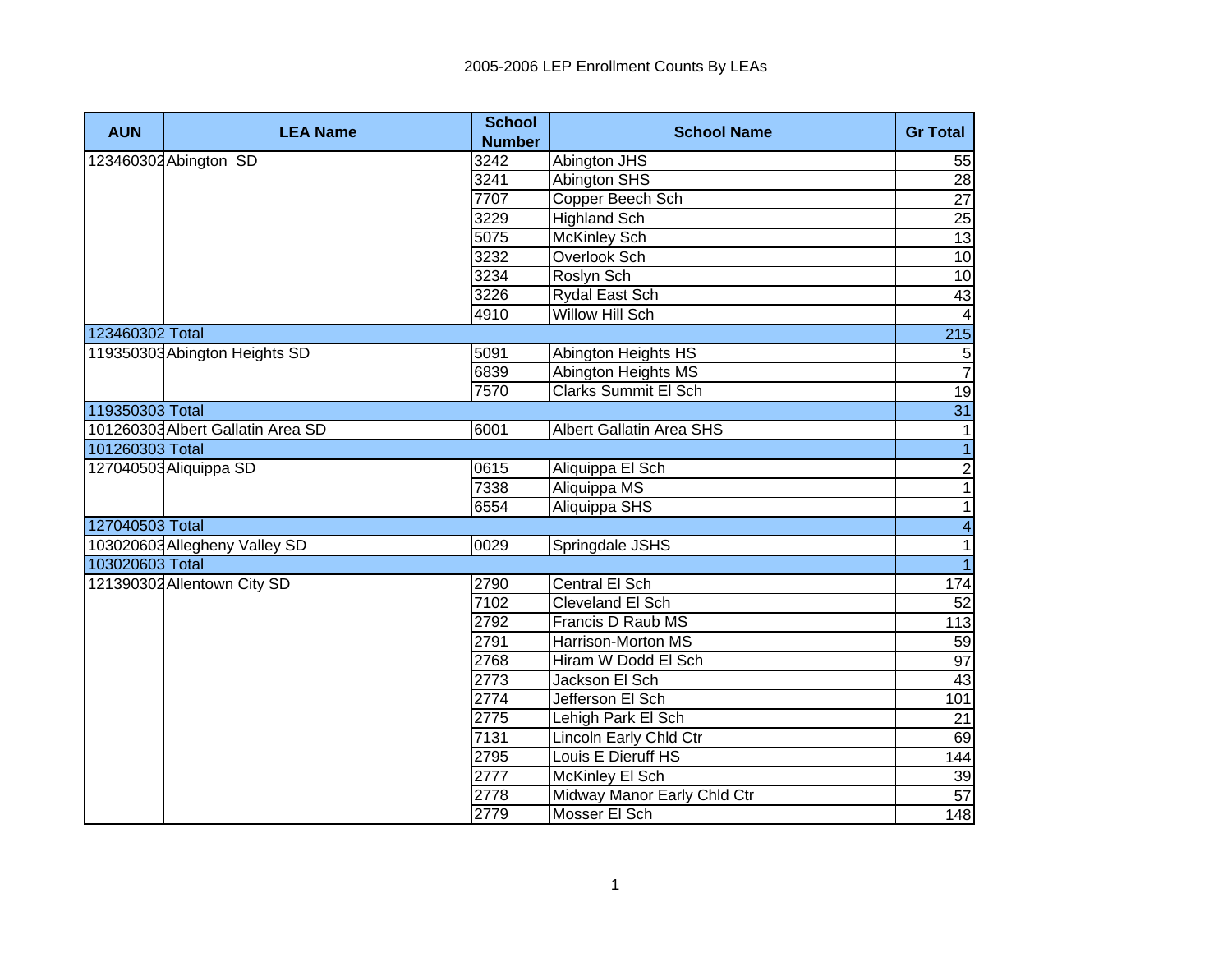| <b>AUN</b>      | <b>LEA Name</b>                   | <b>School</b><br><b>Number</b> | <b>School Name</b>              | <b>Gr Total</b> |
|-----------------|-----------------------------------|--------------------------------|---------------------------------|-----------------|
|                 | 123460302 Abington SD             | 3242                           | <b>Abington JHS</b>             | 55              |
|                 |                                   | 3241                           | <b>Abington SHS</b>             | 28              |
|                 |                                   | 7707                           | Copper Beech Sch                | $\overline{27}$ |
|                 |                                   | 3229                           | <b>Highland Sch</b>             | $\overline{25}$ |
|                 |                                   | 5075                           | <b>McKinley Sch</b>             | 13              |
|                 |                                   | 3232                           | <b>Overlook Sch</b>             | 10              |
|                 |                                   | 3234                           | Roslyn Sch                      | 10              |
|                 |                                   | 3226                           | Rydal East Sch                  | 43              |
|                 |                                   | 4910                           | <b>Willow Hill Sch</b>          |                 |
| 123460302 Total |                                   |                                |                                 | 215             |
|                 | 119350303 Abington Heights SD     | 5091                           | Abington Heights HS             | 5               |
|                 |                                   | 6839                           | Abington Heights MS             | $\overline{7}$  |
|                 |                                   | 7570                           | <b>Clarks Summit El Sch</b>     | 19              |
| 119350303 Total |                                   |                                |                                 | $\overline{31}$ |
|                 | 101260303 Albert Gallatin Area SD | 6001                           | <b>Albert Gallatin Area SHS</b> | 1               |
| 101260303 Total |                                   |                                |                                 | $\mathbf{1}$    |
|                 | 127040503 Aliquippa SD            | 0615                           | Aliquippa El Sch                | $\overline{2}$  |
|                 |                                   | 7338                           | Aliquippa MS                    | 1               |
|                 |                                   | 6554                           | <b>Aliquippa SHS</b>            | 1               |
| 127040503 Total |                                   |                                |                                 | 4               |
|                 | 103020603 Allegheny Valley SD     | 0029                           | Springdale JSHS                 | 1               |
| 103020603 Total |                                   |                                |                                 |                 |
|                 | 121390302 Allentown City SD       | 2790                           | Central El Sch                  | 174             |
|                 |                                   | 7102                           | <b>Cleveland El Sch</b>         | $\overline{52}$ |
|                 |                                   | 2792                           | Francis D Raub MS               | 113             |
|                 |                                   | 2791                           | Harrison-Morton MS              | 59              |
|                 |                                   | 2768                           | Hiram W Dodd El Sch             | $\overline{97}$ |
|                 |                                   | 2773                           | Jackson El Sch                  | $\overline{43}$ |
|                 |                                   | 2774                           | Jefferson El Sch                | 101             |
|                 |                                   | 2775                           | Lehigh Park El Sch              | 21              |
|                 |                                   | 7131                           | Lincoln Early Chld Ctr          | 69              |
|                 |                                   | 2795                           | Louis E Dieruff HS              | 144             |
|                 |                                   | 2777                           | McKinley El Sch                 | 39              |
|                 |                                   | 2778                           | Midway Manor Early Chld Ctr     | 57              |
|                 |                                   | 2779                           | Mosser El Sch                   | 148             |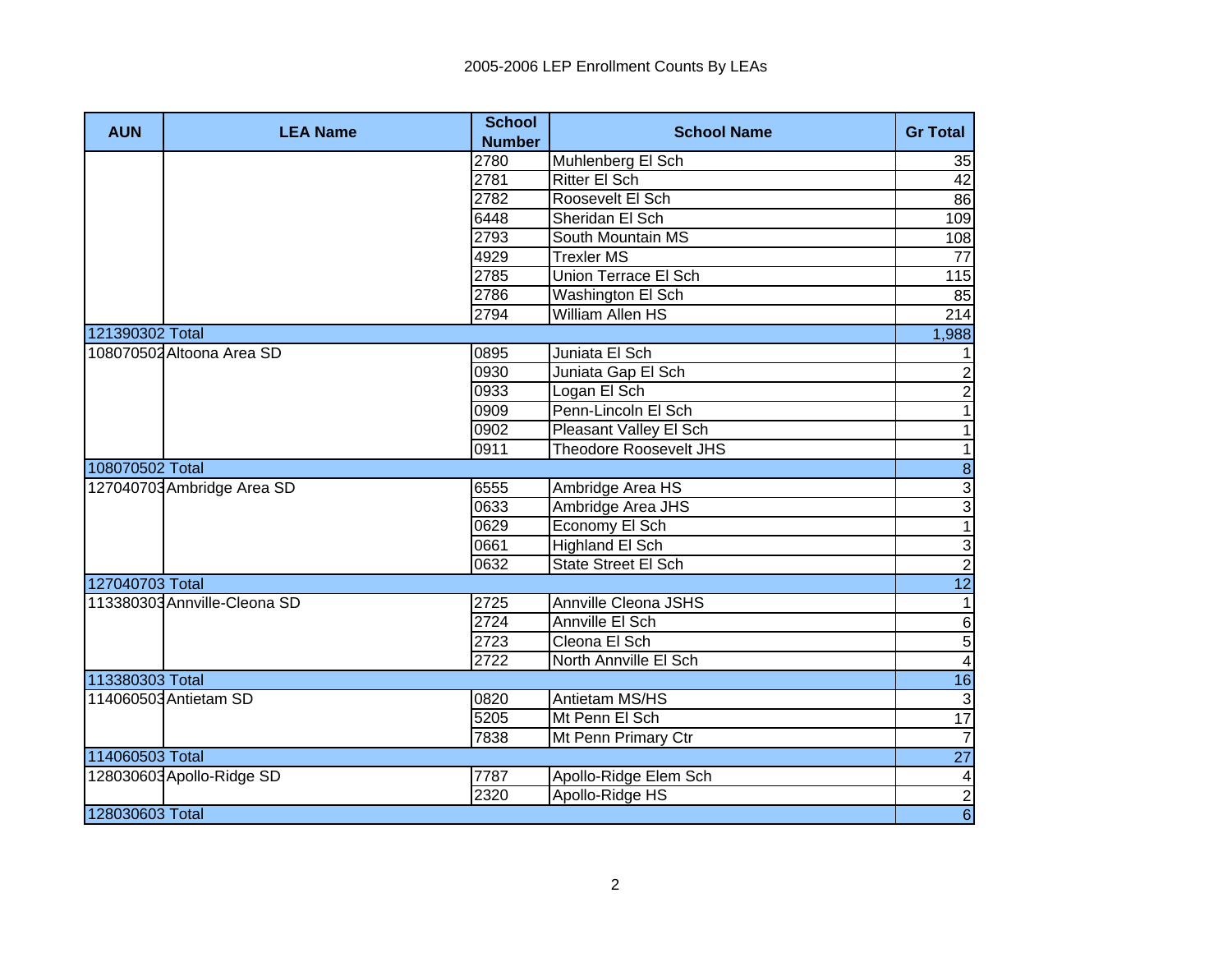| <b>AUN</b>      | <b>LEA Name</b>              | <b>School</b><br><b>Number</b> | <b>School Name</b>            | <b>Gr Total</b>         |
|-----------------|------------------------------|--------------------------------|-------------------------------|-------------------------|
|                 |                              | 2780                           | Muhlenberg El Sch             | 35                      |
|                 |                              | 2781                           | <b>Ritter El Sch</b>          | 42                      |
|                 |                              | 2782                           | Roosevelt El Sch              | 86                      |
|                 |                              | 6448                           | Sheridan El Sch               | 109                     |
|                 |                              | 2793                           | South Mountain MS             | 108                     |
|                 |                              | 4929                           | <b>Trexler MS</b>             | 77                      |
|                 |                              | 2785                           | <b>Union Terrace El Sch</b>   | 115                     |
|                 |                              | 2786                           | Washington El Sch             | 85                      |
|                 |                              | 2794                           | William Allen HS              | 214                     |
| 121390302 Total |                              |                                |                               | 1,988                   |
|                 | 108070502 Altoona Area SD    | 0895                           | Juniata El Sch                | 1                       |
|                 |                              | 0930                           | Juniata Gap El Sch            | $\overline{c}$          |
|                 |                              | 0933                           | Logan El Sch                  | $\overline{2}$          |
|                 |                              | 0909                           | Penn-Lincoln El Sch           | $\mathbf{1}$            |
|                 |                              | 0902                           | Pleasant Valley El Sch        | $\mathbf{1}$            |
|                 |                              | 0911                           | <b>Theodore Roosevelt JHS</b> | $\mathbf{1}$            |
| 108070502 Total |                              |                                |                               | $\overline{8}$          |
|                 | 127040703 Ambridge Area SD   | 6555                           | Ambridge Area HS              | $\mathbf{3}$            |
|                 |                              | 0633                           | Ambridge Area JHS             | $\overline{3}$          |
|                 |                              | 0629                           | Economy El Sch                | $\overline{1}$          |
|                 |                              | 0661                           | <b>Highland El Sch</b>        | $\mathbf{3}$            |
|                 |                              | 0632                           | State Street El Sch           | $\overline{2}$          |
| 127040703 Total |                              |                                |                               | $\overline{12}$         |
|                 | 113380303 Annville-Cleona SD | 2725                           | <b>Annville Cleona JSHS</b>   | $\mathbf{1}$            |
|                 |                              | 2724                           | Annville El Sch               | $\overline{6}$          |
|                 |                              | 2723                           | Cleona El Sch                 | 5                       |
|                 |                              | 2722                           | North Annville El Sch         | $\overline{\mathbf{4}}$ |
| 113380303 Total |                              |                                |                               | 16                      |
|                 | 114060503 Antietam SD        | 0820                           | Antietam MS/HS                | $\mathbf{3}$            |
|                 |                              | 5205                           | Mt Penn El Sch                | 17                      |
|                 |                              | 7838                           | Mt Penn Primary Ctr           | $\overline{7}$          |
| 114060503 Total |                              |                                |                               | $\overline{27}$         |
|                 | 128030603 Apollo-Ridge SD    | 7787                           | Apollo-Ridge Elem Sch         | $\overline{\mathbf{4}}$ |
|                 |                              | 2320                           | Apollo-Ridge HS               | $\overline{2}$          |
| 128030603 Total |                              |                                |                               | $\overline{6}$          |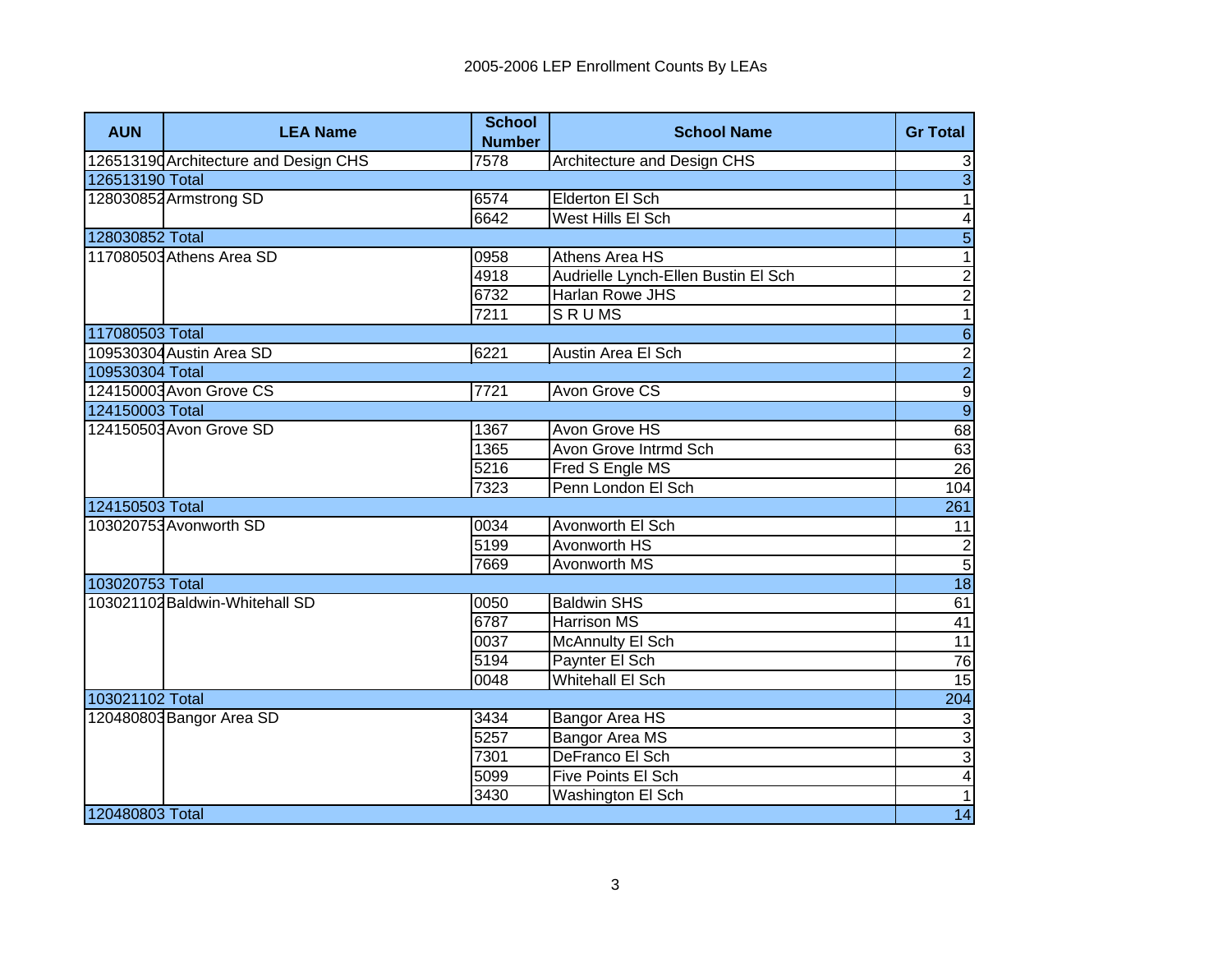| <b>AUN</b>      | <b>LEA Name</b>                       | <b>School</b> | <b>School Name</b>                  | <b>Gr Total</b>         |
|-----------------|---------------------------------------|---------------|-------------------------------------|-------------------------|
|                 |                                       | <b>Number</b> |                                     |                         |
|                 | 126513190 Architecture and Design CHS | 7578          | Architecture and Design CHS         | 3                       |
| 126513190 Total |                                       |               |                                     | 3                       |
|                 | 128030852 Armstrong SD                | 6574          | <b>Elderton El Sch</b>              |                         |
|                 |                                       | 6642          | West Hills El Sch                   |                         |
| 128030852 Total |                                       |               |                                     | 5                       |
|                 | 117080503 Athens Area SD              | 0958          | Athens Area HS                      |                         |
|                 |                                       | 4918          | Audrielle Lynch-Ellen Bustin El Sch | $\mathbf{2}$            |
|                 |                                       | 6732          | <b>Harlan Rowe JHS</b>              | $\overline{2}$          |
|                 |                                       | 7211          | <b>SRUMS</b>                        | 1                       |
| 117080503 Total |                                       |               |                                     | $\overline{6}$          |
|                 | 109530304 Austin Area SD              | 6221          | Austin Area El Sch                  | $\mathbf{2}$            |
| 109530304 Total |                                       |               |                                     | $\overline{2}$          |
|                 | 124150003 Avon Grove CS               | 7721          | Avon Grove CS                       | $\overline{9}$          |
| 124150003 Total |                                       |               |                                     | $\overline{9}$          |
|                 | 124150503 Avon Grove SD               | 1367          | Avon Grove HS                       | 68                      |
|                 |                                       | 1365          | Avon Grove Intrmd Sch               | 63                      |
|                 |                                       | 5216          | Fred S Engle MS                     | 26                      |
|                 |                                       | 7323          | Penn London El Sch                  | 104                     |
| 124150503 Total |                                       |               |                                     | $\overline{261}$        |
|                 | 103020753 Avonworth SD                | 0034          | Avonworth El Sch                    | 11                      |
|                 |                                       | 5199          | Avonworth HS                        | $\overline{2}$          |
|                 |                                       | 7669          | Avonworth MS                        | $\overline{5}$          |
| 103020753 Total |                                       |               |                                     | 18                      |
|                 | 103021102 Baldwin-Whitehall SD        | 0050          | <b>Baldwin SHS</b>                  | 61                      |
|                 |                                       | 6787          | <b>Harrison MS</b>                  | 41                      |
|                 |                                       | 0037          | <b>McAnnulty El Sch</b>             | $\overline{11}$         |
|                 |                                       | 5194          | Paynter El Sch                      | 76                      |
|                 |                                       | 0048          | <b>Whitehall El Sch</b>             | 15                      |
| 103021102 Total |                                       |               |                                     | 204                     |
|                 | 120480803 Bangor Area SD              | 3434          | <b>Bangor Area HS</b>               | $\overline{3}$          |
|                 |                                       | 5257          | Bangor Area MS                      | $\overline{3}$          |
|                 |                                       | 7301          | DeFranco El Sch                     | $\overline{3}$          |
|                 |                                       | 5099          | Five Points El Sch                  | $\overline{\mathbf{4}}$ |
|                 |                                       | 3430          | Washington El Sch                   | $\mathbf{1}$            |
| 120480803 Total |                                       |               |                                     | 14                      |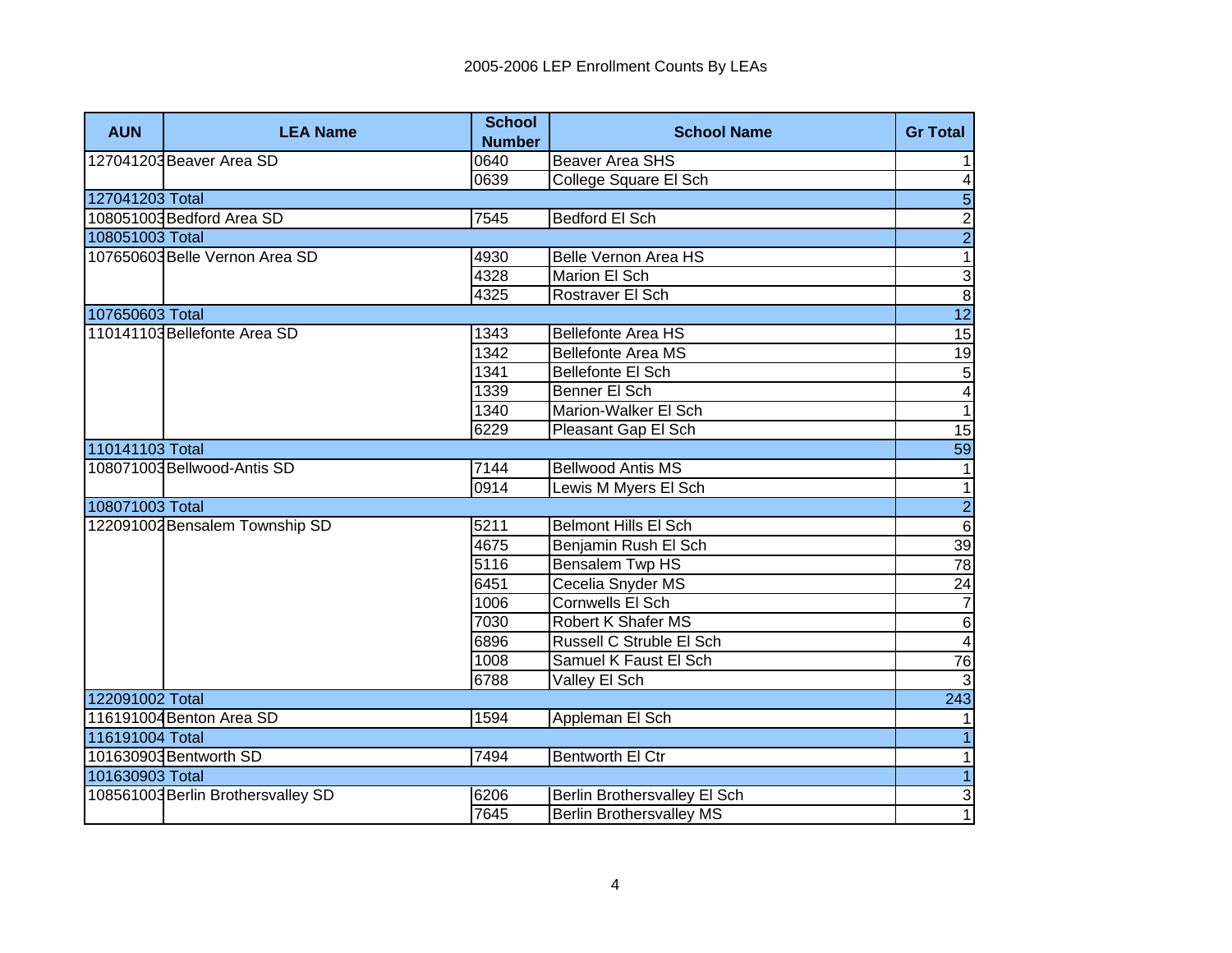| <b>AUN</b>      | <b>LEA Name</b>                    | <b>School</b><br><b>Number</b> | <b>School Name</b>              | <b>Gr Total</b>         |
|-----------------|------------------------------------|--------------------------------|---------------------------------|-------------------------|
|                 | 127041203 Beaver Area SD           | 0640                           | <b>Beaver Area SHS</b>          | $\mathbf{1}$            |
|                 |                                    | 0639                           | College Square El Sch           | $\overline{\mathbf{4}}$ |
| 127041203 Total |                                    |                                |                                 | $\overline{5}$          |
|                 | 108051003 Bedford Area SD          | 7545                           | <b>Bedford El Sch</b>           | $\frac{2}{2}$           |
| 108051003 Total |                                    |                                |                                 |                         |
|                 | 107650603 Belle Vernon Area SD     | 4930                           | <b>Belle Vernon Area HS</b>     | $\overline{1}$          |
|                 |                                    | 4328                           | Marion El Sch                   | $\overline{3}$          |
|                 |                                    | 4325                           | Rostraver El Sch                | $\overline{8}$          |
| 107650603 Total |                                    |                                |                                 | $\overline{12}$         |
|                 | 110141103 Bellefonte Area SD       | 1343                           | Bellefonte Area HS              | 15                      |
|                 |                                    | 1342                           | <b>Bellefonte Area MS</b>       | 19                      |
|                 |                                    | 1341                           | Bellefonte El Sch               | $\overline{5}$          |
|                 |                                    | 1339                           | Benner El Sch                   | $\overline{4}$          |
|                 |                                    | 1340                           | Marion-Walker El Sch            | $\overline{1}$          |
|                 |                                    | 6229                           | Pleasant Gap El Sch             | 15                      |
| 110141103 Total |                                    |                                |                                 | 59                      |
|                 | 108071003 Bellwood-Antis SD        | 7144                           | <b>Bellwood Antis MS</b>        | $\overline{1}$          |
|                 |                                    | 0914                           | Lewis M Myers El Sch            | $\overline{1}$          |
| 108071003 Total |                                    |                                |                                 | $\overline{2}$          |
|                 | 122091002 Bensalem Township SD     | 5211                           | <b>Belmont Hills El Sch</b>     | $\overline{6}$          |
|                 |                                    | 4675                           | Benjamin Rush El Sch            | 39                      |
|                 |                                    | 5116                           | Bensalem Twp HS                 | 78                      |
|                 |                                    | 6451                           | Cecelia Snyder MS               | $\overline{24}$         |
|                 |                                    | 1006                           | Cornwells El Sch                | $\overline{7}$          |
|                 |                                    | 7030                           | Robert K Shafer MS              | $\overline{6}$          |
|                 |                                    | 6896                           | Russell C Struble El Sch        | $\overline{4}$          |
|                 |                                    | 1008                           | Samuel K Faust El Sch           | 76                      |
|                 |                                    | 6788                           | Valley El Sch                   | $\overline{3}$          |
| 122091002 Total |                                    |                                |                                 | 243                     |
|                 | 116191004 Benton Area SD           | 1594                           | Appleman El Sch                 | $\mathbf{1}$            |
| 116191004 Total |                                    |                                |                                 | $\overline{1}$          |
|                 | 101630903 Bentworth SD             | 7494                           | Bentworth El Ctr                | $\overline{1}$          |
| 101630903 Total |                                    |                                |                                 | $\overline{1}$          |
|                 | 108561003 Berlin Brothersvalley SD | 6206                           | Berlin Brothersvalley El Sch    | $\overline{3}$          |
|                 |                                    | 7645                           | <b>Berlin Brothersvalley MS</b> | $\overline{1}$          |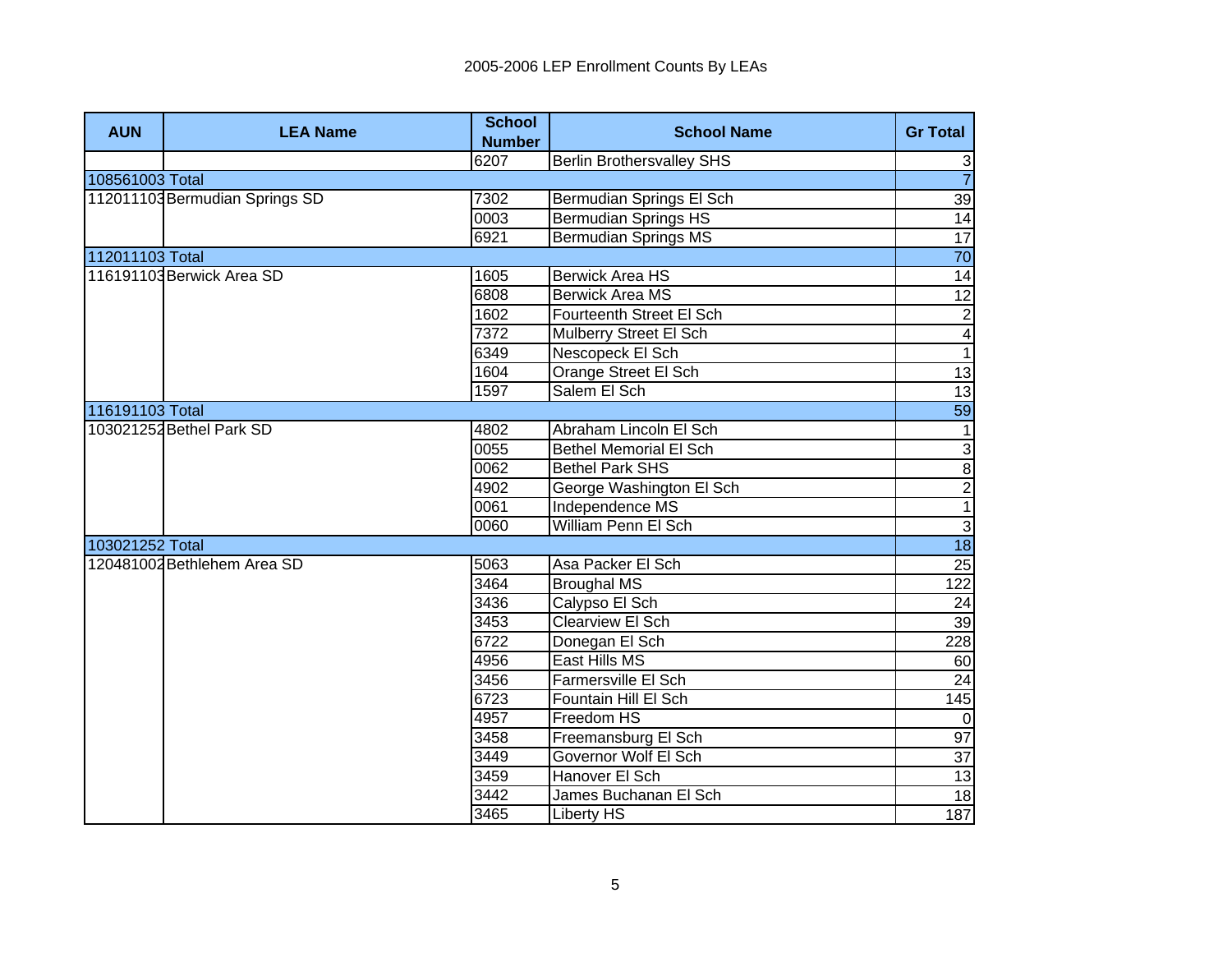| <b>AUN</b>      | <b>LEA Name</b>                | <b>School</b><br><b>Number</b> | <b>School Name</b>               | <b>Gr Total</b>          |
|-----------------|--------------------------------|--------------------------------|----------------------------------|--------------------------|
|                 |                                | 6207                           | <b>Berlin Brothersvalley SHS</b> | $\mathfrak{S}$           |
| 108561003 Total |                                |                                |                                  | $\overline{7}$           |
|                 | 112011103 Bermudian Springs SD | 7302                           | Bermudian Springs El Sch         | 39                       |
|                 |                                | 0003                           | <b>Bermudian Springs HS</b>      | $\overline{14}$          |
|                 |                                | 6921                           | <b>Bermudian Springs MS</b>      | $\overline{17}$          |
| 112011103 Total |                                |                                |                                  | $\overline{70}$          |
|                 | 116191103 Berwick Area SD      | 1605                           | <b>Berwick Area HS</b>           | 14                       |
|                 |                                | 6808                           | <b>Berwick Area MS</b>           | $\overline{12}$          |
|                 |                                | 1602                           | Fourteenth Street El Sch         | $\overline{2}$           |
|                 |                                | 7372                           | Mulberry Street El Sch           | $\overline{4}$           |
|                 |                                | 6349                           | Nescopeck El Sch                 | $\overline{\phantom{0}}$ |
|                 |                                | 1604                           | <b>Orange Street El Sch</b>      | $\overline{13}$          |
|                 |                                | 1597                           | Salem El Sch                     | 13                       |
| 116191103 Total |                                |                                |                                  | 59                       |
|                 | 103021252 Bethel Park SD       | 4802                           | Abraham Lincoln El Sch           | $\mathbf{1}$             |
|                 |                                | 0055                           | <b>Bethel Memorial El Sch</b>    | $\overline{3}$           |
|                 |                                | 0062                           | <b>Bethel Park SHS</b>           | $\overline{8}$           |
|                 |                                | 4902                           | George Washington El Sch         | $\overline{2}$           |
|                 |                                | 0061                           | Independence MS                  | $\overline{1}$           |
|                 |                                | 0060                           | William Penn El Sch              | $\overline{3}$           |
| 103021252 Total |                                |                                |                                  | 18                       |
|                 | 120481002 Bethlehem Area SD    | 5063                           | Asa Packer El Sch                | 25                       |
|                 |                                | 3464                           | <b>Broughal MS</b>               | 122                      |
|                 |                                | 3436                           | Calypso El Sch                   | 24                       |
|                 |                                | 3453                           | Clearview El Sch                 | 39                       |
|                 |                                | 6722                           | Donegan El Sch                   | 228                      |
|                 |                                | 4956                           | East Hills MS                    | 60                       |
|                 |                                | 3456                           | Farmersville El Sch              | $\overline{24}$          |
|                 |                                | 6723                           | Fountain Hill El Sch             | 145                      |
|                 |                                | 4957                           | Freedom HS                       | $\mathbf 0$              |
|                 |                                | 3458                           | Freemansburg El Sch              | 97                       |
|                 |                                | 3449                           | Governor Wolf El Sch             | 37                       |
|                 |                                | 3459                           | Hanover El Sch                   | 13                       |
|                 |                                | 3442                           | James Buchanan El Sch            | 18                       |
|                 |                                | 3465                           | Liberty HS                       | 187                      |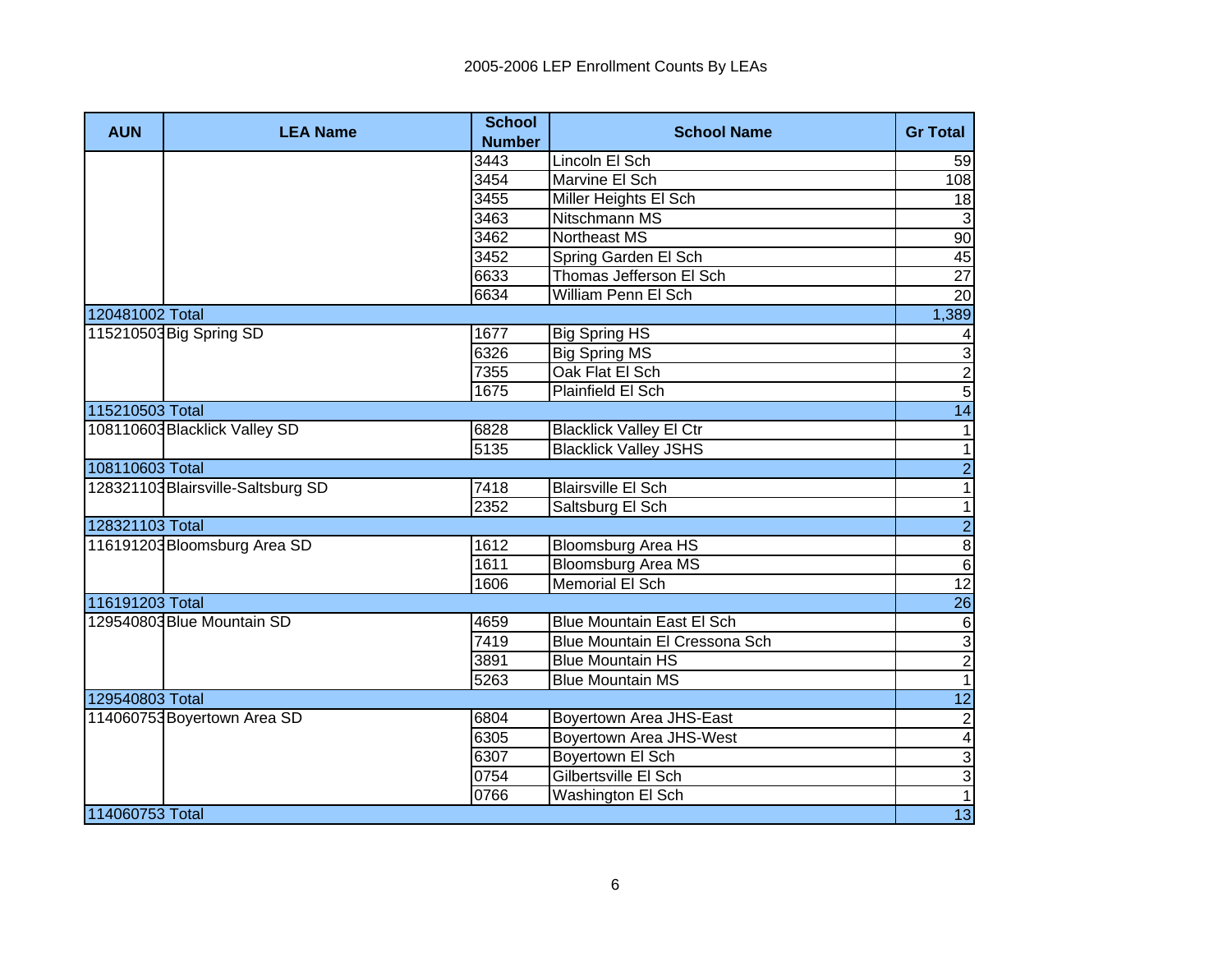| <b>AUN</b>      | <b>LEA Name</b>                    | <b>School</b> | <b>School Name</b>                   | <b>Gr Total</b>          |
|-----------------|------------------------------------|---------------|--------------------------------------|--------------------------|
|                 |                                    | <b>Number</b> |                                      |                          |
|                 |                                    | 3443          | Lincoln El Sch                       | 59                       |
|                 |                                    | 3454          | Marvine El Sch                       | 108                      |
|                 |                                    | 3455          | Miller Heights El Sch                | 18                       |
|                 |                                    | 3463          | Nitschmann MS                        | 3                        |
|                 |                                    | 3462          | Northeast MS                         | 90                       |
|                 |                                    | 3452          | Spring Garden El Sch                 | 45                       |
|                 |                                    | 6633          | Thomas Jefferson El Sch              | $\overline{27}$          |
|                 |                                    | 6634          | William Penn El Sch                  | 20                       |
| 120481002 Total |                                    |               |                                      | 1,389                    |
|                 | 115210503 Big Spring SD            | 1677          | <b>Big Spring HS</b>                 |                          |
|                 |                                    | 6326          | <b>Big Spring MS</b>                 | 3                        |
|                 |                                    | 7355          | Oak Flat El Sch                      | $\overline{2}$           |
|                 |                                    | 1675          | Plainfield El Sch                    | 5                        |
| 115210503 Total |                                    |               |                                      | 14                       |
|                 | 108110603 Blacklick Valley SD      | 6828          | <b>Blacklick Valley El Ctr</b>       |                          |
|                 |                                    | 5135          | <b>Blacklick Valley JSHS</b>         |                          |
| 108110603 Total |                                    |               |                                      |                          |
|                 | 128321103 Blairsville-Saltsburg SD | 7418          | <b>Blairsville El Sch</b>            |                          |
|                 |                                    | 2352          | Saltsburg El Sch                     |                          |
| 128321103 Total |                                    |               |                                      | $\overline{2}$           |
|                 | 116191203 Bloomsburg Area SD       | 1612          | <b>Bloomsburg Area HS</b>            | 8                        |
|                 |                                    | 1611          | <b>Bloomsburg Area MS</b>            | 6                        |
|                 |                                    | 1606          | <b>Memorial El Sch</b>               | 12                       |
| 116191203 Total |                                    |               |                                      | $\overline{26}$          |
|                 | 129540803 Blue Mountain SD         | 4659          | <b>Blue Mountain East El Sch</b>     | 6                        |
|                 |                                    | 7419          | <b>Blue Mountain El Cressona Sch</b> | $\overline{3}$           |
|                 |                                    | 3891          | <b>Blue Mountain HS</b>              | $\overline{2}$           |
|                 |                                    | 5263          | <b>Blue Mountain MS</b>              | $\mathbf{1}$             |
| 129540803 Total |                                    |               |                                      | $\overline{12}$          |
|                 | 114060753 Boyertown Area SD        | 6804          | Boyertown Area JHS-East              | $\overline{c}$           |
|                 |                                    | 6305          | Boyertown Area JHS-West              | $\overline{\mathcal{A}}$ |
|                 |                                    | 6307          | Boyertown El Sch                     | $\overline{3}$           |
|                 |                                    | 0754          | Gilbertsville El Sch                 | $\overline{3}$           |
|                 |                                    | 0766          | Washington El Sch                    | 1                        |
| 114060753 Total |                                    |               |                                      | 13                       |
|                 |                                    |               |                                      |                          |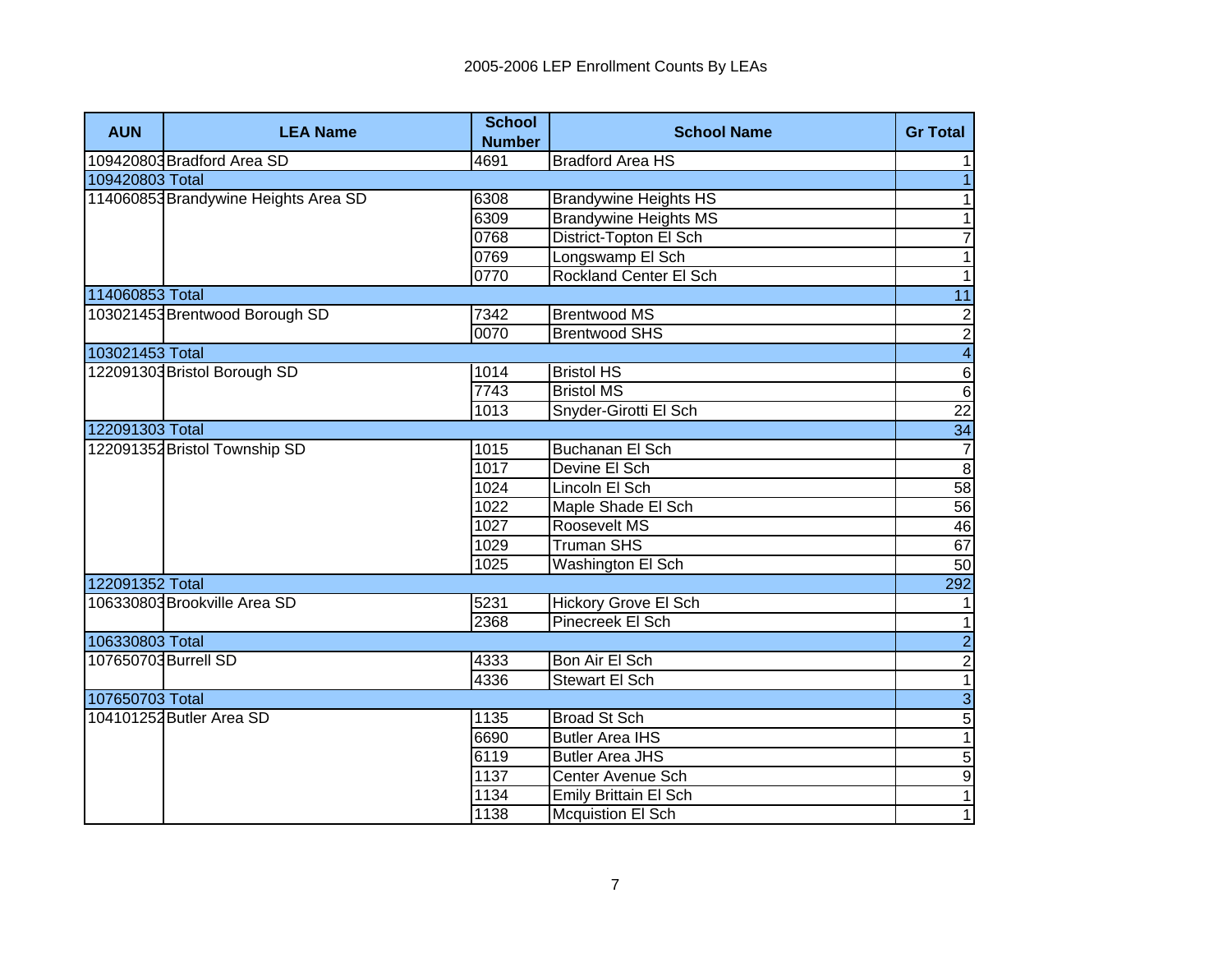| <b>AUN</b>      | <b>LEA Name</b>                      | <b>School</b><br><b>Number</b> | <b>School Name</b>            | <b>Gr Total</b> |
|-----------------|--------------------------------------|--------------------------------|-------------------------------|-----------------|
|                 | 109420803 Bradford Area SD           | 4691                           | <b>Bradford Area HS</b>       | $\mathbf{1}$    |
| 109420803 Total |                                      |                                |                               | $\overline{1}$  |
|                 | 114060853 Brandywine Heights Area SD | 6308                           | <b>Brandywine Heights HS</b>  | $\overline{1}$  |
|                 |                                      | 6309                           | <b>Brandywine Heights MS</b>  | $\overline{1}$  |
|                 |                                      | 0768                           | District-Topton El Sch        | $\overline{7}$  |
|                 |                                      | 0769                           | Longswamp El Sch              | $\overline{1}$  |
|                 |                                      | 0770                           | <b>Rockland Center El Sch</b> | $\overline{1}$  |
| 114060853 Total |                                      |                                |                               | 11              |
|                 | 103021453 Brentwood Borough SD       | 7342                           | <b>Brentwood MS</b>           | $\sqrt{2}$      |
|                 |                                      | 0070                           | <b>Brentwood SHS</b>          | $\overline{2}$  |
| 103021453 Total |                                      |                                |                               | $\overline{4}$  |
|                 | 122091303 Bristol Borough SD         | 1014                           | <b>Bristol HS</b>             | 6               |
|                 |                                      | 7743                           | <b>Bristol MS</b>             | $\overline{6}$  |
|                 |                                      | 1013                           | Snyder-Girotti El Sch         | $\overline{22}$ |
| 122091303 Total |                                      |                                |                               | $\overline{34}$ |
|                 | 122091352 Bristol Township SD        | 1015                           | <b>Buchanan El Sch</b>        | $\overline{7}$  |
|                 |                                      | $\frac{1017}{20}$              | Devine El Sch                 | $\overline{8}$  |
|                 |                                      | 1024                           | Lincoln El Sch                | 58              |
|                 |                                      | 1022                           | Maple Shade El Sch            | 56              |
|                 |                                      | 1027                           | Roosevelt MS                  | 46              |
|                 |                                      | 1029                           | <b>Truman SHS</b>             | 67              |
|                 |                                      | 1025                           | Washington El Sch             | 50              |
| 122091352 Total |                                      |                                |                               | 292             |
|                 | 106330803 Brookville Area SD         | 5231                           | <b>Hickory Grove El Sch</b>   | $\mathbf{1}$    |
|                 |                                      | 2368                           | Pinecreek El Sch              | $\mathbf{1}$    |
| 106330803 Total |                                      |                                |                               | $\overline{2}$  |
|                 | 107650703 Burrell SD                 | 4333                           | Bon Air El Sch                | $\overline{2}$  |
|                 |                                      | 4336                           | <b>Stewart El Sch</b>         | $\overline{1}$  |
| 107650703 Total |                                      |                                |                               | $\overline{3}$  |
|                 | 104101252 Butler Area SD             | 1135                           | <b>Broad St Sch</b>           | $\overline{5}$  |
|                 |                                      | 6690                           | <b>Butler Area IHS</b>        | $\overline{1}$  |
|                 |                                      | 6119                           | <b>Butler Area JHS</b>        | $\overline{5}$  |
|                 |                                      | 1137                           | Center Avenue Sch             | $\overline{9}$  |
|                 |                                      | 1134                           | Emily Brittain El Sch         | $\mathbf{1}$    |
|                 |                                      | 1138                           | <b>Mcquistion El Sch</b>      | $\overline{1}$  |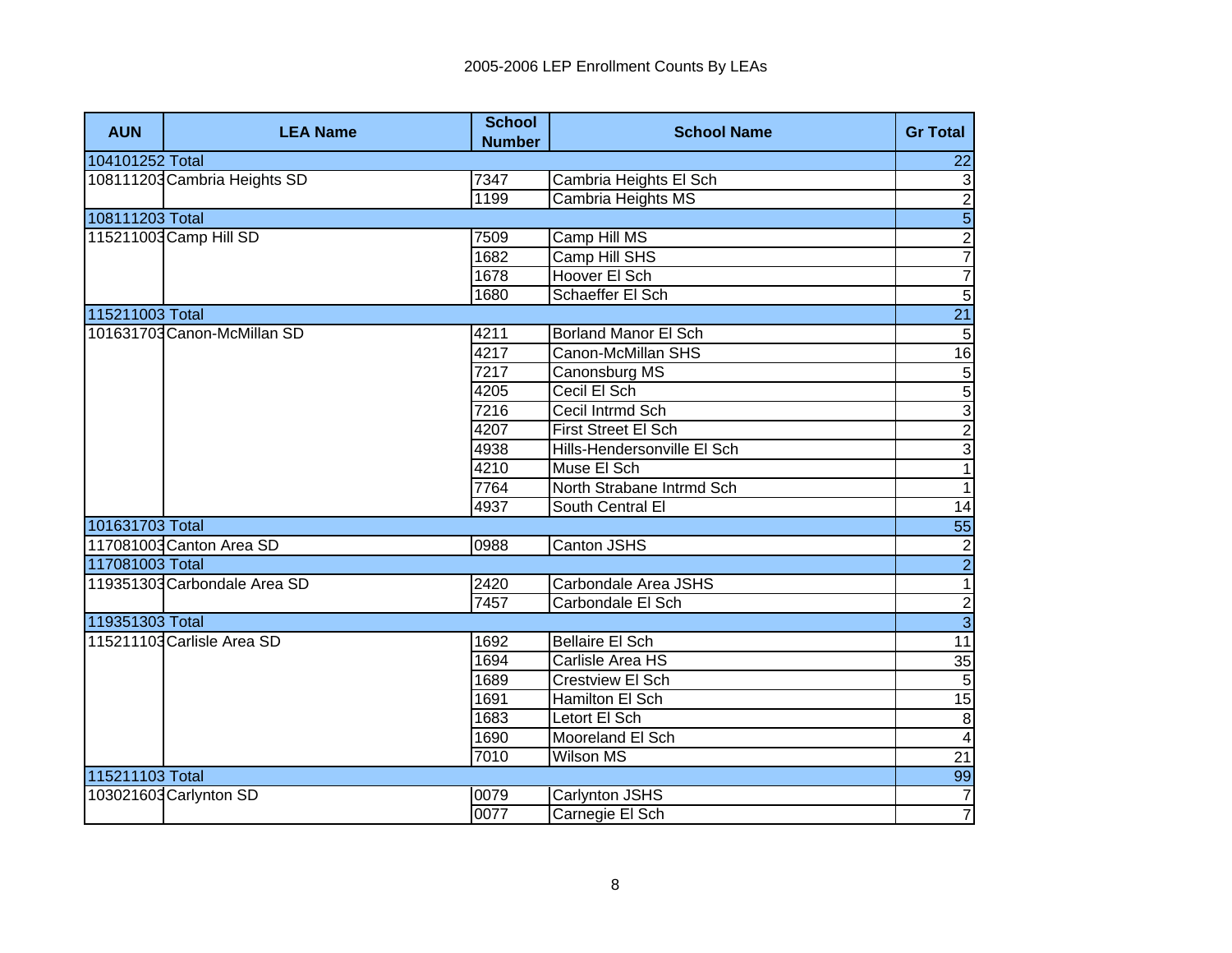| <b>AUN</b>      | <b>LEA Name</b>              | <b>School</b><br><b>Number</b> | <b>School Name</b>          | <b>Gr Total</b> |
|-----------------|------------------------------|--------------------------------|-----------------------------|-----------------|
| 104101252 Total |                              |                                |                             | 22              |
|                 | 108111203 Cambria Heights SD | 7347                           | Cambria Heights El Sch      | دن              |
|                 |                              | 1199                           | Cambria Heights MS          | $\overline{2}$  |
| 108111203 Total |                              |                                |                             | $\overline{5}$  |
|                 | 115211003 Camp Hill SD       | 7509                           | Camp Hill MS                | $\overline{c}$  |
|                 |                              | 1682                           | Camp Hill SHS               | $\overline{7}$  |
|                 |                              | 1678                           | Hoover El Sch               | $\overline{7}$  |
|                 |                              | 1680                           | Schaeffer El Sch            | $\overline{5}$  |
| 115211003 Total |                              |                                |                             | 21              |
|                 | 101631703 Canon-McMillan SD  | 4211                           | <b>Borland Manor El Sch</b> | $\sqrt{5}$      |
|                 |                              | 4217                           | Canon-McMillan SHS          | 16              |
|                 |                              | 7217                           | Canonsburg MS               | $\overline{5}$  |
|                 |                              | 4205                           | Cecil El Sch                | $\overline{5}$  |
|                 |                              | 7216                           | Cecil Intrmd Sch            |                 |
|                 |                              | 4207                           | First Street El Sch         | س ط ص —         |
|                 |                              | 4938                           | Hills-Hendersonville El Sch |                 |
|                 |                              | 4210                           | Muse El Sch                 |                 |
|                 |                              | 7764                           | North Strabane Intrmd Sch   | $\overline{1}$  |
|                 |                              | 4937                           | South Central El            | $\overline{14}$ |
| 101631703 Total |                              |                                |                             | $\overline{55}$ |
|                 | 117081003 Canton Area SD     | 0988                           | Canton JSHS                 |                 |
| 117081003 Total |                              |                                |                             | $\frac{2}{2}$   |
|                 | 119351303 Carbondale Area SD | 2420                           | Carbondale Area JSHS        | $\overline{1}$  |
|                 |                              | 7457                           | Carbondale El Sch           | $\frac{2}{3}$   |
| 119351303 Total |                              |                                |                             |                 |
|                 | 115211103 Carlisle Area SD   | 1692                           | <b>Bellaire El Sch</b>      | $\overline{11}$ |
|                 |                              | 1694                           | Carlisle Area HS            | 35              |
|                 |                              | 1689                           | <b>Crestview El Sch</b>     | 5               |
|                 |                              | 1691                           | <b>Hamilton El Sch</b>      | $\overline{15}$ |
|                 |                              | 1683                           | Letort El Sch               | $\infty$        |
|                 |                              | 1690                           | Mooreland El Sch            | $\overline{a}$  |
|                 |                              | 7010                           | <b>Wilson MS</b>            | 21              |
| 115211103 Total |                              |                                |                             | 99              |
|                 | 103021603 Carlynton SD       | 0079                           | Carlynton JSHS              | $\overline{7}$  |
|                 |                              | 0077                           | Carnegie El Sch             | $\overline{7}$  |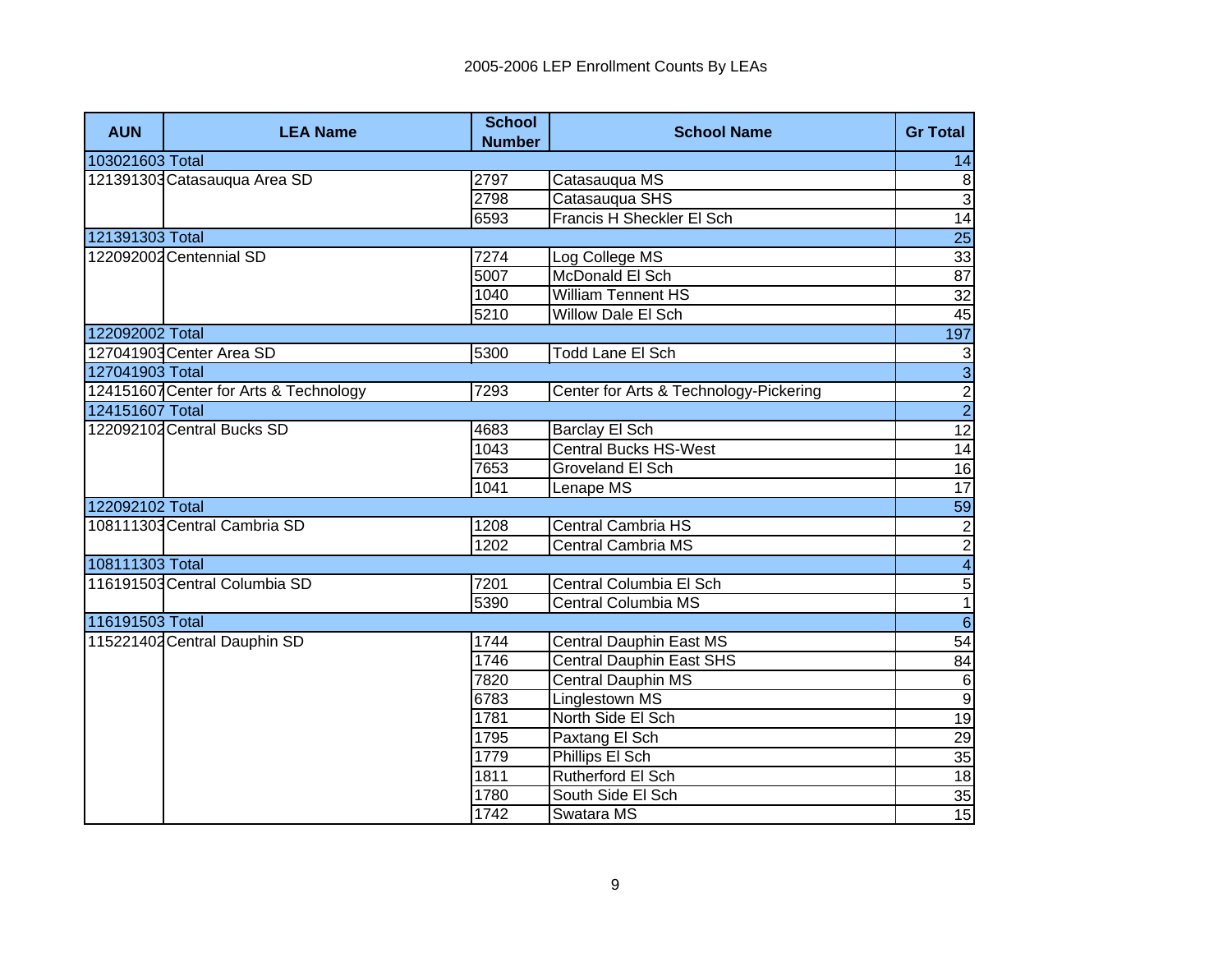| <b>AUN</b>      | <b>LEA Name</b>                        | <b>School</b><br><b>Number</b> | <b>School Name</b>                     | <b>Gr Total</b> |
|-----------------|----------------------------------------|--------------------------------|----------------------------------------|-----------------|
| 103021603 Total |                                        |                                |                                        | 14              |
|                 | 121391303 Catasauqua Area SD           | 2797                           | Catasauqua MS                          | $\, 8$          |
|                 |                                        | 2798                           | Catasauqua SHS                         | $\overline{3}$  |
|                 |                                        | 6593                           | Francis H Sheckler El Sch              | 14              |
| 121391303 Total |                                        |                                |                                        | $\overline{25}$ |
|                 | 122092002 Centennial SD                | 7274                           | Log College MS                         | 33              |
|                 |                                        | 5007                           | McDonald El Sch                        | $\overline{87}$ |
|                 |                                        | 1040                           | <b>William Tennent HS</b>              | $\overline{32}$ |
|                 |                                        | 5210                           | Willow Dale El Sch                     | 45              |
| 122092002 Total |                                        |                                |                                        | 197             |
|                 | 127041903 Center Area SD               | 5300                           | Todd Lane El Sch                       | $\overline{3}$  |
| 127041903 Total |                                        |                                |                                        |                 |
|                 | 124151607 Center for Arts & Technology | 7293                           | Center for Arts & Technology-Pickering | $\frac{3}{2}$   |
| 124151607 Total |                                        |                                |                                        |                 |
|                 | 122092102 Central Bucks SD             | 4683                           | Barclay El Sch                         | 12              |
|                 |                                        | 1043                           | <b>Central Bucks HS-West</b>           | 14              |
|                 |                                        | 7653                           | Groveland El Sch                       | 16              |
|                 |                                        | 1041                           | Lenape MS                              | $\overline{17}$ |
| 122092102 Total |                                        |                                |                                        | 59              |
|                 | 108111303 Central Cambria SD           | 1208                           | <b>Central Cambria HS</b>              |                 |
|                 |                                        | 1202                           | <b>Central Cambria MS</b>              | $\frac{2}{2}$   |
| 108111303 Total |                                        |                                |                                        | $\overline{4}$  |
|                 | 116191503 Central Columbia SD          | 7201                           | Central Columbia El Sch                | $\overline{5}$  |
|                 |                                        | 5390                           | <b>Central Columbia MS</b>             | $\overline{1}$  |
| 116191503 Total |                                        |                                |                                        | $\overline{6}$  |
|                 | 115221402 Central Dauphin SD           | 1744                           | <b>Central Dauphin East MS</b>         | 54              |
|                 |                                        | 1746                           | <b>Central Dauphin East SHS</b>        | 84              |
|                 |                                        | 7820                           | <b>Central Dauphin MS</b>              | $\,6\,$         |
|                 |                                        | 6783                           | <b>Linglestown MS</b>                  | $\overline{9}$  |
|                 |                                        | 1781                           | North Side El Sch                      | 19              |
|                 |                                        | 1795                           | Paxtang El Sch                         | $\overline{29}$ |
|                 |                                        | 1779                           | Phillips El Sch                        | 35              |
|                 |                                        | 1811                           | Rutherford El Sch                      | 18              |
|                 |                                        | 1780                           | South Side El Sch                      | $\overline{35}$ |
|                 |                                        | 1742                           | Swatara MS                             | $\overline{15}$ |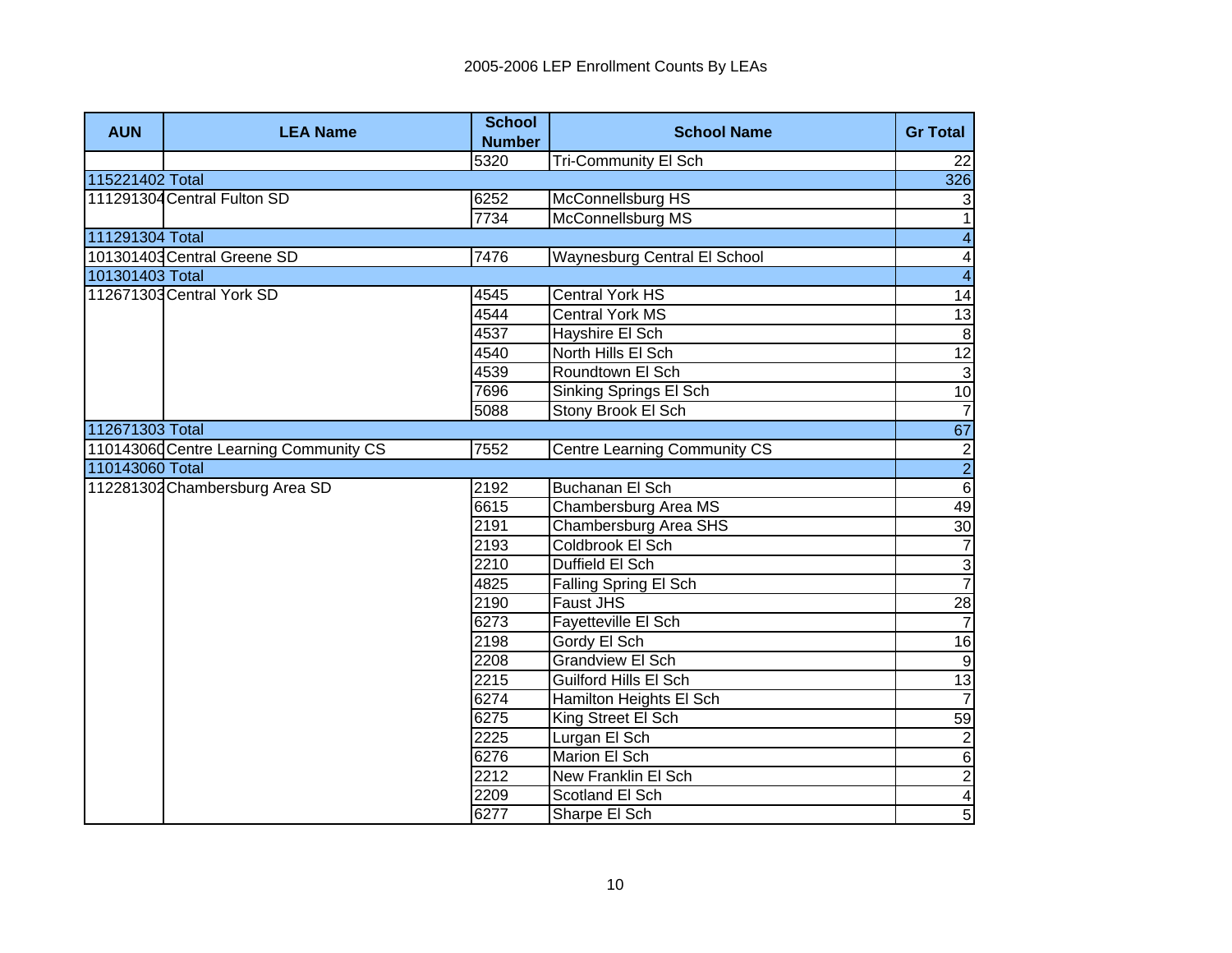| <b>AUN</b>      | <b>LEA Name</b>                        | <b>School</b><br><b>Number</b> | <b>School Name</b>                  | <b>Gr Total</b>         |
|-----------------|----------------------------------------|--------------------------------|-------------------------------------|-------------------------|
|                 |                                        | 5320                           | Tri-Community El Sch                | 22                      |
| 115221402 Total |                                        |                                |                                     | 326                     |
|                 | 111291304 Central Fulton SD            | 6252                           | McConnellsburg HS                   | $\sqrt{3}$              |
|                 |                                        | 7734                           | <b>McConnellsburg MS</b>            | $\overline{1}$          |
| 111291304 Total |                                        |                                |                                     | $\overline{4}$          |
|                 | 101301403 Central Greene SD            | 7476                           | Waynesburg Central El School        | $\overline{\mathbf{4}}$ |
| 101301403 Total |                                        |                                |                                     | $\overline{4}$          |
|                 | 112671303 Central York SD              | 4545                           | <b>Central York HS</b>              | 14                      |
|                 | 4544                                   | <b>Central York MS</b>         | 13                                  |                         |
|                 | 4537                                   | Hayshire El Sch                | $\, 8$                              |                         |
|                 |                                        | 4540                           | North Hills El Sch                  | 12                      |
|                 |                                        | 4539                           | Roundtown El Sch                    | $\overline{\omega}$     |
|                 |                                        | 7696                           | Sinking Springs El Sch              | $10$                    |
|                 |                                        | 5088                           | Stony Brook El Sch                  | $\overline{7}$          |
| 112671303 Total |                                        |                                |                                     | 67                      |
|                 | 110143060 Centre Learning Community CS | 7552                           | <b>Centre Learning Community CS</b> |                         |
| 110143060 Total |                                        |                                |                                     | $\frac{2}{2}$           |
|                 | 112281302 Chambersburg Area SD         | 2192                           | Buchanan El Sch                     |                         |
|                 |                                        | 6615                           | Chambersburg Area MS                | 49                      |
|                 |                                        | 2191                           | Chambersburg Area SHS               | $\overline{30}$         |
|                 |                                        | 2193                           | Coldbrook El Sch                    | $\overline{7}$          |
|                 |                                        | 2210                           | Duffield El Sch                     | $\overline{3}$          |
|                 |                                        | 4825                           | Falling Spring El Sch               | $\overline{7}$          |
|                 |                                        | 2190                           | <b>Faust JHS</b>                    | $\overline{28}$         |
|                 |                                        | 6273                           | Fayetteville El Sch                 | $\overline{7}$          |
|                 |                                        | 2198                           | Gordy El Sch                        | 16                      |
|                 |                                        | 2208                           | <b>Grandview El Sch</b>             | 9                       |
|                 |                                        | 2215                           | <b>Guilford Hills El Sch</b>        | $\overline{13}$         |
|                 |                                        | 6274                           | Hamilton Heights El Sch             | $\overline{7}$          |
|                 |                                        | 6275                           | King Street El Sch                  | 59                      |
|                 |                                        | 2225                           | Lurgan El Sch                       | $\overline{2}$          |
|                 |                                        | 6276                           | Marion El Sch                       | $\,6$                   |
|                 |                                        | 2212                           | New Franklin El Sch                 | $\overline{2}$          |
|                 |                                        | 2209                           | Scotland El Sch                     | $\overline{\mathbf{4}}$ |
|                 |                                        | 6277                           | Sharpe El Sch                       | $\overline{5}$          |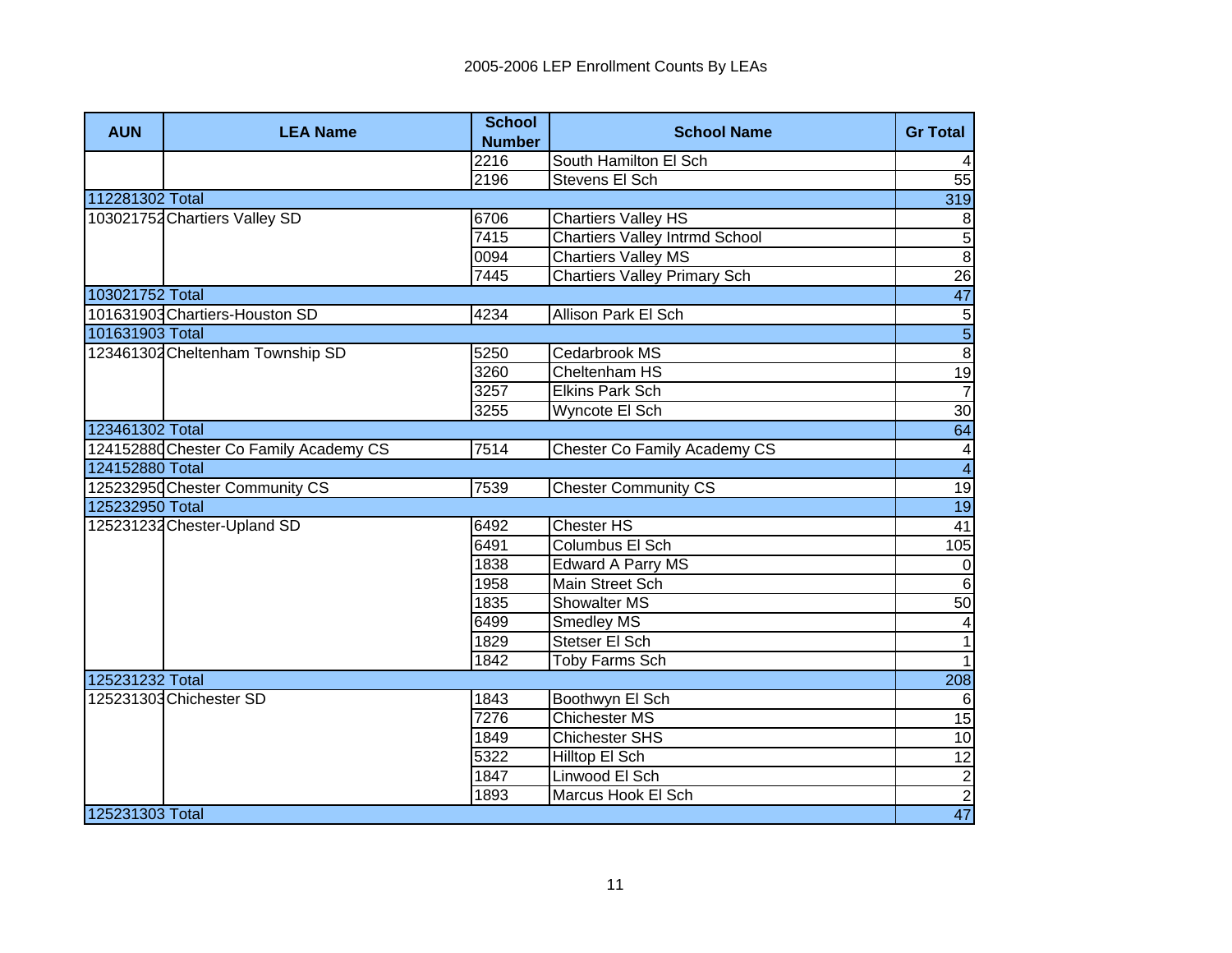| <b>AUN</b>      | <b>LEA Name</b>                        | <b>School</b><br><b>Number</b> | <b>School Name</b>                    | <b>Gr Total</b> |
|-----------------|----------------------------------------|--------------------------------|---------------------------------------|-----------------|
|                 |                                        | 2216                           | South Hamilton El Sch                 |                 |
|                 |                                        | 2196                           | <b>Stevens El Sch</b>                 | 55              |
| 112281302 Total |                                        |                                |                                       | 319             |
|                 | 103021752 Chartiers Valley SD          | 6706                           | <b>Chartiers Valley HS</b>            | 8               |
|                 |                                        | 7415                           | <b>Chartiers Valley Intrmd School</b> | 5               |
|                 |                                        | 0094                           | <b>Chartiers Valley MS</b>            | 8               |
|                 |                                        | 7445                           | <b>Chartiers Valley Primary Sch</b>   | $\overline{26}$ |
| 103021752 Total |                                        |                                |                                       | 47              |
|                 | 101631903 Chartiers-Houston SD         | 4234                           | Allison Park El Sch                   |                 |
| 101631903 Total |                                        |                                |                                       |                 |
|                 | 123461302 Cheltenham Township SD       | 5250                           | <b>Cedarbrook MS</b>                  | 8               |
|                 |                                        | 3260                           | Cheltenham HS                         | 19              |
|                 |                                        | 3257                           | <b>Elkins Park Sch</b>                |                 |
|                 |                                        | 3255                           | Wyncote El Sch                        | 30              |
| 123461302 Total |                                        |                                |                                       | 64              |
|                 | 124152880 Chester Co Family Academy CS | 7514                           | Chester Co Family Academy CS          |                 |
| 124152880 Total |                                        |                                |                                       |                 |
|                 | 125232950 Chester Community CS         | 7539                           | <b>Chester Community CS</b>           | 19              |
| 125232950 Total |                                        |                                |                                       | $\overline{19}$ |
|                 | 125231232 Chester-Upland SD            | 6492                           | <b>Chester HS</b>                     | 41              |
|                 |                                        | 6491                           | <b>Columbus El Sch</b>                | 105             |
|                 |                                        | 1838                           | <b>Edward A Parry MS</b>              | $\Omega$        |
|                 |                                        | 1958                           | Main Street Sch                       | 6               |
|                 |                                        | 1835                           | Showalter MS                          | $\overline{50}$ |
|                 |                                        | 6499                           | Smedley MS                            |                 |
|                 |                                        | 1829                           | Stetser El Sch                        |                 |
|                 |                                        | 1842                           | Toby Farms Sch                        |                 |
| 125231232 Total |                                        |                                |                                       | 208             |
|                 | 125231303 Chichester SD                | 1843                           | Boothwyn El Sch                       | 6               |
|                 |                                        | 7276                           | <b>Chichester MS</b>                  | 15              |
|                 |                                        | 1849                           | <b>Chichester SHS</b>                 | 10              |
|                 |                                        | 5322                           | Hilltop El Sch                        | $\overline{12}$ |
|                 |                                        | 1847                           | Linwood El Sch                        |                 |
|                 |                                        | 1893                           | Marcus Hook El Sch                    |                 |
| 125231303 Total |                                        |                                |                                       | $\overline{47}$ |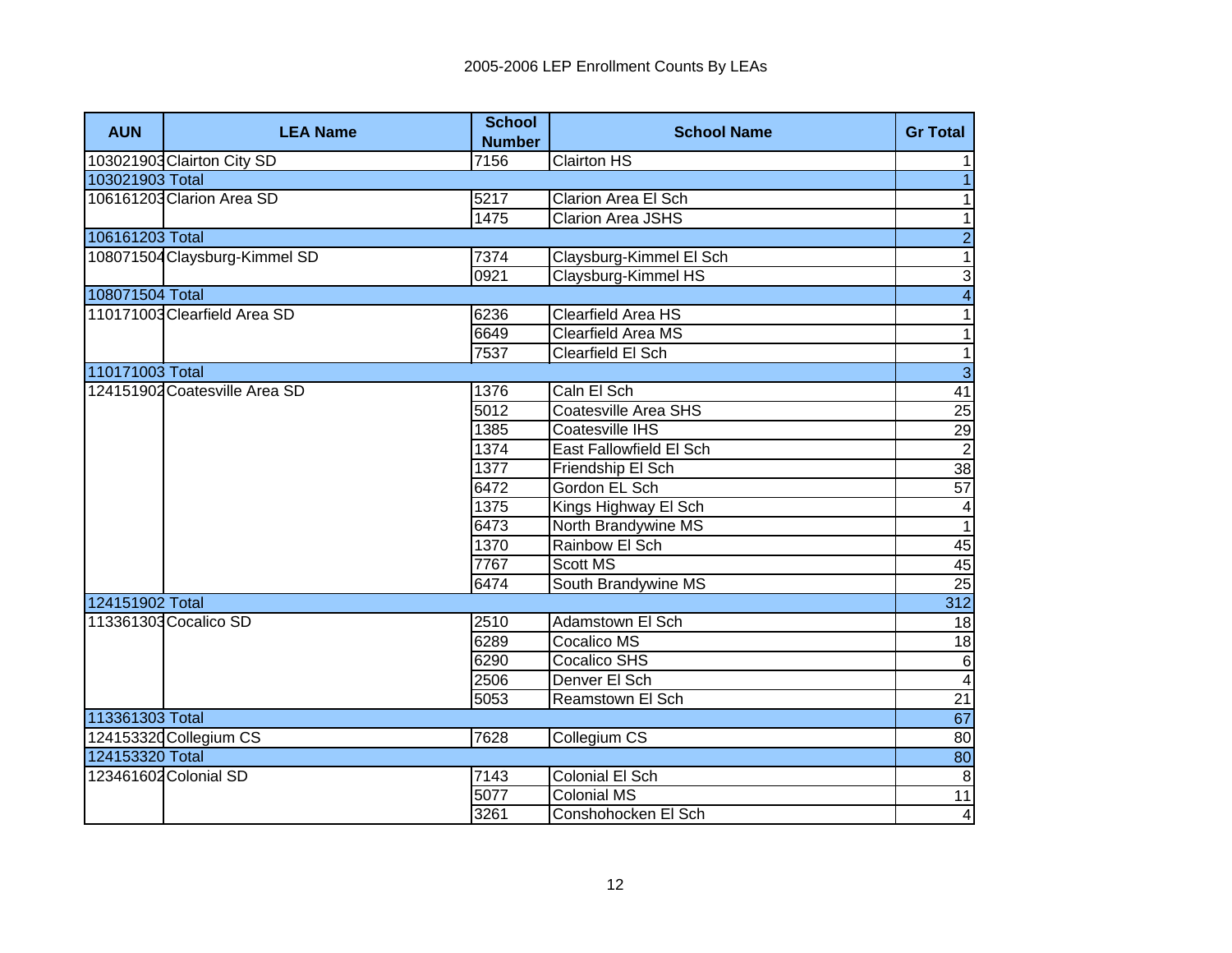| <b>AUN</b>      | <b>LEA Name</b>               | <b>School</b><br><b>Number</b> | <b>School Name</b>          | <b>Gr Total</b> |
|-----------------|-------------------------------|--------------------------------|-----------------------------|-----------------|
|                 | 103021903 Clairton City SD    | 7156                           | <b>Clairton HS</b>          |                 |
| 103021903 Total |                               |                                |                             |                 |
|                 | 106161203 Clarion Area SD     | 5217                           | <b>Clarion Area El Sch</b>  |                 |
|                 |                               | 1475                           | <b>Clarion Area JSHS</b>    |                 |
| 106161203 Total |                               |                                |                             |                 |
|                 | 108071504 Claysburg-Kimmel SD | 7374                           | Claysburg-Kimmel El Sch     |                 |
|                 |                               | 0921                           | Claysburg-Kimmel HS         |                 |
| 108071504 Total |                               |                                |                             |                 |
|                 | 110171003 Clearfield Area SD  | 6236                           | Clearfield Area HS          |                 |
|                 |                               | 6649                           | <b>Clearfield Area MS</b>   |                 |
|                 |                               | 7537                           | Clearfield El Sch           |                 |
| 110171003 Total |                               |                                |                             |                 |
|                 | 124151902 Coatesville Area SD | 1376                           | Caln El Sch                 | 41              |
|                 |                               | 5012                           | <b>Coatesville Area SHS</b> | $\overline{25}$ |
|                 |                               | 1385                           | Coatesville IHS             | 29              |
|                 |                               | 1374                           | East Fallowfield El Sch     | $\overline{2}$  |
|                 |                               | 1377                           | Friendship El Sch           | $\overline{38}$ |
|                 |                               | 6472                           | Gordon EL Sch               | $\overline{57}$ |
|                 |                               | 1375                           | Kings Highway El Sch        |                 |
|                 |                               | 6473                           | North Brandywine MS         |                 |
|                 |                               | 1370                           | Rainbow El Sch              | 45              |
|                 |                               | 7767                           | Scott MS                    | 45              |
|                 |                               | 6474                           | South Brandywine MS         | $\overline{25}$ |
| 124151902 Total |                               |                                |                             | 312             |
|                 | 113361303 Cocalico SD         | 2510                           | Adamstown El Sch            | 18              |
|                 |                               | 6289                           | <b>Cocalico MS</b>          | $\overline{18}$ |
|                 |                               | 6290                           | <b>Cocalico SHS</b>         | 6               |
|                 |                               | 2506                           | Denver El Sch               |                 |
|                 |                               | 5053                           | <b>Reamstown El Sch</b>     | $\overline{21}$ |
| 113361303 Total |                               |                                |                             | 67              |
|                 | 124153320 Collegium CS        | 7628                           | Collegium CS                | 80              |
| 124153320 Total |                               |                                |                             | $\overline{80}$ |
|                 | 123461602 Colonial SD         | 7143                           | <b>Colonial El Sch</b>      | 8               |
|                 |                               | 5077                           | <b>Colonial MS</b>          | 11              |
|                 |                               | 3261                           | Conshohocken El Sch         | 4               |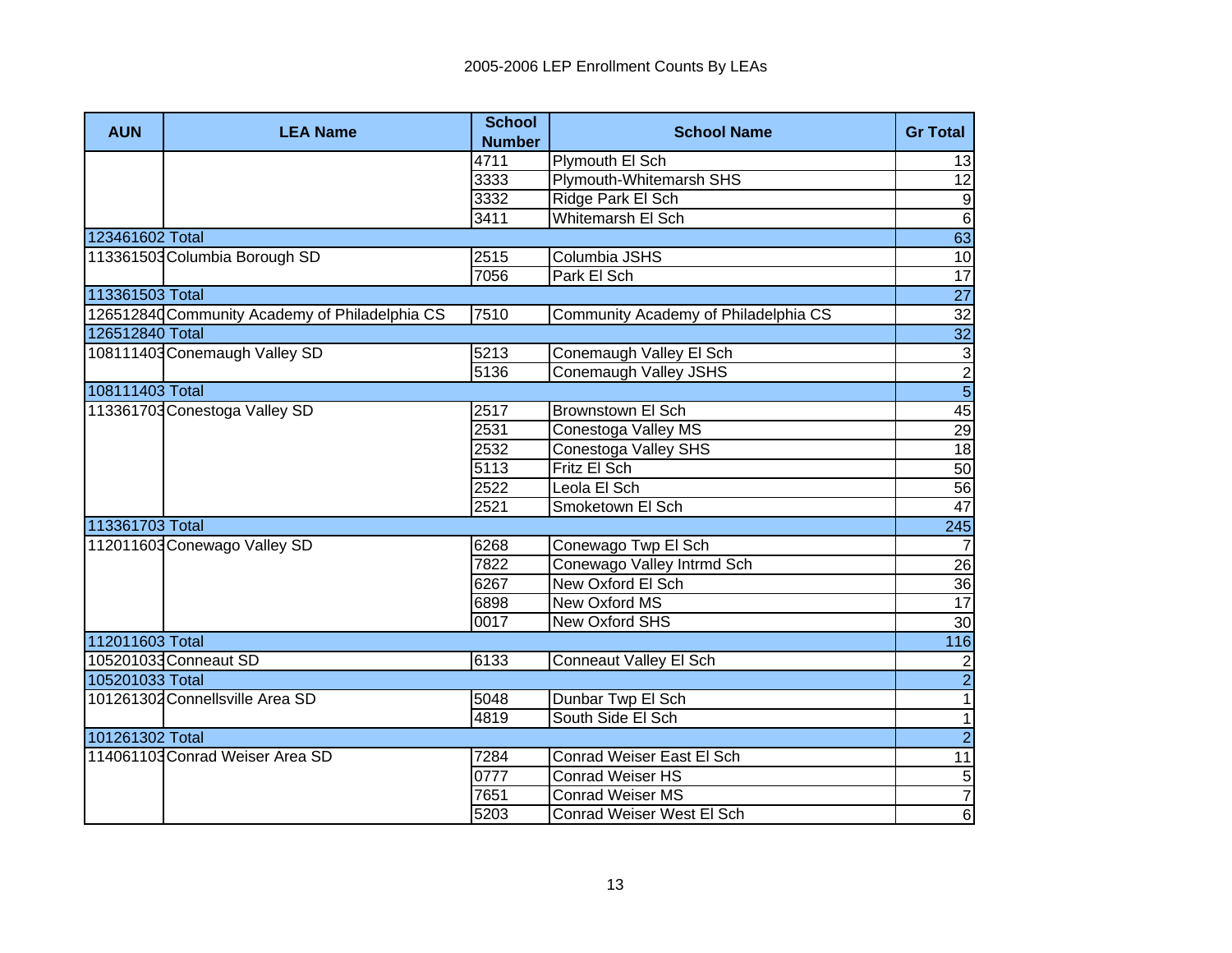| <b>AUN</b>      | <b>LEA Name</b>                                | <b>School</b><br><b>Number</b> | <b>School Name</b>                   | <b>Gr Total</b>  |
|-----------------|------------------------------------------------|--------------------------------|--------------------------------------|------------------|
|                 |                                                | 4711                           | Plymouth El Sch                      | 13               |
|                 |                                                | 3333                           | Plymouth-Whitemarsh SHS              | 12               |
|                 |                                                | 3332                           | Ridge Park El Sch                    | $\overline{9}$   |
|                 |                                                | 3411                           | <b>Whitemarsh El Sch</b>             | $\overline{6}$   |
| 123461602 Total |                                                |                                |                                      | 63               |
|                 | 113361503 Columbia Borough SD                  | 2515                           | Columbia JSHS                        | $10$             |
|                 |                                                | 7056                           | Park El Sch                          | 17               |
| 113361503 Total |                                                |                                |                                      | $\overline{27}$  |
|                 | 126512840 Community Academy of Philadelphia CS | 7510                           | Community Academy of Philadelphia CS | 32               |
| 126512840 Total |                                                |                                |                                      | 32               |
|                 | 108111403 Conemaugh Valley SD                  | 5213                           | Conemaugh Valley El Sch              | $\overline{3}$   |
|                 |                                                | 5136                           | Conemaugh Valley JSHS                | $\frac{2}{5}$    |
| 108111403 Total |                                                |                                |                                      |                  |
|                 | 113361703 Conestoga Valley SD                  | 2517                           | Brownstown El Sch                    | 45               |
|                 |                                                | 2531                           | Conestoga Valley MS                  | 29               |
|                 |                                                | 2532                           | <b>Conestoga Valley SHS</b>          | 18               |
|                 |                                                | 5113                           | Fritz El Sch                         | 50               |
|                 |                                                | 2522                           | Leola El Sch                         | 56               |
|                 |                                                | 2521                           | Smoketown El Sch                     | $\overline{47}$  |
| 113361703 Total |                                                |                                |                                      | $\overline{245}$ |
|                 | 112011603 Conewago Valley SD                   | 6268                           | Conewago Twp El Sch                  | $\overline{7}$   |
|                 |                                                | 7822                           | Conewago Valley Intrmd Sch           | 26               |
|                 |                                                | 6267                           | New Oxford El Sch                    | $\overline{36}$  |
|                 |                                                | 6898                           | New Oxford MS                        | 17               |
|                 |                                                | 0017                           | <b>New Oxford SHS</b>                | 30               |
| 112011603 Total |                                                |                                |                                      | 116              |
|                 | 105201033 Conneaut SD                          | 6133                           | <b>Conneaut Valley El Sch</b>        | $\sqrt{2}$       |
| 105201033 Total |                                                |                                |                                      | $\overline{2}$   |
|                 | 101261302 Connellsville Area SD                | 5048                           | Dunbar Twp El Sch                    | $\mathbf{1}$     |
|                 |                                                | 4819                           | South Side El Sch                    | $\overline{1}$   |
| 101261302 Total |                                                |                                |                                      | $\overline{2}$   |
|                 | 114061103 Conrad Weiser Area SD                | 7284                           | Conrad Weiser East El Sch            | 11               |
|                 |                                                | 0777                           | Conrad Weiser HS                     | $\overline{5}$   |
|                 |                                                | 7651                           | <b>Conrad Weiser MS</b>              | $\overline{7}$   |
|                 |                                                | 5203                           | Conrad Weiser West El Sch            | $\overline{6}$   |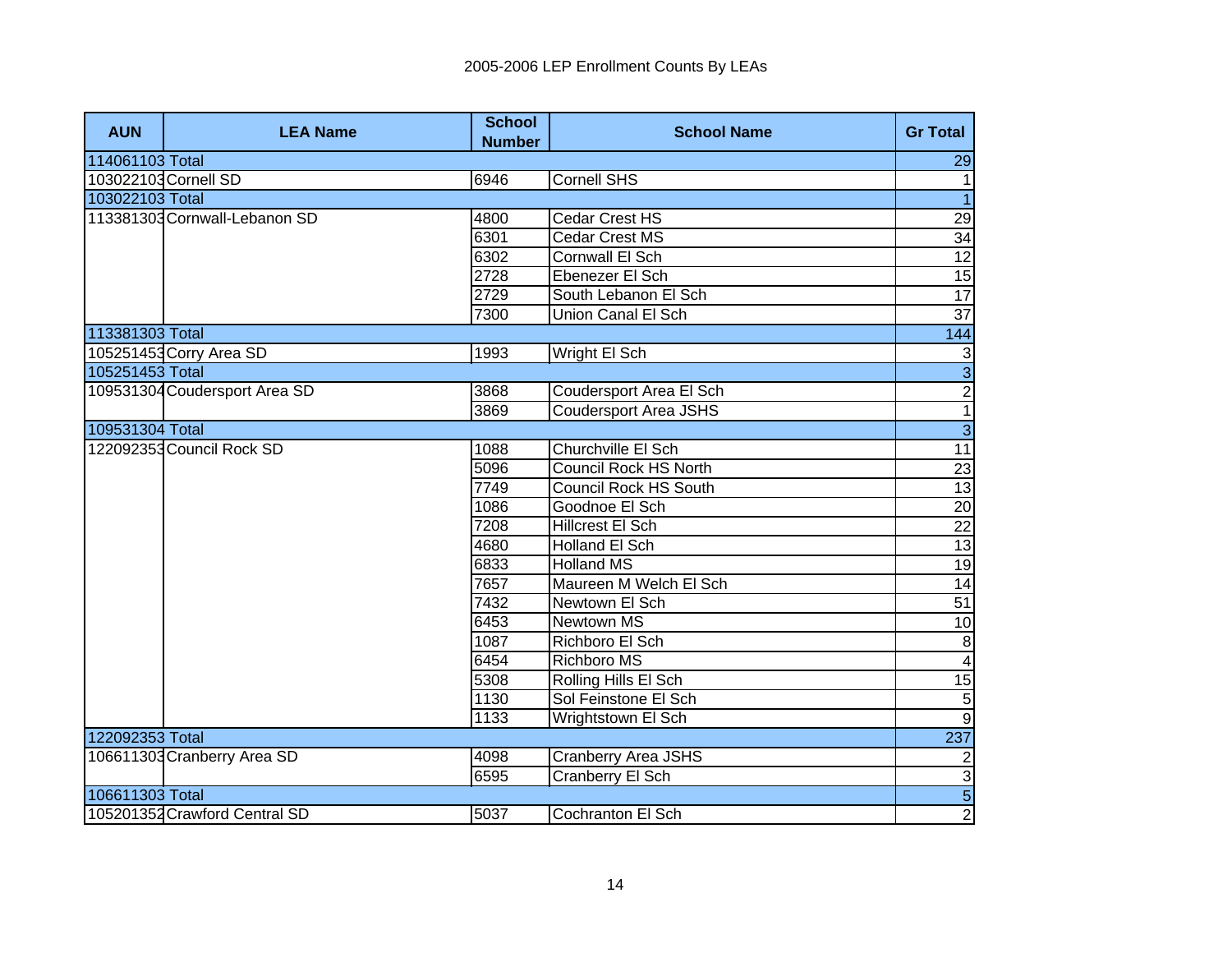| <b>AUN</b>      | <b>LEA Name</b>               | <b>School</b><br><b>Number</b> | <b>School Name</b>           | <b>Gr Total</b> |
|-----------------|-------------------------------|--------------------------------|------------------------------|-----------------|
| 114061103 Total |                               |                                |                              | 29              |
|                 | 103022103 Cornell SD          | 6946                           | <b>Cornell SHS</b>           | $\mathbf{1}$    |
| 103022103 Total |                               |                                |                              | $\overline{1}$  |
|                 | 113381303 Cornwall-Lebanon SD | 4800                           | <b>Cedar Crest HS</b>        | $\overline{29}$ |
|                 |                               | 6301                           | <b>Cedar Crest MS</b>        | $\overline{34}$ |
|                 |                               | 6302                           | Cornwall El Sch              | $\overline{12}$ |
|                 |                               | 2728                           | Ebenezer El Sch              | 15              |
|                 |                               | 2729                           | South Lebanon El Sch         | 17              |
|                 |                               | 7300                           | Union Canal El Sch           | $\overline{37}$ |
| 113381303 Total |                               |                                |                              | 144             |
|                 | 105251453 Corry Area SD       | 1993                           | Wright El Sch                | $\sqrt{3}$      |
| 105251453 Total |                               |                                |                              | $\overline{3}$  |
|                 | 109531304 Coudersport Area SD | 3868                           | Coudersport Area El Sch      | $\frac{2}{1}$   |
|                 |                               | 3869                           | <b>Coudersport Area JSHS</b> |                 |
| 109531304 Total |                               |                                |                              | $\overline{3}$  |
|                 | 122092353 Council Rock SD     | 1088                           | Churchville El Sch           | 11              |
|                 |                               | 5096                           | <b>Council Rock HS North</b> | $\overline{23}$ |
|                 |                               | 7749                           | <b>Council Rock HS South</b> | 13              |
|                 |                               | 1086                           | Goodnoe El Sch               | $\overline{20}$ |
|                 |                               | 7208                           | <b>Hillcrest El Sch</b>      | $\overline{22}$ |
|                 |                               | 4680                           | <b>Holland El Sch</b>        | $\overline{13}$ |
|                 |                               | 6833                           | <b>Holland MS</b>            | $\overline{19}$ |
|                 |                               | 7657                           | Maureen M Welch El Sch       | 14              |
|                 |                               | 7432                           | Newtown El Sch               | 51              |
|                 |                               | 6453                           | Newtown MS                   | 10              |
|                 |                               | 1087                           | Richboro El Sch              | $\, 8$          |
|                 |                               | 6454                           | <b>Richboro MS</b>           | $\overline{4}$  |
|                 |                               | 5308                           | Rolling Hills El Sch         | 15              |
|                 |                               | 1130                           | Sol Feinstone El Sch         | $\overline{5}$  |
|                 |                               | 1133                           | Wrightstown El Sch           | $\overline{9}$  |
| 122092353 Total |                               |                                |                              | 237             |
|                 | 106611303 Cranberry Area SD   | 4098                           | <b>Cranberry Area JSHS</b>   | $\sqrt{2}$      |
|                 |                               | 6595                           | Cranberry El Sch             | $\overline{3}$  |
| 106611303 Total |                               |                                |                              | $\overline{5}$  |
|                 | 105201352 Crawford Central SD | 5037                           | Cochranton El Sch            | $\overline{2}$  |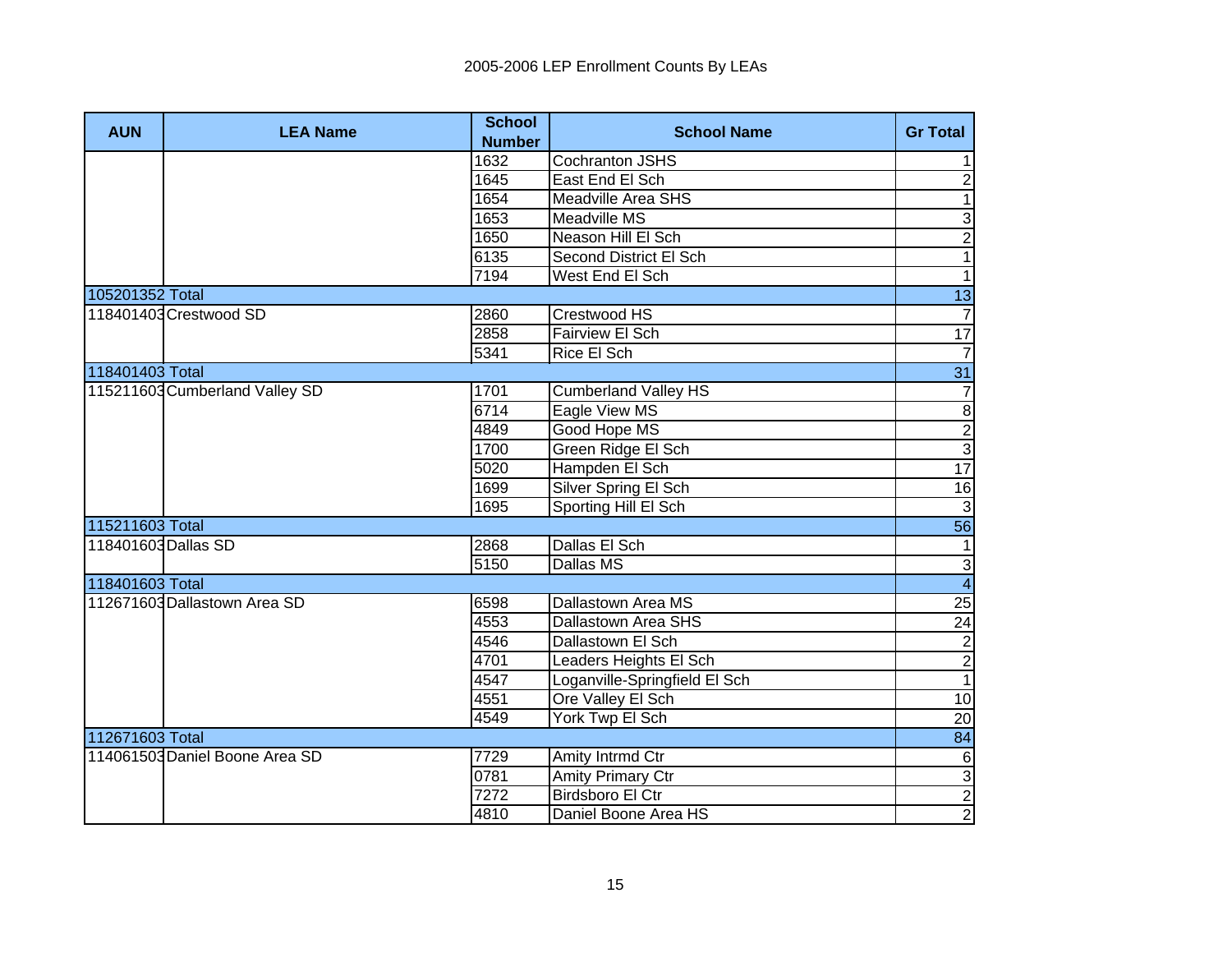| <b>AUN</b>          | <b>LEA Name</b>                | <b>School</b> | <b>School Name</b>            | <b>Gr Total</b>         |
|---------------------|--------------------------------|---------------|-------------------------------|-------------------------|
|                     |                                | <b>Number</b> |                               |                         |
|                     |                                | 1632          | <b>Cochranton JSHS</b>        | 1                       |
|                     |                                | 1645          | East End El Sch               | $\overline{\mathbf{c}}$ |
|                     |                                | 1654          | <b>Meadville Area SHS</b>     | $\mathbf{1}$            |
|                     |                                | 1653          | <b>Meadville MS</b>           | $\overline{3}$          |
|                     |                                | 1650          | Neason Hill El Sch            | $\overline{2}$          |
|                     |                                | 6135          | Second District El Sch        | $\overline{1}$          |
|                     |                                | 7194          | West End El Sch               | $\mathbf{1}$            |
| 105201352 Total     |                                |               |                               | 13                      |
|                     | 118401403 Crestwood SD         | 2860          | Crestwood HS                  | $\overline{7}$          |
|                     |                                | 2858          | Fairview El Sch               | $\overline{17}$         |
|                     |                                | 5341          | Rice El Sch                   | $\overline{7}$          |
| 118401403 Total     |                                |               |                               | 31                      |
|                     | 115211603 Cumberland Valley SD | 1701          | <b>Cumberland Valley HS</b>   | $\overline{7}$          |
|                     |                                | 6714          | Eagle View MS                 | $\overline{8}$          |
|                     |                                | 4849          | Good Hope MS                  |                         |
|                     |                                | 1700          | Green Ridge El Sch            | $\frac{2}{17}$          |
|                     |                                | 5020          | Hampden El Sch                |                         |
|                     |                                | 1699          | Silver Spring El Sch          | 16                      |
|                     |                                | 1695          | Sporting Hill El Sch          | $\mathbf{3}$            |
| 115211603 Total     |                                |               |                               | 56                      |
| 118401603 Dallas SD |                                | 2868          | Dallas El Sch                 | 1                       |
|                     |                                | 5150          | Dallas MS                     | $\overline{3}$          |
| 118401603 Total     |                                |               |                               | $\overline{\mathbf{4}}$ |
|                     | 112671603 Dallastown Area SD   | 6598          | Dallastown Area MS            | 25                      |
|                     |                                | 4553          | <b>Dallastown Area SHS</b>    | $\overline{24}$         |
|                     |                                | 4546          | Dallastown El Sch             | $\overline{2}$          |
|                     |                                | 4701          | Leaders Heights El Sch        | $\overline{2}$          |
|                     |                                | 4547          | Loganville-Springfield El Sch | $\overline{1}$          |
|                     |                                | 4551          | Ore Valley El Sch             | $\overline{10}$         |
|                     |                                | 4549          | York Twp El Sch               | 20                      |
| 112671603 Total     |                                |               |                               | 84                      |
|                     | 114061503 Daniel Boone Area SD | 7729          | Amity Intrmd Ctr              | $\,6$                   |
|                     |                                | 0781          | <b>Amity Primary Ctr</b>      | $\overline{\omega}$     |
|                     |                                | 7272          | Birdsboro El Ctr              | $\overline{2}$          |
|                     |                                | 4810          | Daniel Boone Area HS          | $\overline{2}$          |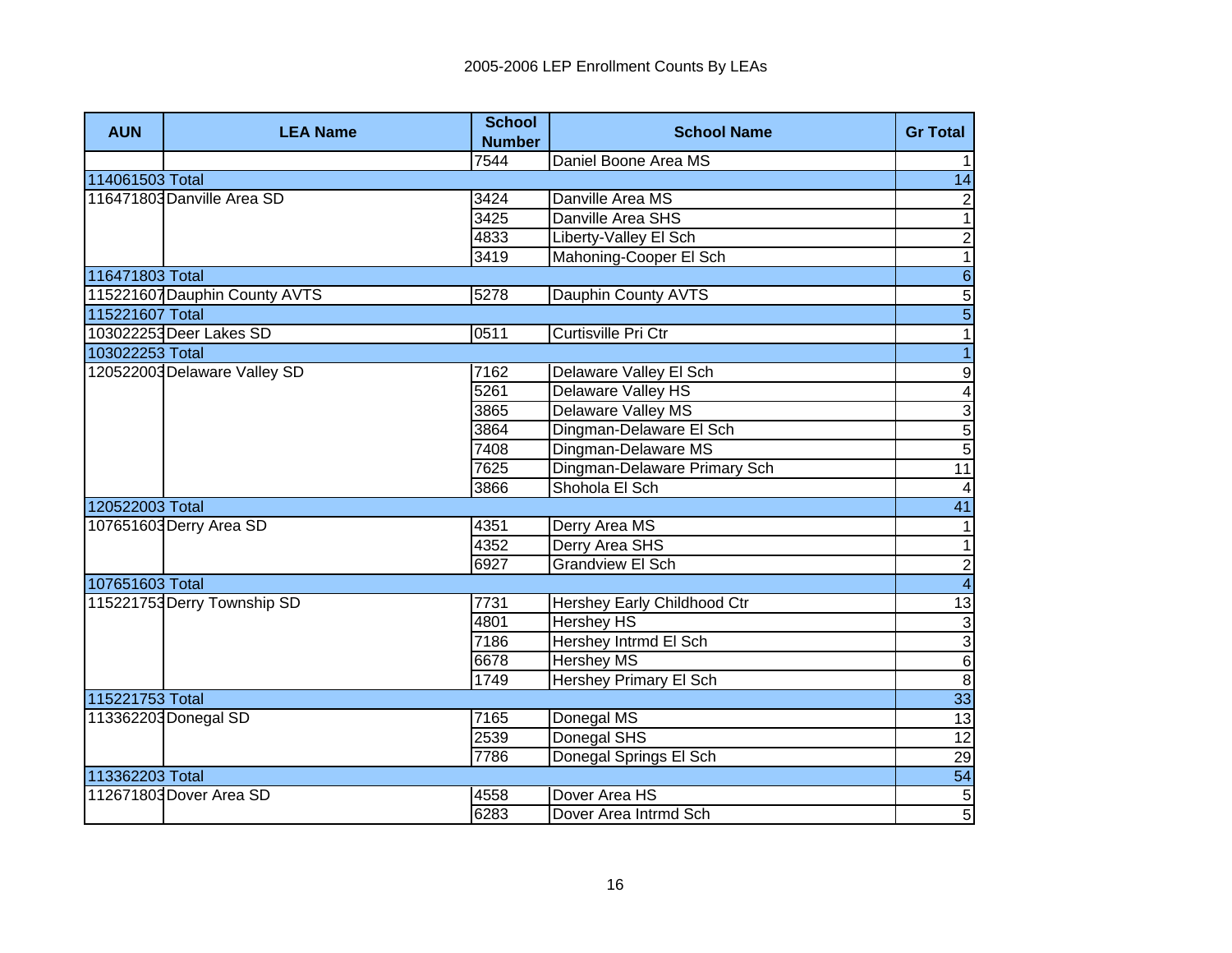| <b>AUN</b>      | <b>LEA Name</b>               | <b>School</b><br><b>Number</b> | <b>School Name</b>            | <b>Gr Total</b> |
|-----------------|-------------------------------|--------------------------------|-------------------------------|-----------------|
|                 |                               | 7544                           | Daniel Boone Area MS          |                 |
| 114061503 Total |                               |                                |                               | 14              |
|                 | 116471803 Danville Area SD    | 3424                           | Danville Area MS              | $\overline{2}$  |
|                 |                               | 3425                           | Danville Area SHS             |                 |
|                 |                               | 4833                           | Liberty-Valley El Sch         | $\overline{c}$  |
|                 |                               | 3419                           | Mahoning-Cooper El Sch        |                 |
| 116471803 Total |                               |                                |                               | $6\phantom{1}6$ |
|                 | 115221607 Dauphin County AVTS | 5278                           | Dauphin County AVTS           | 5               |
| 115221607 Total |                               |                                |                               |                 |
|                 | 103022253 Deer Lakes SD       | 0511                           | Curtisville Pri Ctr           |                 |
| 103022253 Total |                               |                                |                               |                 |
|                 | 120522003 Delaware Valley SD  | 7162                           | Delaware Valley El Sch        | 9               |
|                 |                               | 5261                           | Delaware Valley HS            |                 |
|                 |                               | 3865                           | Delaware Valley MS            | 3               |
|                 |                               | 3864                           | Dingman-Delaware El Sch       | $\overline{5}$  |
|                 |                               | 7408                           | Dingman-Delaware MS           | 5               |
|                 |                               | 7625                           | Dingman-Delaware Primary Sch  | 11              |
|                 |                               | 3866                           | Shohola El Sch                |                 |
| 120522003 Total |                               |                                |                               | $\overline{41}$ |
|                 | 107651603 Derry Area SD       | 4351                           | Derry Area MS                 |                 |
|                 |                               | 4352                           | <b>Derry Area SHS</b>         |                 |
|                 |                               | 6927                           | <b>Grandview El Sch</b>       |                 |
| 107651603 Total |                               |                                |                               | $\overline{4}$  |
|                 | 115221753 Derry Township SD   | 7731                           | Hershey Early Childhood Ctr   | 13              |
|                 |                               | 4801                           | <b>Hershey HS</b>             | $\overline{3}$  |
|                 |                               | 7186                           | Hershey Intrmd El Sch         | $\overline{3}$  |
|                 |                               | 6678                           | <b>Hershey MS</b>             | $\overline{6}$  |
|                 |                               | 1749                           | <b>Hershey Primary El Sch</b> | $\overline{8}$  |
| 115221753 Total |                               |                                |                               | 33              |
|                 | 113362203 Donegal SD          | 7165                           | Donegal MS                    | 13              |
|                 |                               | 2539                           | Donegal SHS                   | $\overline{12}$ |
|                 |                               | 7786                           | Donegal Springs El Sch        | 29              |
| 113362203 Total |                               |                                |                               | $\overline{54}$ |
|                 | 112671803 Dover Area SD       | 4558                           | Dover Area HS                 | 5               |
|                 |                               | 6283                           | Dover Area Intrmd Sch         | $\overline{5}$  |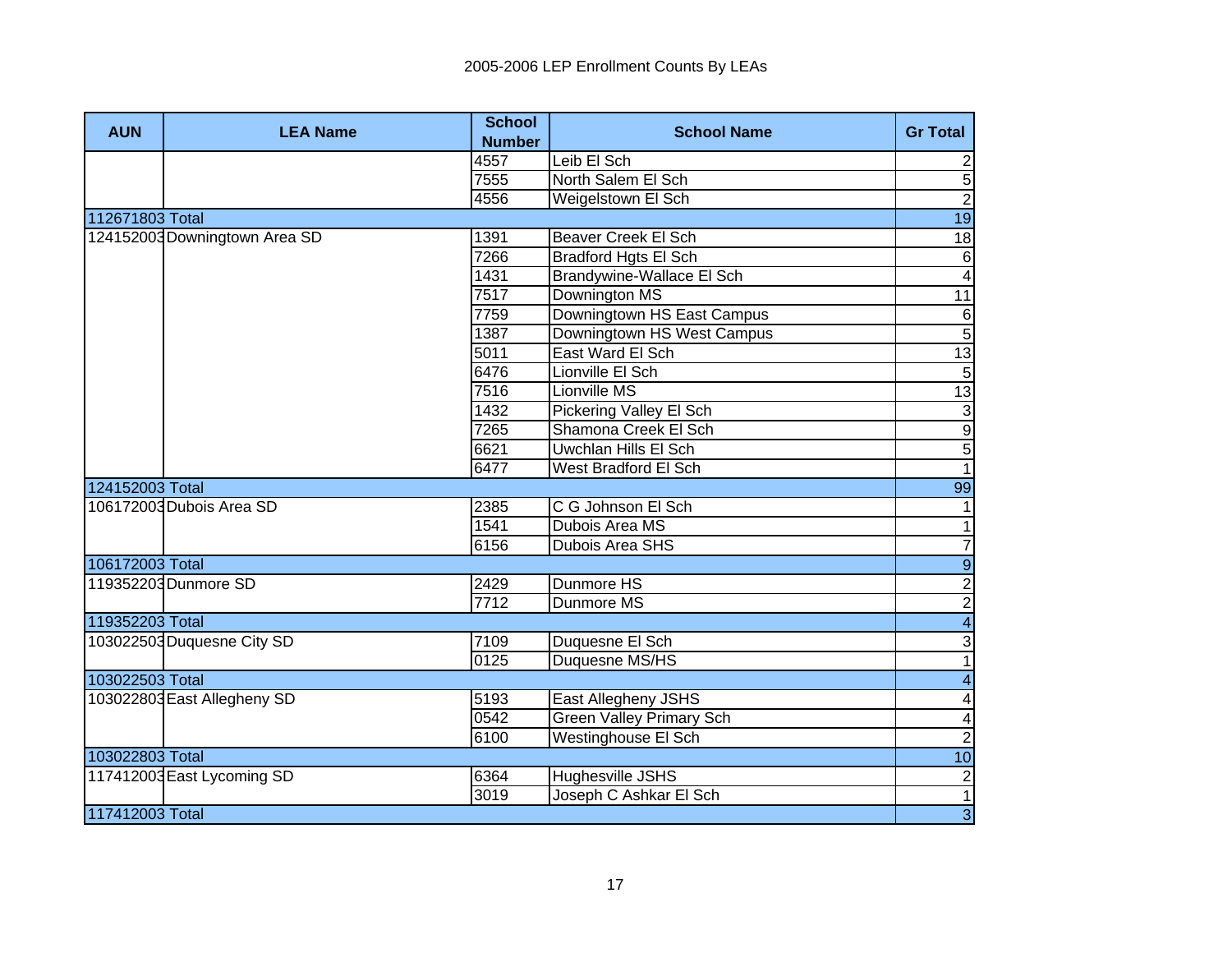| <b>AUN</b>      | <b>LEA Name</b>               | <b>School</b><br><b>Number</b> | <b>School Name</b>              | <b>Gr Total</b> |
|-----------------|-------------------------------|--------------------------------|---------------------------------|-----------------|
|                 |                               | 4557                           | Leib El Sch                     | 2               |
|                 |                               | 7555                           | North Salem El Sch              | $\overline{5}$  |
|                 |                               | 4556                           | Weigelstown El Sch              | $\overline{2}$  |
| 112671803 Total |                               |                                |                                 | $\overline{19}$ |
|                 | 124152003 Downingtown Area SD | 1391                           | <b>Beaver Creek El Sch</b>      | 18              |
|                 |                               | 7266                           | <b>Bradford Hgts El Sch</b>     | 6               |
|                 |                               | 1431                           | Brandywine-Wallace El Sch       |                 |
|                 |                               | 7517                           | Downington MS                   | 11              |
|                 |                               | 7759                           | Downingtown HS East Campus      | 6               |
|                 |                               | 1387                           | Downingtown HS West Campus      | $\overline{5}$  |
|                 |                               | 5011                           | East Ward El Sch                | 13              |
|                 |                               | 6476                           | Lionville El Sch                | 5               |
|                 |                               | 7516                           | <b>Lionville MS</b>             | 13              |
|                 |                               | 1432                           | Pickering Valley El Sch         | 3               |
|                 |                               | 7265                           | Shamona Creek El Sch            | $\overline{9}$  |
|                 |                               | 6621                           | Uwchlan Hills El Sch            | $\overline{5}$  |
|                 |                               | 6477                           | West Bradford El Sch            |                 |
| 124152003 Total |                               |                                |                                 | 99              |
|                 | 106172003 Dubois Area SD      | 2385                           | C G Johnson El Sch              |                 |
|                 |                               | 1541                           | Dubois Area MS                  |                 |
|                 |                               | 6156                           | Dubois Area SHS                 |                 |
| 106172003 Total |                               |                                |                                 | 9               |
|                 | 119352203 Dunmore SD          | 2429                           | Dunmore HS                      | $\overline{2}$  |
|                 |                               | 7712                           | Dunmore MS                      |                 |
| 119352203 Total |                               |                                |                                 |                 |
|                 | 103022503 Duquesne City SD    | 7109                           | Duquesne El Sch                 |                 |
|                 |                               | 0125                           | Duquesne MS/HS                  |                 |
| 103022503 Total |                               |                                |                                 |                 |
|                 | 103022803 East Allegheny SD   | 5193                           | East Allegheny JSHS             |                 |
|                 |                               | 0542                           | <b>Green Valley Primary Sch</b> |                 |
|                 |                               | 6100                           | <b>Westinghouse El Sch</b>      | $\overline{2}$  |
| 103022803 Total |                               |                                |                                 | 10              |
|                 | 117412003 East Lycoming SD    | 6364                           | Hughesville JSHS                | $\overline{2}$  |
|                 |                               | 3019                           | Joseph C Ashkar El Sch          |                 |
| 117412003 Total |                               |                                |                                 | 3               |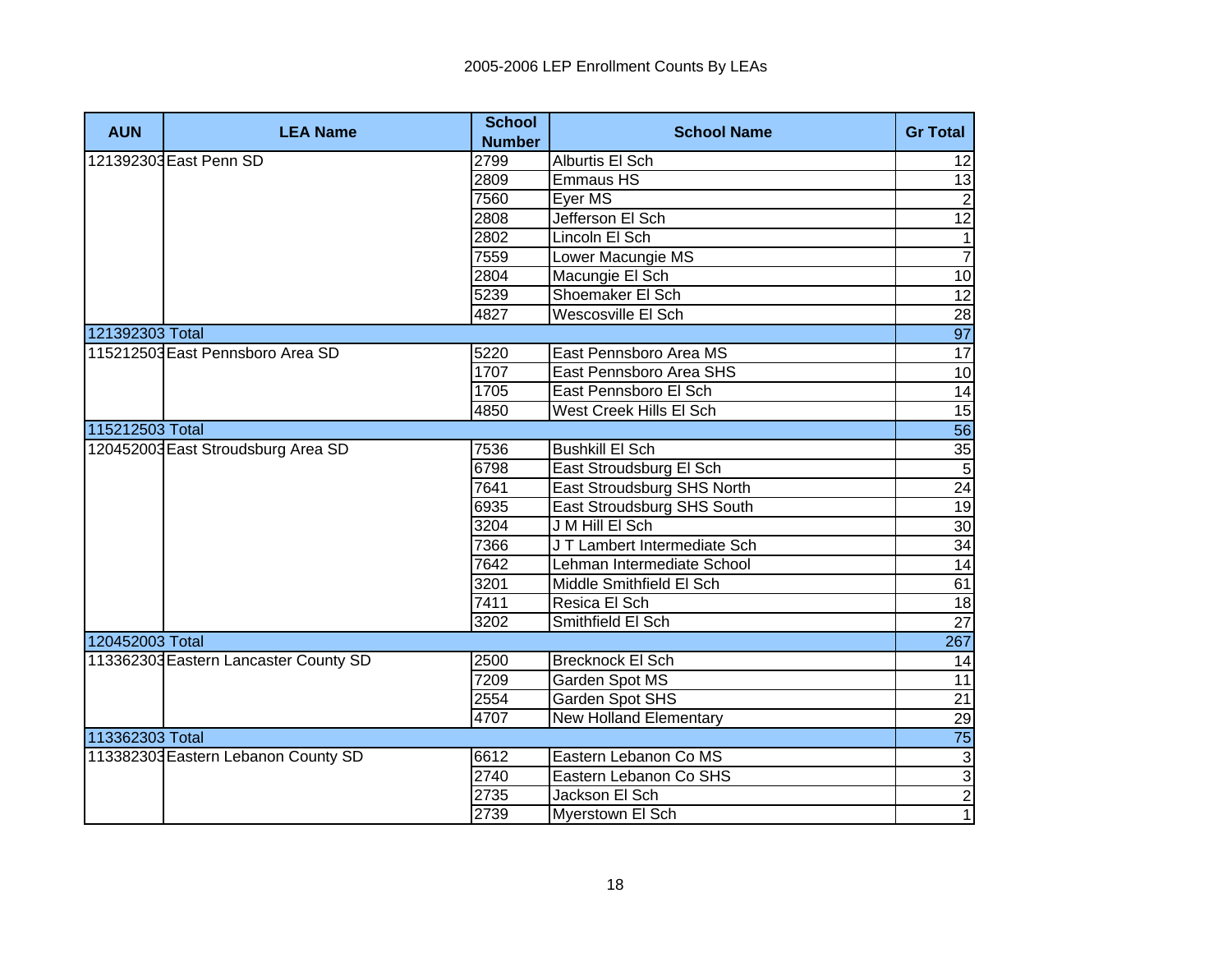| <b>AUN</b>      | <b>LEA Name</b>                       | <b>School</b><br><b>Number</b> | <b>School Name</b>            | <b>Gr Total</b>  |
|-----------------|---------------------------------------|--------------------------------|-------------------------------|------------------|
|                 | 121392303 East Penn SD                | 2799                           | <b>Alburtis El Sch</b>        | 12               |
|                 |                                       | 2809                           | <b>Emmaus HS</b>              | 13               |
|                 |                                       | 7560                           | Eyer MS                       | $\overline{2}$   |
|                 |                                       | 2808                           | Jefferson El Sch              | 12               |
|                 |                                       | 2802                           | Lincoln El Sch                | $\overline{1}$   |
|                 |                                       | 7559                           | Lower Macungie MS             | $\overline{7}$   |
|                 |                                       | 2804                           | Macungie El Sch               | 10               |
|                 |                                       | 5239                           | Shoemaker El Sch              | 12               |
|                 |                                       | 4827                           | Wescosville El Sch            | $\overline{28}$  |
| 121392303 Total |                                       |                                |                               | 97               |
|                 | 115212503 East Pennsboro Area SD      | 5220                           | East Pennsboro Area MS        | 17               |
|                 |                                       | 1707                           | East Pennsboro Area SHS       | 10               |
|                 |                                       | 1705                           | East Pennsboro El Sch         | 14               |
|                 |                                       | 4850                           | West Creek Hills El Sch       | 15               |
| 115212503 Total |                                       |                                |                               | 56               |
|                 | 120452003 East Stroudsburg Area SD    | 7536                           | <b>Bushkill El Sch</b>        | 35               |
|                 |                                       | 6798                           | East Stroudsburg El Sch       | $\overline{5}$   |
|                 |                                       | 7641                           | East Stroudsburg SHS North    | 24               |
|                 |                                       | 6935                           | East Stroudsburg SHS South    | 19               |
|                 |                                       | 3204                           | J M Hill El Sch               | 30               |
|                 |                                       | 7366                           | J T Lambert Intermediate Sch  | 34               |
|                 |                                       | 7642                           | Lehman Intermediate School    | 14               |
|                 |                                       | 3201                           | Middle Smithfield El Sch      | 61               |
|                 |                                       | 7411                           | Resica El Sch                 | 18               |
|                 |                                       | 3202                           | Smithfield El Sch             | $\overline{27}$  |
| 120452003 Total |                                       |                                |                               | $\overline{267}$ |
|                 | 113362303 Eastern Lancaster County SD | 2500                           | <b>Brecknock El Sch</b>       | 14               |
|                 |                                       | 7209                           | Garden Spot MS                | 11               |
|                 |                                       | 2554                           | Garden Spot SHS               | $\overline{21}$  |
|                 |                                       | 4707                           | <b>New Holland Elementary</b> | 29               |
| 113362303 Total |                                       |                                |                               | $\overline{75}$  |
|                 | 113382303 Eastern Lebanon County SD   | 6612                           | Eastern Lebanon Co MS         | $\overline{3}$   |
|                 |                                       | 2740                           | Eastern Lebanon Co SHS        | $\overline{3}$   |
|                 |                                       | 2735                           | Jackson El Sch                | $\overline{2}$   |
|                 |                                       | 2739                           | Myerstown El Sch              | $\overline{1}$   |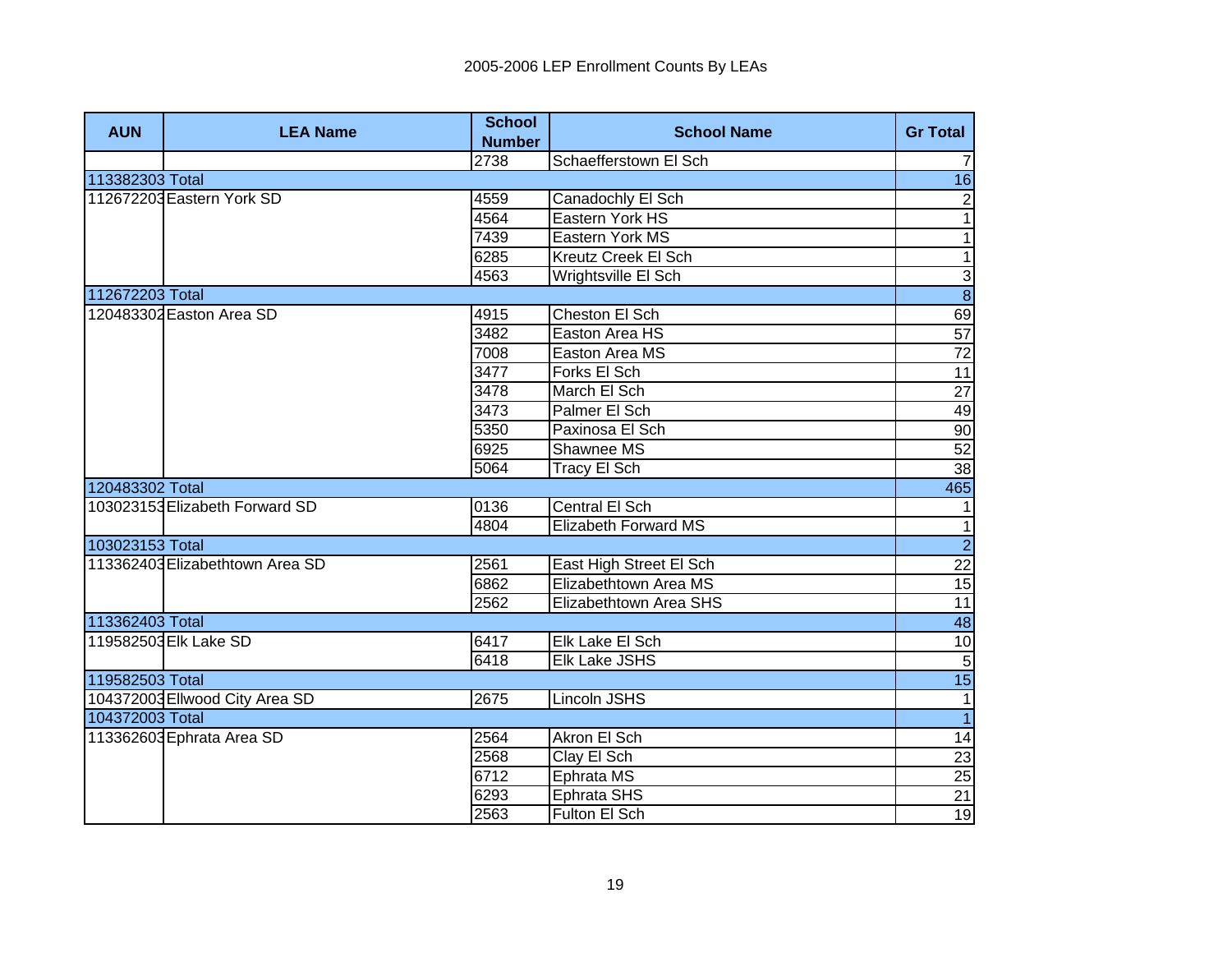| <b>AUN</b>      | <b>LEA Name</b>                 | <b>School</b><br><b>Number</b> | <b>School Name</b>          | <b>Gr Total</b> |
|-----------------|---------------------------------|--------------------------------|-----------------------------|-----------------|
|                 |                                 | 2738                           | Schaefferstown El Sch       | $\overline{7}$  |
| 113382303 Total |                                 |                                |                             | 16              |
|                 | 112672203 Eastern York SD       | 4559                           | Canadochly El Sch           | $\overline{2}$  |
|                 |                                 | 4564                           | Eastern York HS             | $\overline{1}$  |
|                 |                                 | 7439                           | Eastern York MS             | $\mathbf{1}$    |
|                 |                                 | 6285                           | <b>Kreutz Creek El Sch</b>  | $\overline{1}$  |
|                 |                                 | 4563                           | Wrightsville El Sch         | $\omega$        |
| 112672203 Total |                                 |                                |                             | $\overline{8}$  |
|                 | 120483302 Easton Area SD        | 4915                           | Cheston El Sch              | 69              |
|                 |                                 | 3482                           | Easton Area HS              | 57              |
|                 |                                 | 7008                           | Easton Area MS              | $\overline{72}$ |
|                 |                                 | 3477                           | Forks El Sch                | $\overline{11}$ |
|                 |                                 | 3478                           | March El Sch                | $\overline{27}$ |
|                 |                                 | 3473                           | Palmer El Sch               | 49              |
|                 |                                 | 5350                           | Paxinosa El Sch             | 90              |
|                 |                                 | 6925                           | Shawnee MS                  | 52              |
|                 |                                 | 5064                           | <b>Tracy El Sch</b>         | 38              |
| 120483302 Total |                                 |                                |                             | 465             |
|                 | 103023153 Elizabeth Forward SD  | 0136                           | Central El Sch              | $\mathbf{1}$    |
|                 |                                 | 4804                           | <b>Elizabeth Forward MS</b> | $\mathbf{1}$    |
| 103023153 Total |                                 |                                |                             | $\overline{2}$  |
|                 | 113362403 Elizabethtown Area SD | 2561                           | East High Street El Sch     | $\overline{22}$ |
|                 |                                 | 6862                           | Elizabethtown Area MS       | 15              |
|                 |                                 | 2562                           | Elizabethtown Area SHS      | $\overline{11}$ |
| 113362403 Total |                                 |                                |                             | 48              |
|                 | 119582503 Elk Lake SD           | 6417                           | Elk Lake El Sch             | 10              |
|                 |                                 | 6418                           | <b>Elk Lake JSHS</b>        | $\overline{5}$  |
| 119582503 Total |                                 |                                |                             | 15              |
|                 | 104372003 Ellwood City Area SD  | 2675                           | Lincoln JSHS                | $\mathbf{1}$    |
| 104372003 Total |                                 |                                |                             | $\overline{1}$  |
|                 | 113362603 Ephrata Area SD       | 2564                           | Akron El Sch                | 14              |
|                 |                                 | 2568                           | Clay El Sch                 | 23              |
|                 |                                 | 6712                           | Ephrata MS                  | 25              |
|                 |                                 | 6293                           | Ephrata SHS                 | 21              |
|                 |                                 | 2563                           | Fulton El Sch               | $\overline{19}$ |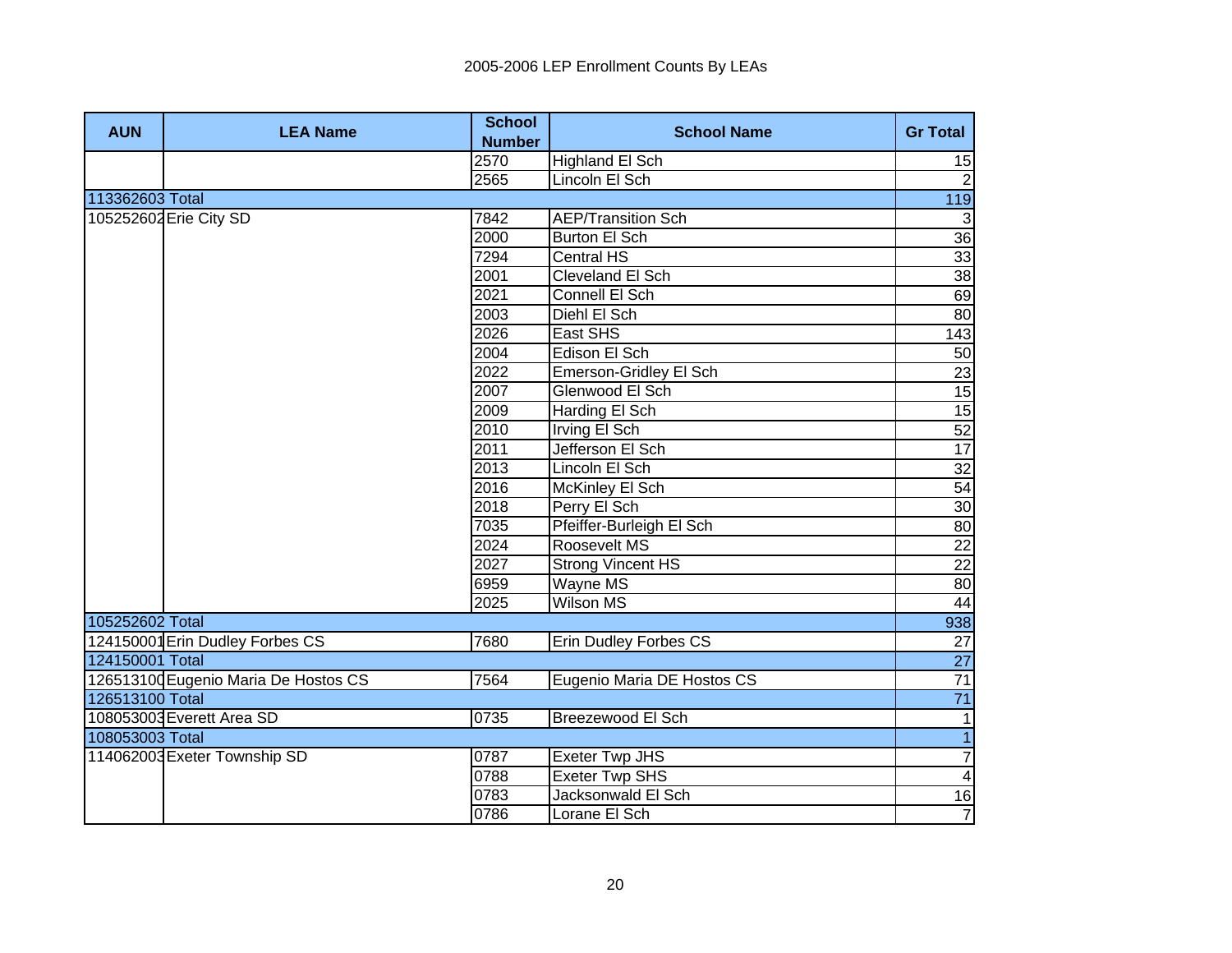| <b>AUN</b>      | <b>LEA Name</b>                      | <b>School</b> | <b>School Name</b>         | <b>Gr Total</b> |
|-----------------|--------------------------------------|---------------|----------------------------|-----------------|
|                 |                                      | <b>Number</b> |                            |                 |
|                 |                                      | 2570          | <b>Highland El Sch</b>     | 15              |
|                 |                                      | 2565          | Lincoln El Sch             | $\mathbf{2}$    |
| 113362603 Total |                                      |               |                            | 119             |
|                 | 105252602 Erie City SD               | 7842          | <b>AEP/Transition Sch</b>  | دن              |
|                 |                                      | 2000          | <b>Burton El Sch</b>       | 36              |
|                 |                                      | 7294          | <b>Central HS</b>          | 33              |
|                 |                                      | 2001          | Cleveland El Sch           | $\frac{3}{8}$   |
|                 |                                      | 2021          | Connell El Sch             | 69              |
|                 |                                      | 2003          | Diehl El Sch               | 80              |
|                 |                                      | 2026          | East SHS                   | 143             |
|                 |                                      | 2004          | Edison El Sch              | 50              |
|                 |                                      | 2022          | Emerson-Gridley El Sch     | $\overline{23}$ |
|                 |                                      | 2007          | Glenwood El Sch            | 15              |
|                 |                                      | 2009          | Harding El Sch             | 15              |
|                 |                                      | 2010          | Irving El Sch              | 52              |
|                 |                                      | 2011          | Jefferson El Sch           | 17              |
|                 |                                      | 2013          | Lincoln El Sch             | 32              |
|                 |                                      | 2016          | McKinley El Sch            | 54              |
|                 |                                      | 2018          | Perry El Sch               | 30              |
|                 |                                      | 7035          | Pfeiffer-Burleigh El Sch   | 80              |
|                 |                                      | 2024          | Roosevelt MS               | $\overline{22}$ |
|                 |                                      | 2027          | <b>Strong Vincent HS</b>   | $\overline{22}$ |
|                 |                                      | 6959          | <b>Wayne MS</b>            | 80              |
|                 |                                      | 2025          | <b>Wilson MS</b>           | 44              |
| 105252602 Total |                                      |               |                            | 938             |
|                 | 124150001 Erin Dudley Forbes CS      | 7680          | Erin Dudley Forbes CS      | 27              |
| 124150001 Total |                                      |               |                            | 27              |
|                 | 126513100 Eugenio Maria De Hostos CS | 7564          | Eugenio Maria DE Hostos CS | $\overline{71}$ |
| 126513100 Total |                                      |               |                            | $\overline{71}$ |
|                 | 108053003 Everett Area SD            | 0735          | <b>Breezewood El Sch</b>   | 1               |
| 108053003 Total |                                      |               |                            | $\overline{1}$  |
|                 | 114062003 Exeter Township SD         | 0787          | Exeter Twp JHS             | $\overline{7}$  |
|                 |                                      | 0788          | <b>Exeter Twp SHS</b>      | $\overline{4}$  |
|                 |                                      | 0783          | Jacksonwald El Sch         | 16              |
|                 |                                      | 0786          | Lorane El Sch              | $\overline{7}$  |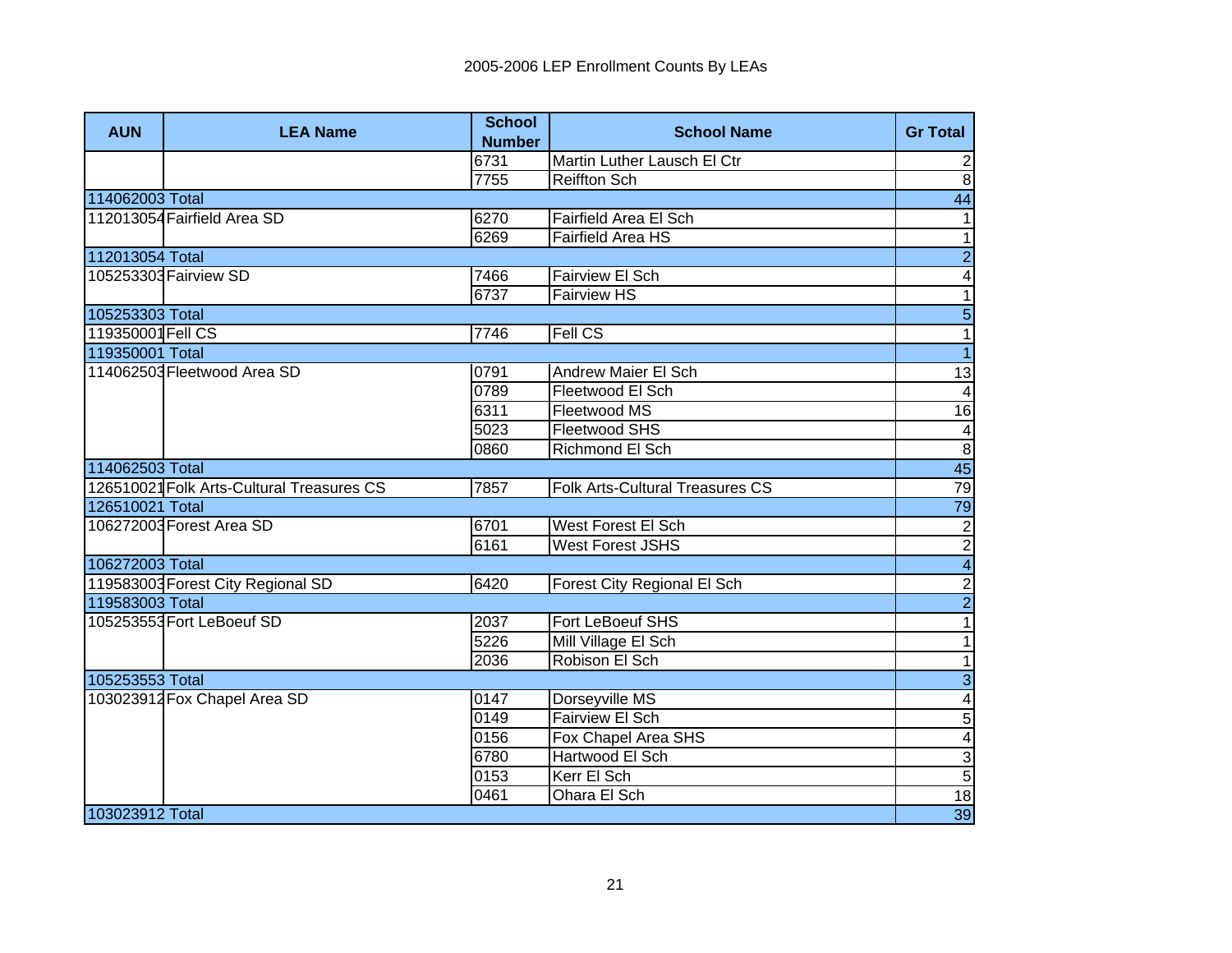| <b>AUN</b>        | <b>LEA Name</b>                           | <b>School</b><br><b>Number</b> | <b>School Name</b>                     | <b>Gr Total</b> |
|-------------------|-------------------------------------------|--------------------------------|----------------------------------------|-----------------|
|                   |                                           | 6731                           | Martin Luther Lausch El Ctr            |                 |
|                   |                                           | 7755                           | <b>Reiffton Sch</b>                    | 8               |
| 114062003 Total   |                                           |                                |                                        | 44              |
|                   | 112013054 Fairfield Area SD               | 6270                           | <b>Fairfield Area El Sch</b>           |                 |
|                   |                                           | 6269                           | <b>Fairfield Area HS</b>               |                 |
| 112013054 Total   |                                           |                                |                                        |                 |
|                   | 105253303 Fairview SD                     | 7466                           | Fairview El Sch                        |                 |
|                   |                                           | 6737                           | <b>Fairview HS</b>                     |                 |
| 105253303 Total   |                                           |                                |                                        |                 |
| 119350001 Fell CS |                                           | 7746                           | <b>Fell CS</b>                         |                 |
| 119350001 Total   |                                           |                                |                                        |                 |
|                   | 114062503 Fleetwood Area SD               | 0791                           | <b>Andrew Maier El Sch</b>             | 13              |
|                   |                                           | 0789                           | Fleetwood El Sch                       |                 |
|                   |                                           | 6311                           | Fleetwood MS                           | 16              |
|                   |                                           | 5023                           | Fleetwood SHS                          |                 |
|                   |                                           | 0860                           | Richmond El Sch                        | 8               |
| 114062503 Total   |                                           |                                |                                        | $\overline{45}$ |
|                   | 126510021 Folk Arts-Cultural Treasures CS | 7857                           | <b>Folk Arts-Cultural Treasures CS</b> | 79              |
| 126510021 Total   |                                           |                                |                                        | 79              |
|                   | 106272003 Forest Area SD                  | 6701                           | West Forest El Sch                     |                 |
|                   |                                           | 6161                           | <b>West Forest JSHS</b>                |                 |
| 106272003 Total   |                                           |                                |                                        |                 |
|                   | 119583003 Forest City Regional SD         | 6420                           | Forest City Regional El Sch            |                 |
| 119583003 Total   |                                           |                                |                                        |                 |
|                   | 105253553 Fort LeBoeuf SD                 | 2037                           | Fort LeBoeuf SHS                       |                 |
|                   |                                           | 5226                           | Mill Village El Sch                    |                 |
|                   |                                           | 2036                           | Robison El Sch                         |                 |
| 105253553 Total   |                                           |                                |                                        |                 |
|                   | 103023912 Fox Chapel Area SD              | 0147                           | Dorseyville MS                         |                 |
|                   |                                           | 0149                           | <b>Fairview El Sch</b>                 | 5               |
|                   |                                           | 0156                           | Fox Chapel Area SHS                    |                 |
|                   |                                           | 6780                           | Hartwood El Sch                        | 3               |
|                   |                                           | 0153                           | Kerr El Sch                            | 5               |
|                   |                                           | 0461                           | Ohara El Sch                           | 18              |
| 103023912 Total   |                                           |                                |                                        | $\overline{39}$ |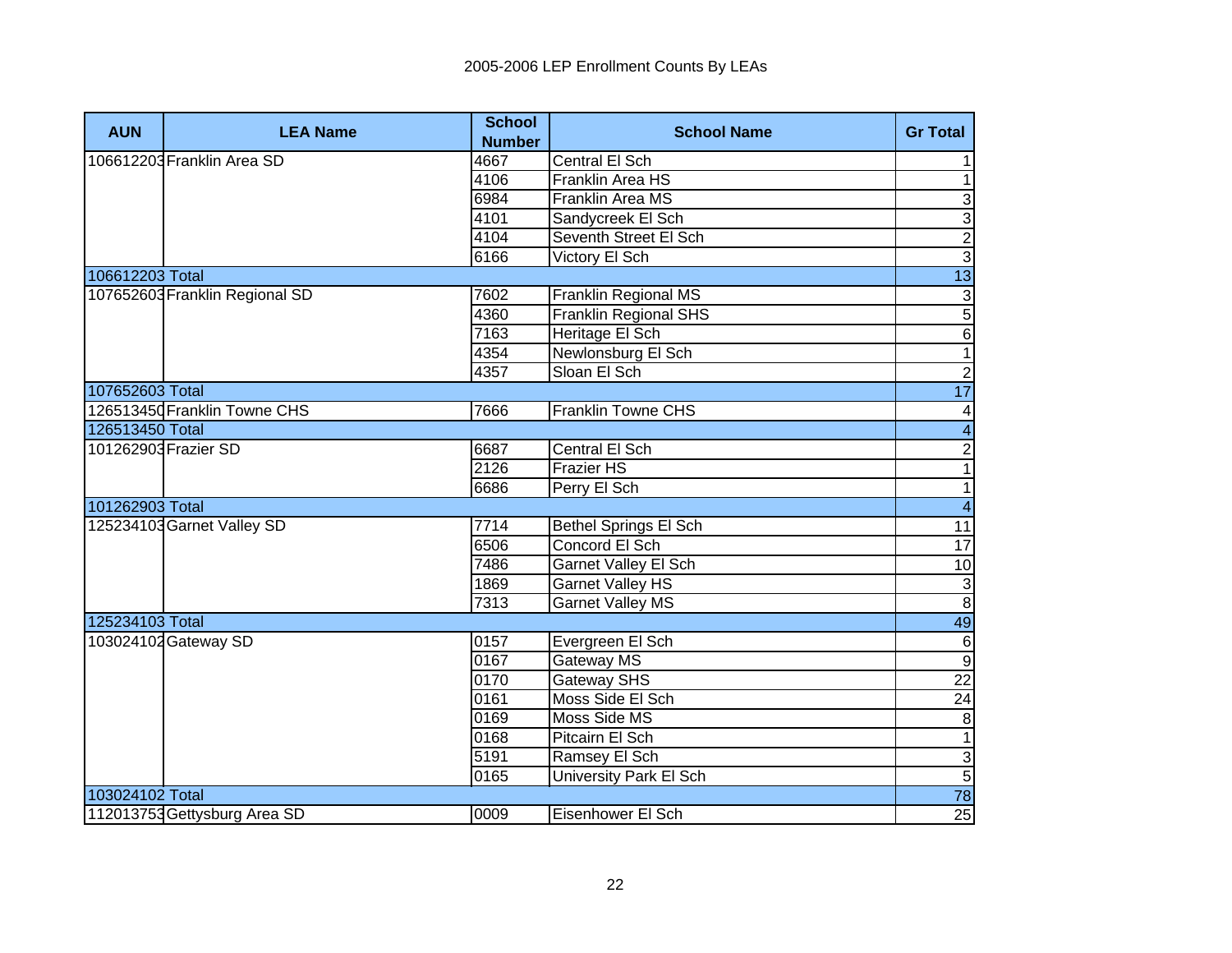| <b>AUN</b>      | <b>LEA Name</b>                | <b>School</b><br><b>Number</b> | <b>School Name</b>            | <b>Gr Total</b>         |
|-----------------|--------------------------------|--------------------------------|-------------------------------|-------------------------|
|                 | 106612203 Franklin Area SD     | 4667                           | <b>Central El Sch</b>         | 1                       |
|                 |                                | 4106                           | Franklin Area HS              | $\mathbf{1}$            |
|                 |                                | 6984                           | <b>Franklin Area MS</b>       | $\overline{\omega}$     |
|                 |                                | 4101                           | Sandycreek El Sch             | $\overline{3}$          |
|                 |                                | 4104                           | Seventh Street El Sch         | $\frac{2}{3}$           |
|                 |                                | 6166                           | <b>Victory El Sch</b>         |                         |
| 106612203 Total |                                |                                |                               | 13                      |
|                 | 107652603 Franklin Regional SD | 7602                           | <b>Franklin Regional MS</b>   |                         |
|                 |                                | 4360                           | Franklin Regional SHS         | $\frac{3}{5}$           |
|                 |                                | 7163                           | Heritage El Sch               |                         |
|                 |                                | 4354                           | Newlonsburg El Sch            | $\overline{1}$          |
|                 |                                | 4357                           | Sloan El Sch                  | $\overline{2}$          |
| 107652603 Total |                                |                                |                               | 17                      |
|                 | 126513450 Franklin Towne CHS   | 7666                           | <b>Franklin Towne CHS</b>     | $\overline{4}$          |
| 126513450 Total |                                |                                |                               | $\overline{\mathbf{4}}$ |
|                 | 101262903 Frazier SD           | 6687                           | Central El Sch                | $\overline{2}$          |
|                 |                                | 2126                           | <b>Frazier HS</b>             | $\overline{1}$          |
|                 |                                | 6686                           | Perry El Sch                  | $\overline{1}$          |
| 101262903 Total |                                |                                |                               | $\overline{\mathbf{4}}$ |
|                 | 125234103 Garnet Valley SD     | 7714                           | <b>Bethel Springs El Sch</b>  | 11                      |
|                 |                                | 6506                           | Concord El Sch                | 17                      |
|                 |                                | 7486                           | <b>Garnet Valley El Sch</b>   | 10                      |
|                 |                                | 1869                           | <b>Garnet Valley HS</b>       | $\mathbf{3}$            |
|                 |                                | 7313                           | <b>Garnet Valley MS</b>       | $\infty$                |
| 125234103 Total |                                |                                |                               | 49                      |
|                 | 103024102 Gateway SD           | 0157                           | Evergreen El Sch              | $\,6\,$                 |
|                 |                                | 0167                           | <b>Gateway MS</b>             | $\overline{9}$          |
|                 |                                | 0170                           | <b>Gateway SHS</b>            | $\overline{22}$         |
|                 |                                | 0161                           | Moss Side El Sch              | $\overline{24}$         |
|                 |                                | 0169                           | Moss Side MS                  | $\overline{8}$          |
|                 |                                | 0168                           | Pitcairn El Sch               | $\overline{1}$          |
|                 |                                | 5191                           | Ramsey El Sch                 | $\overline{3}$          |
|                 |                                | 0165                           | <b>University Park El Sch</b> | $\overline{5}$          |
| 103024102 Total |                                |                                |                               | $\overline{78}$         |
|                 | 112013753 Gettysburg Area SD   | 0009                           | Eisenhower El Sch             | $\overline{25}$         |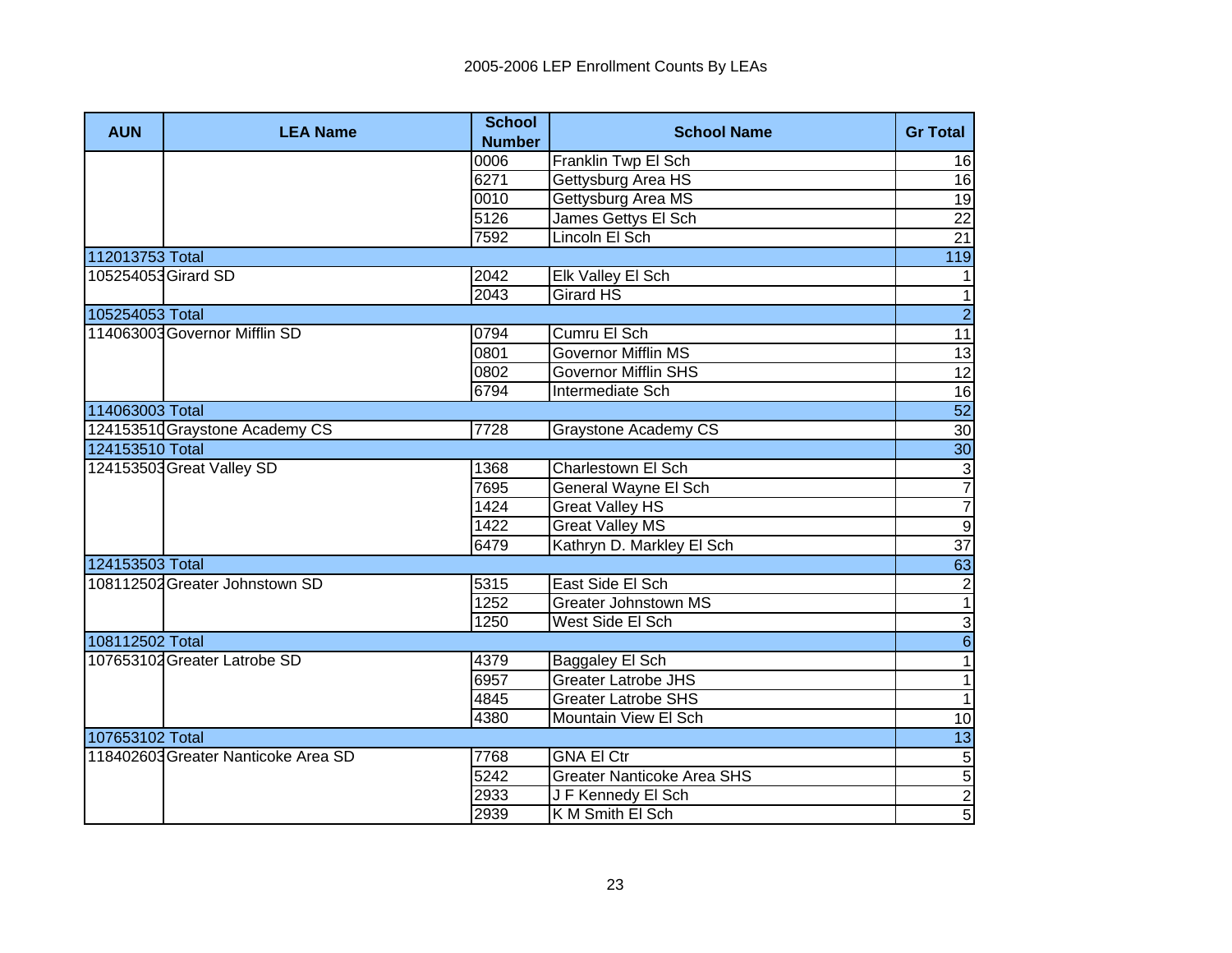| <b>AUN</b>      | <b>LEA Name</b>                     | <b>School</b> | <b>School Name</b>                | <b>Gr Total</b> |
|-----------------|-------------------------------------|---------------|-----------------------------------|-----------------|
|                 |                                     | <b>Number</b> |                                   |                 |
|                 |                                     | 0006          | Franklin Twp El Sch               | 16              |
|                 |                                     | 6271          | Gettysburg Area HS                | 16              |
|                 |                                     | 0010          | Gettysburg Area MS                | 19              |
|                 |                                     | 5126          | James Gettys El Sch               | $\overline{22}$ |
|                 |                                     | 7592          | Lincoln El Sch                    | $\overline{21}$ |
| 112013753 Total |                                     |               |                                   | 119             |
|                 | 105254053 Girard SD                 | 2042          | Elk Valley El Sch                 | 1               |
|                 |                                     | 2043          | <b>Girard HS</b>                  | $\mathbf{1}$    |
| 105254053 Total |                                     |               |                                   | $\overline{2}$  |
|                 | 114063003 Governor Mifflin SD       | 0794          | Cumru El Sch                      | 11              |
|                 |                                     | 0801          | <b>Governor Mifflin MS</b>        | $\overline{13}$ |
|                 |                                     | 0802          | <b>Governor Mifflin SHS</b>       | $\overline{12}$ |
|                 |                                     | 6794          | Intermediate Sch                  | $\overline{16}$ |
| 114063003 Total |                                     |               |                                   | 52              |
|                 | 124153510 Graystone Academy CS      | 7728          | Graystone Academy CS              | 30              |
| 124153510 Total |                                     |               |                                   | 30              |
|                 | 124153503 Great Valley SD           | 1368          | Charlestown El Sch                | ا دی            |
|                 |                                     | 7695          | General Wayne El Sch              |                 |
|                 |                                     | 1424          | <b>Great Valley HS</b>            | $\overline{7}$  |
|                 |                                     | 1422          | <b>Great Valley MS</b>            | $\overline{9}$  |
|                 |                                     | 6479          | Kathryn D. Markley El Sch         | $\overline{37}$ |
| 124153503 Total |                                     |               |                                   | 63              |
|                 | 108112502 Greater Johnstown SD      | 5315          | East Side El Sch                  | $\overline{2}$  |
|                 |                                     | 1252          | <b>Greater Johnstown MS</b>       | $\overline{1}$  |
|                 |                                     | 1250          | West Side El Sch                  | $\overline{3}$  |
| 108112502 Total |                                     |               |                                   | $6 \overline{}$ |
|                 | 107653102 Greater Latrobe SD        | 4379          | <b>Baggaley El Sch</b>            | $\overline{1}$  |
|                 |                                     | 6957          | <b>Greater Latrobe JHS</b>        | $\overline{1}$  |
|                 |                                     | 4845          | <b>Greater Latrobe SHS</b>        | $\overline{1}$  |
|                 |                                     | 4380          | Mountain View El Sch              | 10              |
| 107653102 Total |                                     |               |                                   | $\overline{13}$ |
|                 | 118402603 Greater Nanticoke Area SD | 7768          | <b>GNA El Ctr</b>                 | $\overline{5}$  |
|                 |                                     | 5242          | <b>Greater Nanticoke Area SHS</b> | $\overline{5}$  |
|                 |                                     | 2933          | J F Kennedy El Sch                | $\overline{2}$  |
|                 |                                     | 2939          | K M Smith El Sch                  | $\overline{5}$  |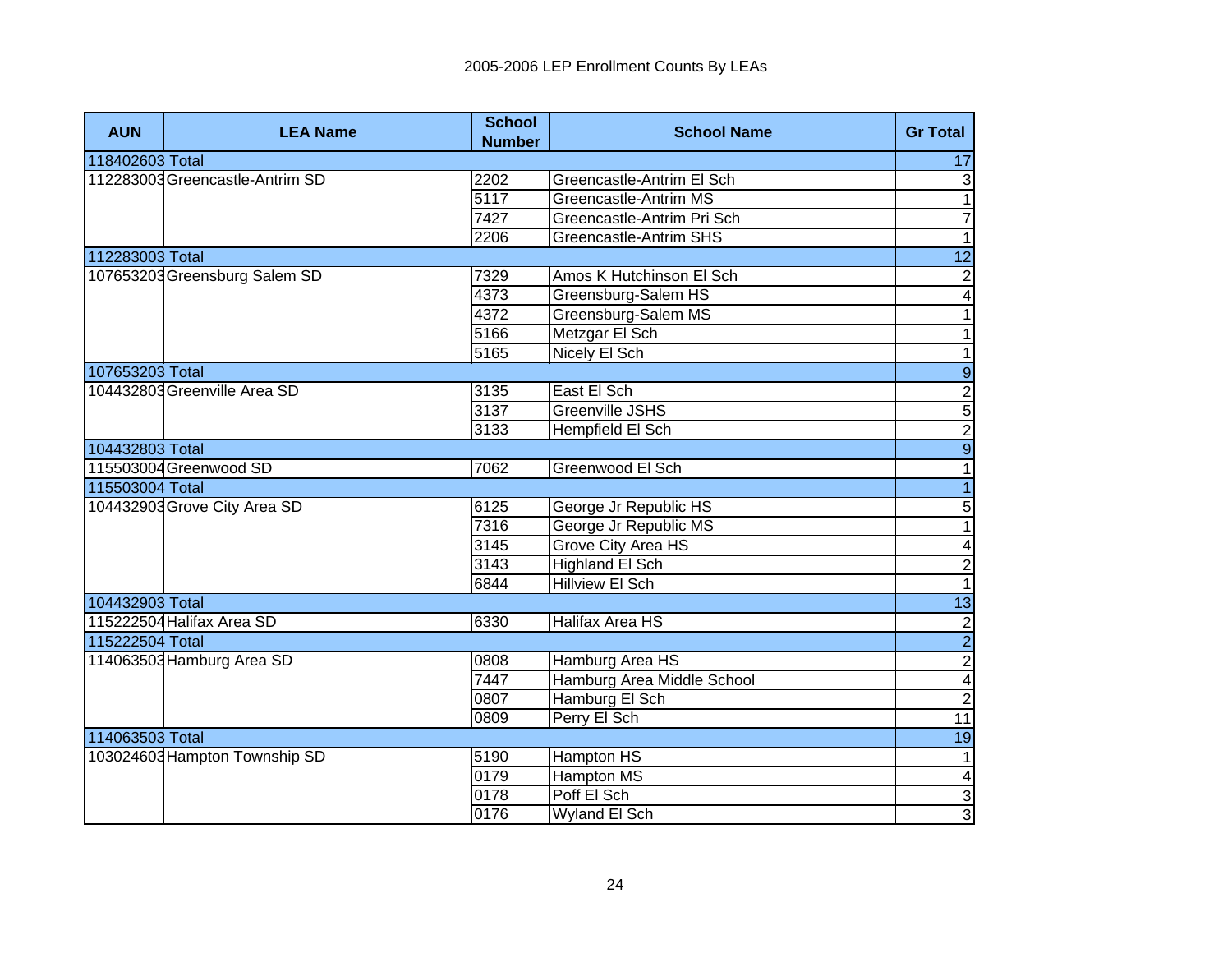| <b>AUN</b>      | <b>LEA Name</b>                 | <b>School</b><br><b>Number</b> | <b>School Name</b>         | <b>Gr Total</b>         |
|-----------------|---------------------------------|--------------------------------|----------------------------|-------------------------|
| 118402603 Total |                                 |                                |                            | 17                      |
|                 | 112283003 Greencastle-Antrim SD | 2202                           | Greencastle-Antrim El Sch  | 3                       |
|                 |                                 | 5117                           | Greencastle-Antrim MS      | $\overline{1}$          |
|                 |                                 | 7427                           | Greencastle-Antrim Pri Sch | $\overline{7}$          |
|                 |                                 | 2206                           | Greencastle-Antrim SHS     | $\overline{1}$          |
| 112283003 Total |                                 |                                |                            | $\overline{12}$         |
|                 | 107653203 Greensburg Salem SD   | 7329                           | Amos K Hutchinson El Sch   | $\sqrt{2}$              |
|                 |                                 | 4373                           | Greensburg-Salem HS        | $\overline{4}$          |
|                 |                                 | 4372                           | Greensburg-Salem MS        | $\mathbf{1}$            |
|                 |                                 | 5166                           | Metzgar El Sch             | $\mathbf{1}$            |
|                 |                                 | 5165                           | Nicely El Sch              | $\mathbf{1}$            |
| 107653203 Total |                                 |                                |                            | $\overline{9}$          |
|                 | 104432803 Greenville Area SD    | 3135                           | East El Sch                | $\frac{1}{2}$           |
|                 |                                 | 3137                           | <b>Greenville JSHS</b>     |                         |
|                 |                                 | 3133                           | Hempfield El Sch           |                         |
| 104432803 Total |                                 |                                |                            |                         |
|                 | 115503004 Greenwood SD          | 7062                           | Greenwood El Sch           | $\overline{1}$          |
| 115503004 Total |                                 |                                |                            | $\overline{1}$          |
|                 | 104432903 Grove City Area SD    | 6125                           | George Jr Republic HS      | $\overline{5}$          |
|                 |                                 | 7316                           | George Jr Republic MS      | $\overline{1}$          |
|                 |                                 | 3145                           | <b>Grove City Area HS</b>  | $\overline{4}$          |
|                 |                                 | 3143                           | <b>Highland El Sch</b>     | $\overline{2}$          |
|                 |                                 | 6844                           | <b>Hillview El Sch</b>     | $\overline{1}$          |
| 104432903 Total |                                 |                                |                            | $\overline{13}$         |
|                 | 115222504 Halifax Area SD       | 6330                           | Halifax Area HS            | $\overline{c}$          |
| 115222504 Total |                                 |                                |                            | $\overline{2}$          |
|                 | 114063503 Hamburg Area SD       | 0808                           | Hamburg Area HS            | $\overline{2}$          |
|                 |                                 | 7447                           | Hamburg Area Middle School | $\overline{4}$          |
|                 |                                 | 0807                           | Hamburg El Sch             | $\overline{2}$          |
|                 |                                 | 0809                           | Perry El Sch               | $\overline{11}$         |
| 114063503 Total |                                 |                                |                            | 19                      |
|                 | 103024603 Hampton Township SD   | 5190                           | Hampton HS                 | $\mathbf{1}$            |
|                 |                                 | 0179                           | Hampton MS                 | $\overline{\mathbf{4}}$ |
|                 |                                 | 0178                           | Poff El Sch                | $\overline{\omega}$     |
|                 |                                 | 0176                           | <b>Wyland El Sch</b>       | $\overline{3}$          |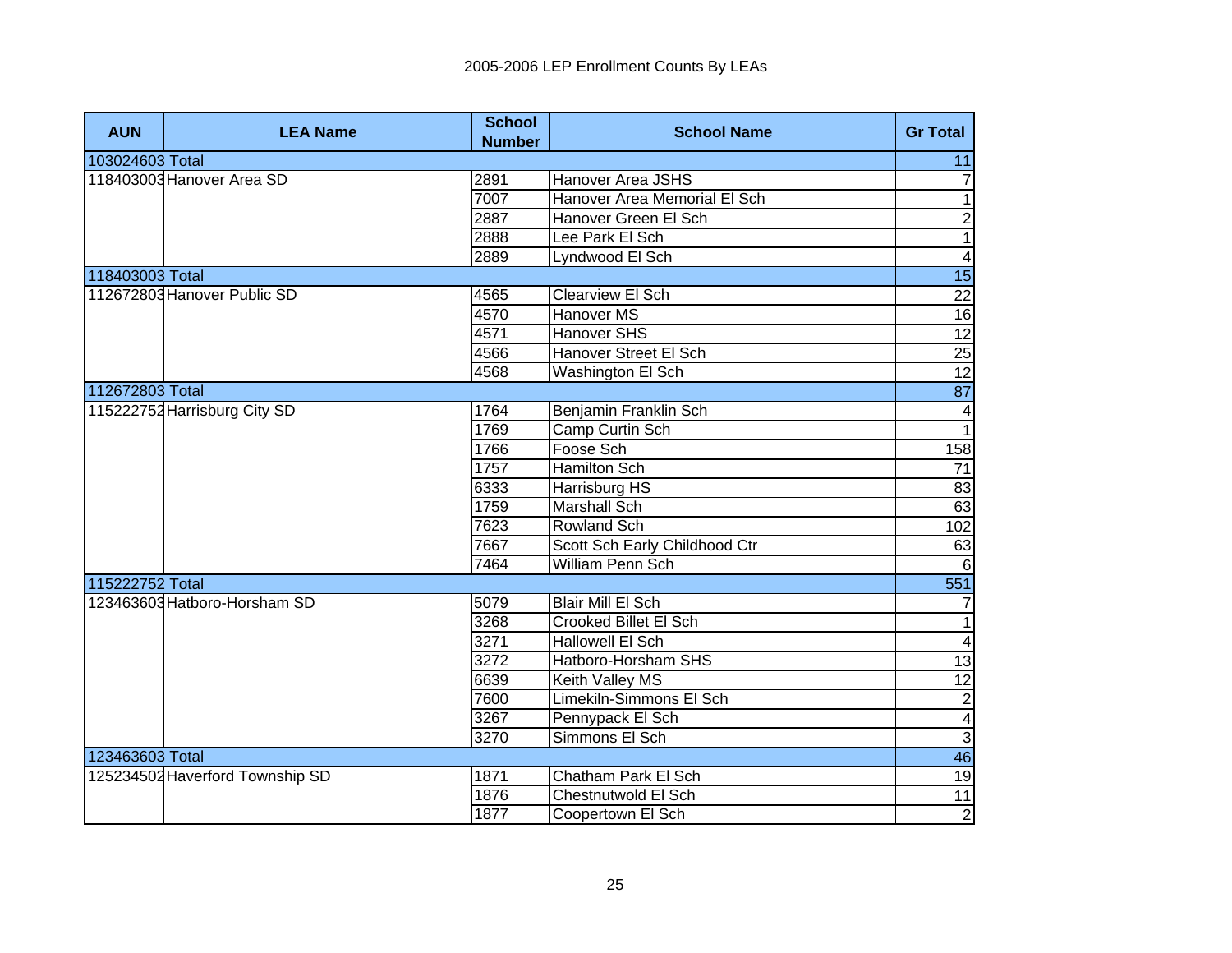| 103024603 Total<br>118403003 Hanover Area SD<br>2891<br><b>Hanover Area JSHS</b><br>7007<br>Hanover Area Memorial El Sch<br>2887<br>Hanover Green El Sch<br>2888<br>Lee Park El Sch<br>2889<br>Lyndwood El Sch<br>118403003 Total<br>112672803 Hanover Public SD<br>Clearview El Sch<br>4565<br>4570<br>Hanover MS<br>4571<br>Hanover SHS<br>4566<br>Hanover Street El Sch<br>4568<br>Washington El Sch<br>112672803 Total<br>115222752 Harrisburg City SD<br>1764<br>Benjamin Franklin Sch<br>1769<br>Camp Curtin Sch<br>1766<br>Foose Sch<br>1757<br><b>Hamilton Sch</b><br>6333<br>Harrisburg HS<br>1759<br>Marshall Sch<br>7623<br>Rowland Sch<br>7667<br>Scott Sch Early Childhood Ctr<br><b>William Penn Sch</b><br>7464<br>115222752 Total<br>123463603 Hatboro-Horsham SD<br>5079<br><b>Blair Mill El Sch</b><br>3268<br>Crooked Billet El Sch<br>3271<br><b>Hallowell El Sch</b><br>3272<br>Hatboro-Horsham SHS<br>6639<br>Keith Valley MS<br>$\frac{2}{4}$<br>7600<br>Limekiln-Simmons El Sch<br>3267<br>Pennypack El Sch<br>$\frac{3}{46}$<br>3270<br>Simmons El Sch<br>123463603 Total<br>125234502 Haverford Township SD<br>1871<br>Chatham Park El Sch<br>1876<br><b>Chestnutwold El Sch</b><br>1877<br>Coopertown El Sch | <b>AUN</b> | <b>LEA Name</b> | <b>School</b><br><b>Number</b> | <b>School Name</b> | <b>Gr Total</b>          |
|-----------------------------------------------------------------------------------------------------------------------------------------------------------------------------------------------------------------------------------------------------------------------------------------------------------------------------------------------------------------------------------------------------------------------------------------------------------------------------------------------------------------------------------------------------------------------------------------------------------------------------------------------------------------------------------------------------------------------------------------------------------------------------------------------------------------------------------------------------------------------------------------------------------------------------------------------------------------------------------------------------------------------------------------------------------------------------------------------------------------------------------------------------------------------------------------------------------------------------------------|------------|-----------------|--------------------------------|--------------------|--------------------------|
|                                                                                                                                                                                                                                                                                                                                                                                                                                                                                                                                                                                                                                                                                                                                                                                                                                                                                                                                                                                                                                                                                                                                                                                                                                         |            |                 |                                |                    | 11                       |
|                                                                                                                                                                                                                                                                                                                                                                                                                                                                                                                                                                                                                                                                                                                                                                                                                                                                                                                                                                                                                                                                                                                                                                                                                                         |            |                 |                                |                    | $\overline{7}$           |
|                                                                                                                                                                                                                                                                                                                                                                                                                                                                                                                                                                                                                                                                                                                                                                                                                                                                                                                                                                                                                                                                                                                                                                                                                                         |            |                 |                                |                    | $\mathbf 1$              |
|                                                                                                                                                                                                                                                                                                                                                                                                                                                                                                                                                                                                                                                                                                                                                                                                                                                                                                                                                                                                                                                                                                                                                                                                                                         |            |                 |                                |                    | $\overline{2}$           |
|                                                                                                                                                                                                                                                                                                                                                                                                                                                                                                                                                                                                                                                                                                                                                                                                                                                                                                                                                                                                                                                                                                                                                                                                                                         |            |                 |                                |                    | $\overline{\phantom{0}}$ |
|                                                                                                                                                                                                                                                                                                                                                                                                                                                                                                                                                                                                                                                                                                                                                                                                                                                                                                                                                                                                                                                                                                                                                                                                                                         |            |                 |                                |                    | $\overline{4}$           |
|                                                                                                                                                                                                                                                                                                                                                                                                                                                                                                                                                                                                                                                                                                                                                                                                                                                                                                                                                                                                                                                                                                                                                                                                                                         |            |                 |                                |                    | $\overline{15}$          |
|                                                                                                                                                                                                                                                                                                                                                                                                                                                                                                                                                                                                                                                                                                                                                                                                                                                                                                                                                                                                                                                                                                                                                                                                                                         |            |                 |                                |                    | 22                       |
|                                                                                                                                                                                                                                                                                                                                                                                                                                                                                                                                                                                                                                                                                                                                                                                                                                                                                                                                                                                                                                                                                                                                                                                                                                         |            |                 |                                |                    | 16                       |
|                                                                                                                                                                                                                                                                                                                                                                                                                                                                                                                                                                                                                                                                                                                                                                                                                                                                                                                                                                                                                                                                                                                                                                                                                                         |            |                 |                                |                    | 12                       |
|                                                                                                                                                                                                                                                                                                                                                                                                                                                                                                                                                                                                                                                                                                                                                                                                                                                                                                                                                                                                                                                                                                                                                                                                                                         |            |                 |                                |                    | 25                       |
|                                                                                                                                                                                                                                                                                                                                                                                                                                                                                                                                                                                                                                                                                                                                                                                                                                                                                                                                                                                                                                                                                                                                                                                                                                         |            |                 |                                |                    | 12                       |
|                                                                                                                                                                                                                                                                                                                                                                                                                                                                                                                                                                                                                                                                                                                                                                                                                                                                                                                                                                                                                                                                                                                                                                                                                                         |            |                 |                                |                    | 87                       |
|                                                                                                                                                                                                                                                                                                                                                                                                                                                                                                                                                                                                                                                                                                                                                                                                                                                                                                                                                                                                                                                                                                                                                                                                                                         |            |                 |                                |                    | $\overline{\mathbf{4}}$  |
|                                                                                                                                                                                                                                                                                                                                                                                                                                                                                                                                                                                                                                                                                                                                                                                                                                                                                                                                                                                                                                                                                                                                                                                                                                         |            |                 |                                |                    | $\overline{1}$           |
|                                                                                                                                                                                                                                                                                                                                                                                                                                                                                                                                                                                                                                                                                                                                                                                                                                                                                                                                                                                                                                                                                                                                                                                                                                         |            |                 |                                |                    | 158                      |
|                                                                                                                                                                                                                                                                                                                                                                                                                                                                                                                                                                                                                                                                                                                                                                                                                                                                                                                                                                                                                                                                                                                                                                                                                                         |            |                 |                                |                    | 71                       |
|                                                                                                                                                                                                                                                                                                                                                                                                                                                                                                                                                                                                                                                                                                                                                                                                                                                                                                                                                                                                                                                                                                                                                                                                                                         |            |                 |                                |                    | 83                       |
|                                                                                                                                                                                                                                                                                                                                                                                                                                                                                                                                                                                                                                                                                                                                                                                                                                                                                                                                                                                                                                                                                                                                                                                                                                         |            |                 |                                |                    | 63                       |
|                                                                                                                                                                                                                                                                                                                                                                                                                                                                                                                                                                                                                                                                                                                                                                                                                                                                                                                                                                                                                                                                                                                                                                                                                                         |            |                 |                                |                    | 102                      |
|                                                                                                                                                                                                                                                                                                                                                                                                                                                                                                                                                                                                                                                                                                                                                                                                                                                                                                                                                                                                                                                                                                                                                                                                                                         |            |                 |                                |                    | 63                       |
|                                                                                                                                                                                                                                                                                                                                                                                                                                                                                                                                                                                                                                                                                                                                                                                                                                                                                                                                                                                                                                                                                                                                                                                                                                         |            |                 |                                | $\overline{6}$     |                          |
|                                                                                                                                                                                                                                                                                                                                                                                                                                                                                                                                                                                                                                                                                                                                                                                                                                                                                                                                                                                                                                                                                                                                                                                                                                         |            |                 |                                |                    | 551                      |
|                                                                                                                                                                                                                                                                                                                                                                                                                                                                                                                                                                                                                                                                                                                                                                                                                                                                                                                                                                                                                                                                                                                                                                                                                                         |            |                 |                                |                    | $\overline{7}$           |
|                                                                                                                                                                                                                                                                                                                                                                                                                                                                                                                                                                                                                                                                                                                                                                                                                                                                                                                                                                                                                                                                                                                                                                                                                                         |            |                 |                                |                    | $\mathbf{1}$             |
|                                                                                                                                                                                                                                                                                                                                                                                                                                                                                                                                                                                                                                                                                                                                                                                                                                                                                                                                                                                                                                                                                                                                                                                                                                         |            |                 |                                |                    | $\overline{4}$           |
|                                                                                                                                                                                                                                                                                                                                                                                                                                                                                                                                                                                                                                                                                                                                                                                                                                                                                                                                                                                                                                                                                                                                                                                                                                         |            |                 |                                |                    | 13                       |
|                                                                                                                                                                                                                                                                                                                                                                                                                                                                                                                                                                                                                                                                                                                                                                                                                                                                                                                                                                                                                                                                                                                                                                                                                                         |            |                 |                                |                    | 12                       |
|                                                                                                                                                                                                                                                                                                                                                                                                                                                                                                                                                                                                                                                                                                                                                                                                                                                                                                                                                                                                                                                                                                                                                                                                                                         |            |                 |                                |                    |                          |
|                                                                                                                                                                                                                                                                                                                                                                                                                                                                                                                                                                                                                                                                                                                                                                                                                                                                                                                                                                                                                                                                                                                                                                                                                                         |            |                 |                                |                    |                          |
|                                                                                                                                                                                                                                                                                                                                                                                                                                                                                                                                                                                                                                                                                                                                                                                                                                                                                                                                                                                                                                                                                                                                                                                                                                         |            |                 |                                |                    |                          |
|                                                                                                                                                                                                                                                                                                                                                                                                                                                                                                                                                                                                                                                                                                                                                                                                                                                                                                                                                                                                                                                                                                                                                                                                                                         |            |                 |                                |                    |                          |
|                                                                                                                                                                                                                                                                                                                                                                                                                                                                                                                                                                                                                                                                                                                                                                                                                                                                                                                                                                                                                                                                                                                                                                                                                                         |            |                 |                                |                    | 19                       |
|                                                                                                                                                                                                                                                                                                                                                                                                                                                                                                                                                                                                                                                                                                                                                                                                                                                                                                                                                                                                                                                                                                                                                                                                                                         |            |                 |                                |                    | 11                       |
|                                                                                                                                                                                                                                                                                                                                                                                                                                                                                                                                                                                                                                                                                                                                                                                                                                                                                                                                                                                                                                                                                                                                                                                                                                         |            |                 |                                |                    | $\overline{2}$           |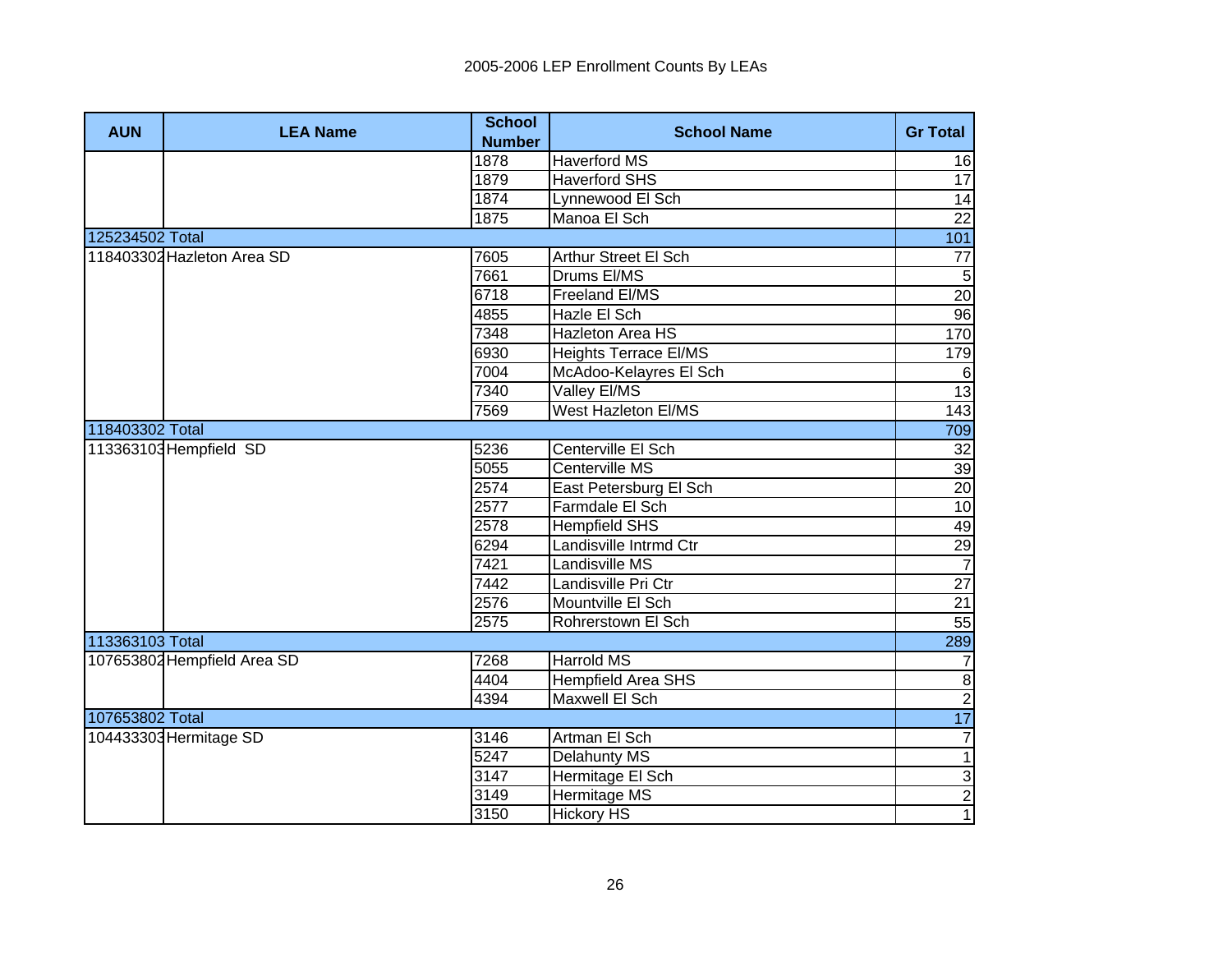| <b>AUN</b>      | <b>LEA Name</b>             | <b>School</b><br><b>Number</b> | <b>School Name</b>           | <b>Gr Total</b>  |
|-----------------|-----------------------------|--------------------------------|------------------------------|------------------|
|                 |                             | 1878                           | <b>Haverford MS</b>          | 16               |
|                 |                             | 1879                           | <b>Haverford SHS</b>         | 17               |
|                 |                             | 1874                           | Lynnewood El Sch             | 14               |
|                 |                             | 1875                           | Manoa El Sch                 | 22               |
| 125234502 Total |                             |                                |                              | 101              |
|                 | 118403302 Hazleton Area SD  | 7605                           | <b>Arthur Street El Sch</b>  | $77\,$           |
|                 |                             | 7661                           | Drums EI/MS                  | $\sqrt{5}$       |
|                 |                             | 6718                           | Freeland El/MS               | 20               |
|                 |                             | 4855                           | Hazle El Sch                 | 96               |
|                 |                             | 7348                           | <b>Hazleton Area HS</b>      | 170              |
|                 |                             | 6930                           | <b>Heights Terrace EI/MS</b> | 179              |
|                 |                             | 7004                           | McAdoo-Kelayres El Sch       | 6                |
|                 |                             | 7340                           | Valley El/MS                 | 13               |
|                 |                             | 7569                           | West Hazleton El/MS          | 143              |
| 118403302 Total |                             |                                |                              | 709              |
|                 | 113363103 Hempfield SD      | 5236                           | Centerville El Sch           | 32               |
|                 |                             | 5055                           | Centerville MS               | 39               |
|                 |                             | 2574                           | East Petersburg El Sch       | $\overline{20}$  |
|                 |                             | 2577                           | Farmdale El Sch              | $10$             |
|                 |                             | 2578                           | <b>Hempfield SHS</b>         | 49               |
|                 |                             | 6294                           | Landisville Intrmd Ctr       | 29               |
|                 |                             | 7421                           | Landisville MS               | $\overline{7}$   |
|                 |                             | 7442                           | Landisville Pri Ctr          | $\overline{27}$  |
|                 |                             | 2576                           | Mountville El Sch            | 21               |
|                 |                             | 2575                           | Rohrerstown El Sch           | $\overline{55}$  |
| 113363103 Total |                             |                                |                              | 289              |
|                 | 107653802 Hempfield Area SD | 7268                           | <b>Harrold MS</b>            | $\overline{7}$   |
|                 |                             | 4404                           | <b>Hempfield Area SHS</b>    | $\overline{8}$   |
|                 |                             | 4394                           | Maxwell El Sch               | $\overline{2}$   |
| 107653802 Total |                             |                                |                              | 17               |
|                 | 104433303 Hermitage SD      | 3146                           | Artman El Sch                | $\overline{7}$   |
|                 |                             | 5247                           | Delahunty MS                 | $\mathbf{1}$     |
|                 |                             | 3147                           | Hermitage El Sch             | $\overline{3}$   |
|                 |                             | 3149                           | Hermitage MS                 | $\boldsymbol{2}$ |
|                 |                             | 3150                           | <b>Hickory HS</b>            | $\overline{1}$   |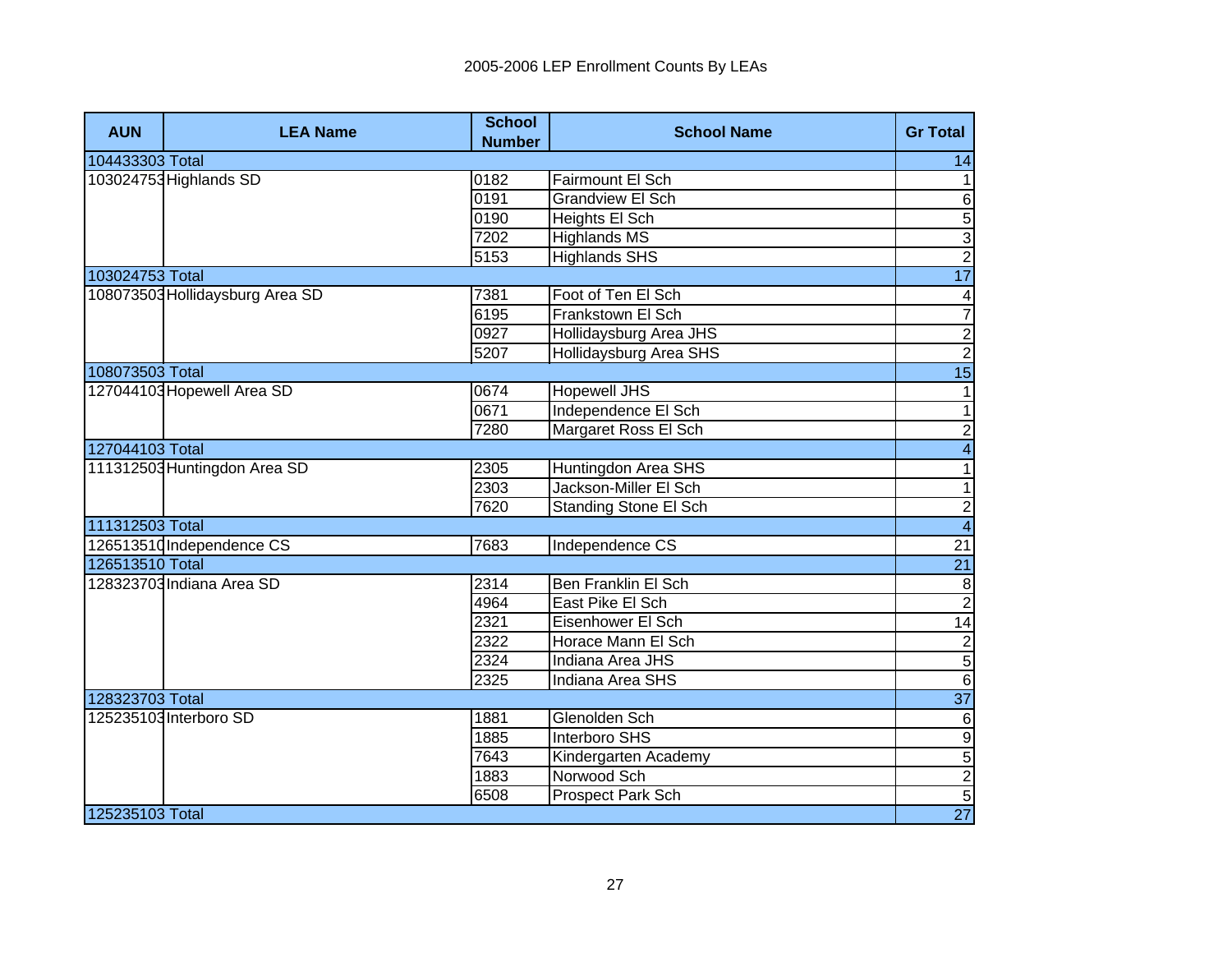| <b>AUN</b>      | <b>LEA Name</b>                 | <b>School</b><br><b>Number</b> | <b>School Name</b>         | <b>Gr Total</b> |
|-----------------|---------------------------------|--------------------------------|----------------------------|-----------------|
| 104433303 Total |                                 |                                |                            | 14              |
|                 | 103024753 Highlands SD          | 0182                           | Fairmount El Sch           |                 |
|                 |                                 | 0191                           | <b>Grandview El Sch</b>    | 6               |
|                 |                                 | 0190                           | <b>Heights El Sch</b>      | 5               |
|                 |                                 | 7202                           | <b>Highlands MS</b>        | 3               |
|                 |                                 | 5153                           | <b>Highlands SHS</b>       |                 |
| 103024753 Total |                                 |                                |                            | 17              |
|                 | 108073503 Hollidaysburg Area SD | 7381                           | Foot of Ten El Sch         |                 |
|                 |                                 | 6195                           | <b>Frankstown El Sch</b>   |                 |
|                 |                                 | 0927                           | Hollidaysburg Area JHS     | $\overline{2}$  |
|                 |                                 | 5207                           | Hollidaysburg Area SHS     |                 |
| 108073503 Total |                                 |                                |                            | $\overline{15}$ |
|                 | 127044103 Hopewell Area SD      | 0674                           | <b>Hopewell JHS</b>        |                 |
|                 |                                 | 0671                           | Independence El Sch        |                 |
|                 |                                 | 7280                           | Margaret Ross El Sch       |                 |
| 127044103 Total |                                 |                                |                            |                 |
|                 | 111312503 Huntingdon Area SD    | 2305                           | Huntingdon Area SHS        |                 |
|                 |                                 | 2303                           | Jackson-Miller El Sch      |                 |
|                 |                                 | 7620                           | Standing Stone El Sch      |                 |
| 111312503 Total |                                 |                                |                            |                 |
|                 | 126513510 Independence CS       | 7683                           | Independence CS            | $\overline{21}$ |
| 126513510 Total |                                 |                                |                            | $\overline{21}$ |
|                 | 128323703 Indiana Area SD       | 2314                           | <b>Ben Franklin El Sch</b> | 8               |
|                 |                                 | 4964                           | East Pike El Sch           | $\overline{2}$  |
|                 |                                 | 2321                           | Eisenhower El Sch          | 14              |
|                 |                                 | 2322                           | Horace Mann El Sch         | $\overline{2}$  |
|                 |                                 | 2324                           | <b>Indiana Area JHS</b>    | $\overline{5}$  |
|                 |                                 | 2325                           | <b>Indiana Area SHS</b>    | $\overline{6}$  |
| 128323703 Total |                                 |                                |                            | $\overline{37}$ |
|                 | 125235103 Interboro SD          | 1881                           | Glenolden Sch              | 6               |
|                 |                                 | 1885                           | <b>Interboro SHS</b>       | 9               |
|                 |                                 | 7643                           | Kindergarten Academy       | 5               |
|                 |                                 | 1883                           | Norwood Sch                | $\overline{2}$  |
|                 |                                 | 6508                           | Prospect Park Sch          | 5               |
| 125235103 Total |                                 |                                |                            | $\overline{27}$ |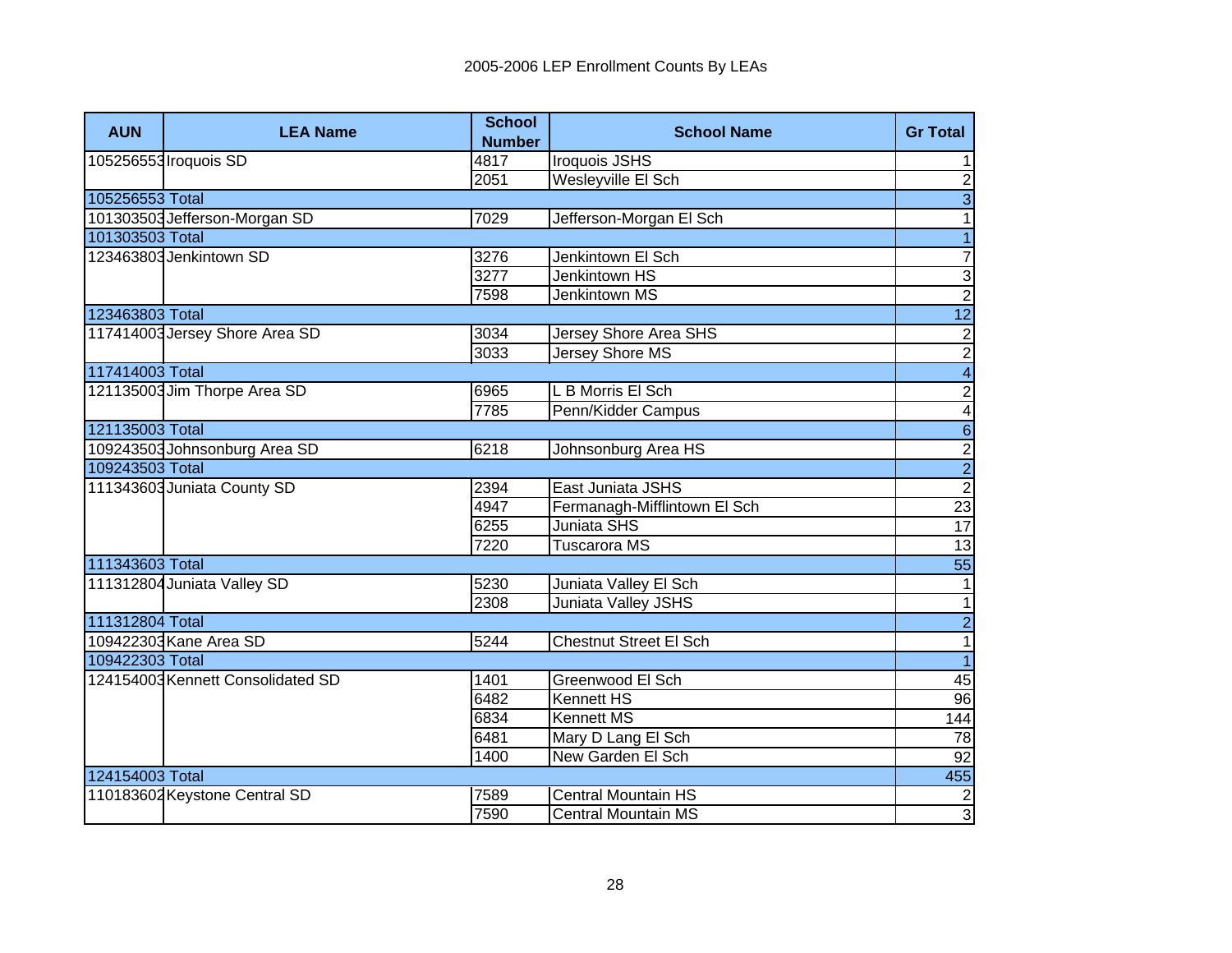| <b>AUN</b>      | <b>LEA Name</b>                   | <b>School</b><br><b>Number</b> | <b>School Name</b>            | <b>Gr Total</b> |
|-----------------|-----------------------------------|--------------------------------|-------------------------------|-----------------|
|                 | 105256553 Iroquois SD             | 4817                           | <b>Iroquois JSHS</b>          |                 |
|                 |                                   | 2051                           | Wesleyville El Sch            |                 |
| 105256553 Total |                                   |                                |                               |                 |
|                 | 101303503 Jefferson-Morgan SD     | 7029                           | Jefferson-Morgan El Sch       |                 |
| 101303503 Total |                                   |                                |                               |                 |
|                 | 123463803 Jenkintown SD           | 3276                           | Jenkintown El Sch             | 7               |
|                 |                                   | 3277                           | Jenkintown HS                 | 3               |
|                 |                                   | 7598                           | Jenkintown MS                 | $\overline{c}$  |
| 123463803 Total |                                   |                                |                               | $\overline{12}$ |
|                 | 117414003 Jersey Shore Area SD    | 3034                           | Jersey Shore Area SHS         | 2               |
|                 |                                   | 3033                           | <b>Jersey Shore MS</b>        | $\overline{2}$  |
| 117414003 Total |                                   |                                |                               |                 |
|                 | 121135003 Jim Thorpe Area SD      | 6965                           | L B Morris El Sch             | $\overline{c}$  |
|                 |                                   | 7785                           | Penn/Kidder Campus            |                 |
| 121135003 Total |                                   |                                |                               | 6               |
|                 | 109243503 Johnsonburg Area SD     | 6218                           | Johnsonburg Area HS           | $\overline{2}$  |
| 109243503 Total |                                   |                                |                               | $\overline{2}$  |
|                 | 111343603 Juniata County SD       | 2394                           | East Juniata JSHS             | $\overline{2}$  |
|                 | 4947                              | Fermanagh-Mifflintown El Sch   | 23                            |                 |
|                 | 6255                              | Juniata SHS                    | $\overline{17}$               |                 |
|                 |                                   | 7220                           | <b>Tuscarora MS</b>           | 13              |
| 111343603 Total |                                   |                                |                               | $\overline{55}$ |
|                 | 111312804 Juniata Valley SD       | 5230                           | Juniata Valley El Sch         |                 |
|                 |                                   | 2308                           | Juniata Valley JSHS           |                 |
| 111312804 Total |                                   |                                |                               |                 |
|                 | 109422303 Kane Area SD            | 5244                           | <b>Chestnut Street El Sch</b> |                 |
| 109422303 Total |                                   |                                |                               |                 |
|                 | 124154003 Kennett Consolidated SD | 1401                           | Greenwood El Sch              | 45              |
|                 |                                   | 6482                           | <b>Kennett HS</b>             | 96              |
|                 |                                   | 6834                           | <b>Kennett MS</b>             | 144             |
|                 |                                   | 6481                           | Mary D Lang El Sch            | 78              |
|                 |                                   | 1400                           | New Garden El Sch             | $\overline{92}$ |
| 124154003 Total |                                   |                                |                               | 455             |
|                 | 110183602 Keystone Central SD     | 7589                           | <b>Central Mountain HS</b>    |                 |
|                 |                                   | 7590                           | <b>Central Mountain MS</b>    | 3               |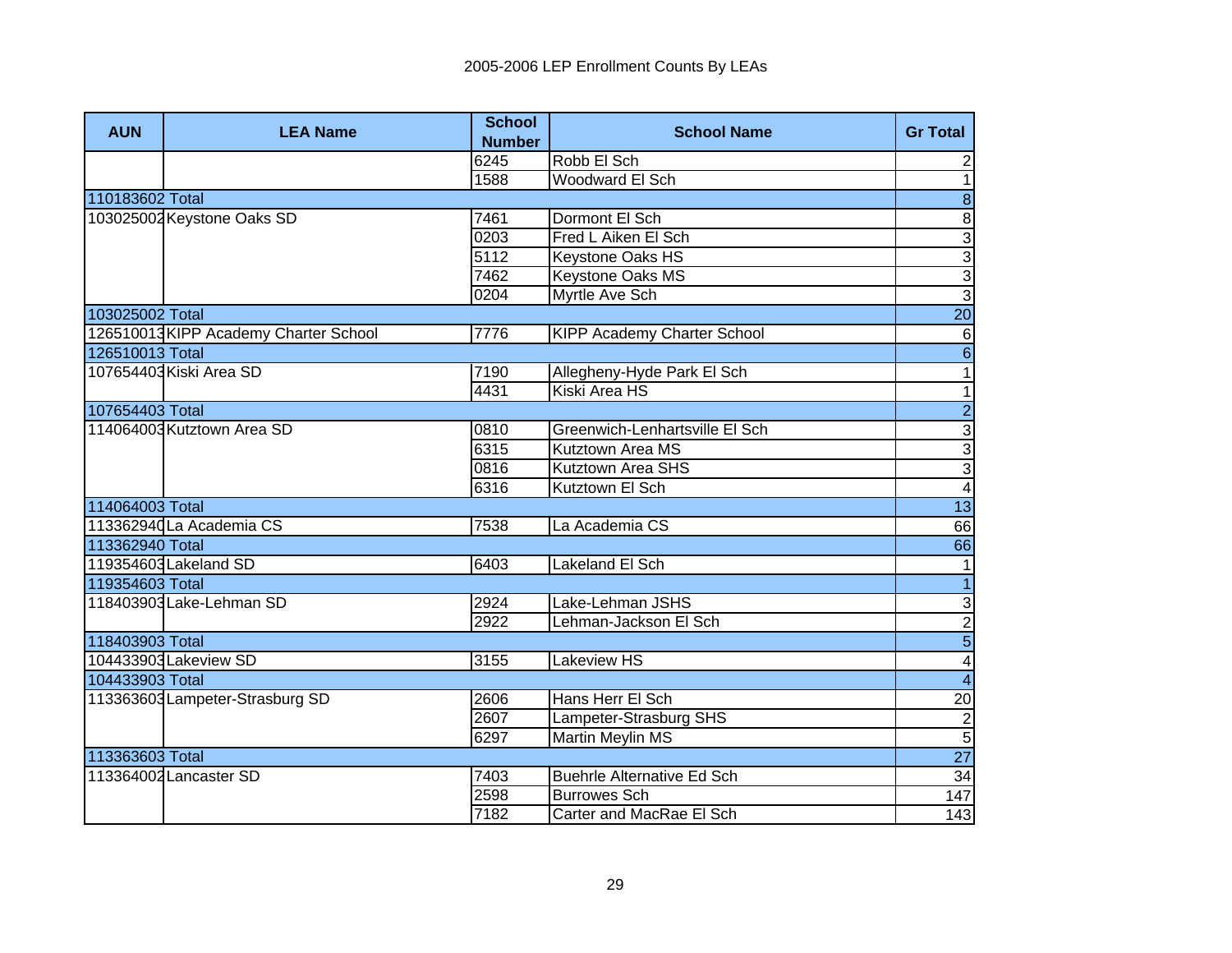| <b>AUN</b>      | <b>LEA Name</b>                      | <b>School</b><br><b>Number</b> | <b>School Name</b>                 | <b>Gr Total</b> |
|-----------------|--------------------------------------|--------------------------------|------------------------------------|-----------------|
|                 |                                      | 6245                           | Robb El Sch                        | $\overline{c}$  |
|                 |                                      | 1588                           | Woodward El Sch                    | $\overline{1}$  |
| 110183602 Total |                                      |                                |                                    | $\overline{8}$  |
|                 | 103025002 Keystone Oaks SD           | 7461                           | Dormont El Sch                     | $\overline{8}$  |
|                 |                                      | 0203                           | Fred L Aiken El Sch                | $\overline{3}$  |
|                 |                                      | 5112                           | Keystone Oaks HS                   | $\overline{3}$  |
|                 |                                      | 7462                           | <b>Keystone Oaks MS</b>            | $\overline{3}$  |
|                 |                                      | 0204                           | Myrtle Ave Sch                     | $\overline{3}$  |
| 103025002 Total |                                      |                                |                                    | $\overline{20}$ |
|                 | 126510013KIPP Academy Charter School | 7776                           | <b>KIPP Academy Charter School</b> | 6               |
| 126510013 Total |                                      |                                |                                    | $\overline{6}$  |
|                 | 107654403 Kiski Area SD              | 7190                           | Allegheny-Hyde Park El Sch         | $\overline{1}$  |
|                 |                                      | 4431                           | Kiski Area HS                      | $\overline{1}$  |
| 107654403 Total |                                      |                                |                                    | $\overline{2}$  |
|                 | 114064003 Kutztown Area SD           | 0810                           | Greenwich-Lenhartsville El Sch     |                 |
|                 |                                      | 6315                           | <b>Kutztown Area MS</b>            |                 |
|                 |                                      | 0816                           | <b>Kutztown Area SHS</b>           | $\frac{3}{3}$   |
|                 |                                      | 6316                           | Kutztown El Sch                    | $\overline{4}$  |
| 114064003 Total |                                      |                                |                                    | 13              |
|                 | 113362940 La Academia CS             | 7538                           | La Academia CS                     | 66              |
| 113362940 Total |                                      |                                |                                    | 66              |
|                 | 119354603 Lakeland SD                | 6403                           | Lakeland El Sch                    | 1               |
| 119354603 Total |                                      |                                |                                    | $\overline{1}$  |
|                 | 118403903 Lake-Lehman SD             | 2924                           | Lake-Lehman JSHS                   | $\overline{3}$  |
|                 |                                      | 2922                           | Lehman-Jackson El Sch              | $\overline{2}$  |
| 118403903 Total |                                      |                                |                                    | $\overline{5}$  |
|                 | 104433903 Lakeview SD                | 3155                           | Lakeview HS                        | $\overline{4}$  |
| 104433903 Total |                                      |                                |                                    | $\overline{4}$  |
|                 | 113363603Lampeter-Strasburg SD       | 2606                           | Hans Herr El Sch                   | 20              |
|                 |                                      | 2607                           | Lampeter-Strasburg SHS             | $\overline{2}$  |
|                 |                                      | 6297                           | Martin Meylin MS                   | $\overline{5}$  |
| 113363603 Total |                                      |                                |                                    | 27              |
|                 | 113364002Lancaster SD                | 7403                           | <b>Buehrle Alternative Ed Sch</b>  | 34              |
|                 |                                      | 2598                           | <b>Burrowes Sch</b>                | 147             |
|                 |                                      | 7182                           | Carter and MacRae El Sch           | 143             |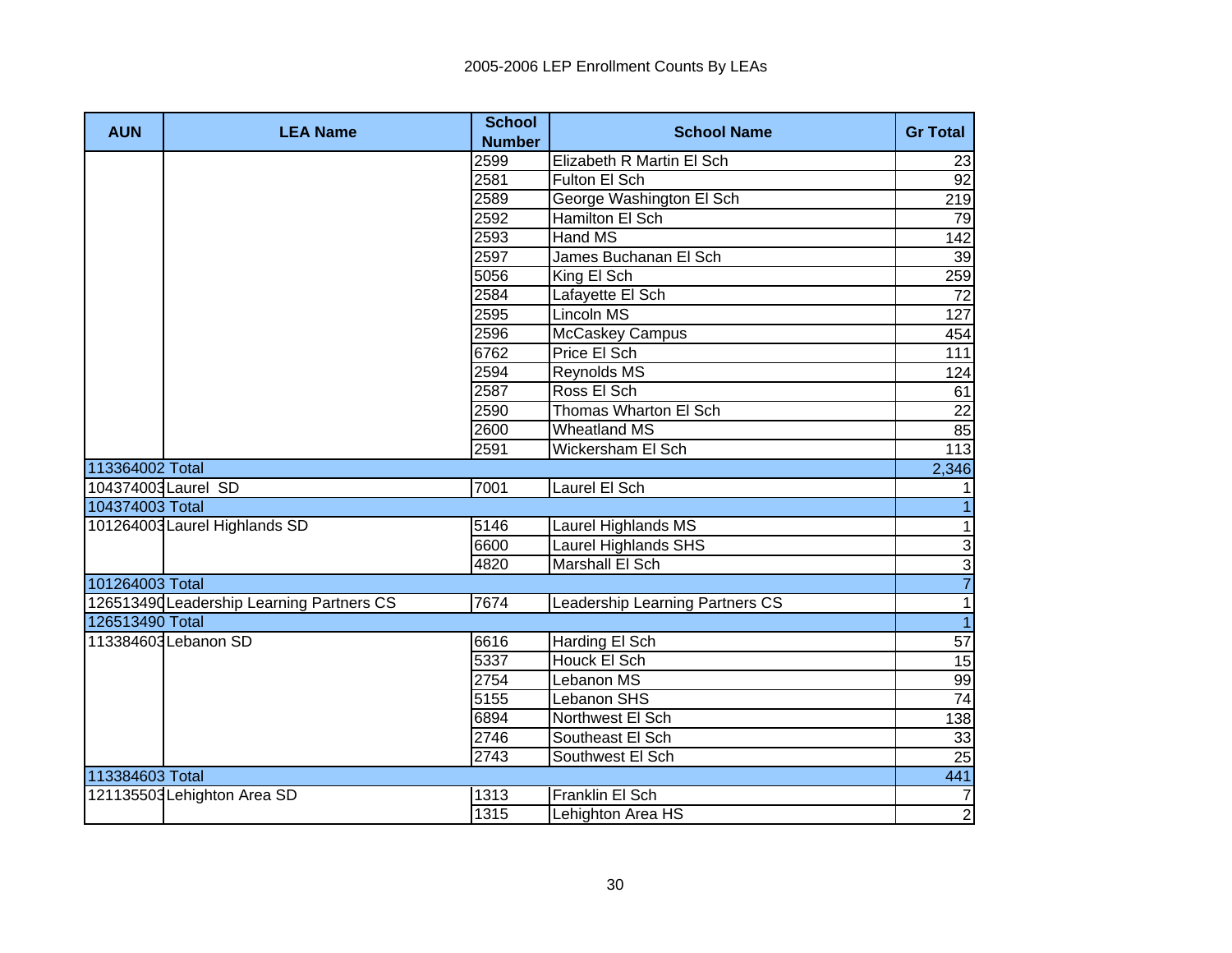| <b>AUN</b>      | <b>LEA Name</b>                           | <b>School</b> | <b>School Name</b>              | <b>Gr Total</b>  |
|-----------------|-------------------------------------------|---------------|---------------------------------|------------------|
|                 |                                           | <b>Number</b> |                                 |                  |
|                 |                                           | 2599          | Elizabeth R Martin El Sch       | 23               |
|                 |                                           | 2581          | Fulton El Sch                   | 92               |
|                 |                                           | 2589          | George Washington El Sch        | $\overline{219}$ |
|                 |                                           | 2592          | <b>Hamilton El Sch</b>          | 79               |
|                 |                                           | 2593          | <b>Hand MS</b>                  | 142              |
|                 |                                           | 2597          | James Buchanan El Sch           | 39               |
|                 |                                           | 5056          | King El Sch                     | 259              |
|                 |                                           | 2584          | Lafayette El Sch                | 72               |
|                 |                                           | 2595          | <b>Lincoln MS</b>               | 127              |
|                 |                                           | 2596          | McCaskey Campus                 | 454              |
|                 |                                           | 6762          | Price El Sch                    | 111              |
|                 |                                           | 2594          | Reynolds MS                     | 124              |
|                 |                                           | 2587          | Ross El Sch                     | 61               |
|                 |                                           | 2590          | Thomas Wharton El Sch           | 22               |
|                 |                                           | 2600          | <b>Wheatland MS</b>             | $\overline{85}$  |
|                 |                                           | 2591          | Wickersham El Sch               | 113              |
| 113364002 Total |                                           |               |                                 | 2,346            |
|                 | 104374003 Laurel SD                       | 7001          | Laurel El Sch                   | $\mathbf{1}$     |
| 104374003 Total |                                           |               |                                 | $\overline{1}$   |
|                 | 101264003 Laurel Highlands SD             | 5146          | Laurel Highlands MS             | $\mathbf{1}$     |
|                 |                                           | 6600          | Laurel Highlands SHS            |                  |
|                 |                                           | 4820          | Marshall El Sch                 | $\frac{3}{7}$    |
| 101264003 Total |                                           |               |                                 |                  |
|                 | 126513490 Leadership Learning Partners CS | 7674          | Leadership Learning Partners CS | $\mathbf{1}$     |
| 126513490 Total |                                           |               |                                 | $\overline{1}$   |
|                 | 113384603 Lebanon SD                      | 6616          | <b>Harding El Sch</b>           | 57               |
|                 |                                           | 5337          | Houck El Sch                    | $\overline{15}$  |
|                 |                                           | 2754          | Lebanon MS                      | 99               |
|                 |                                           | 5155          | Lebanon SHS                     | 74               |
|                 |                                           | 6894          | Northwest El Sch                | 138              |
|                 |                                           | 2746          | Southeast El Sch                | 33               |
|                 |                                           | 2743          | Southwest El Sch                | 25               |
| 113384603 Total |                                           |               |                                 | 441              |
|                 | 121135503 Lehighton Area SD               | 1313          | Franklin El Sch                 | $\boldsymbol{7}$ |
|                 |                                           | 1315          | Lehighton Area HS               | $\overline{2}$   |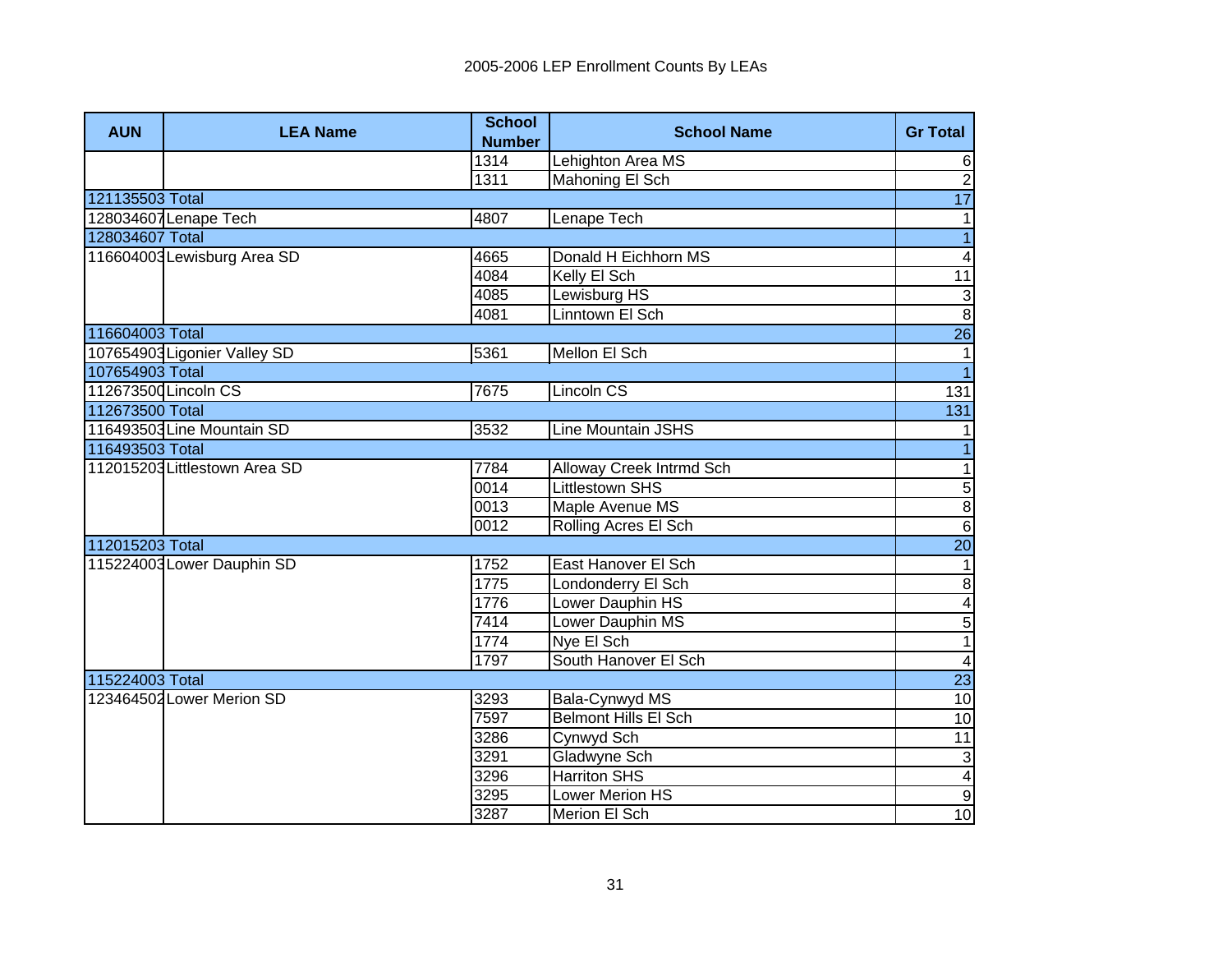| <b>AUN</b>      | <b>LEA Name</b>               | <b>School</b><br><b>Number</b> | <b>School Name</b>          | <b>Gr Total</b>     |
|-----------------|-------------------------------|--------------------------------|-----------------------------|---------------------|
|                 |                               | 1314                           | Lehighton Area MS           | $\,6$               |
|                 |                               | 1311                           | Mahoning El Sch             | $\overline{2}$      |
| 121135503 Total |                               |                                |                             | 17                  |
|                 | 128034607 Lenape Tech         | 4807                           | Lenape Tech                 | $\mathbf{1}$        |
| 128034607 Total |                               |                                |                             | $\overline{1}$      |
|                 | 116604003 Lewisburg Area SD   | 4665                           | Donald H Eichhorn MS        | $\overline{4}$      |
|                 |                               | 4084                           | Kelly El Sch                | 11                  |
|                 |                               | 4085                           | Lewisburg HS                | $\sqrt{3}$          |
|                 |                               | 4081                           | Linntown El Sch             | $\overline{8}$      |
| 116604003 Total |                               |                                |                             | $\overline{26}$     |
|                 | 107654903 Ligonier Valley SD  | 5361                           | Mellon El Sch               | $\mathbf{1}$        |
| 107654903 Total |                               |                                |                             | $\overline{1}$      |
|                 | 112673500 Lincoln CS          | 7675                           | Lincoln CS                  | 131                 |
| 112673500 Total |                               |                                |                             | 131                 |
|                 | 116493503 Line Mountain SD    | 3532                           | Line Mountain JSHS          | $\mathbf{1}$        |
| 116493503 Total |                               |                                |                             | $\overline{1}$      |
|                 | 112015203 Littlestown Area SD | 7784                           | Alloway Creek Intrmd Sch    | $\overline{1}$      |
|                 |                               | 0014                           | <b>Littlestown SHS</b>      | $\overline{5}$      |
|                 |                               | 0013                           | Maple Avenue MS             | $\overline{8}$      |
|                 |                               | 0012                           | Rolling Acres El Sch        | $\overline{6}$      |
| 112015203 Total |                               |                                |                             | $\overline{20}$     |
|                 | 115224003 Lower Dauphin SD    | 1752                           | East Hanover El Sch         | $\mathbf{1}$        |
|                 |                               | 1775                           | Londonderry El Sch          | $\,8\,$             |
|                 |                               | 1776                           | Lower Dauphin HS            | $\overline{4}$      |
|                 |                               | 7414                           | Lower Dauphin MS            | $\overline{5}$      |
|                 |                               | 1774                           | Nye El Sch                  | $\overline{1}$      |
|                 |                               | 1797                           | South Hanover El Sch        | $\overline{4}$      |
| 115224003 Total |                               |                                |                             | $\overline{23}$     |
|                 | 123464502 Lower Merion SD     | 3293                           | Bala-Cynwyd MS              | 10                  |
|                 |                               | 7597                           | <b>Belmont Hills El Sch</b> | $\overline{10}$     |
|                 |                               | 3286                           | Cynwyd Sch                  | 11                  |
|                 |                               | 3291                           | Gladwyne Sch                | $\overline{\omega}$ |
|                 |                               | 3296                           | <b>Harriton SHS</b>         | $\overline{4}$      |
|                 |                               | 3295                           | Lower Merion HS             | $\overline{9}$      |
|                 |                               | 3287                           | Merion El Sch               | 10                  |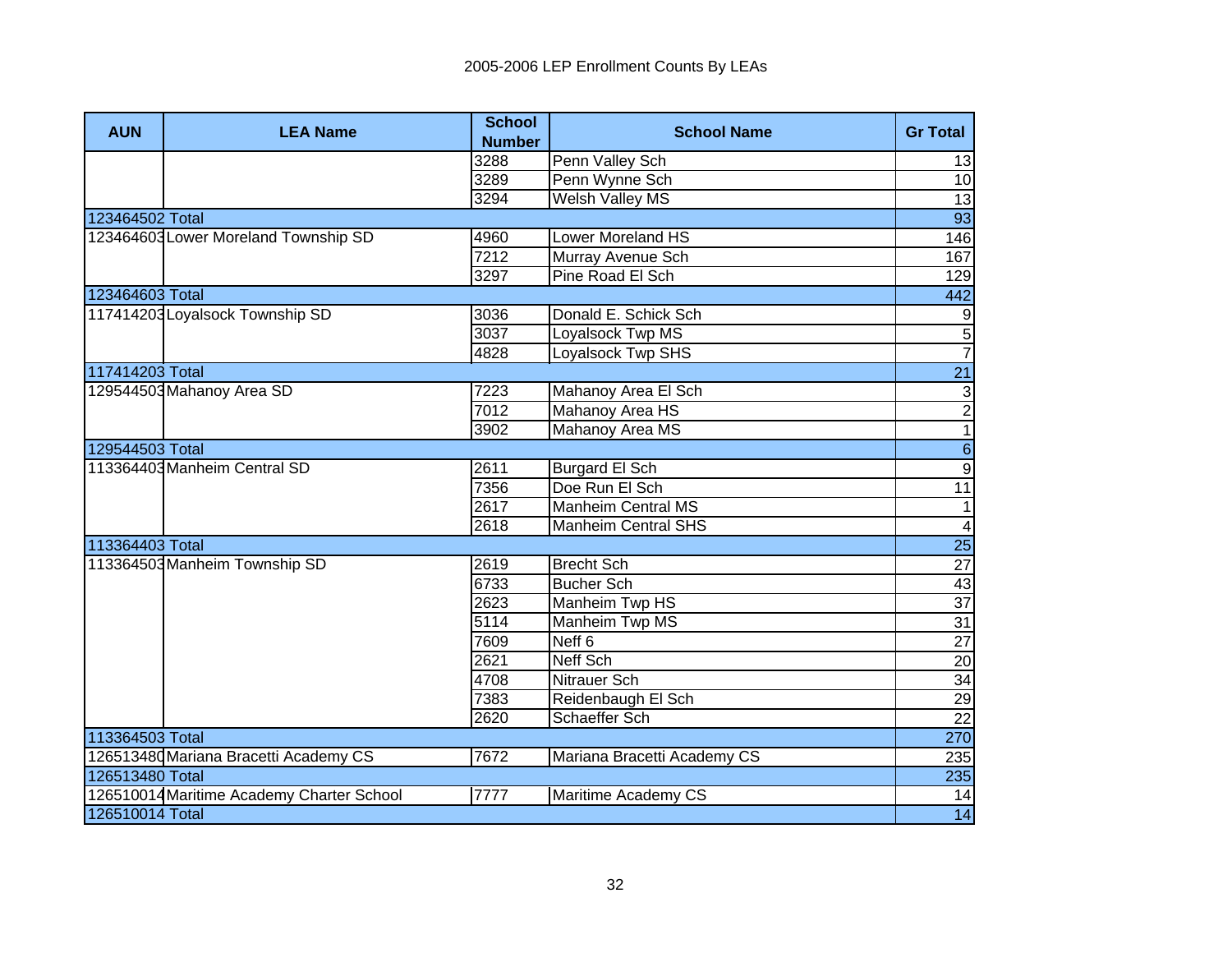| <b>AUN</b>      | <b>LEA Name</b>                           | <b>School</b><br><b>Number</b> | <b>School Name</b>          | <b>Gr Total</b>  |
|-----------------|-------------------------------------------|--------------------------------|-----------------------------|------------------|
|                 |                                           | 3288                           | Penn Valley Sch             | 13               |
|                 |                                           | 3289                           | Penn Wynne Sch              | 10               |
|                 |                                           | 3294                           | <b>Welsh Valley MS</b>      | 13               |
| 123464502 Total |                                           |                                |                             | 93               |
|                 | 123464603 Lower Moreland Township SD      | 4960                           | <b>Lower Moreland HS</b>    | 146              |
|                 |                                           | 7212                           | Murray Avenue Sch           | 167              |
|                 |                                           | 3297                           | Pine Road El Sch            | 129              |
| 123464603 Total |                                           |                                |                             | 442              |
|                 | 117414203 Loyalsock Township SD           | 3036                           | Donald E. Schick Sch        | $\boldsymbol{9}$ |
|                 |                                           | 3037                           | Loyalsock Twp MS            | $\overline{5}$   |
|                 |                                           | 4828                           | Loyalsock Twp SHS           | $\overline{7}$   |
| 117414203 Total |                                           |                                |                             | $\overline{21}$  |
|                 | 129544503 Mahanoy Area SD                 | 7223                           | Mahanoy Area El Sch         | $\overline{3}$   |
|                 |                                           | 7012                           | Mahanoy Area HS             | $\overline{2}$   |
|                 |                                           | 3902                           | Mahanoy Area MS             | $\overline{1}$   |
| 129544503 Total |                                           |                                |                             | $\overline{6}$   |
|                 | 113364403 Manheim Central SD              | 2611                           | <b>Burgard El Sch</b>       | $\overline{9}$   |
|                 |                                           | 7356                           | Doe Run El Sch              | 11               |
|                 |                                           | 2617                           | <b>Manheim Central MS</b>   | $\mathbf{1}$     |
|                 |                                           | 2618                           | <b>Manheim Central SHS</b>  | $\overline{4}$   |
| 113364403 Total |                                           |                                |                             | 25               |
|                 | 113364503 Manheim Township SD             | 2619                           | <b>Brecht Sch</b>           | $\overline{27}$  |
|                 |                                           | 6733                           | <b>Bucher Sch</b>           | 43               |
|                 |                                           | 2623                           | Manheim Twp HS              | 37               |
|                 |                                           | 5114                           | Manheim Twp MS              | $\overline{31}$  |
|                 |                                           | 7609                           | Neff <sub>6</sub>           | $\overline{27}$  |
|                 |                                           | 2621                           | <b>Neff Sch</b>             | $\overline{20}$  |
|                 |                                           | 4708                           | Nitrauer Sch                | 34               |
|                 |                                           | 7383                           | Reidenbaugh El Sch          | $\overline{29}$  |
|                 |                                           | 2620                           | Schaeffer Sch               | $\overline{22}$  |
| 113364503 Total |                                           |                                |                             | 270              |
|                 | 126513480 Mariana Bracetti Academy CS     | 7672                           | Mariana Bracetti Academy CS | 235              |
| 126513480 Total |                                           |                                |                             | 235              |
|                 | 126510014 Maritime Academy Charter School | 7777                           | Maritime Academy CS         | 14               |
| 126510014 Total |                                           |                                |                             | 14               |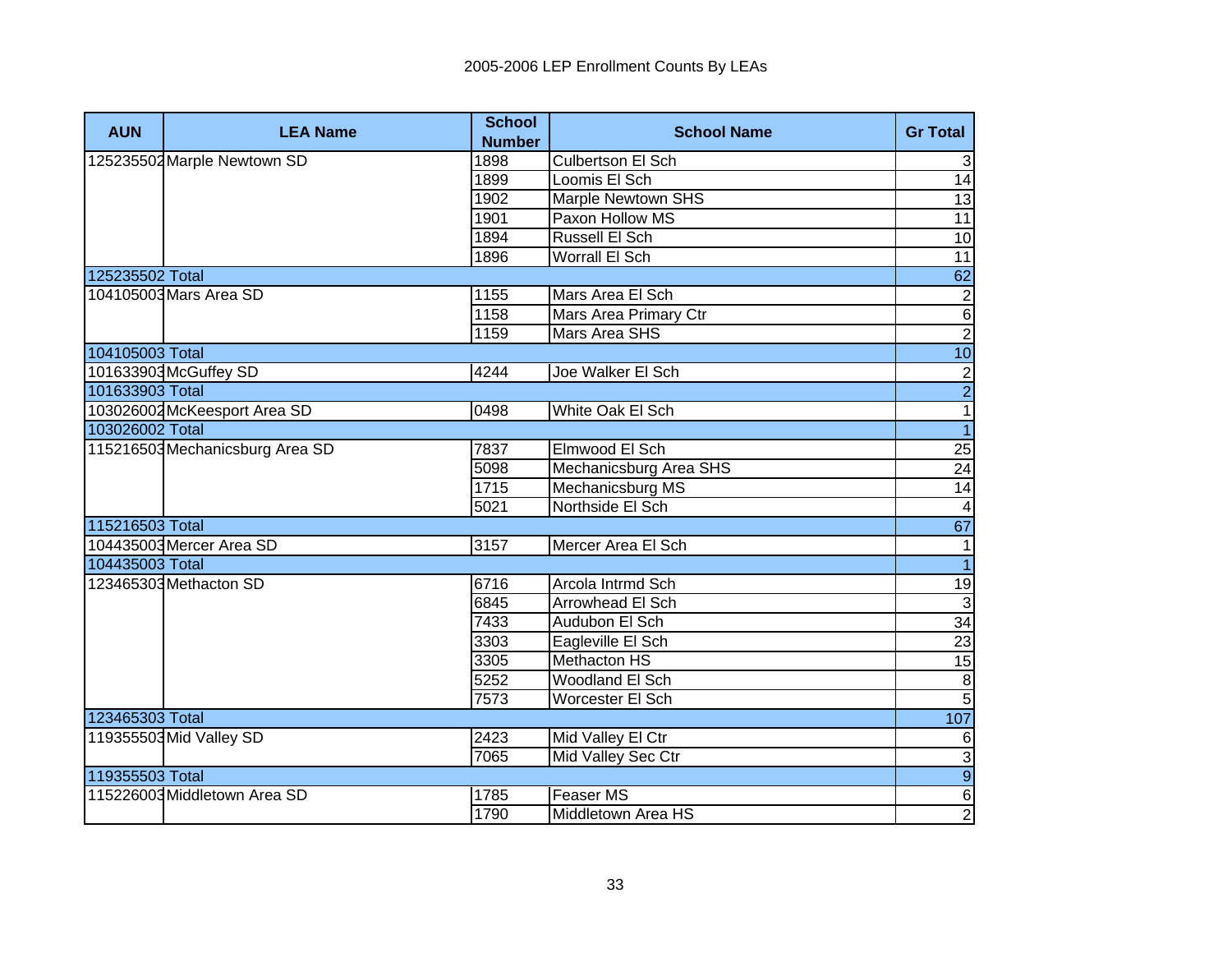| <b>AUN</b>      | <b>LEA Name</b>                 | <b>School</b><br><b>Number</b> | <b>School Name</b>       | <b>Gr Total</b>     |
|-----------------|---------------------------------|--------------------------------|--------------------------|---------------------|
|                 | 125235502 Marple Newtown SD     | 1898                           | <b>Culbertson El Sch</b> | $\mathbf{3}$        |
|                 |                                 | 1899                           | Loomis El Sch            | $\overline{14}$     |
|                 | 1902                            | <b>Marple Newtown SHS</b>      | 13                       |                     |
|                 |                                 | 1901                           | Paxon Hollow MS          | $\overline{11}$     |
|                 |                                 | 1894                           | <b>Russell El Sch</b>    | 10                  |
|                 |                                 | 1896                           | <b>Worrall El Sch</b>    | 11                  |
| 125235502 Total |                                 |                                |                          | 62                  |
|                 | 104105003 Mars Area SD          | 1155                           | Mars Area El Sch         | $\overline{2}$      |
|                 |                                 | 1158                           | Mars Area Primary Ctr    | $\overline{6}$      |
|                 |                                 | 1159                           | Mars Area SHS            | $\overline{2}$      |
| 104105003 Total |                                 |                                |                          | 10                  |
|                 | 101633903 McGuffey SD           | 4244                           | Joe Walker El Sch        | $\frac{2}{2}$       |
| 101633903 Total |                                 |                                |                          |                     |
|                 | 103026002 McKeesport Area SD    | 0498                           | White Oak El Sch         | $\overline{1}$      |
| 103026002 Total |                                 |                                |                          | $\overline{1}$      |
|                 | 115216503 Mechanicsburg Area SD | 7837                           | Elmwood El Sch           | 25                  |
|                 |                                 | 5098                           | Mechanicsburg Area SHS   | $\overline{24}$     |
|                 |                                 | 1715                           | Mechanicsburg MS         | $\overline{14}$     |
|                 |                                 | 5021                           | Northside El Sch         | $\overline{4}$      |
| 115216503 Total |                                 |                                |                          | 67                  |
|                 | 104435003 Mercer Area SD        | 3157                           | Mercer Area El Sch       | $\mathbf{1}$        |
| 104435003 Total |                                 |                                |                          | $\overline{1}$      |
|                 | 123465303 Methacton SD          | 6716                           | Arcola Intrmd Sch        | 19                  |
|                 |                                 | 6845                           | Arrowhead El Sch         | س                   |
|                 |                                 | 7433                           | Audubon El Sch           | 34                  |
|                 |                                 | 3303                           | Eagleville El Sch        | 23                  |
|                 |                                 | 3305                           | <b>Methacton HS</b>      | 15                  |
|                 |                                 | 5252                           | <b>Woodland El Sch</b>   | $\overline{8}$      |
|                 |                                 | 7573                           | Worcester El Sch         | $\overline{5}$      |
| 123465303 Total |                                 |                                |                          | 107                 |
|                 | 119355503 Mid Valley SD         | 2423                           | Mid Valley El Ctr        | $\,6$               |
|                 |                                 | 7065                           | Mid Valley Sec Ctr       | $\overline{\omega}$ |
| 119355503 Total |                                 |                                |                          | $\overline{9}$      |
|                 | 115226003 Middletown Area SD    | 1785                           | <b>Feaser MS</b>         | $\overline{6}$      |
|                 |                                 | 1790                           | Middletown Area HS       | $\overline{2}$      |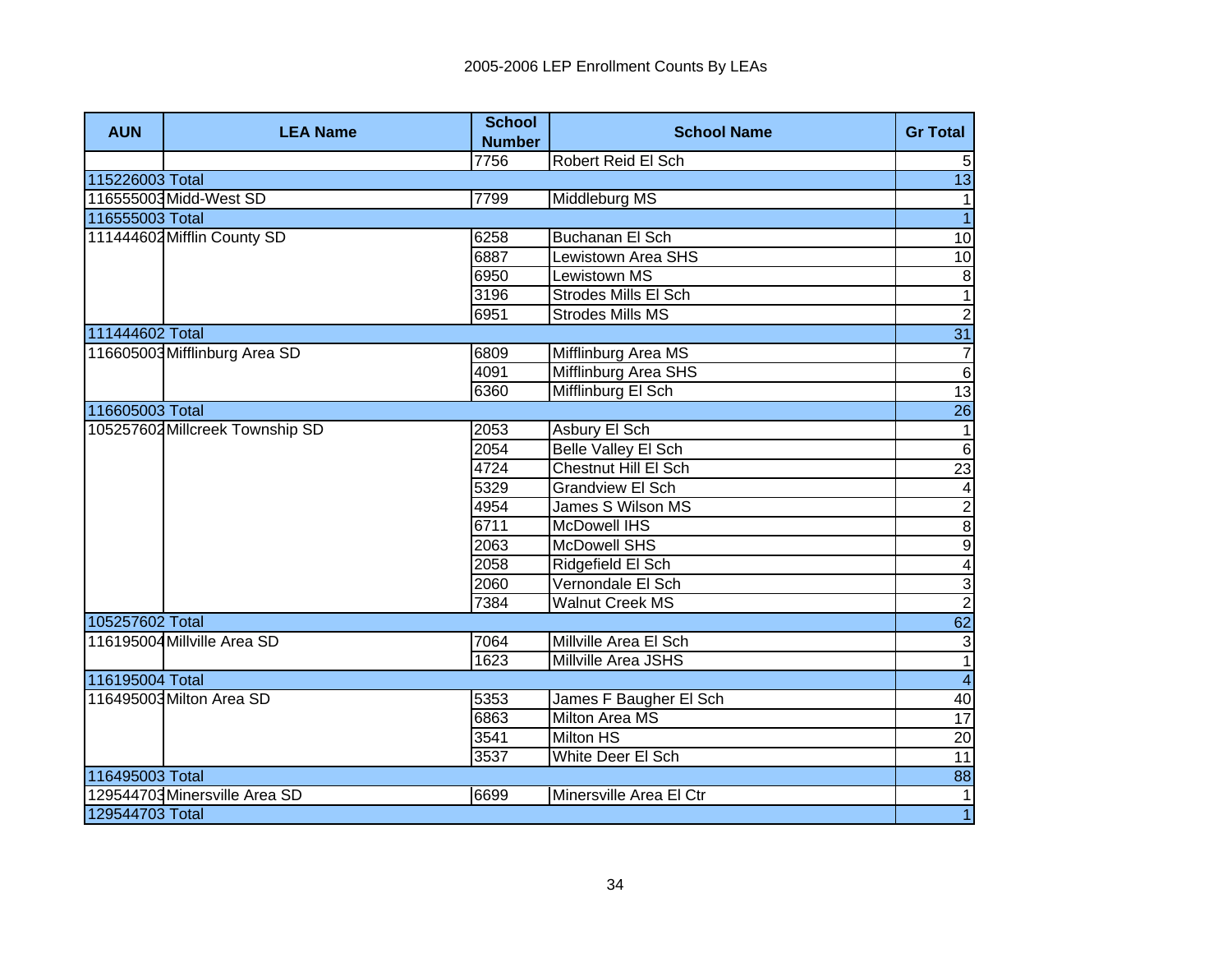| <b>AUN</b>                  | <b>LEA Name</b>                 | <b>School</b>        | <b>School Name</b>         | <b>Gr Total</b>         |
|-----------------------------|---------------------------------|----------------------|----------------------------|-------------------------|
|                             |                                 | <b>Number</b>        |                            |                         |
| 115226003 Total             |                                 | 7756                 | Robert Reid El Sch         | 5                       |
|                             |                                 |                      |                            | 13                      |
|                             | 116555003 Midd-West SD          | 7799                 | <b>Middleburg MS</b>       |                         |
| 116555003 Total             |                                 |                      |                            | $\mathbf{1}$            |
| 111444602 Mifflin County SD |                                 | 6258                 | <b>Buchanan El Sch</b>     | 10                      |
|                             |                                 | 6887                 | Lewistown Area SHS         | $\overline{10}$         |
|                             | 6950                            | <b>Lewistown MS</b>  | $\bf 8$                    |                         |
|                             |                                 | 3196                 | Strodes Mills El Sch       | $\mathbf{1}$            |
|                             |                                 | 6951                 | <b>Strodes Mills MS</b>    | $\overline{2}$          |
| 111444602 Total             |                                 |                      |                            | $\overline{31}$         |
|                             | 116605003 Mifflinburg Area SD   | 6809                 | Mifflinburg Area MS        | $\overline{7}$          |
|                             |                                 | 4091                 | Mifflinburg Area SHS       | $\overline{6}$          |
|                             |                                 | 6360                 | Mifflinburg El Sch         | 13                      |
| 116605003 Total             |                                 |                      |                            | 26                      |
|                             | 105257602 Millcreek Township SD | 2053                 | Asbury El Sch              | $\mathbf{1}$            |
|                             | 2054                            | Belle Valley El Sch  | $6\phantom{1}$             |                         |
|                             | 4724                            | Chestnut Hill El Sch | 23                         |                         |
|                             |                                 | 5329                 | <b>Grandview El Sch</b>    | $\overline{\mathbf{4}}$ |
|                             |                                 | 4954                 | James S Wilson MS          | $\overline{2}$          |
|                             |                                 | 6711                 | <b>McDowell IHS</b>        | $\overline{8}$          |
|                             |                                 | 2063                 | <b>McDowell SHS</b>        | $\overline{9}$          |
|                             |                                 | 2058                 | Ridgefield El Sch          | $\overline{\mathbf{4}}$ |
|                             |                                 | 2060                 | Vernondale El Sch          | $\overline{3}$          |
|                             |                                 | 7384                 | <b>Walnut Creek MS</b>     | $\overline{2}$          |
| 105257602 Total             |                                 |                      |                            | 62                      |
|                             | 116195004 Millville Area SD     | 7064                 | Millville Area El Sch      | 3                       |
|                             |                                 | 1623                 | <b>Millville Area JSHS</b> | $\overline{1}$          |
| 116195004 Total             |                                 |                      |                            | $\overline{\mathbf{A}}$ |
|                             | 116495003 Milton Area SD        | 5353                 | James F Baugher El Sch     | 40                      |
|                             |                                 | 6863                 | <b>Milton Area MS</b>      | 17                      |
|                             |                                 | 3541                 | <b>Milton HS</b>           | $\overline{20}$         |
|                             |                                 | 3537                 | White Deer El Sch          | 11                      |
| 116495003 Total             |                                 |                      |                            | 88                      |
|                             | 129544703 Minersville Area SD   | 6699                 | Minersville Area El Ctr    |                         |
| 129544703 Total             |                                 |                      |                            |                         |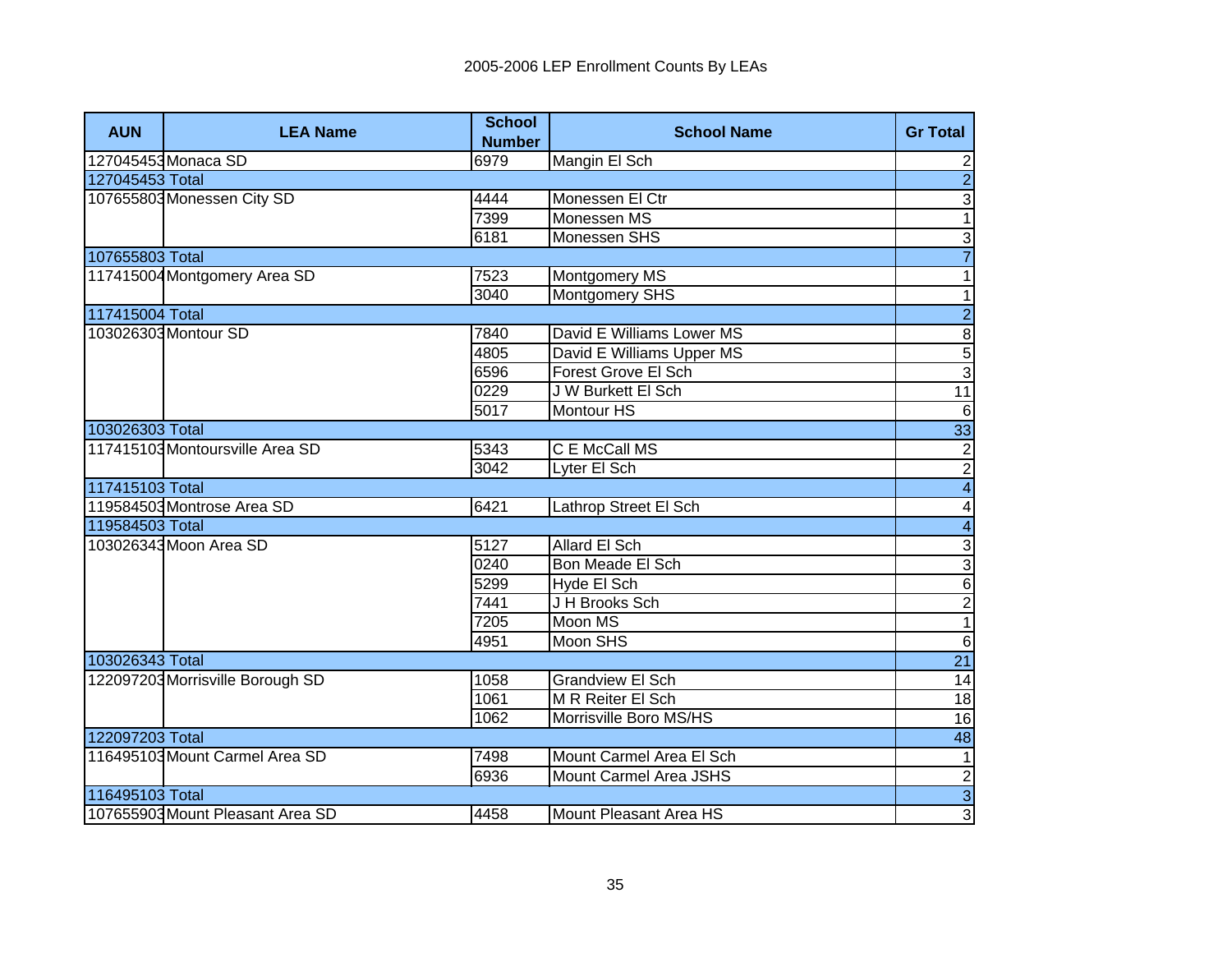| <b>Number</b><br>127045453 Monaca SD<br>6979<br>Mangin El Sch<br>127045453 Total<br>107655803 Monessen City SD<br>Monessen El Ctr<br>4444<br>7399<br>Monessen MS<br>6181<br>Monessen SHS<br>107655803 Total<br>117415004 Montgomery Area SD<br>7523<br>Montgomery MS<br><b>Montgomery SHS</b><br>3040<br>117415004 Total<br>103026303 Montour SD<br>David E Williams Lower MS<br>7840<br>4805<br>David E Williams Upper MS<br>6596<br><b>Forest Grove El Sch</b><br>0229<br>J W Burkett El Sch<br>5017<br>Montour HS<br>103026303 Total<br>117415103 Montoursville Area SD<br>C E McCall MS<br>5343<br>3042<br>Lyter El Sch<br>117415103 Total<br>119584503 Montrose Area SD<br>6421<br>Lathrop Street El Sch<br>119584503 Total<br>103026343 Moon Area SD<br><b>Allard El Sch</b><br>5127<br>0240<br>Bon Meade El Sch<br>5299<br>Hyde El Sch | 2<br>3                  |
|-----------------------------------------------------------------------------------------------------------------------------------------------------------------------------------------------------------------------------------------------------------------------------------------------------------------------------------------------------------------------------------------------------------------------------------------------------------------------------------------------------------------------------------------------------------------------------------------------------------------------------------------------------------------------------------------------------------------------------------------------------------------------------------------------------------------------------------------------|-------------------------|
|                                                                                                                                                                                                                                                                                                                                                                                                                                                                                                                                                                                                                                                                                                                                                                                                                                               |                         |
|                                                                                                                                                                                                                                                                                                                                                                                                                                                                                                                                                                                                                                                                                                                                                                                                                                               |                         |
|                                                                                                                                                                                                                                                                                                                                                                                                                                                                                                                                                                                                                                                                                                                                                                                                                                               |                         |
|                                                                                                                                                                                                                                                                                                                                                                                                                                                                                                                                                                                                                                                                                                                                                                                                                                               |                         |
|                                                                                                                                                                                                                                                                                                                                                                                                                                                                                                                                                                                                                                                                                                                                                                                                                                               | 3                       |
|                                                                                                                                                                                                                                                                                                                                                                                                                                                                                                                                                                                                                                                                                                                                                                                                                                               |                         |
|                                                                                                                                                                                                                                                                                                                                                                                                                                                                                                                                                                                                                                                                                                                                                                                                                                               |                         |
|                                                                                                                                                                                                                                                                                                                                                                                                                                                                                                                                                                                                                                                                                                                                                                                                                                               |                         |
|                                                                                                                                                                                                                                                                                                                                                                                                                                                                                                                                                                                                                                                                                                                                                                                                                                               |                         |
|                                                                                                                                                                                                                                                                                                                                                                                                                                                                                                                                                                                                                                                                                                                                                                                                                                               | 8                       |
|                                                                                                                                                                                                                                                                                                                                                                                                                                                                                                                                                                                                                                                                                                                                                                                                                                               | $\overline{5}$          |
|                                                                                                                                                                                                                                                                                                                                                                                                                                                                                                                                                                                                                                                                                                                                                                                                                                               | $\overline{3}$          |
|                                                                                                                                                                                                                                                                                                                                                                                                                                                                                                                                                                                                                                                                                                                                                                                                                                               | $\overline{11}$         |
|                                                                                                                                                                                                                                                                                                                                                                                                                                                                                                                                                                                                                                                                                                                                                                                                                                               | 6                       |
|                                                                                                                                                                                                                                                                                                                                                                                                                                                                                                                                                                                                                                                                                                                                                                                                                                               | 33                      |
|                                                                                                                                                                                                                                                                                                                                                                                                                                                                                                                                                                                                                                                                                                                                                                                                                                               | $\overline{2}$          |
|                                                                                                                                                                                                                                                                                                                                                                                                                                                                                                                                                                                                                                                                                                                                                                                                                                               |                         |
|                                                                                                                                                                                                                                                                                                                                                                                                                                                                                                                                                                                                                                                                                                                                                                                                                                               |                         |
|                                                                                                                                                                                                                                                                                                                                                                                                                                                                                                                                                                                                                                                                                                                                                                                                                                               |                         |
|                                                                                                                                                                                                                                                                                                                                                                                                                                                                                                                                                                                                                                                                                                                                                                                                                                               |                         |
|                                                                                                                                                                                                                                                                                                                                                                                                                                                                                                                                                                                                                                                                                                                                                                                                                                               | 3                       |
|                                                                                                                                                                                                                                                                                                                                                                                                                                                                                                                                                                                                                                                                                                                                                                                                                                               | $\overline{3}$          |
|                                                                                                                                                                                                                                                                                                                                                                                                                                                                                                                                                                                                                                                                                                                                                                                                                                               | $\overline{6}$          |
| 7441<br>J H Brooks Sch                                                                                                                                                                                                                                                                                                                                                                                                                                                                                                                                                                                                                                                                                                                                                                                                                        |                         |
| Moon MS<br>7205                                                                                                                                                                                                                                                                                                                                                                                                                                                                                                                                                                                                                                                                                                                                                                                                                               |                         |
| Moon SHS<br>4951                                                                                                                                                                                                                                                                                                                                                                                                                                                                                                                                                                                                                                                                                                                                                                                                                              | 6                       |
| 103026343 Total                                                                                                                                                                                                                                                                                                                                                                                                                                                                                                                                                                                                                                                                                                                                                                                                                               | $\overline{21}$         |
| 122097203 Morrisville Borough SD<br><b>Grandview El Sch</b><br>1058                                                                                                                                                                                                                                                                                                                                                                                                                                                                                                                                                                                                                                                                                                                                                                           | $\overline{14}$         |
| 1061<br>M R Reiter El Sch                                                                                                                                                                                                                                                                                                                                                                                                                                                                                                                                                                                                                                                                                                                                                                                                                     | 18                      |
| 1062<br>Morrisville Boro MS/HS                                                                                                                                                                                                                                                                                                                                                                                                                                                                                                                                                                                                                                                                                                                                                                                                                | 16                      |
| 122097203 Total                                                                                                                                                                                                                                                                                                                                                                                                                                                                                                                                                                                                                                                                                                                                                                                                                               | 48                      |
| 116495103 Mount Carmel Area SD<br>Mount Carmel Area El Sch<br>7498                                                                                                                                                                                                                                                                                                                                                                                                                                                                                                                                                                                                                                                                                                                                                                            |                         |
| 6936<br>Mount Carmel Area JSHS                                                                                                                                                                                                                                                                                                                                                                                                                                                                                                                                                                                                                                                                                                                                                                                                                | $\overline{\mathbf{c}}$ |
| 116495103 Total                                                                                                                                                                                                                                                                                                                                                                                                                                                                                                                                                                                                                                                                                                                                                                                                                               | $\overline{3}$          |
| 107655903 Mount Pleasant Area SD<br>4458<br>Mount Pleasant Area HS                                                                                                                                                                                                                                                                                                                                                                                                                                                                                                                                                                                                                                                                                                                                                                            | 3                       |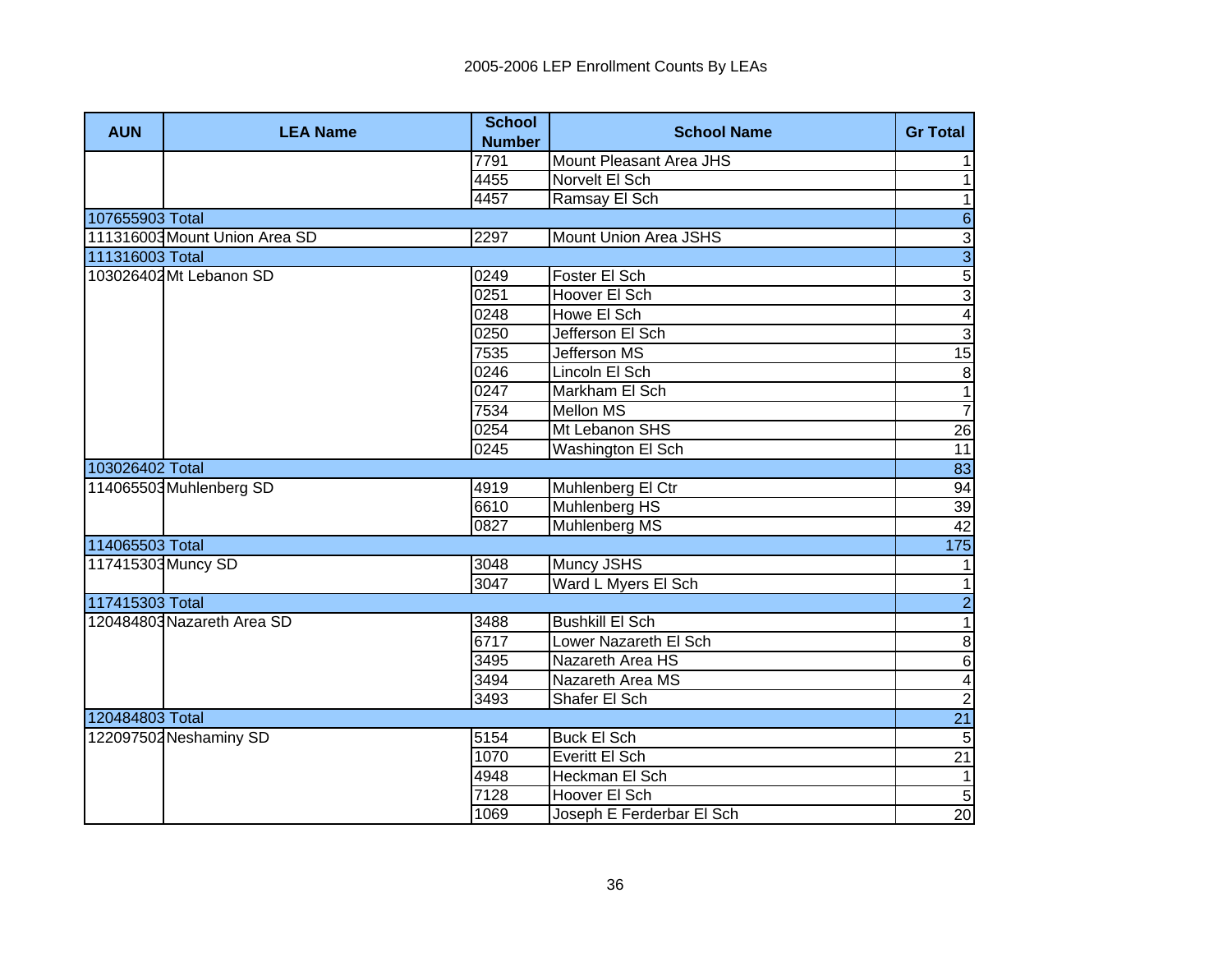| <b>AUN</b>      | <b>LEA Name</b>               | <b>School</b><br><b>Number</b> | <b>School Name</b>           | <b>Gr Total</b>  |
|-----------------|-------------------------------|--------------------------------|------------------------------|------------------|
|                 |                               | 7791                           | Mount Pleasant Area JHS      | $\mathbf{1}$     |
|                 |                               | 4455                           | Norvelt El Sch               | $\mathbf{1}$     |
|                 |                               | 4457                           | Ramsay El Sch                | $\overline{1}$   |
| 107655903 Total |                               |                                |                              | $\overline{6}$   |
|                 | 111316003 Mount Union Area SD | 2297                           | <b>Mount Union Area JSHS</b> | $\overline{3}$   |
| 111316003 Total |                               |                                |                              | $\overline{3}$   |
|                 | 103026402 Mt Lebanon SD       | 0249                           | Foster El Sch                | $\overline{5}$   |
|                 |                               | 0251                           | Hoover El Sch                | $\overline{3}$   |
|                 |                               | 0248                           | Howe El Sch                  | $\overline{4}$   |
|                 |                               | 0250                           | Jefferson El Sch             | $\overline{3}$   |
|                 |                               | 7535                           | Jefferson MS                 | 15               |
|                 |                               | 0246                           | Lincoln El Sch               | $\bf{8}$         |
|                 |                               | 0247                           | Markham El Sch               | $\overline{1}$   |
|                 |                               | 7534                           | <b>Mellon MS</b>             | $\overline{7}$   |
|                 |                               | 0254                           | Mt Lebanon SHS               | $\overline{26}$  |
|                 |                               | 0245                           | Washington El Sch            | 11               |
| 103026402 Total |                               |                                |                              | 83               |
|                 | 114065503 Muhlenberg SD       | 4919                           | Muhlenberg El Ctr            | 94               |
|                 |                               | 6610                           | <b>Muhlenberg HS</b>         | 39               |
|                 |                               | 0827                           | Muhlenberg MS                | 42               |
| 114065503 Total |                               |                                |                              | $\overline{175}$ |
|                 | 117415303 Muncy SD            | 3048                           | Muncy JSHS                   | $\mathbf{1}$     |
|                 |                               | 3047                           | Ward L Myers El Sch          | $\mathbf{1}$     |
| 117415303 Total |                               |                                |                              | $\overline{2}$   |
|                 | 120484803 Nazareth Area SD    | 3488                           | <b>Bushkill El Sch</b>       | $\mathbf{1}$     |
|                 |                               | 6717                           | Lower Nazareth El Sch        | $\infty$         |
|                 |                               | 3495                           | Nazareth Area HS             | $\overline{6}$   |
|                 |                               | 3494                           | Nazareth Area MS             | $\overline{4}$   |
|                 |                               | 3493                           | Shafer El Sch                | $\overline{2}$   |
| 120484803 Total |                               |                                |                              | $\overline{21}$  |
|                 | 122097502 Neshaminy SD        | 5154                           | <b>Buck El Sch</b>           | $\overline{5}$   |
|                 |                               | 1070                           | Everitt El Sch               | 21               |
|                 |                               | 4948                           | Heckman El Sch               | $\mathbf{1}$     |
|                 |                               | 7128                           | Hoover El Sch                | $\sqrt{5}$       |
|                 |                               | 1069                           | Joseph E Ferderbar El Sch    | 20               |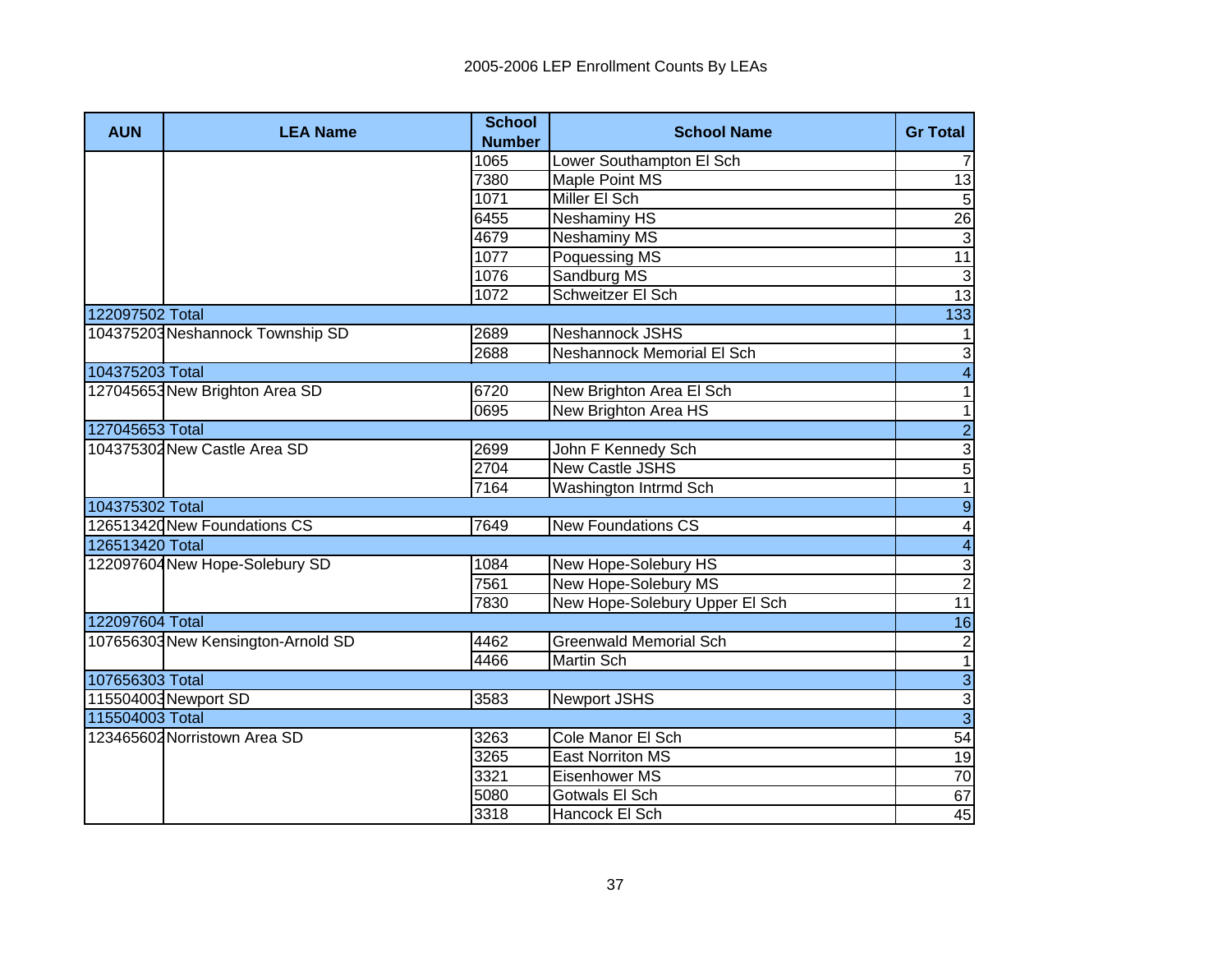| <b>AUN</b>      | <b>LEA Name</b>                    | <b>School</b><br><b>Number</b> | <b>School Name</b>             | <b>Gr Total</b>         |
|-----------------|------------------------------------|--------------------------------|--------------------------------|-------------------------|
|                 |                                    | 1065                           | Lower Southampton El Sch       | $\overline{7}$          |
|                 |                                    | 7380                           | <b>Maple Point MS</b>          | 13                      |
|                 |                                    | 1071                           | Miller El Sch                  | $\overline{5}$          |
|                 |                                    | 6455                           | <b>Neshaminy HS</b>            | $\overline{26}$         |
|                 |                                    | 4679                           | <b>Neshaminy MS</b>            | $\overline{\omega}$     |
|                 |                                    | 1077                           | Poquessing MS                  | $\overline{11}$         |
|                 |                                    | 1076                           | Sandburg MS                    | $\sqrt{3}$              |
|                 |                                    | 1072                           | Schweitzer El Sch              | 13                      |
| 122097502 Total |                                    |                                |                                | $\overline{133}$        |
|                 | 104375203 Neshannock Township SD   | 2689                           | Neshannock JSHS                | $\mathbf{1}$            |
|                 |                                    | 2688                           | Neshannock Memorial El Sch     | $\overline{3}$          |
| 104375203 Total |                                    |                                |                                | $\overline{4}$          |
|                 | 127045653 New Brighton Area SD     | 6720                           | New Brighton Area El Sch       | $\mathbf{1}$            |
|                 |                                    | 0695                           | New Brighton Area HS           | $\overline{1}$          |
| 127045653 Total |                                    |                                |                                | $\frac{2}{3}$           |
|                 | 104375302 New Castle Area SD       | 2699                           | John F Kennedy Sch             |                         |
|                 |                                    | 2704                           | <b>New Castle JSHS</b>         | $\overline{5}$          |
|                 |                                    | 7164                           | Washington Intrmd Sch          | $\overline{1}$          |
| 104375302 Total |                                    |                                |                                | $\overline{9}$          |
|                 | 126513420 New Foundations CS       | 7649                           | <b>New Foundations CS</b>      | $\overline{\mathbf{4}}$ |
| 126513420 Total |                                    |                                |                                | $\overline{4}$          |
|                 | 122097604 New Hope-Solebury SD     | 1084                           | New Hope-Solebury HS           | 3                       |
|                 |                                    | 7561                           | New Hope-Solebury MS           | $\overline{2}$          |
|                 |                                    | 7830                           | New Hope-Solebury Upper El Sch | $\overline{11}$         |
| 122097604 Total |                                    |                                |                                | 16                      |
|                 | 107656303 New Kensington-Arnold SD | 4462                           | <b>Greenwald Memorial Sch</b>  | $\overline{2}$          |
|                 |                                    | 4466                           | <b>Martin Sch</b>              | $\overline{1}$          |
| 107656303 Total |                                    |                                |                                | $\overline{3}$          |
|                 | 115504003 Newport SD               | 3583                           | <b>Newport JSHS</b>            | $\overline{3}$          |
| 115504003 Total |                                    |                                |                                | $\overline{3}$          |
|                 | 123465602 Norristown Area SD       | 3263                           | Cole Manor El Sch              | 54                      |
|                 |                                    | 3265                           | <b>East Norriton MS</b>        | 19                      |
|                 |                                    | 3321                           | Eisenhower MS                  | $\overline{70}$         |
|                 |                                    | 5080                           | Gotwals El Sch                 | 67                      |
|                 |                                    | 3318                           | Hancock El Sch                 | $\overline{45}$         |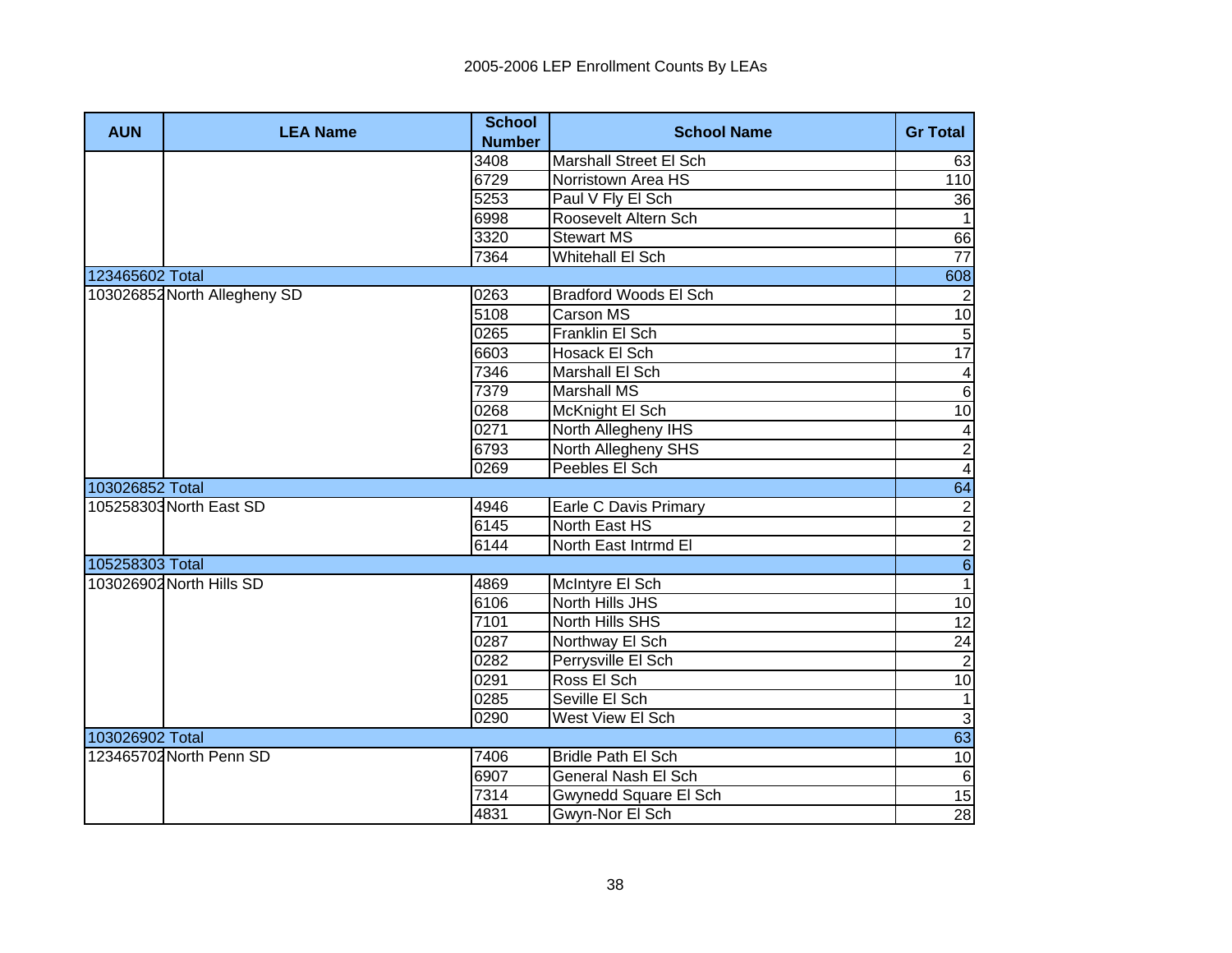| <b>AUN</b>      | <b>LEA Name</b>              | <b>School</b><br><b>Number</b> | <b>School Name</b>            | <b>Gr Total</b>  |
|-----------------|------------------------------|--------------------------------|-------------------------------|------------------|
|                 |                              | 3408                           | <b>Marshall Street El Sch</b> | 63               |
|                 |                              | 6729                           | Norristown Area HS            | 110              |
|                 |                              | 5253                           | Paul V Fly El Sch             | 36               |
|                 |                              | 6998                           | Roosevelt Altern Sch          |                  |
|                 |                              | 3320                           | <b>Stewart MS</b>             | 66               |
|                 |                              | 7364                           | <b>Whitehall El Sch</b>       | $\overline{77}$  |
| 123465602 Total |                              |                                |                               | 608              |
|                 | 103026852 North Allegheny SD | 0263                           | <b>Bradford Woods El Sch</b>  | $\overline{2}$   |
|                 |                              | 5108                           | Carson MS                     | 10               |
|                 |                              | 0265                           | Franklin El Sch               | 5                |
|                 |                              | 6603                           | Hosack El Sch                 | $\overline{17}$  |
|                 |                              | 7346                           | Marshall El Sch               | 4                |
|                 |                              | 7379                           | <b>Marshall MS</b>            | $\overline{6}$   |
|                 |                              | 0268                           | McKnight El Sch               | 10               |
|                 |                              | 0271                           | North Allegheny IHS           | 4                |
|                 |                              | 6793                           | North Allegheny SHS           | $\boldsymbol{2}$ |
|                 |                              | 0269                           | Peebles El Sch                | $\overline{4}$   |
| 103026852 Total |                              |                                |                               | 64               |
|                 | 105258303 North East SD      | 4946                           | Earle C Davis Primary         | $\overline{2}$   |
|                 |                              | 6145                           | North East HS                 | $\overline{2}$   |
|                 |                              | 6144                           | North East Intrmd El          | $\overline{2}$   |
| 105258303 Total |                              |                                |                               | $\overline{6}$   |
|                 | 103026902 North Hills SD     | 4869                           | McIntyre El Sch               | $\overline{1}$   |
|                 |                              | 6106                           | North Hills JHS               | $\overline{10}$  |
|                 |                              | 7101                           | North Hills SHS               | 12               |
|                 |                              | 0287                           | Northway El Sch               | 24               |
|                 |                              | 0282                           | Perrysville El Sch            | $\overline{2}$   |
|                 |                              | 0291                           | Ross El Sch                   | 10               |
|                 |                              | 0285                           | Seville El Sch                | $\mathbf{1}$     |
|                 |                              | 0290                           | West View El Sch              | $\overline{3}$   |
| 103026902 Total |                              |                                |                               | 63               |
|                 | 123465702 North Penn SD      | 7406                           | <b>Bridle Path El Sch</b>     | $\overline{10}$  |
|                 |                              | 6907                           | General Nash El Sch           | $\,6\,$          |
|                 |                              | 7314                           | Gwynedd Square El Sch         | 15               |
|                 |                              | 4831                           | Gwyn-Nor El Sch               | 28               |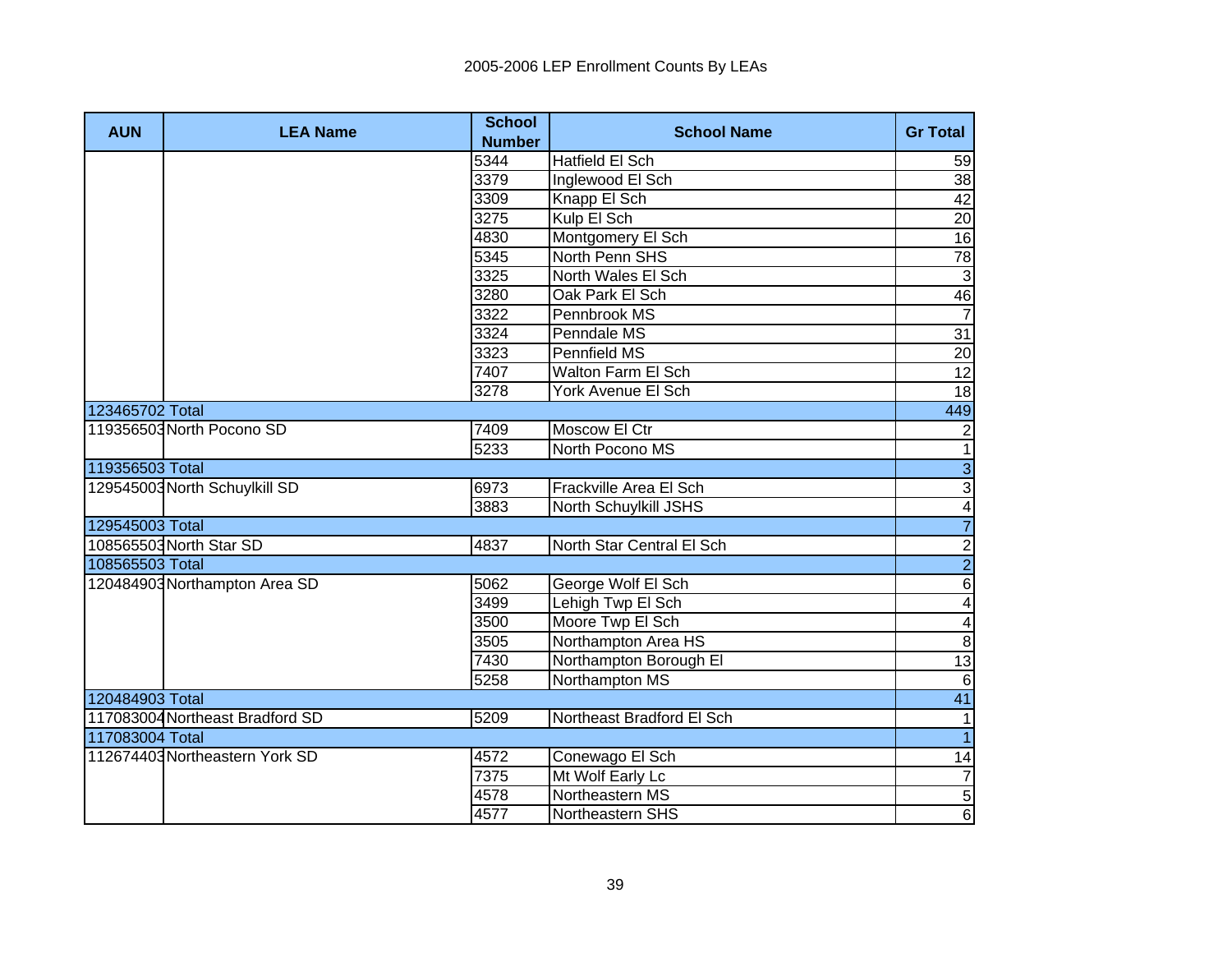| <b>AUN</b>      | <b>LEA Name</b>                 | <b>School</b> | <b>School Name</b>        | <b>Gr Total</b>         |
|-----------------|---------------------------------|---------------|---------------------------|-------------------------|
|                 |                                 | <b>Number</b> |                           |                         |
|                 |                                 | 5344          | <b>Hatfield El Sch</b>    | 59                      |
|                 |                                 | 3379          | Inglewood El Sch          | 38                      |
|                 |                                 | 3309          | Knapp El Sch              | 42                      |
|                 |                                 | 3275          | Kulp El Sch               | 20                      |
|                 |                                 | 4830          | Montgomery El Sch         | 16                      |
|                 |                                 | 5345          | North Penn SHS            | 78                      |
|                 |                                 | 3325          | North Wales El Sch        | $\mathbf{3}$            |
|                 |                                 | 3280          | Oak Park El Sch           | 46                      |
|                 |                                 | 3322          | Pennbrook MS              | $\overline{7}$          |
|                 |                                 | 3324          | Penndale MS               | 31                      |
|                 |                                 | 3323          | Pennfield MS              | $\overline{20}$         |
|                 |                                 | 7407          | Walton Farm El Sch        | 12                      |
|                 |                                 | 3278          | York Avenue El Sch        | 18                      |
| 123465702 Total |                                 |               |                           | 449                     |
|                 | 119356503 North Pocono SD       | 7409          | Moscow El Ctr             | $\overline{2}$          |
|                 |                                 | 5233          | North Pocono MS           | $\mathbf{1}$            |
| 119356503 Total |                                 |               |                           | $\frac{a}{3}$           |
|                 | 129545003 North Schuylkill SD   | 6973          | Frackville Area El Sch    |                         |
|                 |                                 | 3883          | North Schuylkill JSHS     | $\overline{\mathbf{4}}$ |
| 129545003 Total |                                 |               |                           | $\overline{7}$          |
|                 | 108565503 North Star SD         | 4837          | North Star Central El Sch |                         |
| 108565503 Total |                                 |               |                           | $\frac{2}{2}$           |
|                 | 120484903 Northampton Area SD   | 5062          | George Wolf El Sch        | $\overline{6}$          |
|                 |                                 | 3499          | Lehigh Twp El Sch         | $\overline{\mathbf{A}}$ |
|                 |                                 | 3500          | Moore Twp El Sch          | $\overline{\mathbf{4}}$ |
|                 |                                 | 3505          | Northampton Area HS       | $\overline{8}$          |
|                 |                                 | 7430          | Northampton Borough El    | 13                      |
|                 |                                 | 5258          | Northampton MS            | 6                       |
| 120484903 Total |                                 |               |                           | $\overline{41}$         |
|                 | 117083004 Northeast Bradford SD | 5209          | Northeast Bradford El Sch | 1                       |
| 117083004 Total |                                 |               |                           | $\overline{1}$          |
|                 | 112674403 Northeastern York SD  | 4572          | Conewago El Sch           | 14                      |
|                 |                                 | 7375          | Mt Wolf Early Lc          | $\overline{7}$          |
|                 |                                 | 4578          | Northeastern MS           | $\overline{5}$          |
|                 |                                 | 4577          | Northeastern SHS          | $\overline{6}$          |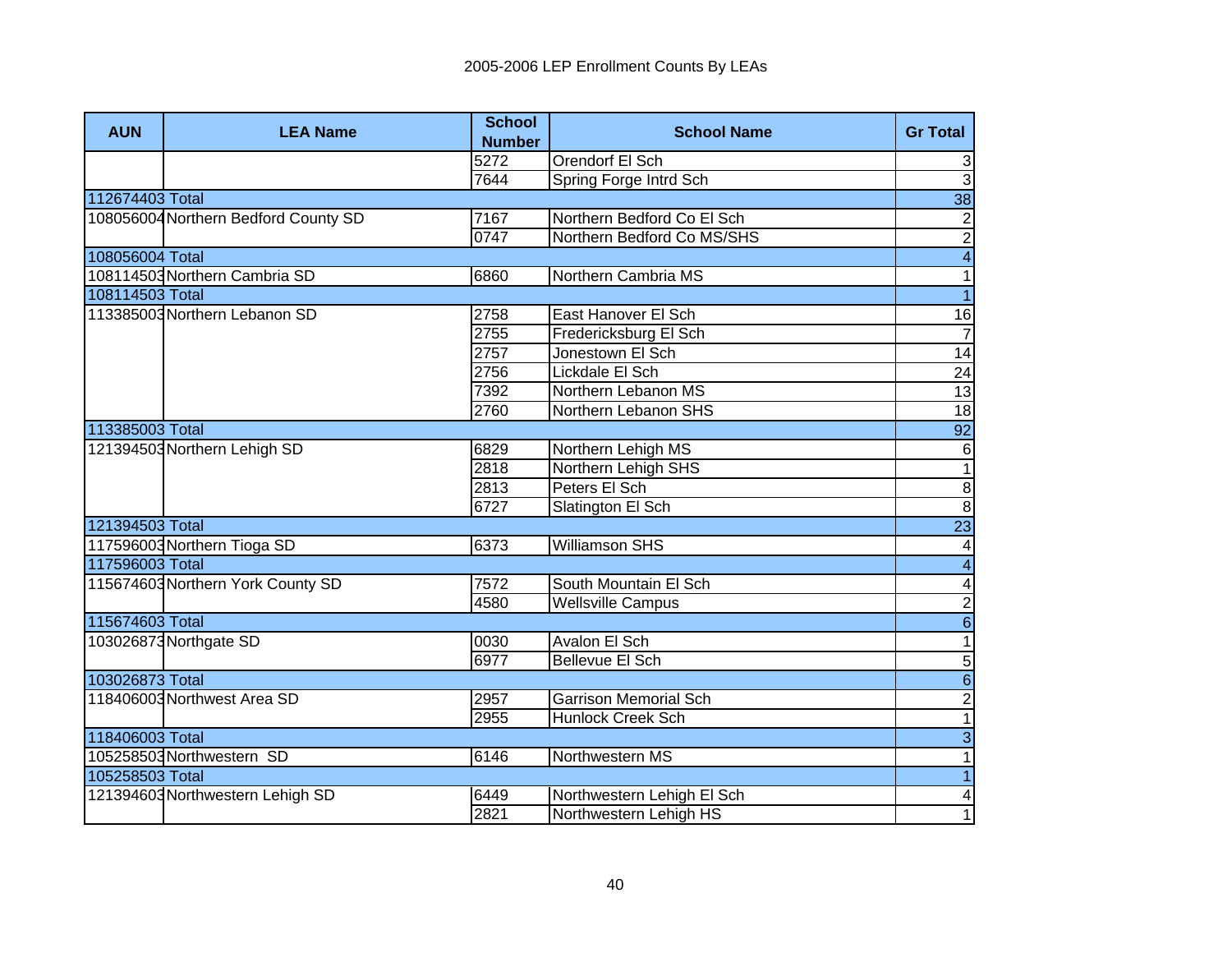| <b>AUN</b>      | <b>LEA Name</b>                      | <b>School</b><br><b>Number</b> | <b>School Name</b>           | <b>Gr Total</b>         |
|-----------------|--------------------------------------|--------------------------------|------------------------------|-------------------------|
|                 |                                      | 5272                           | Orendorf El Sch              | $\sqrt{3}$              |
|                 |                                      | 7644                           | Spring Forge Intrd Sch       | $\overline{3}$          |
| 112674403 Total |                                      |                                |                              | 38                      |
|                 | 108056004 Northern Bedford County SD | 7167                           | Northern Bedford Co El Sch   | $\overline{2}$          |
|                 |                                      | 0747                           | Northern Bedford Co MS/SHS   | $\overline{2}$          |
| 108056004 Total |                                      |                                |                              | $\overline{4}$          |
|                 | 108114503 Northern Cambria SD        | 6860                           | Northern Cambria MS          | $\overline{1}$          |
| 108114503 Total |                                      |                                |                              | $\overline{1}$          |
|                 | 113385003 Northern Lebanon SD        | 2758                           | East Hanover El Sch          | $16\,$                  |
|                 |                                      | 2755                           | Fredericksburg El Sch        | $\overline{7}$          |
|                 |                                      | 2757                           | Jonestown El Sch             | 14                      |
|                 |                                      | 2756                           | Lickdale El Sch              | 24                      |
|                 |                                      | 7392                           | Northern Lebanon MS          | 13                      |
|                 |                                      | 2760                           | Northern Lebanon SHS         | $\overline{18}$         |
| 113385003 Total |                                      |                                |                              | $\overline{92}$         |
|                 | 121394503 Northern Lehigh SD         | 6829                           | Northern Lehigh MS           | $\,6\,$                 |
|                 |                                      | 2818                           | Northern Lehigh SHS          | $\overline{1}$          |
|                 |                                      | 2813                           | Peters El Sch                |                         |
|                 |                                      | 6727                           | Slatington El Sch            | $\frac{8}{8}$           |
| 121394503 Total |                                      |                                |                              | 23                      |
|                 | 117596003 Northern Tioga SD          | 6373                           | <b>Williamson SHS</b>        | $\overline{4}$          |
| 117596003 Total |                                      |                                |                              | $\overline{4}$          |
|                 | 115674603 Northern York County SD    | 7572                           | South Mountain El Sch        | $\overline{4}$          |
|                 |                                      | 4580                           | <b>Wellsville Campus</b>     | $\overline{2}$          |
| 115674603 Total |                                      |                                |                              | $\overline{6}$          |
|                 | 103026873 Northgate SD               | 0030                           | Avalon El Sch                | $\overline{1}$          |
|                 |                                      | 6977                           | <b>Bellevue El Sch</b>       | 5                       |
| 103026873 Total |                                      |                                |                              | $\overline{6}$          |
|                 | 118406003 Northwest Area SD          | 2957                           | <b>Garrison Memorial Sch</b> | $\overline{2}$          |
|                 |                                      | 2955                           | <b>Hunlock Creek Sch</b>     | $\overline{1}$          |
| 118406003 Total |                                      |                                |                              | $\mathbf{3}$            |
|                 | 105258503 Northwestern SD            | 6146                           | Northwestern MS              | $\mathbf{1}$            |
| 105258503 Total |                                      |                                |                              | $\overline{1}$          |
|                 | 121394603 Northwestern Lehigh SD     | 6449                           | Northwestern Lehigh El Sch   | $\overline{\mathbf{4}}$ |
|                 |                                      | 2821                           | Northwestern Lehigh HS       | $\overline{1}$          |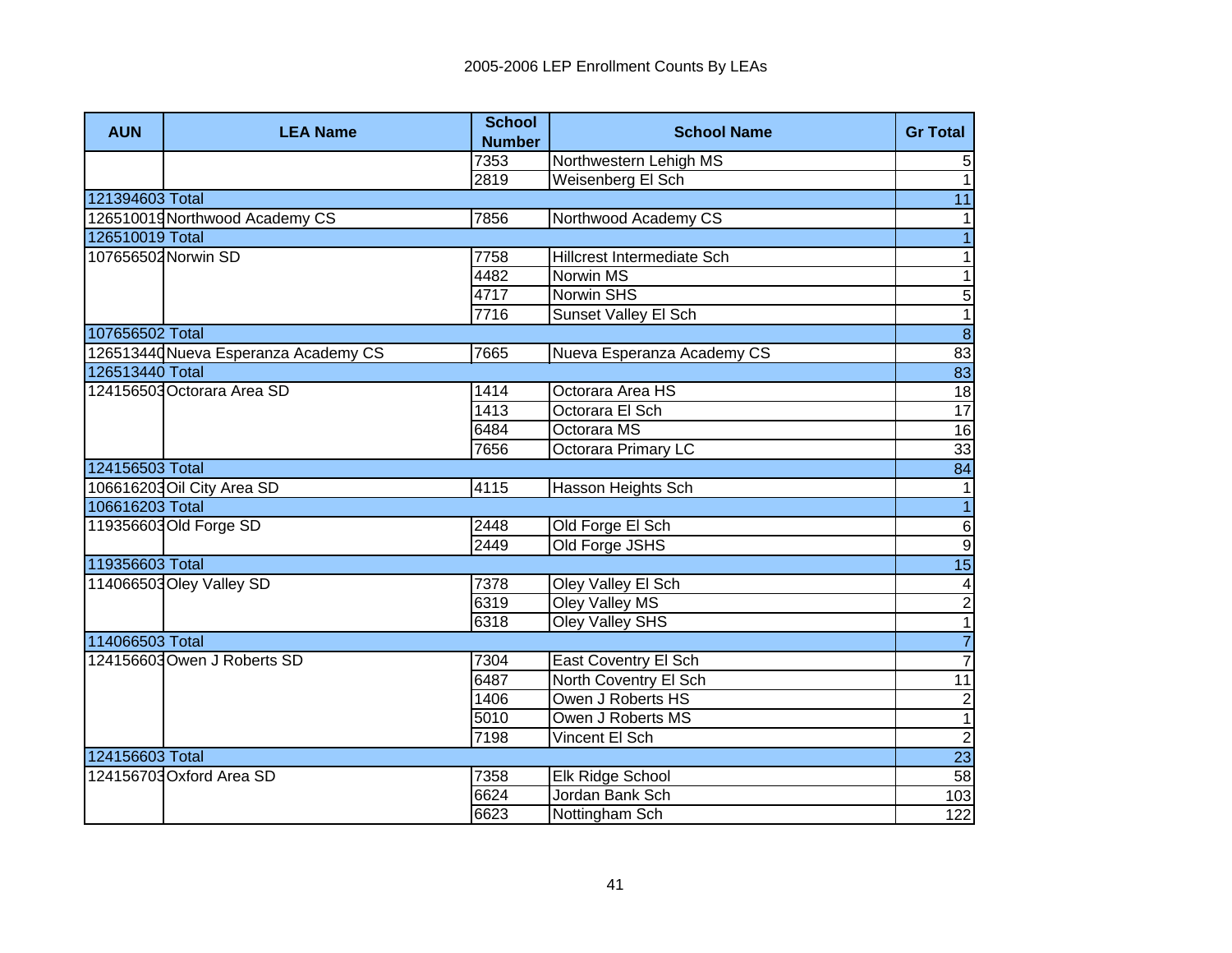| 7353<br>Northwestern Lehigh MS<br>2819<br>Weisenberg El Sch<br>121394603 Total<br>126510019 Northwood Academy CS<br>Northwood Academy CS<br>7856<br>126510019 Total<br>107656502 Norwin SD<br>Hillcrest Intermediate Sch<br>7758<br>4482<br><b>Norwin MS</b><br>4717<br><b>Norwin SHS</b><br>7716<br>Sunset Valley El Sch<br>107656502 Total<br>126513440 Nueva Esperanza Academy CS<br>7665<br>Nueva Esperanza Academy CS<br>126513440 Total<br>124156503 Octorara Area SD<br>1414<br>Octorara Area HS<br>1413<br>Octorara El Sch<br>6484<br>Octorara MS<br>7656<br>Octorara Primary LC<br>124156503 Total<br>106616203 Oil City Area SD<br>4115<br>Hasson Heights Sch<br>106616203 Total<br>119356603 Old Forge SD<br>2448<br>Old Forge El Sch<br>2449<br>Old Forge JSHS<br>119356603 Total<br>114066503 Oley Valley SD<br>7378<br>Oley Valley El Sch<br>6319<br>Oley Valley MS<br>Oley Valley SHS<br>6318<br>114066503 Total<br>124156603 Owen J Roberts SD<br>7304<br>East Coventry El Sch<br>North Coventry El Sch<br>6487<br>Owen J Roberts HS<br>1406<br>5010<br>Owen J Roberts MS<br>7198<br>Vincent El Sch<br>124156603 Total<br>124156703 Oxford Area SD<br>7358<br>Elk Ridge School<br>6624<br>Jordan Bank Sch<br>6623<br>Nottingham Sch | <b>AUN</b> | <b>LEA Name</b> | <b>School</b><br><b>Number</b> | <b>School Name</b> | <b>Gr Total</b> |
|-----------------------------------------------------------------------------------------------------------------------------------------------------------------------------------------------------------------------------------------------------------------------------------------------------------------------------------------------------------------------------------------------------------------------------------------------------------------------------------------------------------------------------------------------------------------------------------------------------------------------------------------------------------------------------------------------------------------------------------------------------------------------------------------------------------------------------------------------------------------------------------------------------------------------------------------------------------------------------------------------------------------------------------------------------------------------------------------------------------------------------------------------------------------------------------------------------------------------------------------------------|------------|-----------------|--------------------------------|--------------------|-----------------|
|                                                                                                                                                                                                                                                                                                                                                                                                                                                                                                                                                                                                                                                                                                                                                                                                                                                                                                                                                                                                                                                                                                                                                                                                                                                     |            |                 |                                |                    | $\,$ 5 $\,$     |
|                                                                                                                                                                                                                                                                                                                                                                                                                                                                                                                                                                                                                                                                                                                                                                                                                                                                                                                                                                                                                                                                                                                                                                                                                                                     |            |                 |                                |                    | $\overline{1}$  |
|                                                                                                                                                                                                                                                                                                                                                                                                                                                                                                                                                                                                                                                                                                                                                                                                                                                                                                                                                                                                                                                                                                                                                                                                                                                     |            |                 |                                |                    | 11              |
|                                                                                                                                                                                                                                                                                                                                                                                                                                                                                                                                                                                                                                                                                                                                                                                                                                                                                                                                                                                                                                                                                                                                                                                                                                                     |            |                 |                                |                    | $\mathbf{1}$    |
|                                                                                                                                                                                                                                                                                                                                                                                                                                                                                                                                                                                                                                                                                                                                                                                                                                                                                                                                                                                                                                                                                                                                                                                                                                                     |            |                 |                                |                    | $\overline{1}$  |
|                                                                                                                                                                                                                                                                                                                                                                                                                                                                                                                                                                                                                                                                                                                                                                                                                                                                                                                                                                                                                                                                                                                                                                                                                                                     |            |                 |                                |                    | $\overline{1}$  |
|                                                                                                                                                                                                                                                                                                                                                                                                                                                                                                                                                                                                                                                                                                                                                                                                                                                                                                                                                                                                                                                                                                                                                                                                                                                     |            |                 |                                |                    | $\overline{1}$  |
|                                                                                                                                                                                                                                                                                                                                                                                                                                                                                                                                                                                                                                                                                                                                                                                                                                                                                                                                                                                                                                                                                                                                                                                                                                                     |            |                 |                                |                    | $\overline{5}$  |
|                                                                                                                                                                                                                                                                                                                                                                                                                                                                                                                                                                                                                                                                                                                                                                                                                                                                                                                                                                                                                                                                                                                                                                                                                                                     |            |                 |                                |                    | $\overline{1}$  |
|                                                                                                                                                                                                                                                                                                                                                                                                                                                                                                                                                                                                                                                                                                                                                                                                                                                                                                                                                                                                                                                                                                                                                                                                                                                     |            |                 |                                |                    | $\overline{8}$  |
|                                                                                                                                                                                                                                                                                                                                                                                                                                                                                                                                                                                                                                                                                                                                                                                                                                                                                                                                                                                                                                                                                                                                                                                                                                                     |            |                 |                                |                    | 83              |
|                                                                                                                                                                                                                                                                                                                                                                                                                                                                                                                                                                                                                                                                                                                                                                                                                                                                                                                                                                                                                                                                                                                                                                                                                                                     |            |                 |                                |                    | 83              |
|                                                                                                                                                                                                                                                                                                                                                                                                                                                                                                                                                                                                                                                                                                                                                                                                                                                                                                                                                                                                                                                                                                                                                                                                                                                     |            |                 |                                |                    | 18              |
|                                                                                                                                                                                                                                                                                                                                                                                                                                                                                                                                                                                                                                                                                                                                                                                                                                                                                                                                                                                                                                                                                                                                                                                                                                                     |            |                 |                                |                    | $\overline{17}$ |
|                                                                                                                                                                                                                                                                                                                                                                                                                                                                                                                                                                                                                                                                                                                                                                                                                                                                                                                                                                                                                                                                                                                                                                                                                                                     |            |                 |                                |                    | 16              |
|                                                                                                                                                                                                                                                                                                                                                                                                                                                                                                                                                                                                                                                                                                                                                                                                                                                                                                                                                                                                                                                                                                                                                                                                                                                     |            |                 |                                |                    | 33              |
|                                                                                                                                                                                                                                                                                                                                                                                                                                                                                                                                                                                                                                                                                                                                                                                                                                                                                                                                                                                                                                                                                                                                                                                                                                                     |            |                 |                                |                    | 84              |
|                                                                                                                                                                                                                                                                                                                                                                                                                                                                                                                                                                                                                                                                                                                                                                                                                                                                                                                                                                                                                                                                                                                                                                                                                                                     |            |                 |                                |                    | $\mathbf{1}$    |
|                                                                                                                                                                                                                                                                                                                                                                                                                                                                                                                                                                                                                                                                                                                                                                                                                                                                                                                                                                                                                                                                                                                                                                                                                                                     |            |                 |                                |                    | $\overline{1}$  |
|                                                                                                                                                                                                                                                                                                                                                                                                                                                                                                                                                                                                                                                                                                                                                                                                                                                                                                                                                                                                                                                                                                                                                                                                                                                     |            |                 |                                |                    | $\overline{6}$  |
|                                                                                                                                                                                                                                                                                                                                                                                                                                                                                                                                                                                                                                                                                                                                                                                                                                                                                                                                                                                                                                                                                                                                                                                                                                                     |            |                 |                                |                    | $\overline{9}$  |
|                                                                                                                                                                                                                                                                                                                                                                                                                                                                                                                                                                                                                                                                                                                                                                                                                                                                                                                                                                                                                                                                                                                                                                                                                                                     |            |                 |                                |                    | 15              |
|                                                                                                                                                                                                                                                                                                                                                                                                                                                                                                                                                                                                                                                                                                                                                                                                                                                                                                                                                                                                                                                                                                                                                                                                                                                     |            |                 |                                |                    | $\overline{4}$  |
|                                                                                                                                                                                                                                                                                                                                                                                                                                                                                                                                                                                                                                                                                                                                                                                                                                                                                                                                                                                                                                                                                                                                                                                                                                                     |            |                 |                                |                    | $\overline{2}$  |
|                                                                                                                                                                                                                                                                                                                                                                                                                                                                                                                                                                                                                                                                                                                                                                                                                                                                                                                                                                                                                                                                                                                                                                                                                                                     |            |                 |                                |                    | $\overline{1}$  |
|                                                                                                                                                                                                                                                                                                                                                                                                                                                                                                                                                                                                                                                                                                                                                                                                                                                                                                                                                                                                                                                                                                                                                                                                                                                     |            |                 |                                |                    | $\overline{7}$  |
|                                                                                                                                                                                                                                                                                                                                                                                                                                                                                                                                                                                                                                                                                                                                                                                                                                                                                                                                                                                                                                                                                                                                                                                                                                                     |            |                 |                                |                    | $\overline{7}$  |
|                                                                                                                                                                                                                                                                                                                                                                                                                                                                                                                                                                                                                                                                                                                                                                                                                                                                                                                                                                                                                                                                                                                                                                                                                                                     |            |                 |                                |                    | $\overline{11}$ |
|                                                                                                                                                                                                                                                                                                                                                                                                                                                                                                                                                                                                                                                                                                                                                                                                                                                                                                                                                                                                                                                                                                                                                                                                                                                     |            |                 |                                |                    | $\overline{2}$  |
|                                                                                                                                                                                                                                                                                                                                                                                                                                                                                                                                                                                                                                                                                                                                                                                                                                                                                                                                                                                                                                                                                                                                                                                                                                                     |            |                 |                                |                    | $\overline{1}$  |
|                                                                                                                                                                                                                                                                                                                                                                                                                                                                                                                                                                                                                                                                                                                                                                                                                                                                                                                                                                                                                                                                                                                                                                                                                                                     |            |                 |                                |                    | $\overline{2}$  |
|                                                                                                                                                                                                                                                                                                                                                                                                                                                                                                                                                                                                                                                                                                                                                                                                                                                                                                                                                                                                                                                                                                                                                                                                                                                     |            |                 |                                |                    | $\overline{23}$ |
|                                                                                                                                                                                                                                                                                                                                                                                                                                                                                                                                                                                                                                                                                                                                                                                                                                                                                                                                                                                                                                                                                                                                                                                                                                                     |            |                 |                                |                    | $\overline{58}$ |
|                                                                                                                                                                                                                                                                                                                                                                                                                                                                                                                                                                                                                                                                                                                                                                                                                                                                                                                                                                                                                                                                                                                                                                                                                                                     |            |                 |                                |                    | 103             |
|                                                                                                                                                                                                                                                                                                                                                                                                                                                                                                                                                                                                                                                                                                                                                                                                                                                                                                                                                                                                                                                                                                                                                                                                                                                     |            |                 |                                |                    | 122             |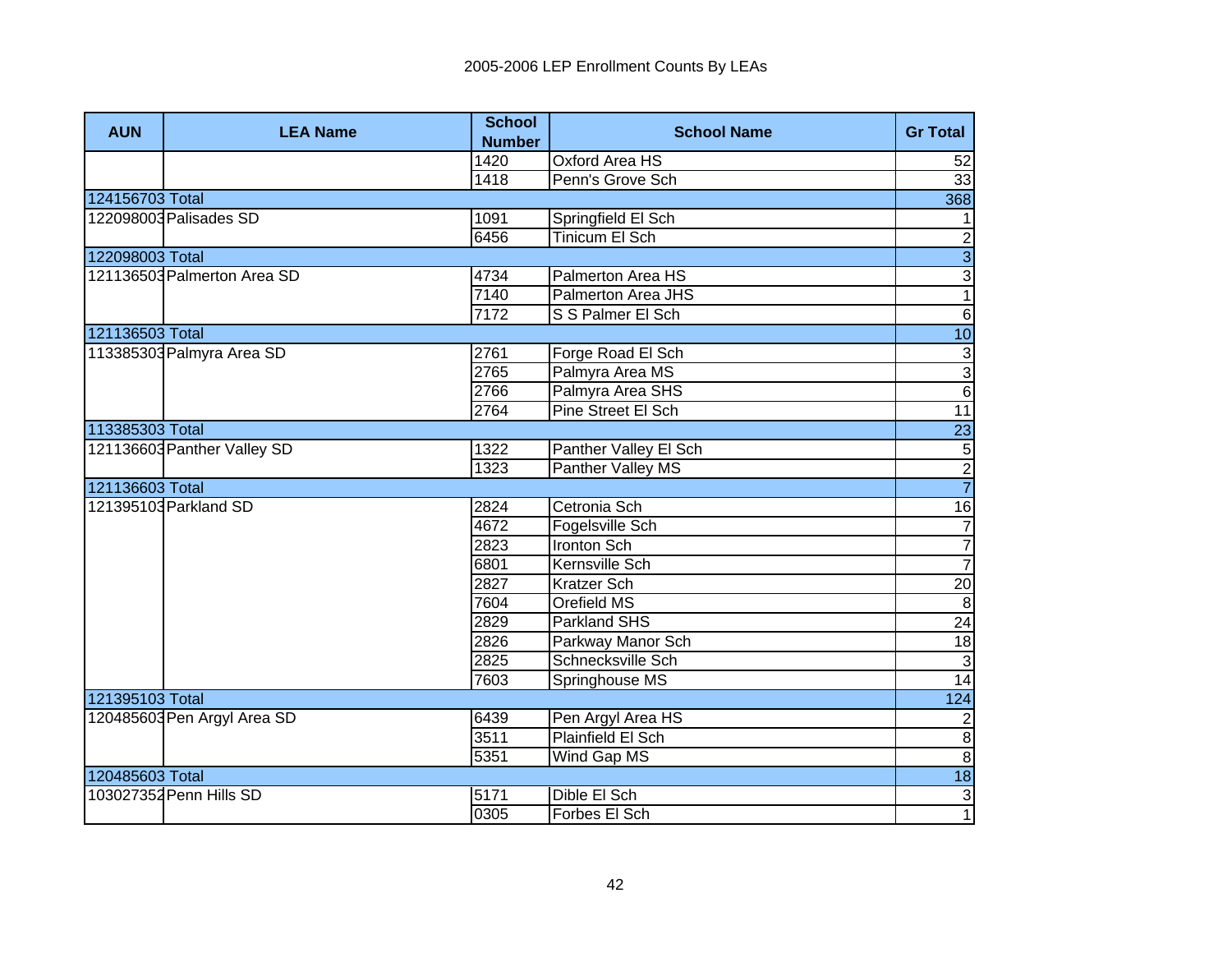| <b>AUN</b>      | <b>LEA Name</b>             | <b>School</b> | <b>School Name</b>    | <b>Gr Total</b>         |
|-----------------|-----------------------------|---------------|-----------------------|-------------------------|
|                 |                             | <b>Number</b> |                       |                         |
|                 |                             | 1420          | Oxford Area HS        | 52                      |
|                 |                             | 1418          | Penn's Grove Sch      | $\overline{33}$         |
| 124156703 Total |                             |               |                       | 368                     |
|                 | 122098003 Palisades SD      | 1091          | Springfield El Sch    | 1                       |
|                 |                             | 6456          | <b>Tinicum El Sch</b> | $\overline{\mathbf{c}}$ |
| 122098003 Total |                             |               |                       | $\overline{3}$          |
|                 | 121136503 Palmerton Area SD | 4734          | Palmerton Area HS     | $\overline{3}$          |
|                 |                             | 7140          | Palmerton Area JHS    | $\overline{1}$          |
|                 |                             | 7172          | S S Palmer El Sch     | $\overline{6}$          |
| 121136503 Total |                             |               |                       | 10                      |
|                 | 113385303 Palmyra Area SD   | 2761          | Forge Road El Sch     | $\sqrt{3}$              |
|                 |                             | 2765          | Palmyra Area MS       | $\overline{3}$          |
|                 |                             | 2766          | Palmyra Area SHS      | $\overline{6}$          |
|                 |                             | 2764          | Pine Street El Sch    | $\overline{11}$         |
| 113385303 Total |                             |               |                       | 23                      |
|                 | 121136603 Panther Valley SD | 1322          | Panther Valley El Sch |                         |
|                 |                             | 1323          | Panther Valley MS     | $\frac{5}{2}$           |
| 121136603 Total |                             |               |                       |                         |
|                 | 121395103 Parkland SD       | 2824          | Cetronia Sch          | $\overline{16}$         |
|                 |                             | 4672          | Fogelsville Sch       | $\overline{7}$          |
|                 |                             | 2823          | Ironton Sch           | $\overline{7}$          |
|                 |                             | 6801          | <b>Kernsville Sch</b> | $\overline{7}$          |
|                 |                             | 2827          | Kratzer Sch           | 20                      |
|                 |                             | 7604          | Orefield MS           | $\infty$                |
|                 |                             | 2829          | <b>Parkland SHS</b>   | 24                      |
|                 |                             | 2826          | Parkway Manor Sch     | $\frac{1}{8}$           |
|                 |                             | 2825          | Schnecksville Sch     | دى                      |
|                 |                             | 7603          | Springhouse MS        | 14                      |
| 121395103 Total |                             |               |                       | 124                     |
|                 | 120485603 Pen Argyl Area SD | 6439          | Pen Argyl Area HS     | $\overline{2}$          |
|                 |                             | 3511          | Plainfield El Sch     | $\bf 8$                 |
|                 |                             | 5351          | Wind Gap MS           | $\,8\,$                 |
| 120485603 Total |                             |               |                       | 18                      |
|                 | 103027352 Penn Hills SD     | 5171          | Dible El Sch          | $\overline{3}$          |
|                 |                             | 0305          | Forbes El Sch         | $\overline{1}$          |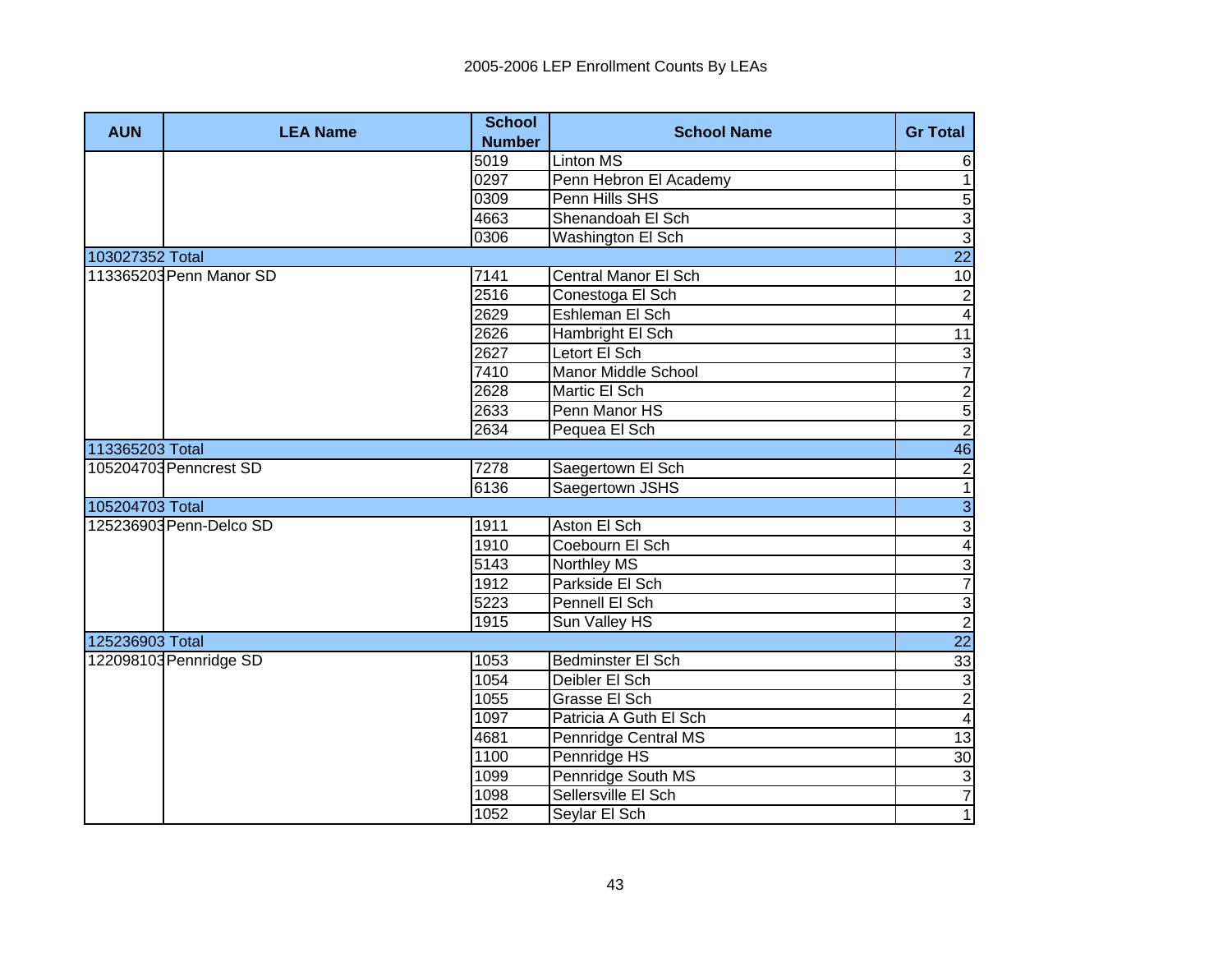| <b>AUN</b>      | <b>LEA Name</b>         | <b>School</b> | <b>School Name</b>         | <b>Gr Total</b>         |
|-----------------|-------------------------|---------------|----------------------------|-------------------------|
|                 |                         | <b>Number</b> |                            |                         |
|                 |                         | 5019          | <b>Linton MS</b>           | 6                       |
|                 |                         | 0297          | Penn Hebron El Academy     | $\mathbf 1$             |
|                 |                         | 0309          | Penn Hills SHS             | $\overline{5}$          |
|                 |                         | 4663          | Shenandoah El Sch          | $\overline{3}$          |
|                 |                         | 0306          | <b>Washington El Sch</b>   | $\overline{3}$          |
| 103027352 Total |                         |               |                            | $\overline{22}$         |
|                 | 113365203 Penn Manor SD | 7141          | Central Manor El Sch       | $10$                    |
|                 |                         | 2516          | Conestoga El Sch           | $\overline{\mathbf{c}}$ |
|                 |                         | 2629          | Eshleman El Sch            | $\overline{4}$          |
|                 |                         | 2626          | Hambright El Sch           | 11                      |
|                 |                         | 2627          | Letort El Sch              | $\overline{3}$          |
|                 |                         | 7410          | <b>Manor Middle School</b> | $\overline{7}$          |
|                 |                         | 2628          | Martic El Sch              | $\overline{2}$          |
|                 |                         | 2633          | Penn Manor HS              | $\overline{5}$          |
|                 |                         | 2634          | Pequea El Sch              | $\overline{c}$          |
| 113365203 Total |                         |               |                            | 46                      |
|                 | 105204703 Penncrest SD  | 7278          | Saegertown El Sch          | $\overline{2}$          |
|                 |                         | 6136          | Saegertown JSHS            | $\overline{1}$          |
| 105204703 Total |                         |               |                            | $\overline{3}$          |
|                 | 125236903 Penn-Delco SD | 1911          | Aston El Sch               | $\overline{3}$          |
|                 |                         | 1910          | Coebourn El Sch            | $\overline{4}$          |
|                 |                         | 5143          | Northley MS                | $\overline{3}$          |
|                 |                         | 1912          | Parkside El Sch            | $\overline{7}$          |
|                 |                         | 5223          | Pennell El Sch             | $\overline{3}$          |
|                 |                         | 1915          | Sun Valley HS              | $\overline{2}$          |
| 125236903 Total |                         |               |                            | $\overline{22}$         |
|                 | 122098103 Pennridge SD  | 1053          | <b>Bedminster El Sch</b>   | 33                      |
|                 |                         | 1054          | Deibler El Sch             | سام م                   |
|                 |                         | 1055          | <b>Grasse El Sch</b>       |                         |
|                 |                         | 1097          | Patricia A Guth El Sch     |                         |
|                 |                         | 4681          | Pennridge Central MS       | $\overline{13}$         |
|                 |                         | 1100          | Pennridge HS               | 30                      |
|                 |                         | 1099          | Pennridge South MS         | ا دە<br>ا               |
|                 |                         | 1098          | Sellersville El Sch        |                         |
|                 |                         | 1052          | Seylar El Sch              | $\overline{1}$          |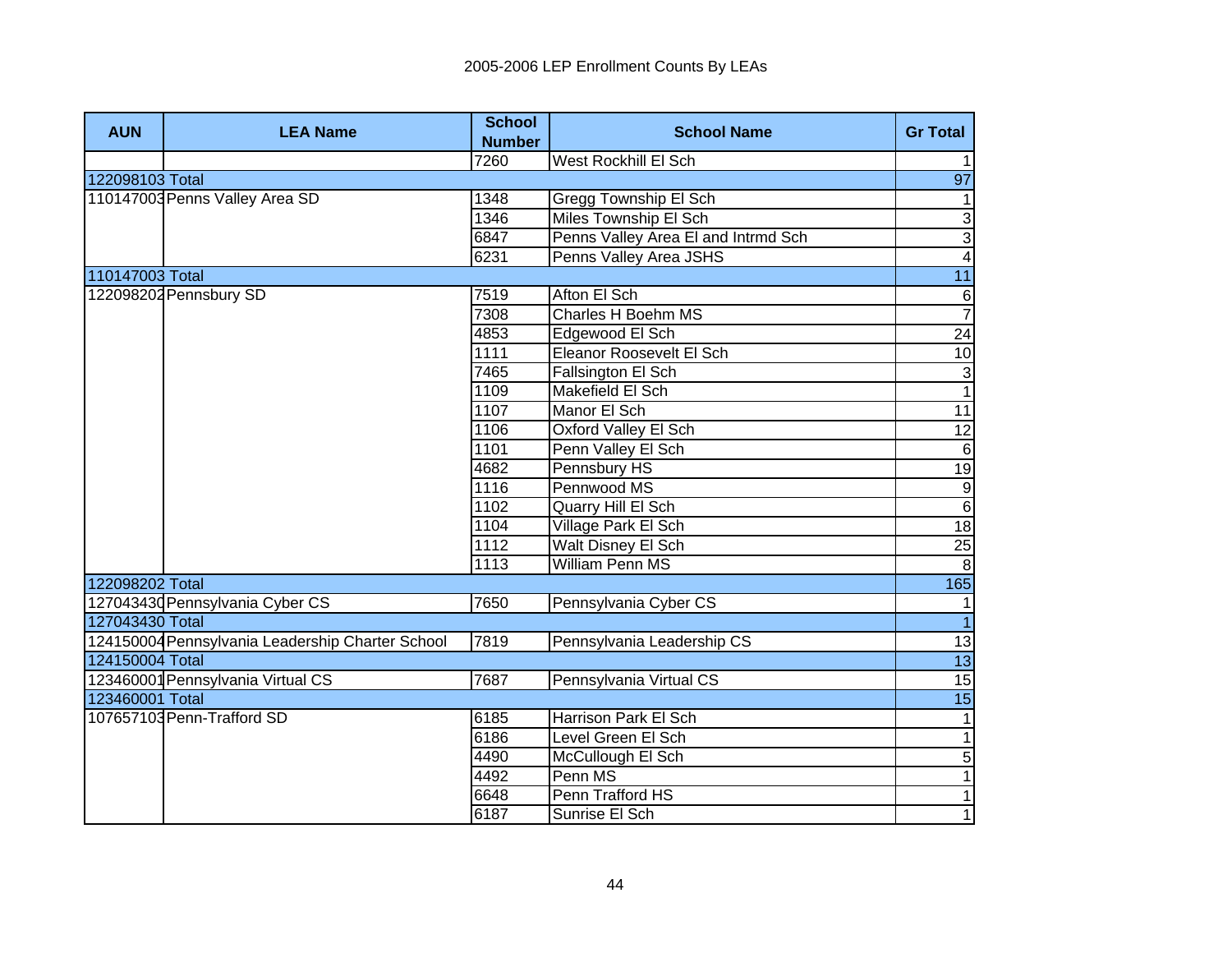| <b>AUN</b>      | <b>LEA Name</b>                                  | <b>School</b><br><b>Number</b> | <b>School Name</b>                  | <b>Gr Total</b>      |
|-----------------|--------------------------------------------------|--------------------------------|-------------------------------------|----------------------|
|                 |                                                  | 7260                           | <b>West Rockhill El Sch</b>         | $\mathbf{1}$         |
| 122098103 Total |                                                  |                                |                                     | 97                   |
|                 | 110147003 Penns Valley Area SD                   | 1348                           | <b>Gregg Township El Sch</b>        | $\mathbf{1}$         |
|                 |                                                  | 1346                           | <b>Miles Township El Sch</b>        | $\overline{3}$       |
|                 |                                                  | 6847                           | Penns Valley Area El and Intrmd Sch | $\overline{3}$       |
|                 |                                                  | 6231                           | Penns Valley Area JSHS              | $\overline{4}$       |
| 110147003 Total |                                                  |                                |                                     | 11                   |
|                 | 122098202 Pennsbury SD                           | 7519                           | Afton El Sch                        | $\,6\,$              |
|                 |                                                  | 7308                           | Charles H Boehm MS                  | $\overline{7}$       |
|                 |                                                  | 4853                           | Edgewood El Sch                     | 24                   |
|                 |                                                  | 1111                           | Eleanor Roosevelt El Sch            | 10                   |
|                 |                                                  | 7465                           | Fallsington El Sch                  |                      |
|                 |                                                  | 1109                           | Makefield El Sch                    | $\rightarrow \infty$ |
|                 |                                                  | 1107                           | Manor El Sch                        | 11                   |
|                 |                                                  | 1106                           | <b>Oxford Valley El Sch</b>         | 12                   |
|                 |                                                  | 1101                           | Penn Valley El Sch                  | $\,6$                |
|                 |                                                  | 4682                           | Pennsbury HS                        | $\overline{19}$      |
|                 |                                                  | 1116                           | Pennwood MS                         | $\overline{9}$       |
|                 |                                                  | 1102                           | Quarry Hill El Sch                  | $\sigma$             |
|                 |                                                  | 1104                           | Village Park El Sch                 | 18                   |
|                 |                                                  | 1112                           | <b>Walt Disney El Sch</b>           | $\overline{25}$      |
|                 |                                                  | 1113                           | William Penn MS                     | 8                    |
| 122098202 Total |                                                  |                                |                                     | 165                  |
|                 | 127043430 Pennsylvania Cyber CS                  | 7650                           | Pennsylvania Cyber CS               | $\mathbf{1}$         |
| 127043430 Total |                                                  |                                |                                     | $\overline{1}$       |
|                 | 124150004 Pennsylvania Leadership Charter School | 7819                           | Pennsylvania Leadership CS          | 13                   |
| 124150004 Total |                                                  |                                |                                     | 13                   |
|                 | 123460001 Pennsylvania Virtual CS                | 7687                           | Pennsylvania Virtual CS             | 15                   |
| 123460001 Total |                                                  |                                |                                     | 15                   |
|                 | 107657103 Penn-Trafford SD                       | 6185                           | Harrison Park El Sch                | $\overline{1}$       |
|                 |                                                  | 6186                           | Level Green El Sch                  | $\overline{1}$       |
|                 |                                                  | 4490                           | McCullough El Sch                   | $\sigma$             |
|                 |                                                  | 4492                           | Penn MS                             | $\overline{1}$       |
|                 |                                                  | 6648                           | Penn Trafford HS                    | $\mathbf{1}$         |
|                 |                                                  | 6187                           | Sunrise El Sch                      | $\mathbf{1}$         |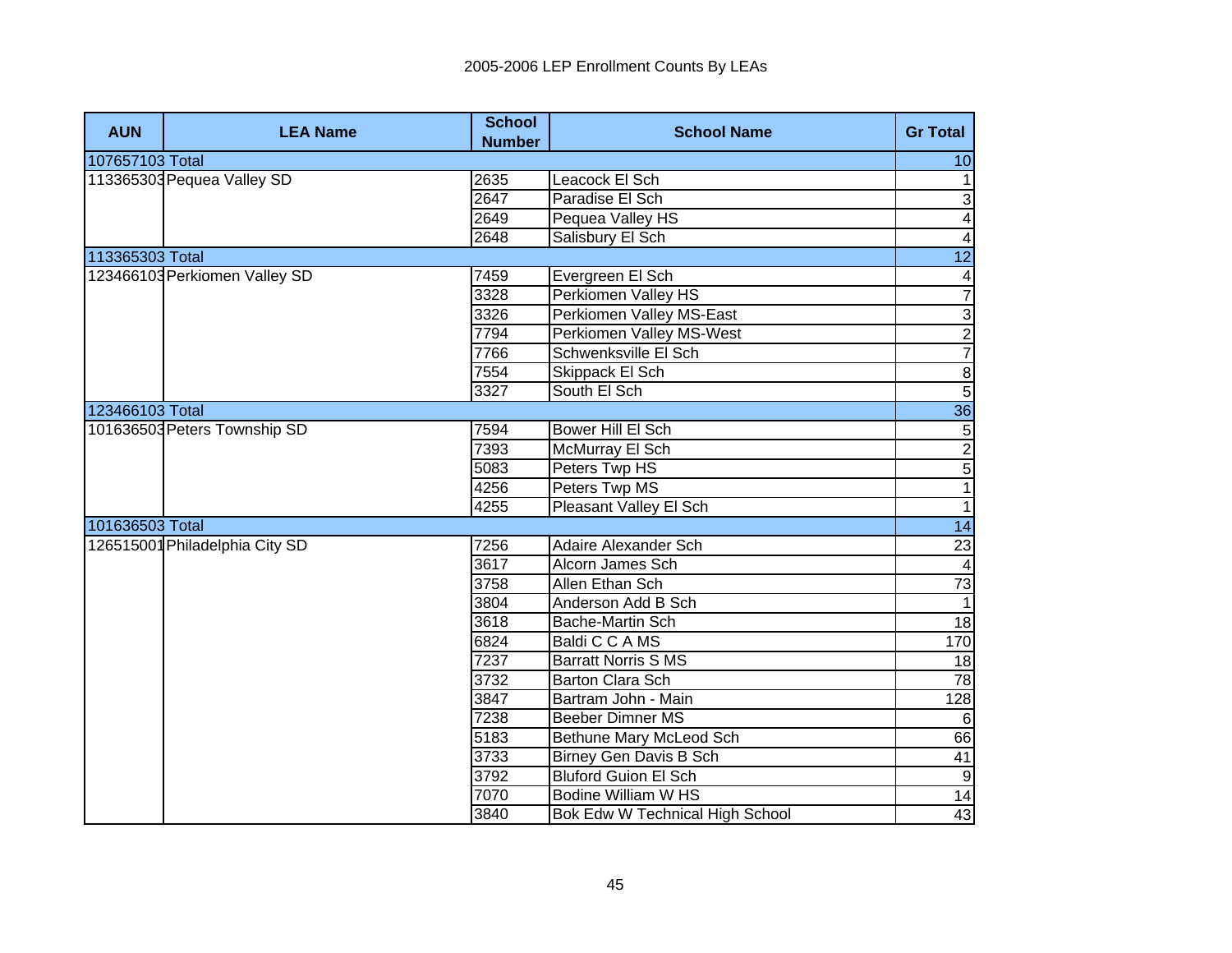| <b>AUN</b>      | <b>LEA Name</b>                | <b>School</b><br><b>Number</b> | <b>School Name</b>                     | <b>Gr Total</b>         |
|-----------------|--------------------------------|--------------------------------|----------------------------------------|-------------------------|
| 107657103 Total |                                |                                |                                        | 10                      |
|                 | 113365303 Pequea Valley SD     | 2635                           | Leacock El Sch                         | $\mathbf{1}$            |
|                 |                                | 2647                           | Paradise El Sch                        | $\overline{3}$          |
|                 | 2649                           | Pequea Valley HS               | $\overline{\mathbf{4}}$                |                         |
|                 |                                | 2648                           | Salisbury El Sch                       | $\overline{4}$          |
| 113365303 Total |                                |                                |                                        | $\overline{12}$         |
|                 | 123466103 Perkiomen Valley SD  | 7459                           | Evergreen El Sch                       | $\overline{\mathbf{4}}$ |
|                 |                                | 3328                           | Perkiomen Valley HS                    | $\overline{7}$          |
|                 |                                | 3326                           | Perkiomen Valley MS-East               | $\overline{3}$          |
|                 |                                | 7794                           | Perkiomen Valley MS-West               | $\overline{2}$          |
|                 |                                | 7766                           | Schwenksville El Sch                   | $\overline{7}$          |
|                 |                                | 7554                           | Skippack El Sch                        | $\frac{8}{5}$           |
|                 |                                | 3327                           | South El Sch                           |                         |
| 123466103 Total |                                |                                |                                        | 36                      |
|                 | 101636503 Peters Township SD   | 7594                           | Bower Hill El Sch                      |                         |
|                 |                                | 7393                           | McMurray El Sch                        | $\frac{5}{2}$           |
|                 |                                | 5083                           | Peters Twp HS                          |                         |
|                 |                                | 4256                           | Peters Twp MS                          | $\overline{1}$          |
|                 |                                | 4255                           | Pleasant Valley El Sch                 | $\overline{1}$          |
| 101636503 Total |                                |                                |                                        | 14                      |
|                 | 126515001 Philadelphia City SD | 7256                           | Adaire Alexander Sch                   | 23                      |
|                 |                                | 3617                           | Alcorn James Sch                       | $\overline{a}$          |
|                 |                                | 3758                           | Allen Ethan Sch                        | $\overline{73}$         |
|                 |                                | 3804                           | Anderson Add B Sch                     | $\mathbf{1}$            |
|                 |                                | 3618                           | Bache-Martin Sch                       | 18                      |
|                 |                                | 6824                           | Baldi C C A MS                         | 170                     |
|                 |                                | 7237                           | <b>Barratt Norris S MS</b>             | $\frac{1}{8}$           |
|                 |                                | 3732                           | <b>Barton Clara Sch</b>                | $\overline{78}$         |
|                 |                                | 3847                           | Bartram John - Main                    | 128                     |
|                 |                                | 7238                           | <b>Beeber Dimner MS</b>                | 6                       |
|                 |                                | 5183                           | Bethune Mary McLeod Sch                | 66                      |
|                 |                                | 3733                           | Birney Gen Davis B Sch                 | 41                      |
|                 |                                | 3792                           | <b>Bluford Guion El Sch</b>            | $\boldsymbol{9}$        |
|                 |                                | 7070                           | Bodine William W HS                    | 14                      |
|                 |                                | 3840                           | <b>Bok Edw W Technical High School</b> | 43                      |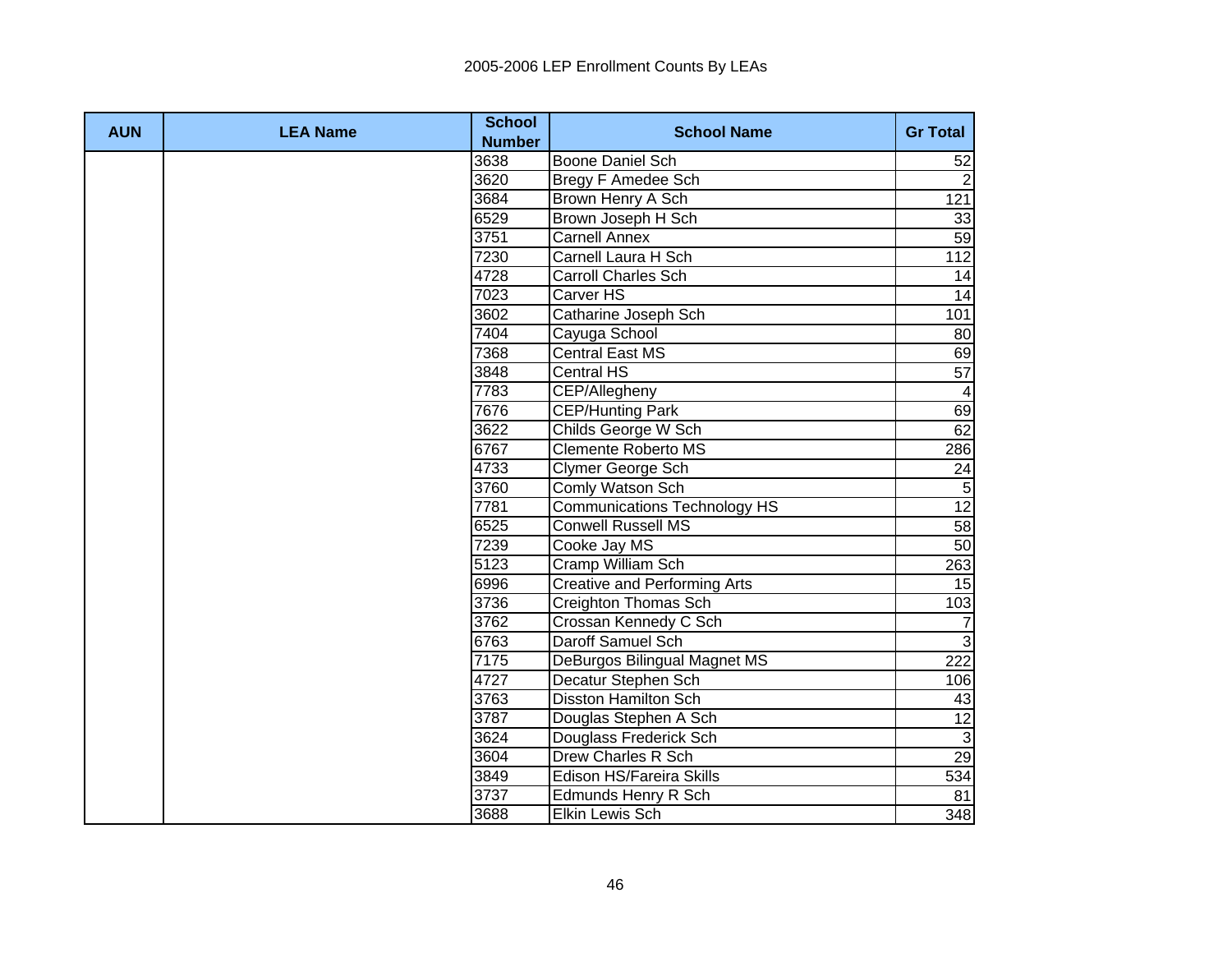| <b>AUN</b> | <b>LEA Name</b> | <b>School</b> | <b>School Name</b>                  | <b>Gr Total</b> |
|------------|-----------------|---------------|-------------------------------------|-----------------|
|            |                 | <b>Number</b> |                                     |                 |
|            |                 | 3638          | <b>Boone Daniel Sch</b>             | 52              |
|            |                 | 3620          | Bregy F Amedee Sch                  | $\overline{2}$  |
|            |                 | 3684          | Brown Henry A Sch                   | 121             |
|            |                 | 6529          | Brown Joseph H Sch                  | 33              |
|            |                 | 3751          | <b>Carnell Annex</b>                | 59              |
|            |                 | 7230          | Carnell Laura H Sch                 | 112             |
|            |                 | 4728          | <b>Carroll Charles Sch</b>          | 14              |
|            |                 | 7023          | Carver HS                           | 14              |
|            |                 | 3602          | Catharine Joseph Sch                | 101             |
|            |                 | 7404          | Cayuga School                       | 80              |
|            |                 | 7368          | <b>Central East MS</b>              | 69              |
|            |                 | 3848          | Central HS                          | 57              |
|            |                 | 7783          | CEP/Allegheny                       | $\overline{4}$  |
|            |                 | 7676          | <b>CEP/Hunting Park</b>             | 69              |
|            |                 | 3622          | Childs George W Sch                 | 62              |
|            |                 | 6767          | Clemente Roberto MS                 | 286             |
|            |                 | 4733          | Clymer George Sch                   | 24              |
|            |                 | 3760          | Comly Watson Sch                    | $\overline{5}$  |
|            |                 | 7781          | <b>Communications Technology HS</b> | 12              |
|            |                 | 6525          | <b>Conwell Russell MS</b>           | 58              |
|            |                 | 7239          | Cooke Jay MS                        | 50              |
|            |                 | 5123          | Cramp William Sch                   | 263             |
|            |                 | 6996          | <b>Creative and Performing Arts</b> | $\overline{15}$ |
|            |                 | 3736          | Creighton Thomas Sch                | 103             |
|            |                 | 3762          | Crossan Kennedy C Sch               | $\overline{7}$  |
|            |                 | 6763          | Daroff Samuel Sch                   | $\overline{3}$  |
|            |                 | 7175          | DeBurgos Bilingual Magnet MS        | 222             |
|            |                 | 4727          | Decatur Stephen Sch                 | 106             |
|            |                 | 3763          | <b>Disston Hamilton Sch</b>         | 43              |
|            |                 | 3787          | Douglas Stephen A Sch               | 12              |
|            |                 | 3624          | Douglass Frederick Sch              | $\mathbf{3}$    |
|            |                 | 3604          | Drew Charles R Sch                  | $\overline{29}$ |
|            |                 | 3849          | Edison HS/Fareira Skills            | 534             |
|            |                 | 3737          | Edmunds Henry R Sch                 | $\overline{81}$ |
|            |                 | 3688          | <b>Elkin Lewis Sch</b>              | 348             |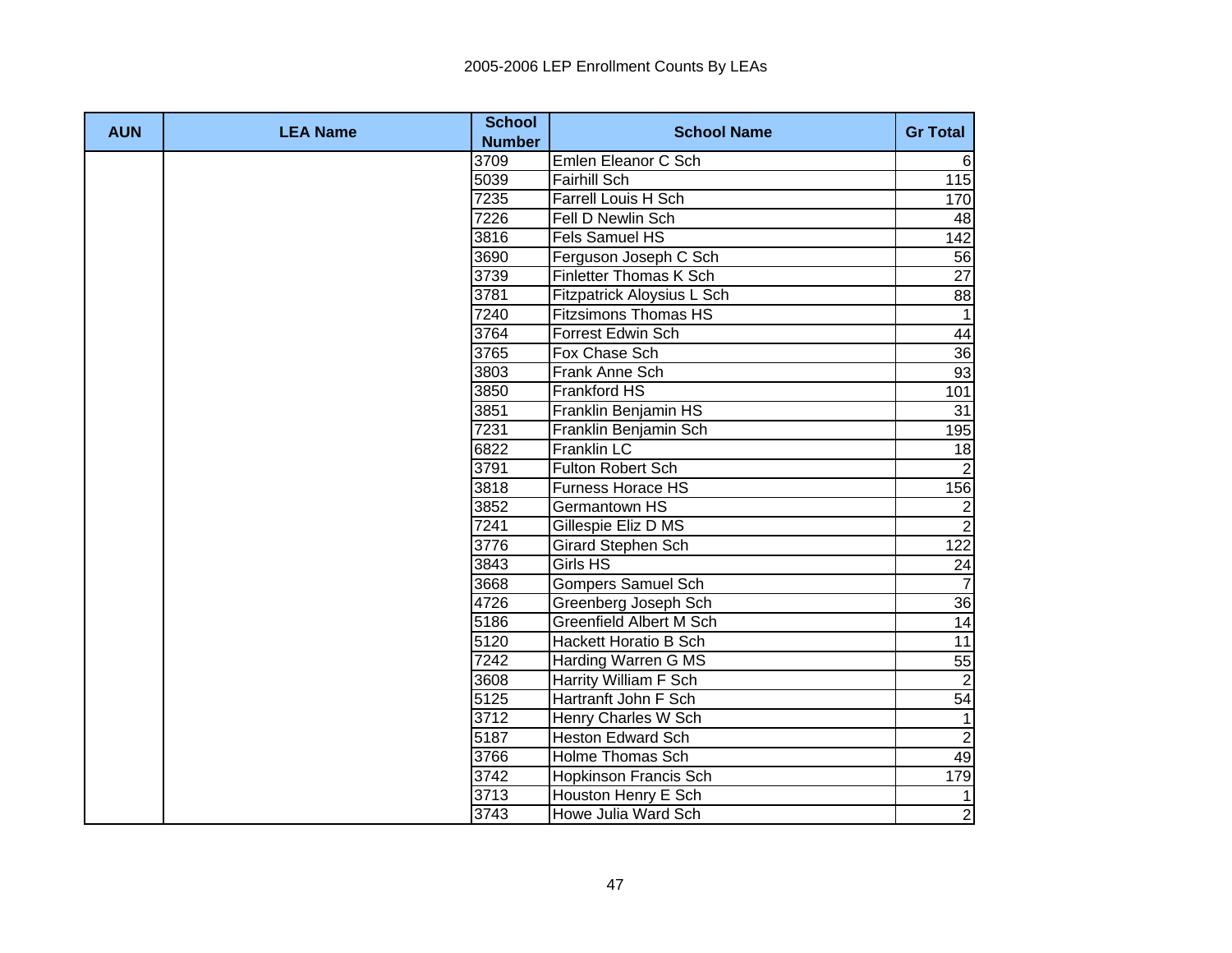| <b>AUN</b> | <b>LEA Name</b> | <b>School</b> | <b>School Name</b>             | <b>Gr Total</b> |
|------------|-----------------|---------------|--------------------------------|-----------------|
|            |                 | <b>Number</b> |                                |                 |
|            |                 | 3709          | Emlen Eleanor C Sch            | 6               |
|            |                 | 5039          | <b>Fairhill Sch</b>            | 115             |
|            |                 | 7235          | Farrell Louis H Sch            | 170             |
|            |                 | 7226          | Fell D Newlin Sch              | 48              |
|            |                 | 3816          | <b>Fels Samuel HS</b>          | 142             |
|            |                 | 3690          | Ferguson Joseph C Sch          | 56              |
|            |                 | 3739          | <b>Finletter Thomas K Sch</b>  | $\overline{27}$ |
|            |                 | 3781          | Fitzpatrick Aloysius L Sch     | 88              |
|            |                 | 7240          | <b>Fitzsimons Thomas HS</b>    | $\overline{1}$  |
|            |                 | 3764          | Forrest Edwin Sch              | 44              |
|            |                 | 3765          | Fox Chase Sch                  | 36              |
|            |                 | 3803          | Frank Anne Sch                 | 93              |
|            |                 | 3850          | Frankford HS                   | 101             |
|            |                 | 3851          | Franklin Benjamin HS           | 31              |
|            |                 | 7231          | Franklin Benjamin Sch          | 195             |
|            |                 | 6822          | Franklin LC                    | $\frac{1}{8}$   |
|            |                 | 3791          | <b>Fulton Robert Sch</b>       | $\overline{2}$  |
|            |                 | 3818          | <b>Furness Horace HS</b>       | 156             |
|            |                 | 3852          | Germantown HS                  | $\overline{2}$  |
|            |                 | 7241          | Gillespie Eliz D MS            | $\overline{2}$  |
|            |                 | 3776          | Girard Stephen Sch             | 122             |
|            |                 | 3843          | Girls HS                       | 24              |
|            |                 | 3668          | <b>Gompers Samuel Sch</b>      | $\overline{7}$  |
|            |                 | 4726          | Greenberg Joseph Sch           | $\overline{36}$ |
|            |                 | 5186          | <b>Greenfield Albert M Sch</b> | $\overline{14}$ |
|            |                 | 5120          | <b>Hackett Horatio B Sch</b>   | $\overline{11}$ |
|            |                 | 7242          | <b>Harding Warren G MS</b>     | 55              |
|            |                 | 3608          | <b>Harrity William F Sch</b>   | $\overline{2}$  |
|            |                 | 5125          | Hartranft John F Sch           | 54              |
|            |                 | 3712          | <b>Henry Charles W Sch</b>     | $\mathbf{1}$    |
|            |                 | 5187          | <b>Heston Edward Sch</b>       | $\overline{2}$  |
|            |                 | 3766          | Holme Thomas Sch               | 49              |
|            |                 | 3742          | <b>Hopkinson Francis Sch</b>   | 179             |
|            |                 | 3713          | Houston Henry E Sch            |                 |
|            |                 | 3743          | Howe Julia Ward Sch            | $\overline{2}$  |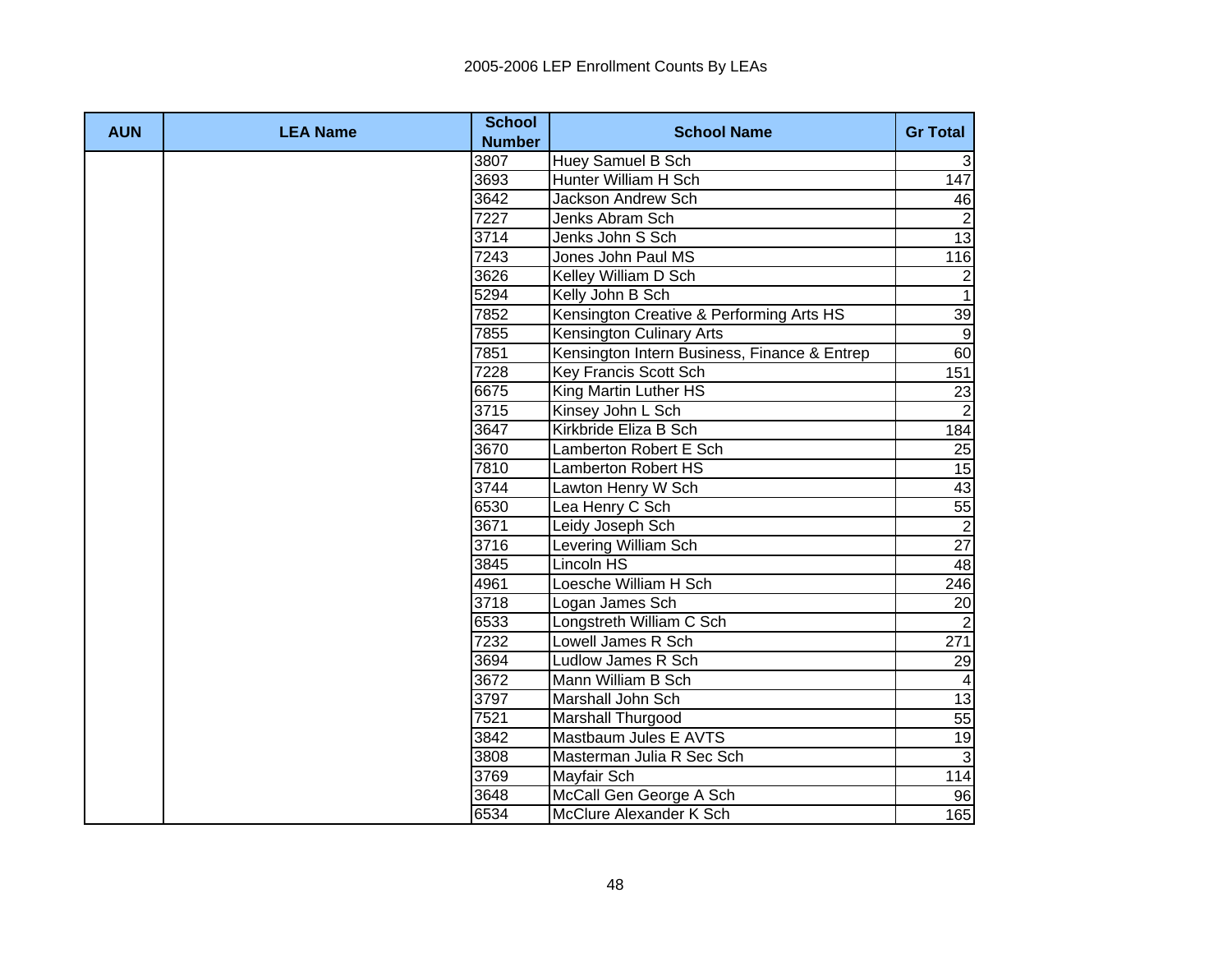| <b>AUN</b> | <b>LEA Name</b> | <b>School</b> | <b>School Name</b>                           | <b>Gr Total</b>   |
|------------|-----------------|---------------|----------------------------------------------|-------------------|
|            |                 | <b>Number</b> |                                              |                   |
|            |                 | 3807          | Huey Samuel B Sch                            | 3                 |
|            |                 | 3693          | Hunter William H Sch                         | 147               |
|            |                 | 3642          | Jackson Andrew Sch                           | 46                |
|            |                 | 7227          | Jenks Abram Sch                              | $\overline{2}$    |
|            |                 | 3714          | Jenks John S Sch                             | 13                |
|            |                 | 7243          | Jones John Paul MS                           | 116               |
|            |                 | 3626          | Kelley William D Sch                         | $\overline{2}$    |
|            |                 | 5294          | Kelly John B Sch                             | $\overline{1}$    |
|            |                 | 7852          | Kensington Creative & Performing Arts HS     | 39                |
|            |                 | 7855          | Kensington Culinary Arts                     | $\overline{9}$    |
|            |                 | 7851          | Kensington Intern Business, Finance & Entrep | 60                |
|            |                 | 7228          | Key Francis Scott Sch                        | 151               |
|            |                 | 6675          | King Martin Luther HS                        | 23                |
|            |                 | 3715          | Kinsey John L Sch                            | $\overline{2}$    |
|            |                 | 3647          | Kirkbride Eliza B Sch                        | 184               |
|            |                 | 3670          | Lamberton Robert E Sch                       | 25                |
|            |                 | 7810          | Lamberton Robert HS                          | 15                |
|            |                 | 3744          | Lawton Henry W Sch                           | 43                |
|            |                 | 6530          | Lea Henry C Sch                              | $\overline{55}$   |
|            |                 | 3671          | Leidy Joseph Sch                             | $\overline{2}$    |
|            |                 | 3716          | Levering William Sch                         | $\overline{27}$   |
|            |                 | 3845          | Lincoln HS                                   | $\overline{48}$   |
|            |                 | 4961          | Loesche William H Sch                        | 246               |
|            |                 | 3718          | Logan James Sch                              | $\overline{20}$   |
|            |                 | 6533          | Longstreth William C Sch                     | $\overline{2}$    |
|            |                 | 7232          | Lowell James R Sch                           | 271               |
|            |                 | 3694          | <b>Ludlow James R Sch</b>                    | $\overline{29}$   |
|            |                 | 3672          | Mann William B Sch                           | $\overline{4}$    |
|            |                 | 3797          | Marshall John Sch                            | 13                |
|            |                 | 7521          | Marshall Thurgood                            | 55                |
|            |                 | 3842          | Mastbaum Jules E AVTS                        | 19                |
|            |                 | 3808          | Masterman Julia R Sec Sch                    | $\mathbf{3}$      |
|            |                 | 3769          | Mayfair Sch                                  | $\frac{114}{114}$ |
|            |                 | 3648          | McCall Gen George A Sch                      | 96                |
|            |                 | 6534          | McClure Alexander K Sch                      | 165               |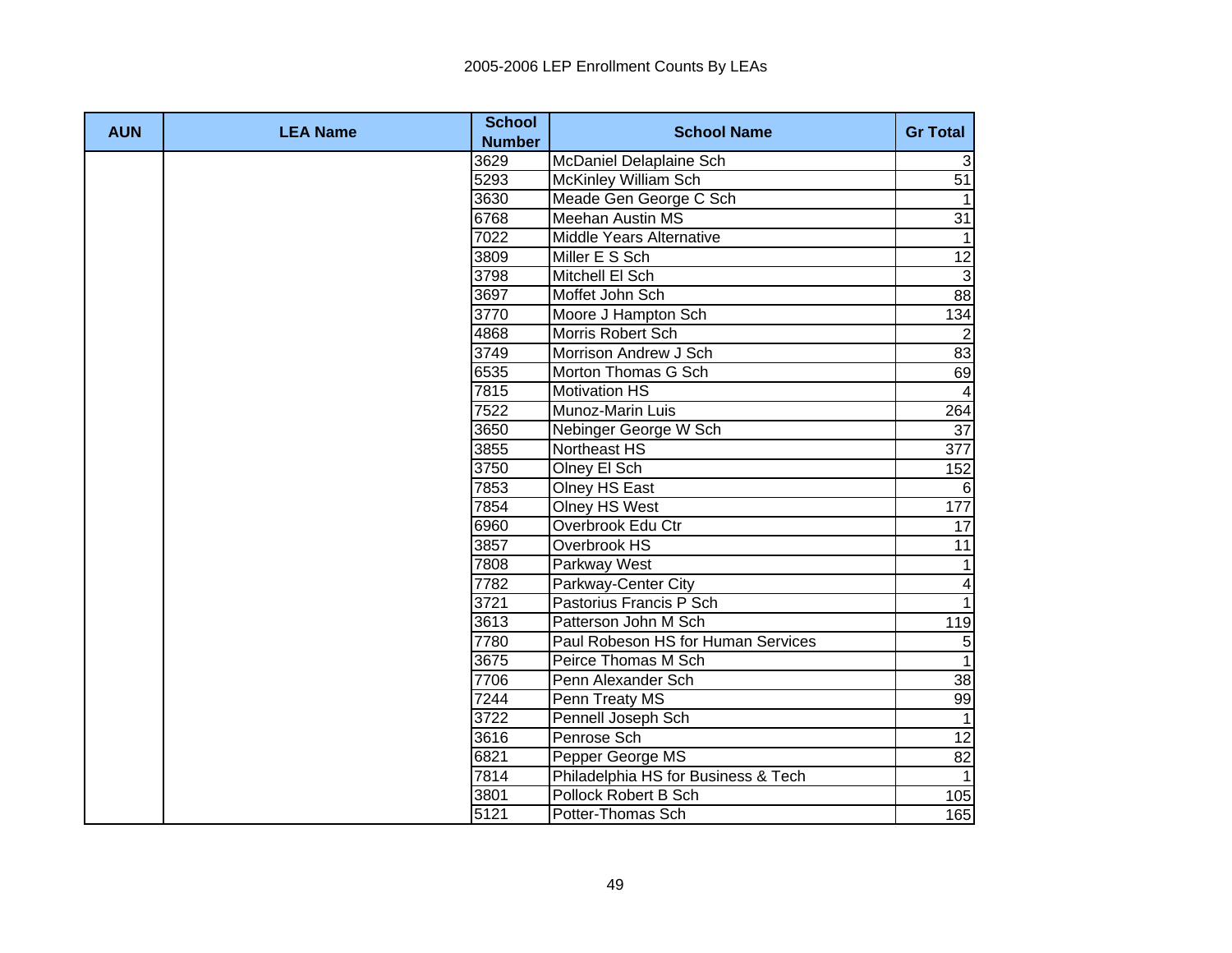| <b>AUN</b> | <b>LEA Name</b> | <b>School</b><br><b>Number</b> | <b>School Name</b>                  | <b>Gr Total</b> |
|------------|-----------------|--------------------------------|-------------------------------------|-----------------|
|            |                 | 3629                           | McDaniel Delaplaine Sch             | 3               |
|            |                 | 5293                           | <b>McKinley William Sch</b>         | 51              |
|            |                 | 3630                           | Meade Gen George C Sch              |                 |
|            |                 | 6768                           | <b>Meehan Austin MS</b>             | $\overline{31}$ |
|            |                 | 7022                           | Middle Years Alternative            |                 |
|            |                 | 3809                           | Miller E S Sch                      | $\overline{12}$ |
|            |                 | 3798                           | Mitchell El Sch                     | $\mathbf{3}$    |
|            |                 | 3697                           | Moffet John Sch                     | $\overline{88}$ |
|            |                 | 3770                           | Moore J Hampton Sch                 | 134             |
|            |                 | 4868                           | Morris Robert Sch                   | $\overline{2}$  |
|            |                 | 3749                           | Morrison Andrew J Sch               | 83              |
|            |                 | 6535                           | Morton Thomas G Sch                 | 69              |
|            |                 | 7815                           | <b>Motivation HS</b>                | 4               |
|            |                 | 7522                           | Munoz-Marin Luis                    | 264             |
|            |                 | 3650                           | Nebinger George W Sch               | 37              |
|            |                 | 3855                           | Northeast HS                        | 377             |
|            |                 | 3750                           | Olney El Sch                        | 152             |
|            |                 | 7853                           | Olney HS East                       | 6               |
|            |                 | 7854                           | Olney HS West                       | 177             |
|            |                 | 6960                           | Overbrook Edu Ctr                   | 17              |
|            |                 | 3857                           | Overbrook HS                        | 11              |
|            |                 | 7808                           | Parkway West                        |                 |
|            |                 | 7782                           | Parkway-Center City                 | 4               |
|            |                 | 3721                           | Pastorius Francis P Sch             |                 |
|            |                 | 3613                           | Patterson John M Sch                | 119             |
|            |                 | 7780                           | Paul Robeson HS for Human Services  | 5               |
|            |                 | 3675                           | Peirce Thomas M Sch                 | 1               |
|            |                 | 7706                           | Penn Alexander Sch                  | $\overline{38}$ |
|            |                 | 7244                           | Penn Treaty MS                      | 99              |
|            |                 | 3722                           | Pennell Joseph Sch                  |                 |
|            |                 | 3616                           | Penrose Sch                         | 12              |
|            |                 | 6821                           | Pepper George MS                    | 82              |
|            |                 | 7814                           | Philadelphia HS for Business & Tech |                 |
|            |                 | 3801                           | Pollock Robert B Sch                | 105             |
|            |                 | 5121                           | Potter-Thomas Sch                   | 165             |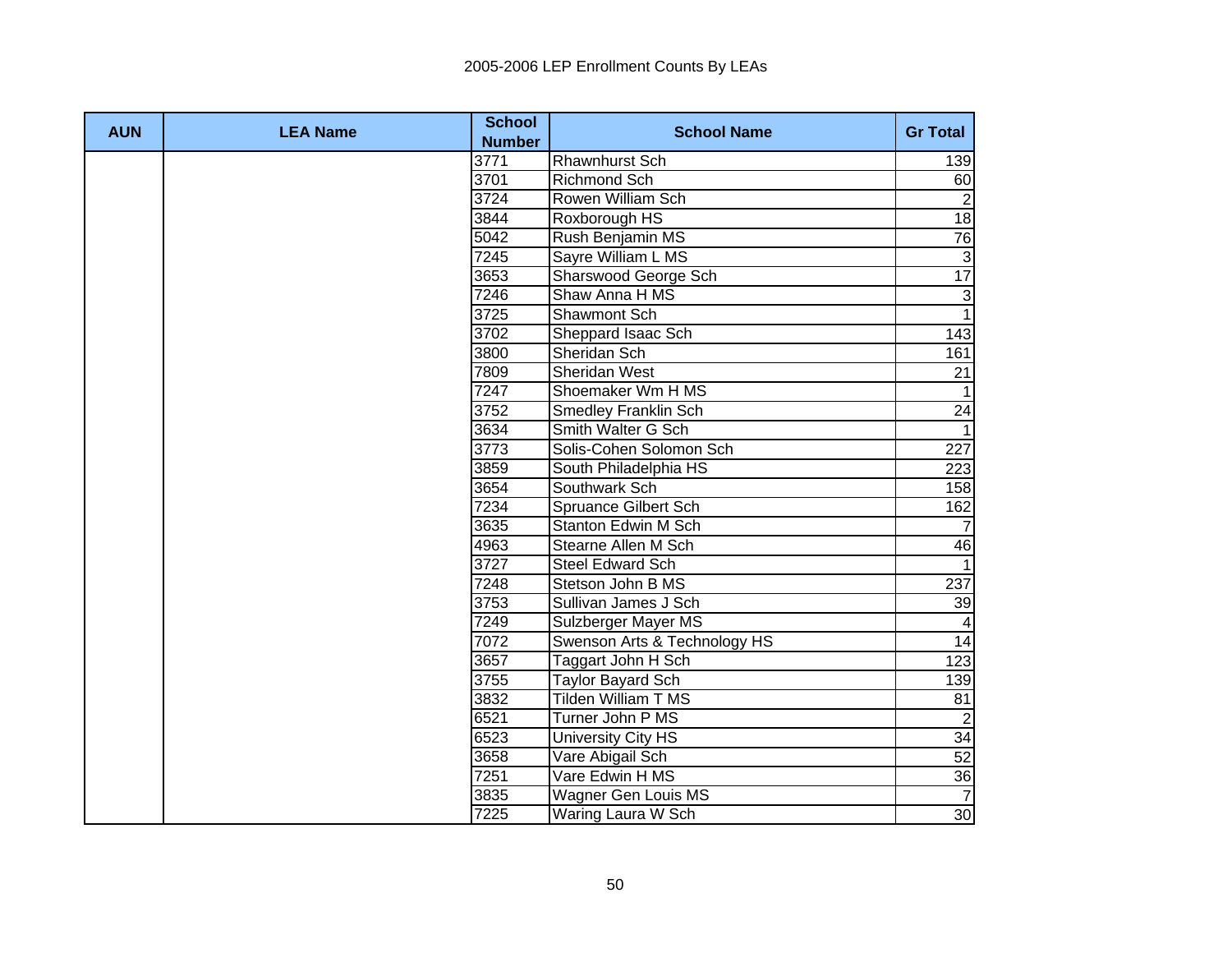| <b>AUN</b> | <b>LEA Name</b> | <b>School</b> | <b>School Name</b>           | <b>Gr Total</b>      |
|------------|-----------------|---------------|------------------------------|----------------------|
|            |                 | <b>Number</b> |                              |                      |
|            |                 | 3771          | <b>Rhawnhurst Sch</b>        | 139                  |
|            |                 | 3701          | <b>Richmond Sch</b>          | 60                   |
|            |                 | 3724          | Rowen William Sch            | $\overline{2}$       |
|            |                 | 3844          | Roxborough HS                | $\overline{18}$      |
|            |                 | 5042          | Rush Benjamin MS             | 76                   |
|            |                 | 7245          | Sayre William L MS           | $\overline{3}$       |
|            |                 | 3653          | Sharswood George Sch         | $\overline{17}$      |
|            |                 | 7246          | Shaw Anna H MS               | $\overline{3}$       |
|            |                 | 3725          | Shawmont Sch                 | $\overline{1}$       |
|            |                 | 3702          | Sheppard Isaac Sch           | 143                  |
|            |                 | 3800          | Sheridan Sch                 | 161                  |
|            |                 | 7809          | Sheridan West                | 21                   |
|            |                 | 7247          | Shoemaker Wm H MS            | $\overline{1}$       |
|            |                 | 3752          | Smedley Franklin Sch         | $\overline{24}$      |
|            |                 | 3634          | Smith Walter G Sch           | $\blacktriangleleft$ |
|            |                 | 3773          | Solis-Cohen Solomon Sch      | 227                  |
|            |                 | 3859          | South Philadelphia HS        | $\overline{223}$     |
|            |                 | 3654          | Southwark Sch                | 158                  |
|            |                 | 7234          | <b>Spruance Gilbert Sch</b>  | 162                  |
|            |                 | 3635          | Stanton Edwin M Sch          |                      |
|            |                 | 4963          | Stearne Allen M Sch          | 46                   |
|            |                 | 3727          | Steel Edward Sch             |                      |
|            |                 | 7248          | Stetson John B MS            | 237                  |
|            |                 | 3753          | Sullivan James J Sch         | 39                   |
|            |                 | 7249          | <b>Sulzberger Mayer MS</b>   | $\overline{4}$       |
|            |                 | 7072          | Swenson Arts & Technology HS | 14                   |
|            |                 | 3657          | Taggart John H Sch           | 123                  |
|            |                 | 3755          | <b>Taylor Bayard Sch</b>     | 139                  |
|            |                 | 3832          | <b>Tilden William T MS</b>   | 81                   |
|            |                 | 6521          | Turner John P MS             |                      |
|            |                 | 6523          | University City HS           | $\overline{34}$      |
|            |                 | 3658          | Vare Abigail Sch             | $\overline{52}$      |
|            |                 | 7251          | Vare Edwin H MS              | $\overline{36}$      |
|            |                 | 3835          | Wagner Gen Louis MS          | $\overline{7}$       |
|            |                 | 7225          | Waring Laura W Sch           | 30 <sup>1</sup>      |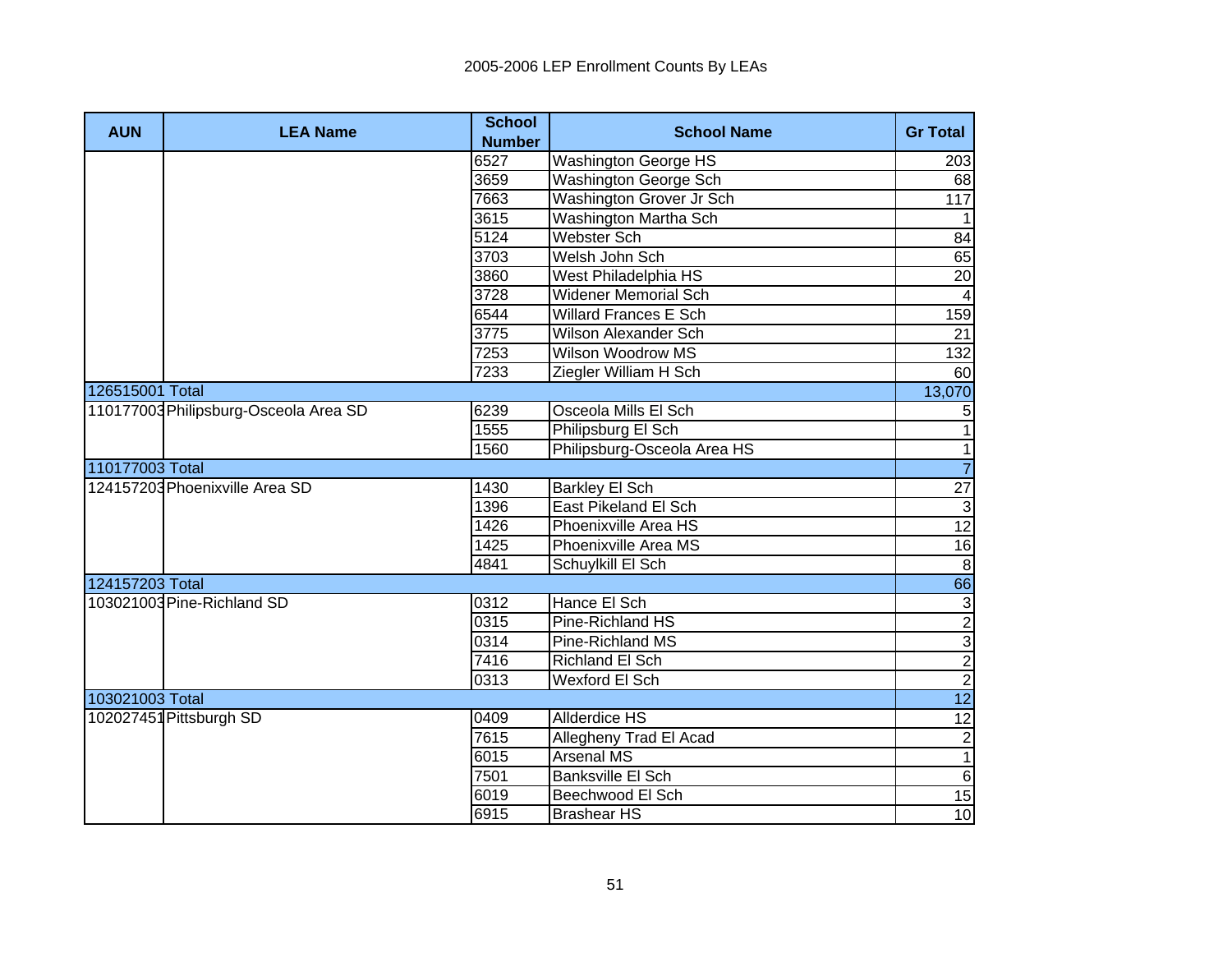| <b>AUN</b>      | <b>LEA Name</b>                       | <b>School</b><br><b>Number</b> | <b>School Name</b>           | <b>Gr Total</b> |
|-----------------|---------------------------------------|--------------------------------|------------------------------|-----------------|
|                 |                                       | 6527                           | <b>Washington George HS</b>  | 203             |
|                 |                                       | 3659                           | <b>Washington George Sch</b> | 68              |
|                 |                                       | 7663                           | Washington Grover Jr Sch     | 117             |
|                 |                                       | 3615                           | <b>Washington Martha Sch</b> | $\mathbf{1}$    |
|                 |                                       | 5124                           | <b>Webster Sch</b>           | 84              |
|                 |                                       | 3703                           | Welsh John Sch               | 65              |
|                 |                                       | 3860                           | West Philadelphia HS         | 20              |
|                 |                                       | 3728                           | <b>Widener Memorial Sch</b>  | $\overline{4}$  |
|                 |                                       | 6544                           | Willard Frances E Sch        | 159             |
|                 |                                       | 3775                           | <b>Wilson Alexander Sch</b>  | 21              |
|                 |                                       | 7253                           | Wilson Woodrow MS            | 132             |
|                 |                                       | 7233                           | Ziegler William H Sch        | 60              |
| 126515001 Total |                                       |                                |                              | 13,070          |
|                 | 110177003 Philipsburg-Osceola Area SD | 6239                           | Osceola Mills El Sch         | $\overline{5}$  |
|                 |                                       | 1555                           | Philipsburg El Sch           | $\mathbf{1}$    |
|                 |                                       | 1560                           | Philipsburg-Osceola Area HS  | $\mathbf{1}$    |
| 110177003 Total |                                       |                                |                              | $\overline{7}$  |
|                 | 124157203 Phoenixville Area SD        | 1430                           | <b>Barkley El Sch</b>        | 27              |
|                 |                                       | 1396                           | East Pikeland El Sch         | س               |
|                 |                                       | 1426                           | Phoenixville Area HS         | $\overline{12}$ |
|                 |                                       | 1425                           | Phoenixville Area MS         | $\overline{6}$  |
|                 |                                       | 4841                           | Schuylkill El Sch            | $\bf 8$         |
| 124157203 Total |                                       |                                |                              | 66              |
|                 | 103021003 Pine-Richland SD            | 0312                           | Hance El Sch                 | $\mathsf 3$     |
|                 |                                       | 0315                           | Pine-Richland HS             | $\overline{2}$  |
|                 |                                       | 0314                           | Pine-Richland MS             | $\overline{3}$  |
|                 |                                       | 7416                           | <b>Richland El Sch</b>       | $\overline{2}$  |
|                 |                                       | 0313                           | <b>Wexford El Sch</b>        | $\overline{2}$  |
| 103021003 Total |                                       |                                |                              | 12              |
|                 | 102027451 Pittsburgh SD               | 0409                           | <b>Allderdice HS</b>         | $\overline{12}$ |
|                 |                                       | 7615                           | Allegheny Trad El Acad       | $\overline{2}$  |
|                 |                                       | 6015                           | <b>Arsenal MS</b>            | $\mathbf{1}$    |
|                 |                                       | 7501                           | <b>Banksville El Sch</b>     | $\,6$           |
|                 |                                       | 6019                           | Beechwood El Sch             | 15              |
|                 |                                       | 6915                           | <b>Brashear HS</b>           | $\overline{10}$ |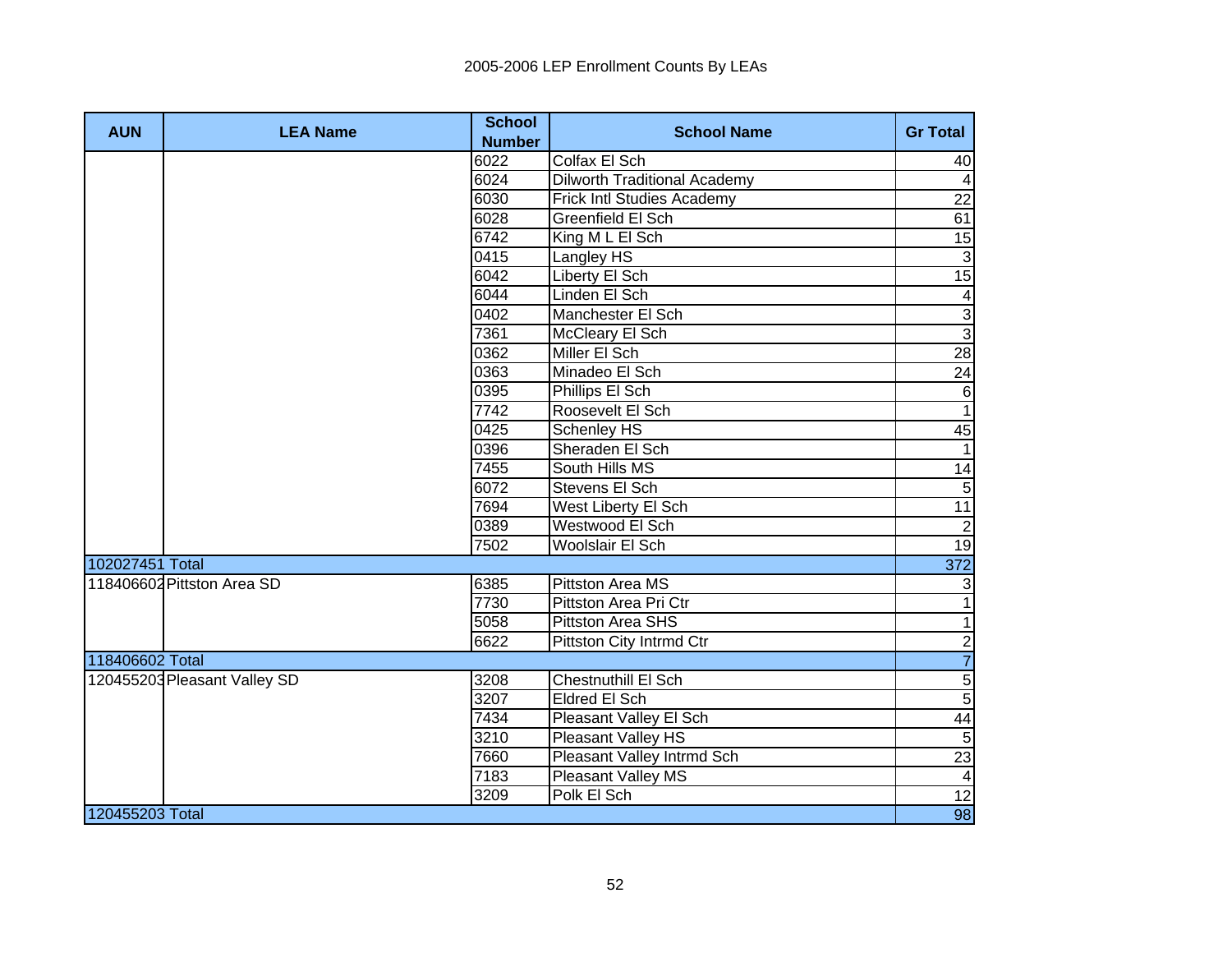| <b>AUN</b>      | <b>LEA Name</b>              | <b>School</b><br><b>Number</b> | <b>School Name</b>                  | <b>Gr Total</b>         |
|-----------------|------------------------------|--------------------------------|-------------------------------------|-------------------------|
|                 |                              | 6022                           | <b>Colfax El Sch</b>                | 40                      |
|                 |                              | 6024                           | <b>Dilworth Traditional Academy</b> |                         |
|                 |                              | 6030                           | <b>Frick Intl Studies Academy</b>   | $\overline{22}$         |
|                 |                              | 6028                           | <b>Greenfield El Sch</b>            | 61                      |
|                 |                              | 6742                           | King M L El Sch                     | 15                      |
|                 |                              | 0415                           | Langley HS                          | $\overline{3}$          |
|                 |                              | 6042                           | Liberty El Sch                      | 15                      |
|                 |                              | 6044                           | Linden El Sch                       |                         |
|                 |                              | 0402                           | Manchester El Sch                   |                         |
|                 |                              | 7361                           | McCleary El Sch                     | $\frac{3}{3}$           |
|                 |                              | 0362                           | Miller El Sch                       | 28                      |
|                 |                              | 0363                           | Minadeo El Sch                      | $\overline{24}$         |
|                 |                              | 0395                           | Phillips El Sch                     | $\,6$                   |
|                 |                              | 7742                           | Roosevelt El Sch                    |                         |
|                 |                              | 0425                           | Schenley HS                         | 45                      |
|                 |                              | 0396                           | Sheraden El Sch                     |                         |
|                 |                              | 7455                           | South Hills MS                      | $\overline{14}$         |
|                 |                              | 6072                           | Stevens El Sch                      | $\overline{5}$          |
|                 |                              | 7694                           | West Liberty El Sch                 | 11                      |
|                 |                              | 0389                           | Westwood El Sch                     | $\overline{2}$          |
|                 |                              | 7502                           | Woolslair El Sch                    | 19                      |
| 102027451 Total |                              |                                |                                     | $\frac{1}{372}$         |
|                 | 118406602 Pittston Area SD   | 6385                           | Pittston Area MS                    |                         |
|                 |                              | 7730                           | Pittston Area Pri Ctr               |                         |
|                 |                              | 5058                           | <b>Pittston Area SHS</b>            |                         |
|                 |                              | 6622                           | Pittston City Intrmd Ctr            | $\overline{\mathbf{c}}$ |
| 118406602 Total |                              |                                |                                     |                         |
|                 | 120455203 Pleasant Valley SD | 3208                           | <b>Chestnuthill El Sch</b>          | $\overline{5}$          |
|                 |                              | 3207                           | <b>Eldred El Sch</b>                | $\overline{5}$          |
|                 |                              | 7434                           | Pleasant Valley El Sch              | 44                      |
|                 |                              | 3210                           | Pleasant Valley HS                  | $\overline{5}$          |
|                 |                              | 7660                           | Pleasant Valley Intrmd Sch          | 23                      |
|                 |                              | 7183                           | Pleasant Valley MS                  | $\overline{\mathbf{4}}$ |
|                 |                              | 3209                           | Polk El Sch                         | 12                      |
| 120455203 Total |                              |                                |                                     | $\overline{98}$         |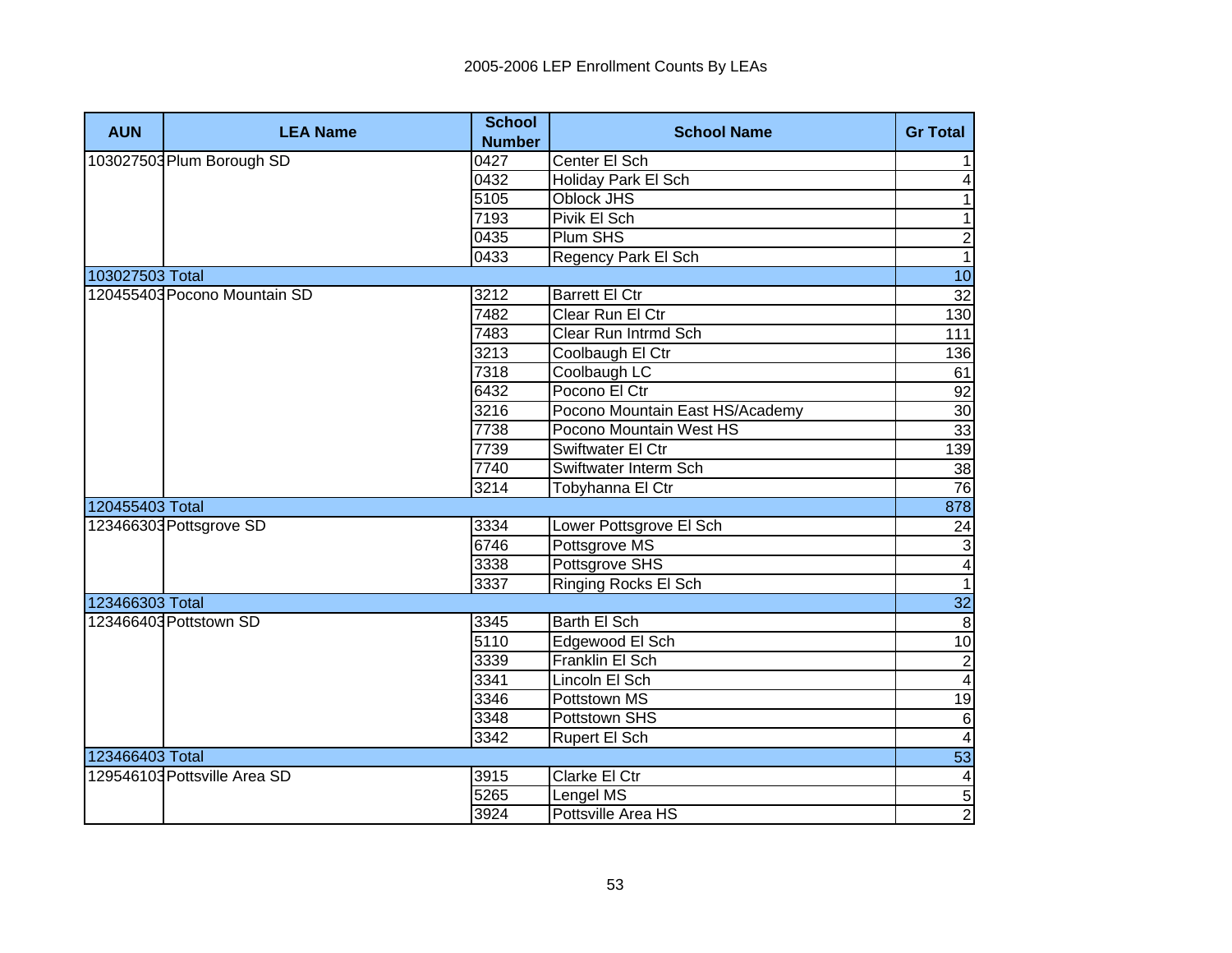| <b>AUN</b>                | <b>LEA Name</b>              | <b>School</b><br><b>Number</b> | <b>School Name</b>              | <b>Gr Total</b> |
|---------------------------|------------------------------|--------------------------------|---------------------------------|-----------------|
| 103027503 Plum Borough SD |                              | 0427                           | Center El Sch                   |                 |
|                           | 0432                         | <b>Holiday Park El Sch</b>     |                                 |                 |
|                           |                              | 5105                           | <b>Oblock JHS</b>               |                 |
|                           |                              | 7193                           | Pivik El Sch                    |                 |
|                           |                              | 0435                           | Plum SHS                        |                 |
|                           |                              | 0433                           | Regency Park El Sch             |                 |
| 103027503 Total           |                              |                                |                                 | 10              |
|                           | 120455403 Pocono Mountain SD | 3212                           | <b>Barrett El Ctr</b>           | $\overline{32}$ |
|                           |                              | 7482                           | Clear Run El Ctr                | 130             |
|                           |                              | 7483                           | Clear Run Intrmd Sch            | 111             |
|                           |                              | 3213                           | Coolbaugh El Ctr                | 136             |
|                           |                              | 7318                           | Coolbaugh LC                    | 61              |
|                           |                              | 6432                           | Pocono El Ctr                   | 92              |
|                           |                              | 3216                           | Pocono Mountain East HS/Academy | 30              |
|                           |                              | 7738                           | Pocono Mountain West HS         | 33              |
|                           |                              | 7739                           | Swiftwater El Ctr               | 139             |
|                           |                              | 7740                           | Swiftwater Interm Sch           | 38              |
|                           |                              | 3214                           | Tobyhanna El Ctr                | 76              |
| 120455403 Total           |                              |                                |                                 | 878             |
|                           | 123466303 Pottsgrove SD      | 3334                           | Lower Pottsgrove El Sch         | 24              |
|                           |                              | 6746                           | Pottsgrove MS                   | 3               |
|                           |                              | 3338                           | Pottsgrove SHS                  | 4               |
|                           |                              | 3337                           | Ringing Rocks El Sch            |                 |
| 123466303 Total           |                              |                                |                                 | $\overline{32}$ |
|                           | 123466403 Pottstown SD       | 3345                           | <b>Barth El Sch</b>             | 8               |
|                           |                              | 5110                           | Edgewood El Sch                 | 10              |
|                           |                              | 3339                           | Franklin El Sch                 | $\overline{2}$  |
|                           |                              | 3341                           | Lincoln El Sch                  | 4               |
|                           |                              | 3346                           | <b>Pottstown MS</b>             | 19              |
|                           |                              | 3348                           | Pottstown SHS                   | 6               |
|                           |                              | 3342                           | Rupert El Sch                   |                 |
| 123466403 Total           |                              |                                |                                 | 53              |
|                           | 129546103 Pottsville Area SD | 3915                           | Clarke El Ctr                   | 4               |
|                           |                              | 5265                           | Lengel MS                       | 5               |
|                           |                              | 3924                           | Pottsville Area HS              | $\overline{c}$  |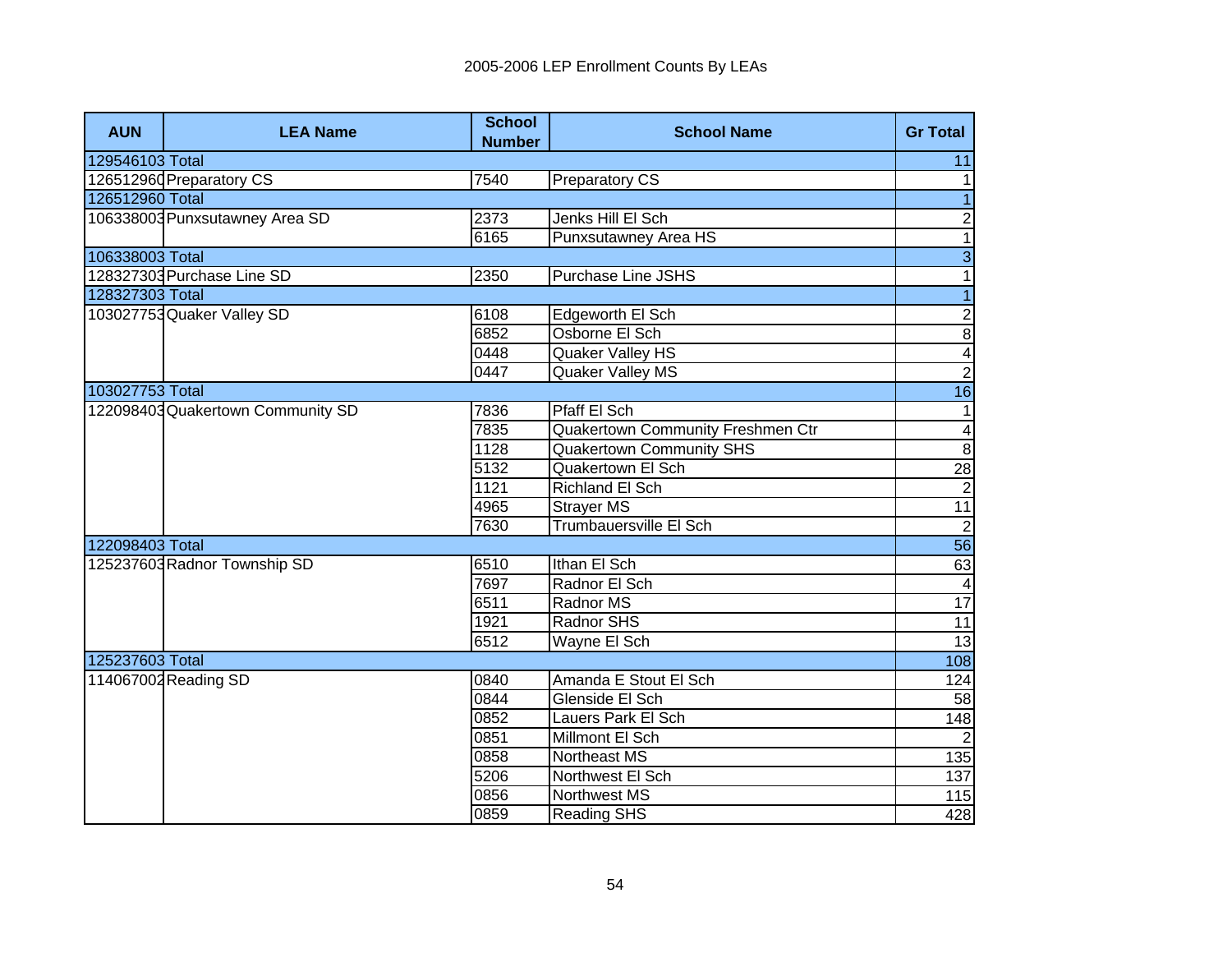| <b>AUN</b>      | <b>LEA Name</b>                   | <b>School</b><br><b>Number</b> | <b>School Name</b>                | <b>Gr Total</b>         |
|-----------------|-----------------------------------|--------------------------------|-----------------------------------|-------------------------|
| 129546103 Total |                                   |                                |                                   | 11                      |
|                 | 126512960 Preparatory CS          | 7540                           | <b>Preparatory CS</b>             | 1                       |
| 126512960 Total |                                   |                                |                                   | $\overline{1}$          |
|                 | 106338003 Punxsutawney Area SD    | 2373                           | Jenks Hill El Sch                 | $\overline{\mathbf{c}}$ |
|                 |                                   | 6165                           | Punxsutawney Area HS              | $\mathbf{1}$            |
| 106338003 Total |                                   |                                |                                   | $\overline{3}$          |
|                 | 128327303 Purchase Line SD        | 2350                           | Purchase Line JSHS                | $\mathbf{1}$            |
| 128327303 Total |                                   |                                |                                   | $\overline{1}$          |
|                 | 103027753 Quaker Valley SD        | 6108                           | Edgeworth El Sch                  | $\overline{2}$          |
|                 |                                   | 6852                           | Osborne El Sch                    | $\bf 8$                 |
|                 |                                   | 0448                           | Quaker Valley HS                  | $\overline{4}$          |
|                 |                                   | 0447                           | Quaker Valley MS                  | $\overline{2}$          |
| 103027753 Total |                                   |                                |                                   | 16                      |
|                 | 122098403 Quakertown Community SD | 7836                           | Pfaff El Sch                      | $\mathbf{1}$            |
|                 |                                   | 7835                           | Quakertown Community Freshmen Ctr | $\overline{\mathbf{4}}$ |
|                 |                                   | 1128                           | <b>Quakertown Community SHS</b>   | $\overline{8}$          |
|                 |                                   | 5132                           | <b>Quakertown El Sch</b>          | 28                      |
|                 |                                   | 1121                           | <b>Richland El Sch</b>            | $\overline{2}$          |
|                 |                                   | 4965                           | <b>Strayer MS</b>                 | 11                      |
|                 |                                   | 7630                           | Trumbauersville El Sch            | $\overline{2}$          |
| 122098403 Total |                                   |                                |                                   | 56                      |
|                 | 125237603 Radnor Township SD      | 6510                           | Ithan El Sch                      | 63                      |
|                 |                                   | 7697                           | Radnor El Sch                     | $\overline{4}$          |
|                 |                                   | 6511                           | Radnor MS                         | 17                      |
|                 |                                   | 1921                           | Radnor SHS                        | 11                      |
|                 |                                   | 6512                           | Wayne El Sch                      | 13                      |
| 125237603 Total |                                   |                                |                                   | 108                     |
|                 | 114067002 Reading SD              | 0840                           | Amanda E Stout El Sch             | 124                     |
|                 |                                   | 0844                           | Glenside El Sch                   | 58                      |
|                 |                                   | 0852                           | Lauers Park El Sch                | 148                     |
|                 |                                   | 0851                           | Millmont El Sch                   | $\overline{2}$          |
|                 |                                   | 0858                           | Northeast MS                      | 135                     |
|                 |                                   | 5206                           | Northwest El Sch                  | 137                     |
|                 |                                   | 0856                           | Northwest MS                      | 115                     |
|                 |                                   | 0859                           | <b>Reading SHS</b>                | 428                     |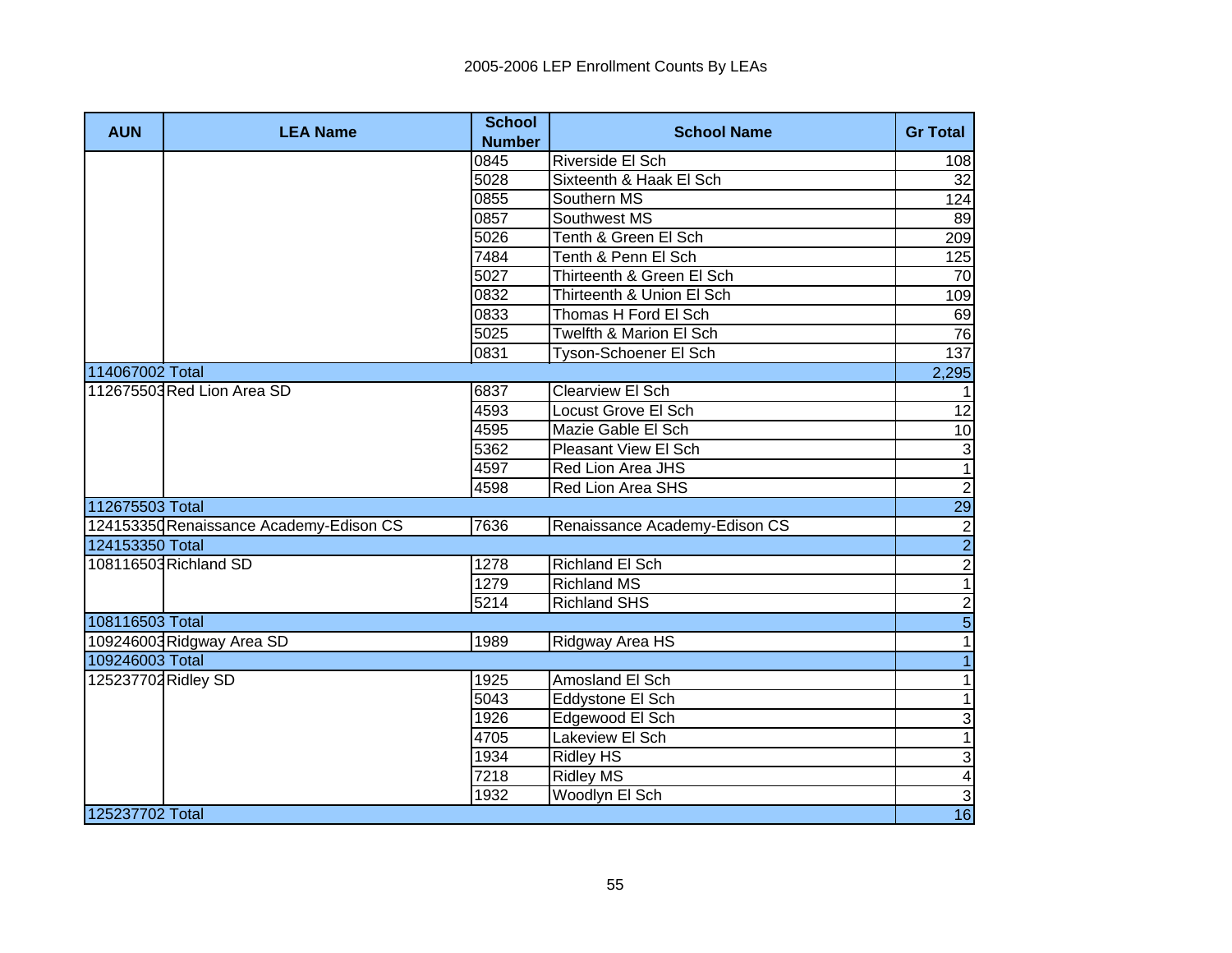| <b>AUN</b>          | <b>LEA Name</b>                         | <b>School</b> | <b>School Name</b>            | <b>Gr Total</b> |
|---------------------|-----------------------------------------|---------------|-------------------------------|-----------------|
|                     |                                         | <b>Number</b> |                               |                 |
|                     |                                         | 0845          | Riverside El Sch              | 108             |
|                     |                                         | 5028          | Sixteenth & Haak El Sch       | 32              |
|                     |                                         | 0855          | Southern MS                   | 124             |
|                     |                                         | 0857          | Southwest MS                  | 89              |
|                     |                                         | 5026          | Tenth & Green El Sch          | 209             |
|                     |                                         | 7484          | Tenth & Penn El Sch           | 125             |
|                     |                                         | 5027          | Thirteenth & Green El Sch     | 70              |
|                     |                                         | 0832          | Thirteenth & Union El Sch     | 109             |
|                     |                                         | 0833          | Thomas H Ford El Sch          | 69              |
|                     |                                         | 5025          | Twelfth & Marion El Sch       | $\overline{76}$ |
|                     |                                         | 0831          | Tyson-Schoener El Sch         | 137             |
| 114067002 Total     |                                         |               |                               | 2,295           |
|                     | 112675503 Red Lion Area SD              | 6837          | <b>Clearview El Sch</b>       |                 |
|                     |                                         | 4593          | Locust Grove El Sch           | 12              |
|                     |                                         | 4595          | Mazie Gable El Sch            | 10              |
|                     |                                         | 5362          | Pleasant View El Sch          | 3               |
|                     |                                         | 4597          | Red Lion Area JHS             |                 |
|                     |                                         | 4598          | <b>Red Lion Area SHS</b>      |                 |
| 112675503 Total     |                                         |               |                               | 29              |
|                     | 124153350 Renaissance Academy-Edison CS | 7636          | Renaissance Academy-Edison CS | $\overline{2}$  |
| 124153350 Total     |                                         |               |                               |                 |
|                     | 108116503 Richland SD                   | 1278          | <b>Richland El Sch</b>        | 2               |
|                     |                                         | 1279          | <b>Richland MS</b>            |                 |
|                     |                                         | 5214          | <b>Richland SHS</b>           |                 |
| 108116503 Total     |                                         |               |                               |                 |
|                     | 109246003 Ridgway Area SD               | 1989          | Ridgway Area HS               |                 |
| 109246003 Total     |                                         |               |                               |                 |
| 125237702 Ridley SD |                                         | 1925          | Amosland El Sch               |                 |
|                     |                                         | 5043          | Eddystone El Sch              |                 |
|                     |                                         | 1926          | Edgewood El Sch               |                 |
|                     |                                         | 4705          | Lakeview El Sch               |                 |
|                     |                                         | 1934          | <b>Ridley HS</b>              | 3               |
|                     |                                         | 7218          | <b>Ridley MS</b>              | 4               |
|                     |                                         | 1932          | Woodlyn El Sch                | 3               |
| 125237702 Total     |                                         |               |                               | 16              |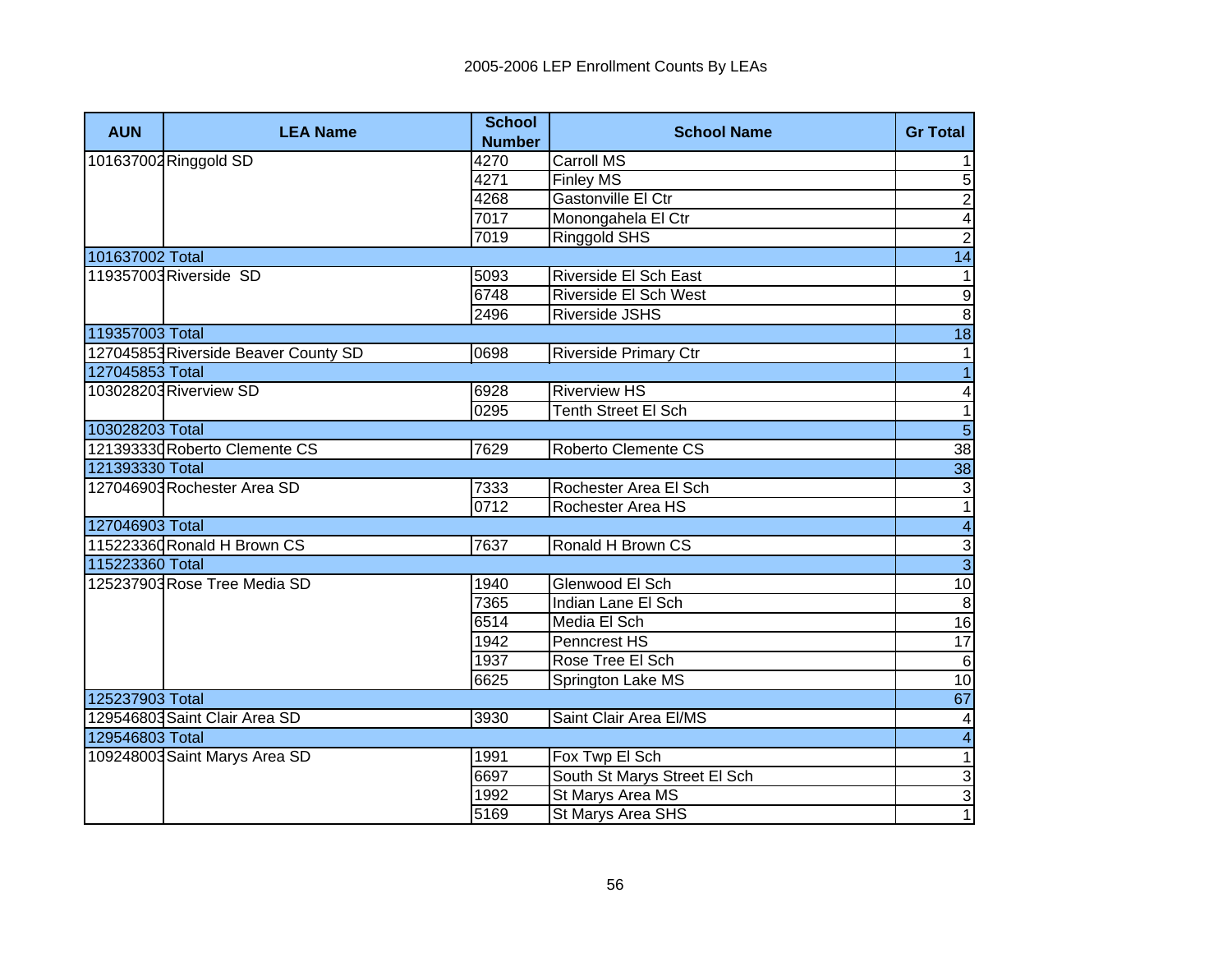| <b>AUN</b>      | <b>LEA Name</b>                      | <b>School</b><br><b>Number</b> | <b>School Name</b>           | <b>Gr Total</b>         |
|-----------------|--------------------------------------|--------------------------------|------------------------------|-------------------------|
|                 | 101637002 Ringgold SD                | 4270                           | <b>Carroll MS</b>            | 1                       |
|                 |                                      | 4271                           | <b>Finley MS</b>             | $\overline{5}$          |
|                 |                                      | 4268                           | Gastonville El Ctr           | $\overline{2}$          |
|                 |                                      | 7017                           | Monongahela El Ctr           | $\overline{4}$          |
|                 |                                      | 7019                           | Ringgold SHS                 | $\overline{2}$          |
| 101637002 Total |                                      |                                |                              | 14                      |
|                 | 119357003 Riverside SD               | 5093                           | Riverside El Sch East        | 1                       |
|                 |                                      | 6748                           | <b>Riverside El Sch West</b> | $\overline{9}$          |
|                 |                                      | 2496                           | Riverside JSHS               | $\overline{8}$          |
| 119357003 Total |                                      |                                |                              | 18                      |
|                 | 127045853 Riverside Beaver County SD | 0698                           | Riverside Primary Ctr        | $\mathbf{1}$            |
| 127045853 Total |                                      |                                |                              | $\overline{1}$          |
|                 | 103028203 Riverview SD               | 6928                           | <b>Riverview HS</b>          | $\overline{4}$          |
|                 |                                      | 0295                           | <b>Tenth Street El Sch</b>   | $\overline{1}$          |
| 103028203 Total |                                      |                                |                              | $\overline{5}$          |
|                 | 121393330 Roberto Clemente CS        | 7629                           | Roberto Clemente CS          | 38                      |
| 121393330 Total |                                      |                                |                              | 38                      |
|                 | 127046903 Rochester Area SD          | 7333                           | Rochester Area El Sch        | $\mathbf{3}$            |
|                 |                                      | 0712                           | Rochester Area HS            | $\overline{1}$          |
| 127046903 Total |                                      |                                |                              | $\overline{\mathbf{4}}$ |
|                 | 115223360 Ronald H Brown CS          | 7637                           | Ronald H Brown CS            |                         |
| 115223360 Total |                                      |                                |                              | س <mark> </mark> س      |
|                 | 125237903 Rose Tree Media SD         | 1940                           | Glenwood El Sch              | 10                      |
|                 |                                      | 7365                           | Indian Lane El Sch           | 8                       |
|                 |                                      | 6514                           | Media El Sch                 | $\overline{6}$          |
|                 |                                      | 1942                           | Penncrest HS                 | 17                      |
|                 |                                      | 1937                           | Rose Tree El Sch             | 6                       |
|                 |                                      | 6625                           | Springton Lake MS            | 10                      |
| 125237903 Total |                                      |                                |                              | 67                      |
|                 | 129546803 Saint Clair Area SD        | 3930                           | Saint Clair Area El/MS       | 4                       |
| 129546803 Total |                                      |                                |                              | $\overline{\mathbf{A}}$ |
|                 | 109248003 Saint Marys Area SD        | 1991                           | Fox Twp El Sch               | $\mathbf{1}$            |
|                 |                                      | 6697                           | South St Marys Street El Sch | نن                      |
|                 |                                      | 1992                           | St Marys Area MS             | $\overline{3}$          |
|                 |                                      | 5169                           | St Marys Area SHS            | $\overline{1}$          |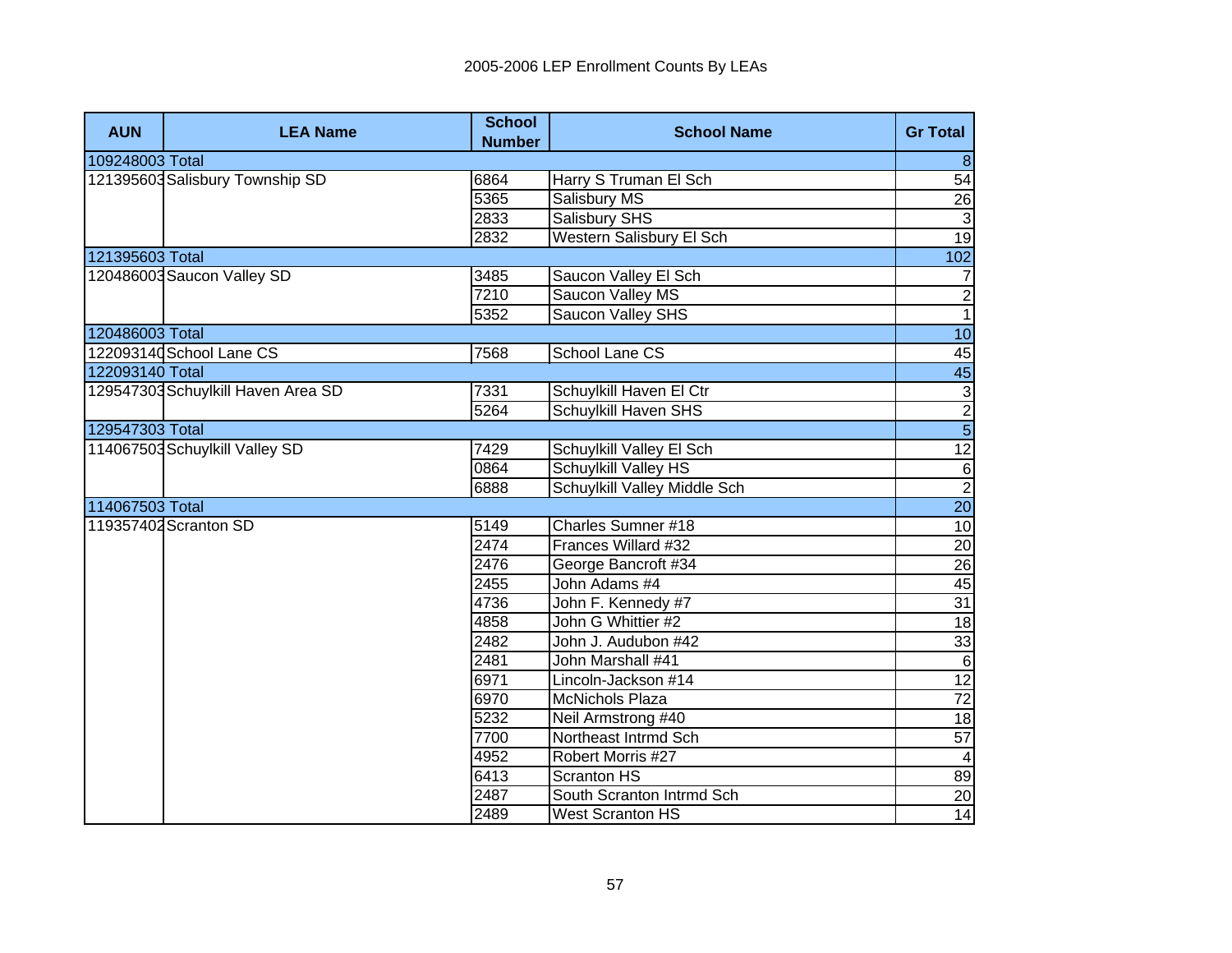| <b>AUN</b>      | <b>LEA Name</b>                    | <b>School</b><br><b>Number</b> | <b>School Name</b>           | <b>Gr Total</b>         |
|-----------------|------------------------------------|--------------------------------|------------------------------|-------------------------|
| 109248003 Total |                                    |                                |                              | 8                       |
|                 | 121395603 Salisbury Township SD    | 6864                           | Harry S Truman El Sch        | 54                      |
|                 |                                    | 5365                           | Salisbury MS                 | $\overline{26}$         |
|                 |                                    | 2833                           | <b>Salisbury SHS</b>         | دی                      |
|                 |                                    | 2832                           | Western Salisbury El Sch     | 19                      |
| 121395603 Total |                                    |                                |                              | 102                     |
|                 | 120486003 Saucon Valley SD         | 3485                           | Saucon Valley El Sch         | $\overline{7}$          |
|                 |                                    | 7210                           | Saucon Valley MS             | $\overline{2}$          |
|                 |                                    | 5352                           | Saucon Valley SHS            | $\mathbf{1}$            |
| 120486003 Total |                                    |                                |                              | 10                      |
|                 | 122093140 School Lane CS           | 7568                           | School Lane CS               | 45                      |
| 122093140 Total |                                    |                                |                              | 45                      |
|                 | 129547303 Schuylkill Haven Area SD | 7331                           | Schuylkill Haven El Ctr      |                         |
|                 |                                    | 5264                           | Schuylkill Haven SHS         | $\frac{3}{5}$           |
| 129547303 Total |                                    |                                |                              |                         |
|                 | 114067503 Schuylkill Valley SD     | 7429                           | Schuylkill Valley El Sch     | 12                      |
|                 |                                    | 0864                           | Schuylkill Valley HS         | $\,6$                   |
|                 |                                    | 6888                           | Schuylkill Valley Middle Sch | $\overline{2}$          |
| 114067503 Total |                                    |                                |                              | 20                      |
|                 | 119357402 Scranton SD              | 5149                           | <b>Charles Sumner #18</b>    | 10                      |
|                 |                                    | 2474                           | Frances Willard #32          | $\overline{20}$         |
|                 |                                    | 2476                           | George Bancroft #34          | 26                      |
|                 |                                    | 2455                           | John Adams #4                | 45                      |
|                 |                                    | 4736                           | John F. Kennedy #7           | 31                      |
|                 |                                    | 4858                           | John G Whittier #2           | $\frac{1}{8}$           |
|                 |                                    | 2482                           | John J. Audubon #42          | 33                      |
|                 |                                    | 2481                           | John Marshall #41            | $\,6$                   |
|                 |                                    | 6971                           | Lincoln-Jackson #14          | 12                      |
|                 |                                    | 6970                           | <b>McNichols Plaza</b>       | $72\,$                  |
|                 |                                    | 5232                           | Neil Armstrong #40           | $\overline{18}$         |
|                 |                                    | 7700                           | Northeast Intrmd Sch         | 57                      |
|                 |                                    | 4952                           | Robert Morris #27            | $\overline{\mathbf{4}}$ |
|                 |                                    | 6413                           | <b>Scranton HS</b>           | 89                      |
|                 |                                    | 2487                           | South Scranton Intrmd Sch    | $\overline{20}$         |
|                 |                                    | 2489                           | <b>West Scranton HS</b>      | $\overline{14}$         |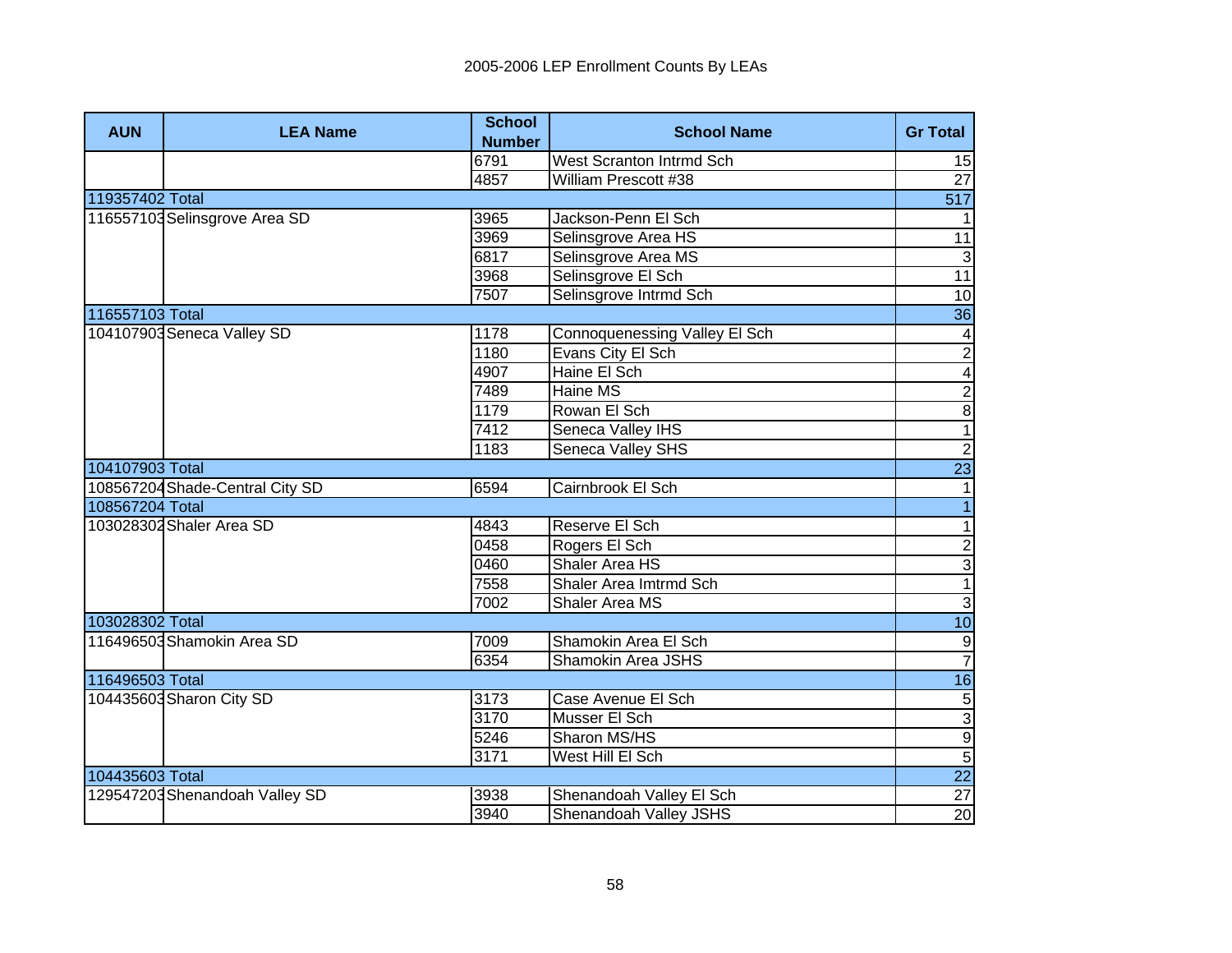| <b>AUN</b>      | <b>LEA Name</b>                 | <b>School</b><br><b>Number</b> | <b>School Name</b>              | <b>Gr Total</b>          |
|-----------------|---------------------------------|--------------------------------|---------------------------------|--------------------------|
|                 |                                 | 6791                           | <b>West Scranton Intrmd Sch</b> | 15                       |
|                 |                                 | 4857                           | William Prescott #38            | 27                       |
| 119357402 Total |                                 |                                |                                 | 517                      |
|                 | 116557103 Selinsgrove Area SD   | 3965                           | Jackson-Penn El Sch             | $\mathbf{1}$             |
|                 |                                 | 3969                           | Selinsgrove Area HS             | 11                       |
|                 |                                 | 6817                           | Selinsgrove Area MS             | $\overline{3}$           |
|                 |                                 | 3968                           | Selinsgrove El Sch              | $\overline{11}$          |
|                 |                                 | 7507                           | Selinsgrove Intrmd Sch          | $10$                     |
| 116557103 Total |                                 |                                |                                 | $\overline{36}$          |
|                 | 104107903 Seneca Valley SD      | 1178                           | Connoquenessing Valley El Sch   | $\overline{\mathcal{A}}$ |
|                 |                                 | 1180                           | Evans City El Sch               | $\overline{2}$           |
|                 |                                 | 4907                           | Haine El Sch                    | $\overline{4}$           |
|                 |                                 | 7489                           | Haine MS                        | $\overline{2}$           |
|                 |                                 | 1179                           | Rowan El Sch                    | $\overline{8}$           |
|                 | 7412                            | Seneca Valley IHS              | $\overline{1}$                  |                          |
|                 |                                 | 1183                           | Seneca Valley SHS               | $\overline{2}$           |
| 104107903 Total |                                 |                                |                                 | $\overline{23}$          |
|                 | 108567204 Shade-Central City SD | 6594                           | Cairnbrook El Sch               | $\mathbf{1}$             |
| 108567204 Total |                                 |                                |                                 | $\overline{1}$           |
|                 | 103028302 Shaler Area SD        | 4843                           | Reserve El Sch                  | $\mathbf{1}$             |
|                 |                                 | 0458                           | Rogers El Sch                   | $\frac{2}{3}$            |
|                 |                                 | 0460                           | Shaler Area HS                  |                          |
|                 |                                 | 7558                           | Shaler Area Imtrmd Sch          | $\overline{1}$           |
|                 |                                 | 7002                           | Shaler Area MS                  | $\overline{3}$           |
| 103028302 Total |                                 |                                |                                 | 10                       |
|                 | 116496503 Shamokin Area SD      | 7009                           | Shamokin Area El Sch            | $\overline{9}$           |
|                 |                                 | 6354                           | <b>Shamokin Area JSHS</b>       | $\overline{7}$           |
| 116496503 Total |                                 |                                |                                 | 16                       |
|                 | 104435603 Sharon City SD        | 3173                           | Case Avenue El Sch              | $\sqrt{5}$               |
|                 |                                 | 3170                           | Musser El Sch                   | $\overline{3}$           |
|                 |                                 | 5246                           | Sharon MS/HS                    | $\overline{9}$           |
|                 |                                 | 3171                           | West Hill El Sch                | $\overline{5}$           |
| 104435603 Total |                                 |                                |                                 | 22                       |
|                 | 129547203 Shenandoah Valley SD  | 3938                           | Shenandoah Valley El Sch        | 27                       |
|                 |                                 | 3940                           | Shenandoah Valley JSHS          | 20                       |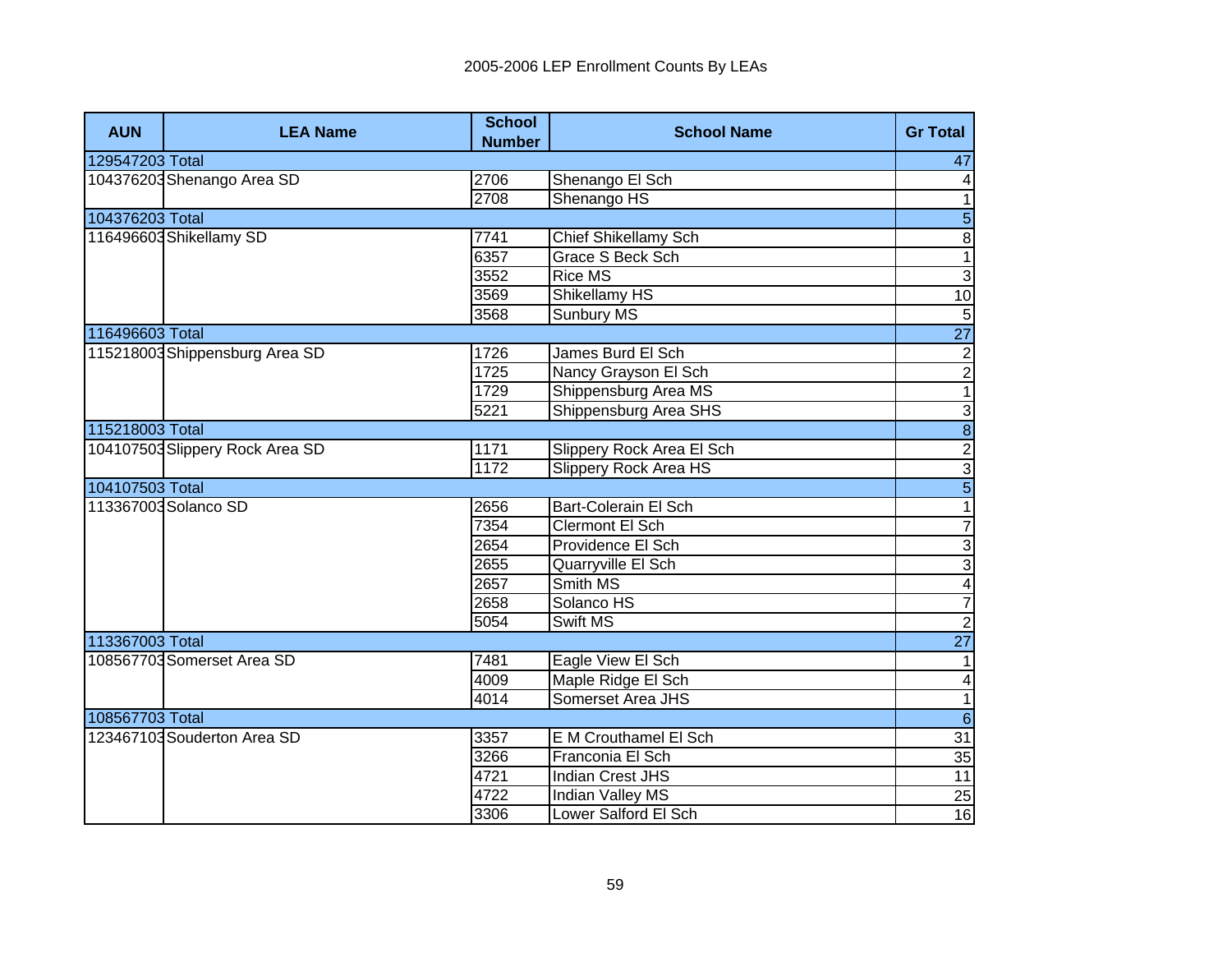| <b>AUN</b>      | <b>LEA Name</b>                 | <b>School</b><br><b>Number</b> | <b>School Name</b>           | <b>Gr Total</b>          |
|-----------------|---------------------------------|--------------------------------|------------------------------|--------------------------|
| 129547203 Total |                                 |                                |                              | 47                       |
|                 | 104376203 Shenango Area SD      | 2706                           | Shenango El Sch              | 4                        |
|                 |                                 | 2708                           | Shenango HS                  | $\overline{1}$           |
| 104376203 Total |                                 |                                |                              | $\overline{5}$           |
|                 | 116496603 Shikellamy SD         | 7741                           | <b>Chief Shikellamy Sch</b>  | $\overline{8}$           |
|                 |                                 | 6357                           | <b>Grace S Beck Sch</b>      | $\overline{1}$           |
|                 |                                 | 3552                           | <b>Rice MS</b>               | $\overline{3}$           |
|                 |                                 | 3569                           | Shikellamy HS                | $10$                     |
|                 |                                 | 3568                           | Sunbury MS                   | $\sqrt{5}$               |
| 116496603 Total |                                 |                                |                              | $\overline{27}$          |
|                 | 115218003 Shippensburg Area SD  | 1726                           | James Burd El Sch            |                          |
|                 |                                 | 1725                           | Nancy Grayson El Sch         | $\frac{2}{2}$            |
|                 |                                 | 1729                           | Shippensburg Area MS         |                          |
|                 |                                 | 5221                           | Shippensburg Area SHS        | $\frac{3}{8}$            |
| 115218003 Total |                                 |                                |                              |                          |
|                 | 104107503 Slippery Rock Area SD | 1171                           | Slippery Rock Area El Sch    |                          |
|                 |                                 | 1172                           | <b>Slippery Rock Area HS</b> | $\frac{2}{3}$            |
| 104107503 Total |                                 |                                |                              |                          |
|                 | 113367003 Solanco SD            | 2656                           | <b>Bart-Colerain El Sch</b>  | $\overline{1}$           |
|                 |                                 | 7354                           | <b>Clermont El Sch</b>       | $\overline{7}$           |
|                 |                                 | 2654                           | Providence El Sch            | $\overline{3}$           |
|                 |                                 | 2655                           | Quarryville El Sch           | $\overline{3}$           |
|                 |                                 | 2657                           | Smith MS                     | $\overline{\mathcal{A}}$ |
|                 |                                 | 2658                           | Solanco HS                   | $\overline{7}$           |
|                 |                                 | 5054                           | <b>Swift MS</b>              | $\overline{2}$           |
| 113367003 Total |                                 |                                |                              | $\overline{27}$          |
|                 | 108567703 Somerset Area SD      | 7481                           | Eagle View El Sch            | $\mathbf{1}$             |
|                 |                                 | 4009                           | Maple Ridge El Sch           | $\overline{4}$           |
|                 |                                 | 4014                           | Somerset Area JHS            | $\overline{1}$           |
| 108567703 Total |                                 |                                |                              | $\overline{6}$           |
|                 | 123467103 Souderton Area SD     | 3357                           | E M Crouthamel El Sch        | 31                       |
|                 |                                 | 3266                           | Franconia El Sch             | 35                       |
|                 |                                 | 4721                           | <b>Indian Crest JHS</b>      | 11                       |
|                 |                                 | 4722                           | Indian Valley MS             | 25                       |
|                 |                                 | 3306                           | Lower Salford El Sch         | $\overline{16}$          |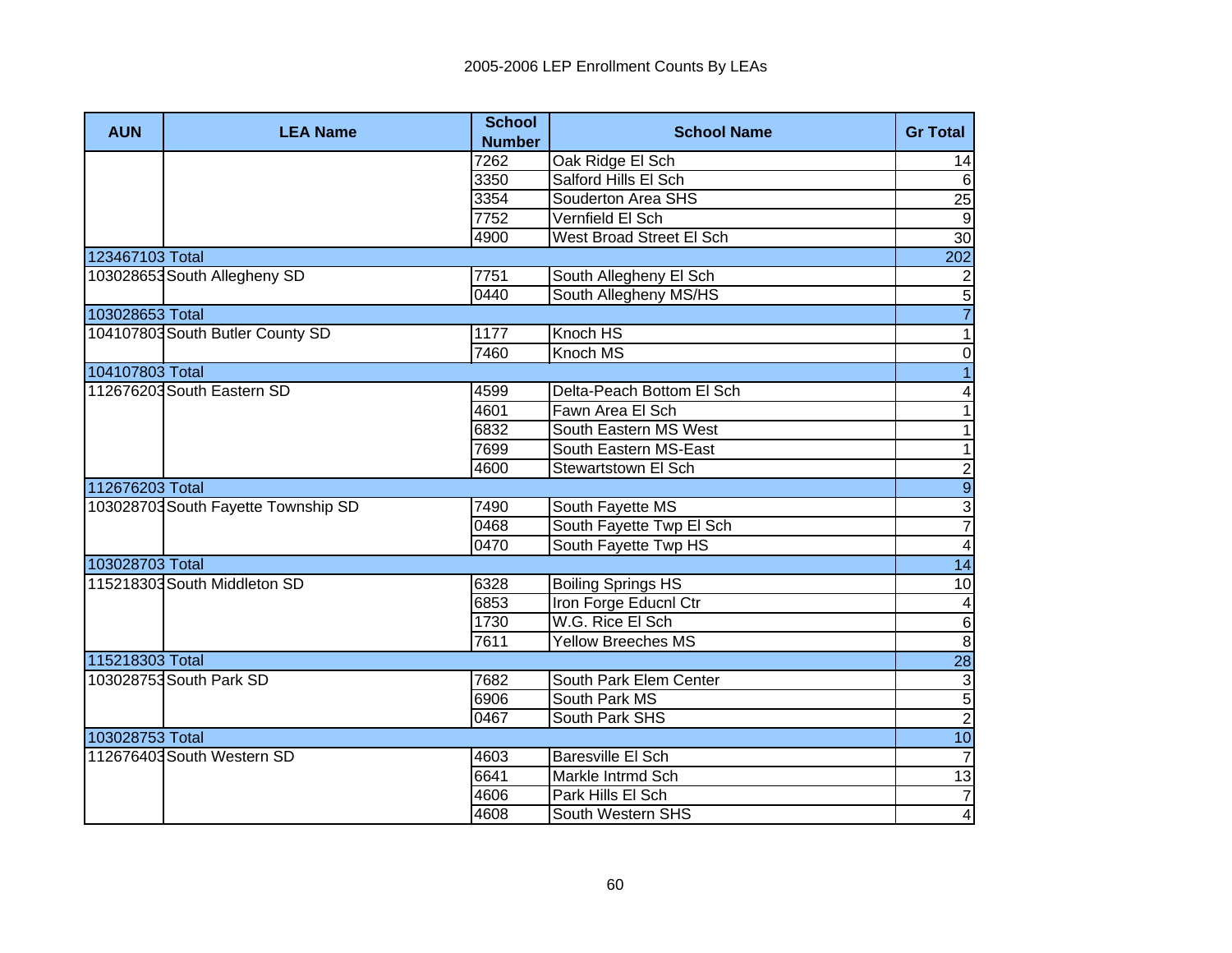| <b>AUN</b>      | <b>LEA Name</b>                     | <b>School</b><br><b>Number</b> | <b>School Name</b>        | <b>Gr Total</b>         |
|-----------------|-------------------------------------|--------------------------------|---------------------------|-------------------------|
|                 |                                     | 7262                           | Oak Ridge El Sch          | 14                      |
|                 |                                     | 3350                           | Salford Hills El Sch      | 6                       |
|                 |                                     | 3354                           | <b>Souderton Area SHS</b> | $\overline{25}$         |
|                 |                                     | 7752                           | Vernfield El Sch          | $\overline{9}$          |
|                 |                                     | 4900                           | West Broad Street El Sch  | 30                      |
| 123467103 Total |                                     |                                |                           | 202                     |
|                 | 103028653 South Allegheny SD        | 7751                           | South Allegheny El Sch    | $\sqrt{2}$              |
|                 |                                     | 0440                           | South Allegheny MS/HS     | 5                       |
| 103028653 Total |                                     |                                |                           | $\overline{7}$          |
|                 | 104107803 South Butler County SD    | 1177                           | Knoch HS                  | $\mathbf{1}$            |
|                 |                                     | 7460                           | Knoch MS                  | $\overline{0}$          |
| 104107803 Total |                                     |                                |                           | $\overline{1}$          |
|                 | 112676203 South Eastern SD          | 4599                           | Delta-Peach Bottom El Sch | 4                       |
|                 |                                     | 4601                           | Fawn Area El Sch          | $\mathbf{1}$            |
|                 |                                     | 6832                           | South Eastern MS West     | $\mathbf{1}$            |
|                 |                                     | 7699                           | South Eastern MS-East     | $\mathbf{1}$            |
|                 |                                     | 4600                           | Stewartstown El Sch       |                         |
| 112676203 Total |                                     |                                |                           |                         |
|                 | 103028703 South Fayette Township SD | 7490                           | South Fayette MS          | <u>ی مام</u>            |
|                 |                                     | 0468                           | South Fayette Twp El Sch  |                         |
|                 |                                     | 0470                           | South Fayette Twp HS      | $\overline{\mathbf{4}}$ |
| 103028703 Total |                                     |                                |                           | 14                      |
|                 | 115218303 South Middleton SD        | 6328                           | <b>Boiling Springs HS</b> | 10                      |
|                 |                                     | 6853                           | Iron Forge Educnl Ctr     | $\overline{4}$          |
|                 |                                     | 1730                           | W.G. Rice El Sch          | $\overline{6}$          |
|                 |                                     | 7611                           | <b>Yellow Breeches MS</b> | $\overline{8}$          |
| 115218303 Total |                                     |                                |                           | 28                      |
|                 | 103028753 South Park SD             | 7682                           | South Park Elem Center    | $\mathbf{3}$            |
|                 |                                     | 6906                           | South Park MS             | $\overline{5}$          |
|                 |                                     | 0467                           | South Park SHS            | $\overline{2}$          |
| 103028753 Total |                                     |                                |                           | 10                      |
|                 | 112676403 South Western SD          | 4603                           | <b>Baresville El Sch</b>  | $\overline{7}$          |
|                 |                                     | 6641                           | Markle Intrmd Sch         | 13                      |
|                 |                                     | 4606                           | Park Hills El Sch         | $\overline{7}$          |
|                 |                                     | 4608                           | South Western SHS         | $\overline{4}$          |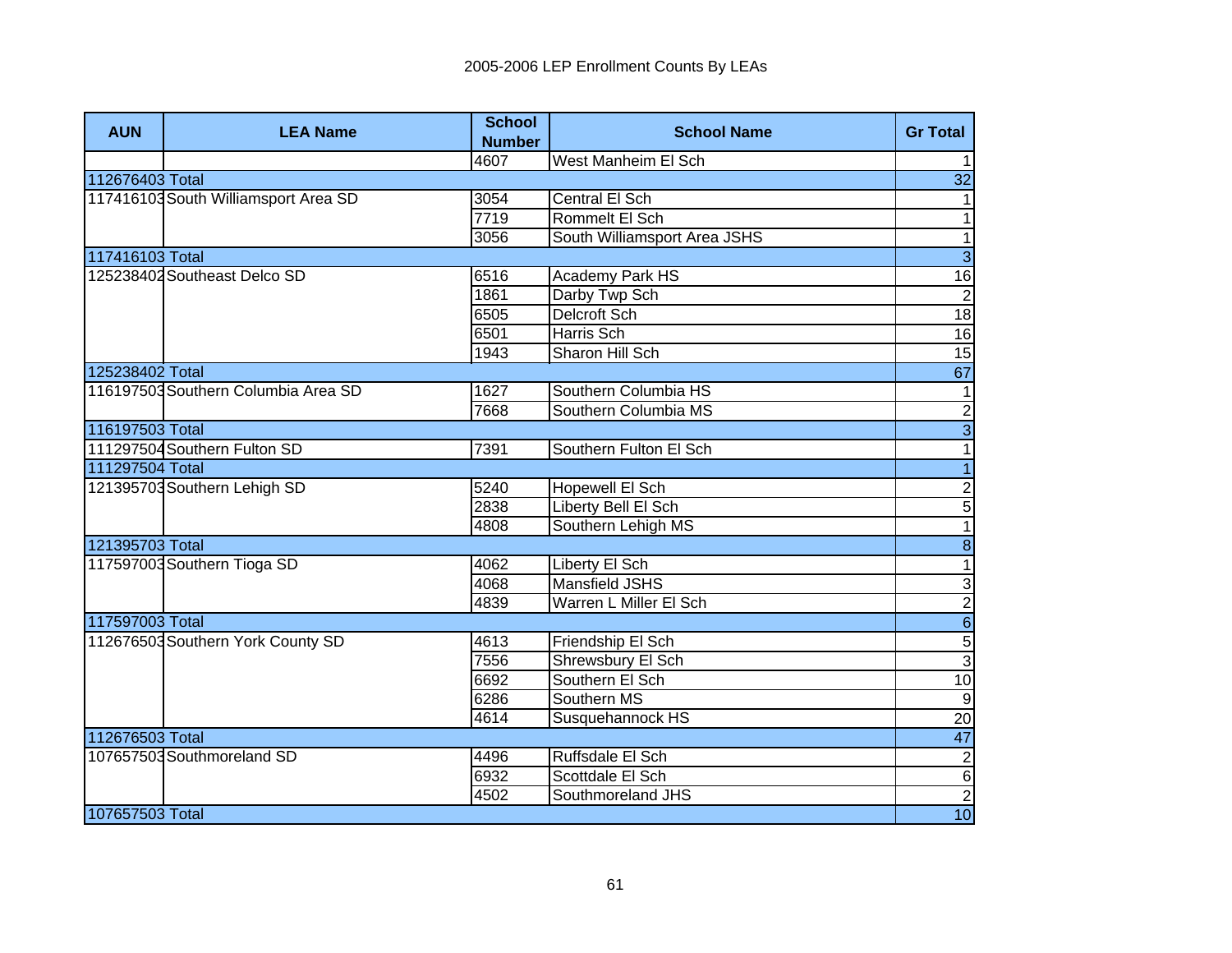| <b>AUN</b>      | <b>LEA Name</b>                      | <b>School</b> | <b>School Name</b>           | <b>Gr Total</b> |
|-----------------|--------------------------------------|---------------|------------------------------|-----------------|
|                 |                                      | <b>Number</b> | West Manheim El Sch          |                 |
|                 |                                      | 4607          |                              |                 |
| 112676403 Total |                                      |               |                              | $\overline{32}$ |
|                 | 117416103 South Williamsport Area SD | 3054          | <b>Central El Sch</b>        |                 |
|                 |                                      | 7719          | Rommelt El Sch               |                 |
|                 |                                      | 3056          | South Williamsport Area JSHS |                 |
| 117416103 Total |                                      |               |                              |                 |
|                 | 125238402 Southeast Delco SD         | 6516          | Academy Park HS              | 16              |
|                 |                                      | 1861          | Darby Twp Sch                |                 |
|                 |                                      | 6505          | <b>Delcroft Sch</b>          | $\overline{18}$ |
|                 |                                      | 6501          | Harris Sch                   | 16              |
|                 |                                      | 1943          | Sharon Hill Sch              | $\overline{15}$ |
| 125238402 Total |                                      |               |                              | 67              |
|                 | 116197503 Southern Columbia Area SD  | 1627          | Southern Columbia HS         |                 |
|                 |                                      | 7668          | Southern Columbia MS         |                 |
| 116197503 Total |                                      |               |                              |                 |
|                 | 111297504 Southern Fulton SD         | 7391          | Southern Fulton El Sch       |                 |
| 111297504 Total |                                      |               |                              |                 |
|                 | 121395703 Southern Lehigh SD         | 5240          | Hopewell El Sch              |                 |
|                 |                                      | 2838          | Liberty Bell El Sch          | 5               |
|                 |                                      | 4808          | Southern Lehigh MS           |                 |
| 121395703 Total |                                      |               |                              | 8               |
|                 | 117597003 Southern Tioga SD          | 4062          | Liberty El Sch               |                 |
|                 |                                      | 4068          | <b>Mansfield JSHS</b>        |                 |
|                 |                                      | 4839          | Warren L Miller El Sch       | $\overline{2}$  |
| 117597003 Total |                                      |               |                              | $\,6\,$         |
|                 | 112676503 Southern York County SD    | 4613          | Friendship El Sch            | $\overline{5}$  |
|                 |                                      | 7556          | Shrewsbury El Sch            | $\overline{3}$  |
|                 |                                      | 6692          | Southern El Sch              | 10              |
|                 |                                      | 6286          | Southern MS                  | $\overline{9}$  |
|                 |                                      | 4614          | Susquehannock HS             | $\overline{20}$ |
| 112676503 Total |                                      |               |                              | $\overline{47}$ |
|                 | 107657503 Southmoreland SD           | 4496          | Ruffsdale El Sch             | 2               |
|                 |                                      | 6932          | Scottdale El Sch             | 6               |
|                 |                                      | 4502          | Southmoreland JHS            |                 |
| 107657503 Total |                                      |               |                              | 10              |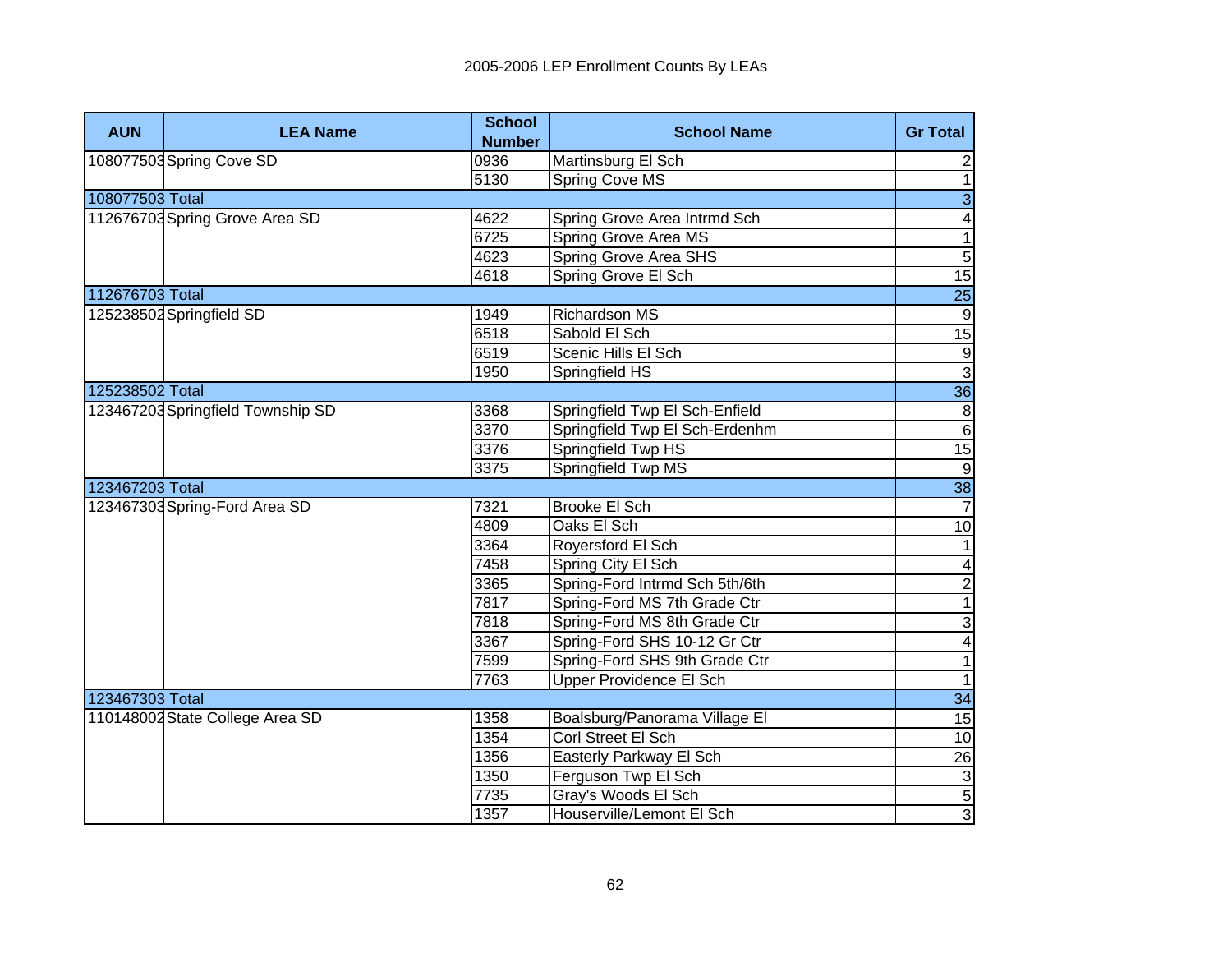| <b>AUN</b>                     | <b>LEA Name</b>                   | <b>School</b><br><b>Number</b> | <b>School Name</b>             | <b>Gr Total</b>         |
|--------------------------------|-----------------------------------|--------------------------------|--------------------------------|-------------------------|
|                                | 108077503 Spring Cove SD          | 0936                           | Martinsburg El Sch             | $\sqrt{2}$              |
|                                |                                   | 5130                           | <b>Spring Cove MS</b>          | $\mathbf{1}$            |
| 108077503 Total                |                                   |                                |                                | $\overline{3}$          |
| 112676703 Spring Grove Area SD | 4622                              | Spring Grove Area Intrmd Sch   | $\overline{4}$                 |                         |
|                                |                                   | 6725                           | <b>Spring Grove Area MS</b>    | $\overline{1}$          |
|                                | 4623                              | <b>Spring Grove Area SHS</b>   | $\overline{5}$                 |                         |
|                                |                                   | 4618                           | Spring Grove El Sch            | 15                      |
| 112676703 Total                |                                   |                                |                                | 25                      |
|                                | 125238502 Springfield SD          | 1949                           | <b>Richardson MS</b>           | 9                       |
|                                |                                   | 6518                           | Sabold El Sch                  | 15                      |
|                                |                                   | 6519                           | Scenic Hills El Sch            | $\boldsymbol{9}$        |
|                                |                                   | 1950                           | Springfield HS                 | $\overline{3}$          |
| 125238502 Total                |                                   |                                |                                | $\overline{36}$         |
|                                | 123467203 Springfield Township SD | 3368                           | Springfield Twp El Sch-Enfield | $\overline{8}$          |
|                                |                                   | 3370                           | Springfield Twp El Sch-Erdenhm | $\,6\,$                 |
|                                |                                   | 3376                           | Springfield Twp HS             | 15                      |
|                                |                                   | 3375                           | Springfield Twp MS             | $\overline{9}$          |
| 123467203 Total                |                                   |                                |                                | $\overline{38}$         |
|                                | 123467303 Spring-Ford Area SD     | 7321                           | <b>Brooke El Sch</b>           | $\overline{7}$          |
|                                |                                   | 4809                           | Oaks El Sch                    | 10                      |
|                                |                                   | 3364                           | Royersford El Sch              | $\mathbf{1}$            |
|                                |                                   | 7458                           | Spring City El Sch             | $\overline{4}$          |
|                                |                                   | 3365                           | Spring-Ford Intrmd Sch 5th/6th | $\boldsymbol{2}$        |
|                                |                                   | 7817                           | Spring-Ford MS 7th Grade Ctr   | $\overline{1}$          |
|                                |                                   | 7818                           | Spring-Ford MS 8th Grade Ctr   | $\overline{\omega}$     |
|                                |                                   | 3367                           | Spring-Ford SHS 10-12 Gr Ctr   | $\overline{\mathbf{4}}$ |
|                                |                                   | 7599                           | Spring-Ford SHS 9th Grade Ctr  | $\overline{1}$          |
|                                |                                   | 7763                           | <b>Upper Providence El Sch</b> | $\mathbf{1}$            |
| 123467303 Total                |                                   |                                |                                | 34                      |
|                                | 110148002 State College Area SD   | 1358                           | Boalsburg/Panorama Village El  | $\overline{15}$         |
|                                |                                   | 1354                           | Corl Street El Sch             | 10                      |
|                                |                                   | 1356                           | Easterly Parkway El Sch        | 26                      |
|                                |                                   | 1350                           | Ferguson Twp El Sch            | $\overline{3}$          |
|                                |                                   | 7735                           | Gray's Woods El Sch            | $\overline{5}$          |
|                                |                                   | 1357                           | Houserville/Lemont El Sch      | $\overline{3}$          |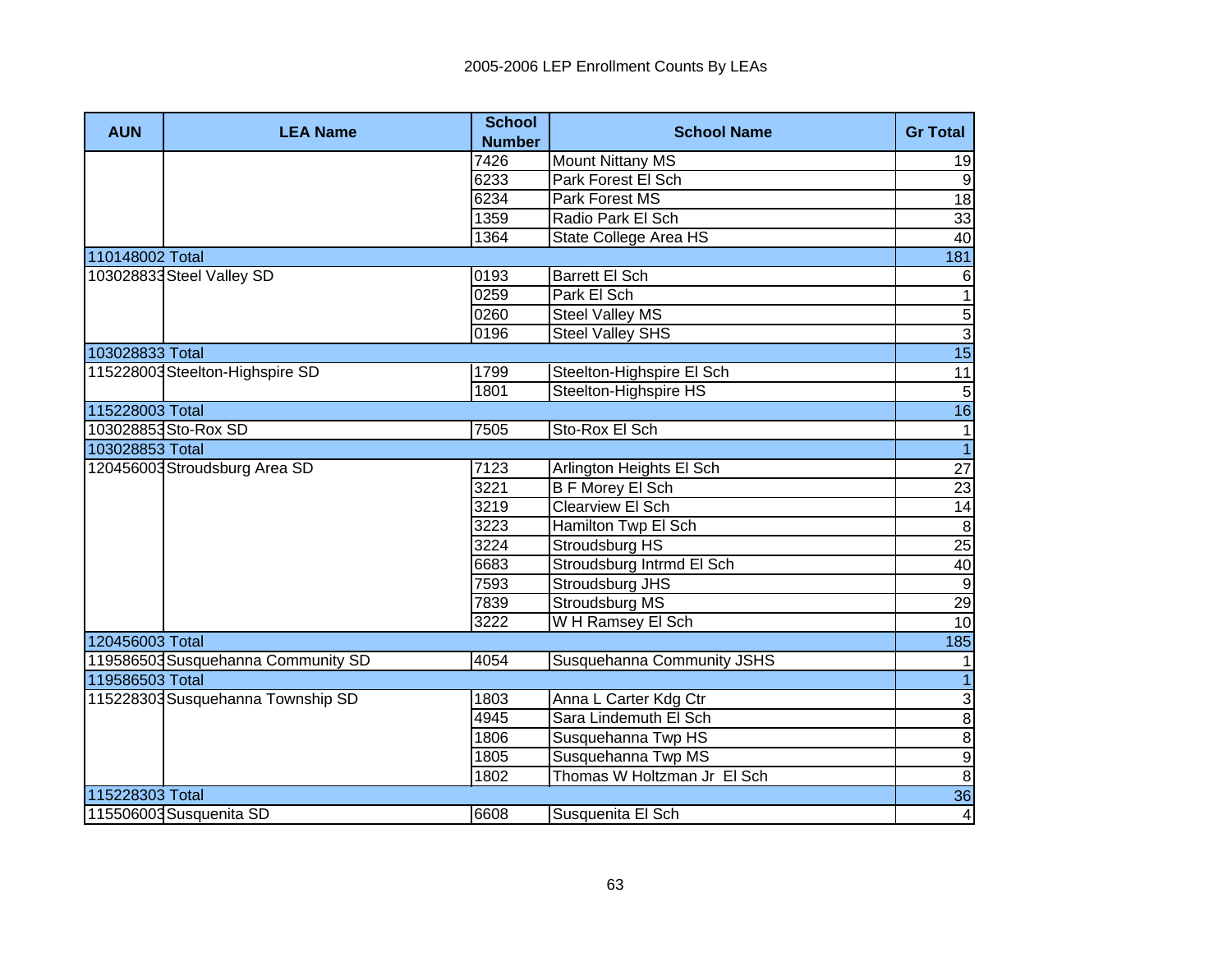| <b>AUN</b>      | <b>LEA Name</b>                    | <b>School</b> | <b>School Name</b>                | <b>Gr Total</b>           |
|-----------------|------------------------------------|---------------|-----------------------------------|---------------------------|
|                 |                                    | <b>Number</b> |                                   |                           |
|                 |                                    | 7426          | <b>Mount Nittany MS</b>           | 19                        |
|                 |                                    | 6233          | Park Forest El Sch                | $\boldsymbol{9}$          |
|                 |                                    | 6234          | Park Forest MS                    | $\overline{18}$           |
|                 |                                    | 1359          | Radio Park El Sch                 | 33                        |
|                 |                                    | 1364          | State College Area HS             | 40                        |
| 110148002 Total |                                    |               |                                   | 181                       |
|                 | 103028833 Steel Valley SD          | 0193          | Barrett El Sch                    | $\,6$                     |
|                 |                                    | 0259          | Park El Sch                       | $\mathbf{1}$              |
|                 |                                    | 0260          | <b>Steel Valley MS</b>            | $\overline{5}$            |
|                 |                                    | 0196          | <b>Steel Valley SHS</b>           | $\overline{3}$            |
| 103028833 Total |                                    |               |                                   | 15                        |
|                 | 115228003 Steelton-Highspire SD    | 1799          | Steelton-Highspire El Sch         | 11                        |
|                 |                                    | 1801          | Steelton-Highspire HS             | $\overline{5}$            |
| 115228003 Total |                                    |               |                                   | 16                        |
|                 | 103028853 Sto-Rox SD               | 7505          | Sto-Rox El Sch                    | $\mathbf{1}$              |
| 103028853 Total |                                    |               |                                   | $\overline{1}$            |
|                 | 120456003 Stroudsburg Area SD      | 7123          | Arlington Heights El Sch          | $\overline{27}$           |
|                 |                                    | 3221          | <b>B F Morey El Sch</b>           | $\overline{23}$           |
|                 |                                    | 3219          | <b>Clearview El Sch</b>           | $\overline{14}$           |
|                 |                                    | 3223          | Hamilton Twp El Sch               | $\infty$                  |
|                 |                                    | 3224          | Stroudsburg HS                    | 25                        |
|                 |                                    | 6683          | Stroudsburg Intrmd El Sch         | 40                        |
|                 |                                    | 7593          | Stroudsburg JHS                   | $\overline{9}$            |
|                 |                                    | 7839          | <b>Stroudsburg MS</b>             | 29                        |
|                 |                                    | 3222          | W H Ramsey El Sch                 | 10                        |
| 120456003 Total |                                    |               |                                   | 185                       |
|                 | 119586503 Susquehanna Community SD | 4054          | <b>Susquehanna Community JSHS</b> | $\mathbf{1}$              |
| 119586503 Total |                                    |               |                                   | $\overline{1}$            |
|                 | 115228303 Susquehanna Township SD  | 1803          | Anna L Carter Kdg Ctr             | $\ensuremath{\mathsf{3}}$ |
|                 |                                    | 4945          | Sara Lindemuth El Sch             | $\overline{8}$            |
|                 |                                    | 1806          | Susquehanna Twp HS                | $\, 8$                    |
|                 |                                    | 1805          | Susquehanna Twp MS                | $\boldsymbol{9}$          |
|                 |                                    | 1802          | Thomas W Holtzman Jr El Sch       | $\, 8$                    |
| 115228303 Total |                                    |               |                                   | 36                        |
|                 | 115506003 Susquenita SD            | 6608          | Susquenita El Sch                 | $\overline{\mathbf{4}}$   |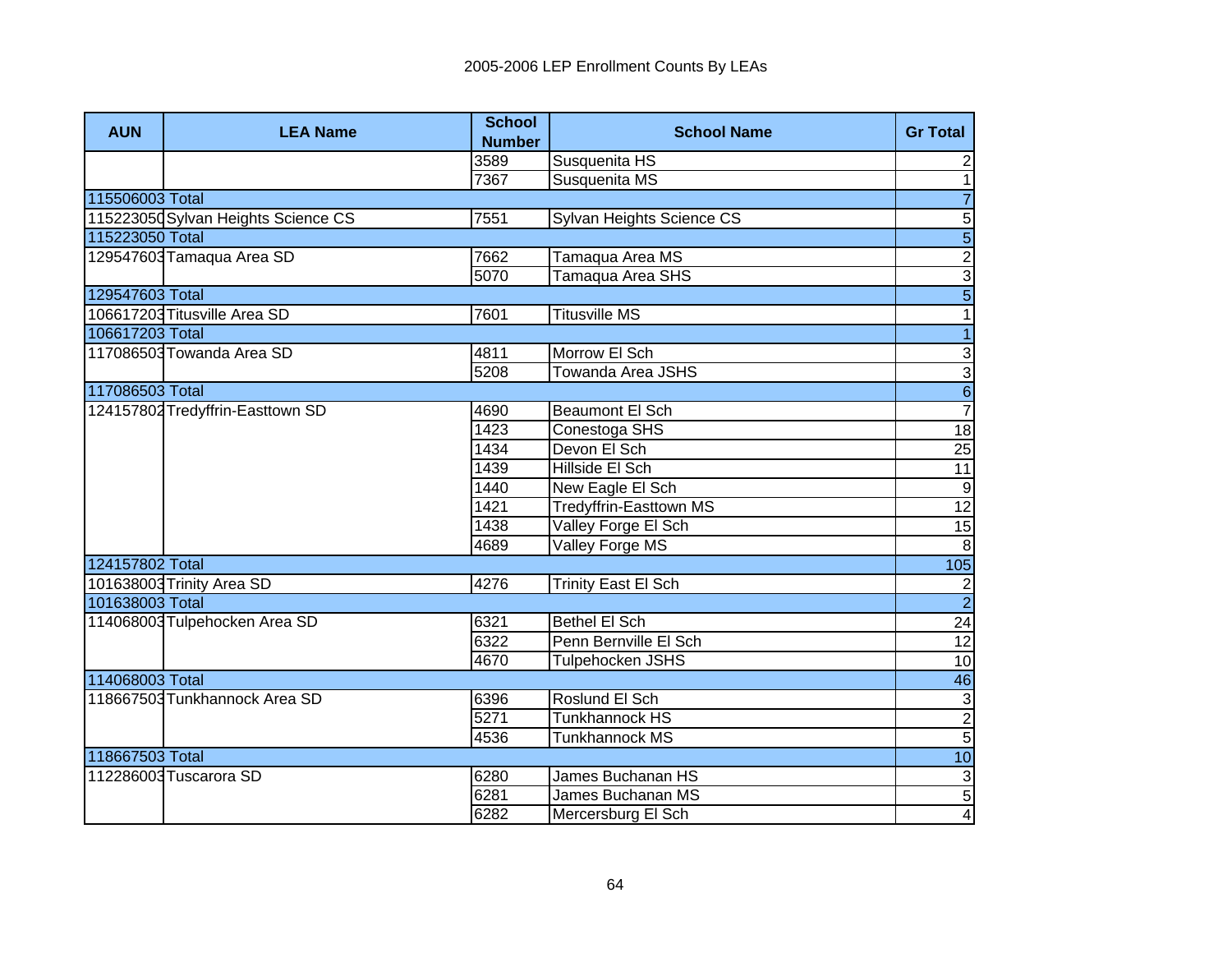| <b>AUN</b>      | <b>LEA Name</b>                     | <b>School</b><br><b>Number</b> | <b>School Name</b>            | <b>Gr Total</b> |
|-----------------|-------------------------------------|--------------------------------|-------------------------------|-----------------|
|                 |                                     | 3589                           | Susquenita HS                 | $\overline{2}$  |
|                 |                                     | 7367                           | Susquenita MS                 | $\mathbf 1$     |
| 115506003 Total |                                     |                                |                               | $\overline{7}$  |
|                 | 115223050 Sylvan Heights Science CS | 7551                           | Sylvan Heights Science CS     | $\overline{5}$  |
| 115223050 Total |                                     |                                |                               | $\overline{5}$  |
|                 | 129547603 Tamaqua Area SD           | 7662                           | Tamaqua Area MS               | $\overline{2}$  |
|                 |                                     | 5070                           | Tamaqua Area SHS              | $\overline{3}$  |
| 129547603 Total |                                     |                                |                               | $\overline{5}$  |
|                 | 106617203 Titusville Area SD        | 7601                           | <b>Titusville MS</b>          | $\mathbf 1$     |
| 106617203 Total |                                     |                                |                               | $\overline{1}$  |
|                 | 117086503 Towanda Area SD           | 4811                           | Morrow El Sch                 | $\overline{3}$  |
|                 |                                     | 5208                           | <b>Towanda Area JSHS</b>      | $\overline{3}$  |
| 117086503 Total |                                     |                                |                               | $\overline{6}$  |
|                 | 124157802 Tredyffrin-Easttown SD    | 4690                           | <b>Beaumont El Sch</b>        | $\overline{7}$  |
|                 |                                     | 1423                           | Conestoga SHS                 | $\overline{18}$ |
|                 |                                     | 1434                           | Devon El Sch                  | $\overline{25}$ |
|                 |                                     | 1439                           | Hillside El Sch               | $\overline{11}$ |
|                 |                                     | 1440                           | New Eagle El Sch              | $\overline{9}$  |
|                 |                                     | 1421                           | <b>Tredyffrin-Easttown MS</b> | 12              |
|                 |                                     | 1438                           | Valley Forge El Sch           | 15              |
|                 |                                     | 4689                           | <b>Valley Forge MS</b>        | $\overline{8}$  |
| 124157802 Total |                                     |                                |                               | 105             |
|                 | 101638003 Trinity Area SD           | 4276                           | Trinity East El Sch           | $\frac{2}{2}$   |
| 101638003 Total |                                     |                                |                               |                 |
|                 | 114068003 Tulpehocken Area SD       | 6321                           | <b>Bethel El Sch</b>          | 24              |
|                 |                                     | 6322                           | Penn Bernville El Sch         | 12              |
|                 |                                     | 4670                           | Tulpehocken JSHS              | 10              |
| 114068003 Total |                                     |                                |                               | 46              |
|                 | 118667503 Tunkhannock Area SD       | 6396                           | Roslund El Sch                |                 |
|                 |                                     | 5271                           | Tunkhannock HS                | ပာ လ            |
|                 |                                     | 4536                           | Tunkhannock MS                |                 |
| 118667503 Total |                                     |                                |                               | 10              |
|                 | 112286003 Tuscarora SD              | 6280                           | James Buchanan HS             |                 |
|                 |                                     | 6281                           | James Buchanan MS             | $\frac{1}{5}$   |
|                 |                                     | 6282                           | Mercersburg El Sch            | $\overline{4}$  |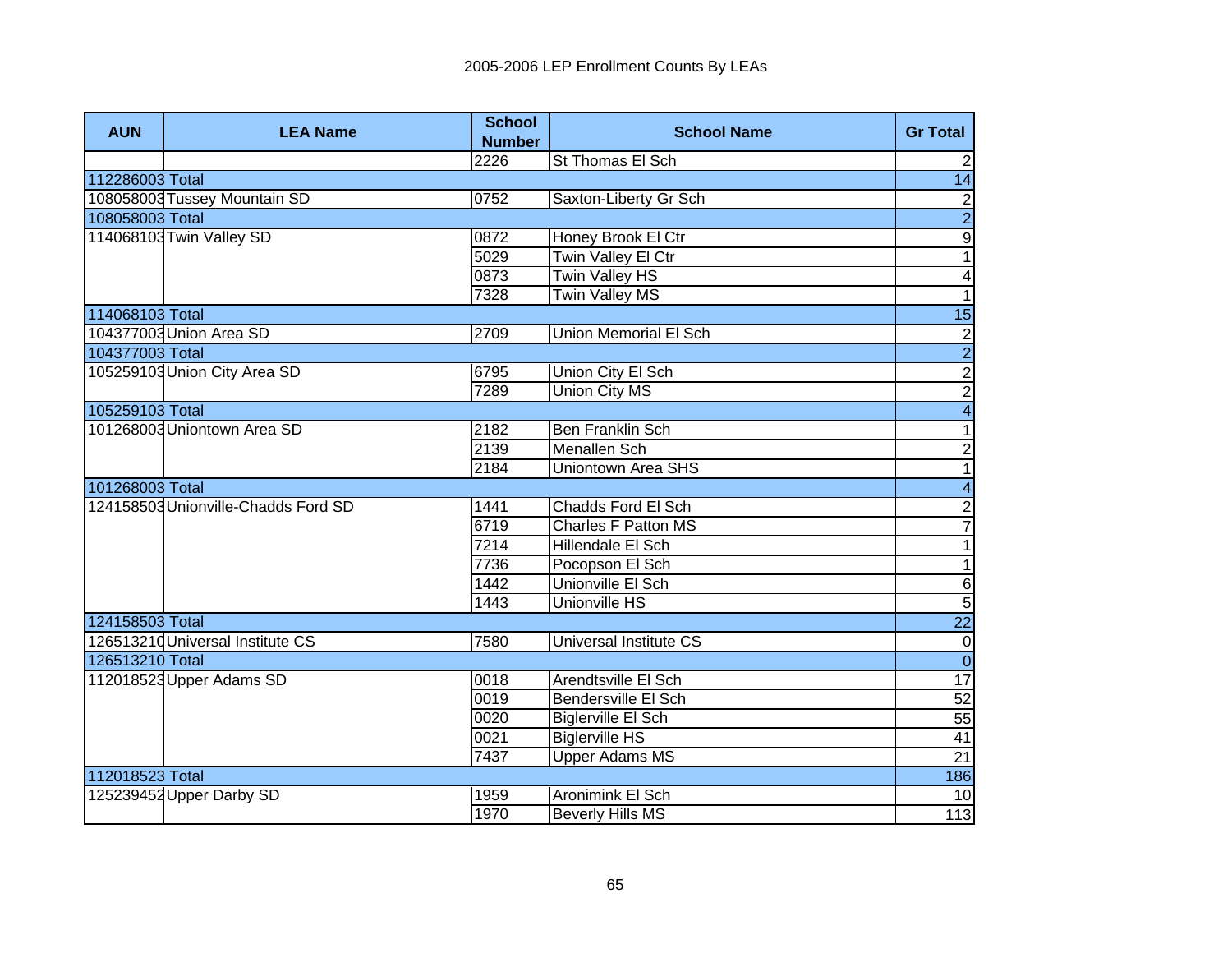| <b>AUN</b>      | <b>LEA Name</b>                     | <b>School</b><br><b>Number</b> | <b>School Name</b>            | <b>Gr Total</b>         |
|-----------------|-------------------------------------|--------------------------------|-------------------------------|-------------------------|
|                 |                                     | 2226                           | St Thomas El Sch              | $\mathbf{2}$            |
| 112286003 Total |                                     |                                |                               | 14                      |
|                 | 108058003 Tussey Mountain SD        | 0752                           | Saxton-Liberty Gr Sch         | $\frac{1}{2}$           |
| 108058003 Total |                                     |                                |                               |                         |
|                 | 114068103 Twin Valley SD            | 0872                           | Honey Brook El Ctr            | $\overline{9}$          |
|                 |                                     | 5029                           | Twin Valley El Ctr            | $\overline{1}$          |
|                 |                                     | 0873                           | <b>Twin Valley HS</b>         | $\overline{\mathbf{4}}$ |
|                 |                                     | 7328                           | <b>Twin Valley MS</b>         | $\overline{1}$          |
| 114068103 Total |                                     |                                |                               | 15                      |
|                 | 104377003 Union Area SD             | 2709                           | <b>Union Memorial El Sch</b>  |                         |
| 104377003 Total |                                     |                                |                               | $\frac{1}{2}$           |
|                 | 105259103 Union City Area SD        | 6795                           | Union City El Sch             | $\frac{2}{2}$           |
|                 |                                     | 7289                           | <b>Union City MS</b>          |                         |
| 105259103 Total |                                     |                                |                               | $\overline{4}$          |
|                 | 101268003 Uniontown Area SD         | 2182                           | <b>Ben Franklin Sch</b>       | $\overline{1}$          |
|                 |                                     | 2139                           | Menallen Sch                  | $\overline{2}$          |
|                 |                                     | 2184                           | <b>Uniontown Area SHS</b>     | $\overline{1}$          |
| 101268003 Total |                                     |                                |                               | $\overline{4}$          |
|                 | 124158503 Unionville-Chadds Ford SD | 1441                           | Chadds Ford El Sch            | $\overline{2}$          |
|                 |                                     | 6719                           | <b>Charles F Patton MS</b>    | $\overline{7}$          |
|                 |                                     | 7214                           | Hillendale El Sch             | $\overline{1}$          |
|                 |                                     | 7736                           | Pocopson El Sch               | $\overline{1}$          |
|                 |                                     | 1442                           | Unionville El Sch             | 6                       |
|                 |                                     | 1443                           | <b>Unionville HS</b>          | $\overline{5}$          |
| 124158503 Total |                                     |                                |                               | $\overline{22}$         |
|                 | 126513210 Universal Institute CS    | 7580                           | <b>Universal Institute CS</b> | $\,0\,$                 |
| 126513210 Total |                                     |                                |                               | $\overline{0}$          |
|                 | 112018523 Upper Adams SD            | 0018                           | Arendtsville El Sch           | 17                      |
|                 |                                     | 0019                           | <b>Bendersville El Sch</b>    | 52                      |
|                 |                                     | 0020                           | <b>Biglerville El Sch</b>     | 55                      |
|                 |                                     | 0021                           | <b>Biglerville HS</b>         | 41                      |
|                 |                                     | 7437                           | <b>Upper Adams MS</b>         | 21                      |
| 112018523 Total |                                     |                                |                               | 186                     |
|                 | 125239452 Upper Darby SD            | 1959                           | Aronimink El Sch              | 10                      |
|                 |                                     | 1970                           | <b>Beverly Hills MS</b>       | 113                     |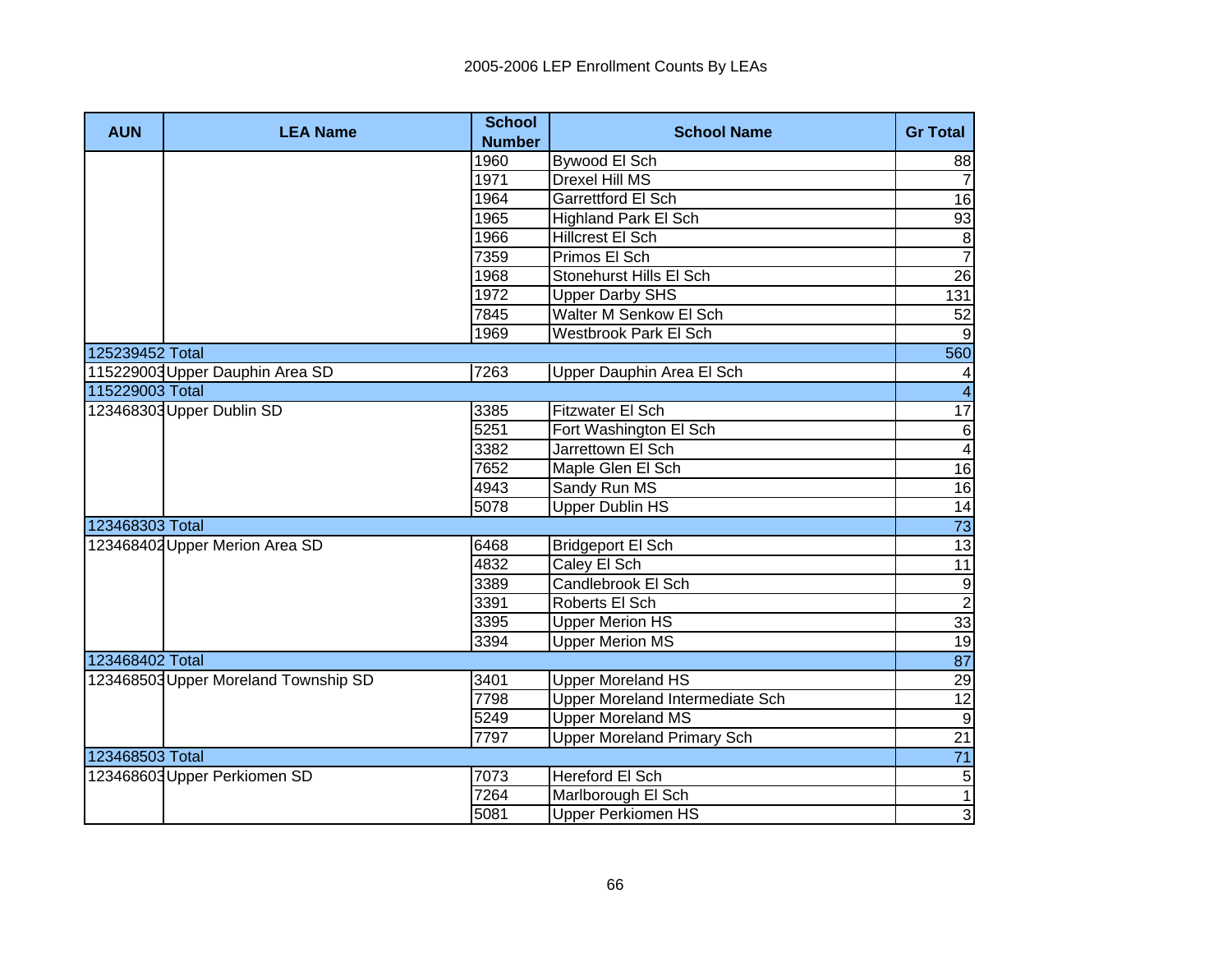| <b>AUN</b>      | <b>LEA Name</b>                      | <b>School</b><br><b>Number</b> | <b>School Name</b>                     | <b>Gr Total</b>         |
|-----------------|--------------------------------------|--------------------------------|----------------------------------------|-------------------------|
|                 |                                      | 1960                           | Bywood El Sch                          | 88                      |
|                 |                                      | 1971                           | <b>Drexel Hill MS</b>                  | $\overline{ }$          |
|                 |                                      | 1964                           | <b>Garrettford El Sch</b>              | 16                      |
|                 |                                      | 1965                           | <b>Highland Park El Sch</b>            | 93                      |
|                 |                                      | 1966                           | <b>Hillcrest El Sch</b>                | $\infty$                |
|                 |                                      | 7359                           | Primos El Sch                          | $\overline{7}$          |
|                 |                                      | 1968                           | Stonehurst Hills El Sch                | 26                      |
|                 |                                      | 1972                           | <b>Upper Darby SHS</b>                 | 131                     |
|                 |                                      | 7845                           | Walter M Senkow El Sch                 | 52                      |
|                 |                                      | 1969                           | <b>Westbrook Park El Sch</b>           | $\overline{9}$          |
| 125239452 Total |                                      |                                |                                        | 560                     |
|                 | 115229003 Upper Dauphin Area SD      | 7263                           | Upper Dauphin Area El Sch              | $\overline{\mathbf{4}}$ |
| 115229003 Total |                                      |                                |                                        | $\overline{4}$          |
|                 | 123468303 Upper Dublin SD            | 3385                           | Fitzwater El Sch                       | 17                      |
|                 |                                      | 5251                           | Fort Washington El Sch                 | $\,6\,$                 |
|                 |                                      | 3382                           | Jarrettown El Sch                      | $\overline{4}$          |
|                 |                                      | 7652                           | Maple Glen El Sch                      | 16                      |
|                 |                                      | 4943                           | Sandy Run MS                           | $\overline{6}$          |
|                 |                                      | 5078                           | <b>Upper Dublin HS</b>                 | $\overline{14}$         |
| 123468303 Total |                                      |                                |                                        | 73                      |
|                 | 123468402 Upper Merion Area SD       | 6468                           | <b>Bridgeport El Sch</b>               | 13                      |
|                 |                                      | 4832                           | Caley El Sch                           | 11                      |
|                 |                                      | 3389                           | Candlebrook El Sch                     | $\boldsymbol{9}$        |
|                 |                                      | 3391                           | Roberts El Sch                         | $\overline{2}$          |
|                 |                                      | 3395                           | <b>Upper Merion HS</b>                 | 33                      |
|                 |                                      | 3394                           | <b>Upper Merion MS</b>                 | 19                      |
| 123468402 Total |                                      |                                |                                        | 87                      |
|                 | 123468503 Upper Moreland Township SD | 3401                           | <b>Upper Moreland HS</b>               | 29                      |
|                 |                                      | 7798                           | <b>Upper Moreland Intermediate Sch</b> | 12                      |
|                 |                                      | 5249                           | <b>Upper Moreland MS</b>               | $\overline{9}$          |
|                 |                                      | 7797                           | <b>Upper Moreland Primary Sch</b>      | $\overline{21}$         |
| 123468503 Total |                                      |                                |                                        | $\overline{71}$         |
|                 | 123468603 Upper Perkiomen SD         | 7073                           | Hereford El Sch                        |                         |
|                 |                                      | 7264                           | Marlborough El Sch                     | $\rightarrow$ 5         |
|                 |                                      | 5081                           | <b>Upper Perkiomen HS</b>              | $\overline{3}$          |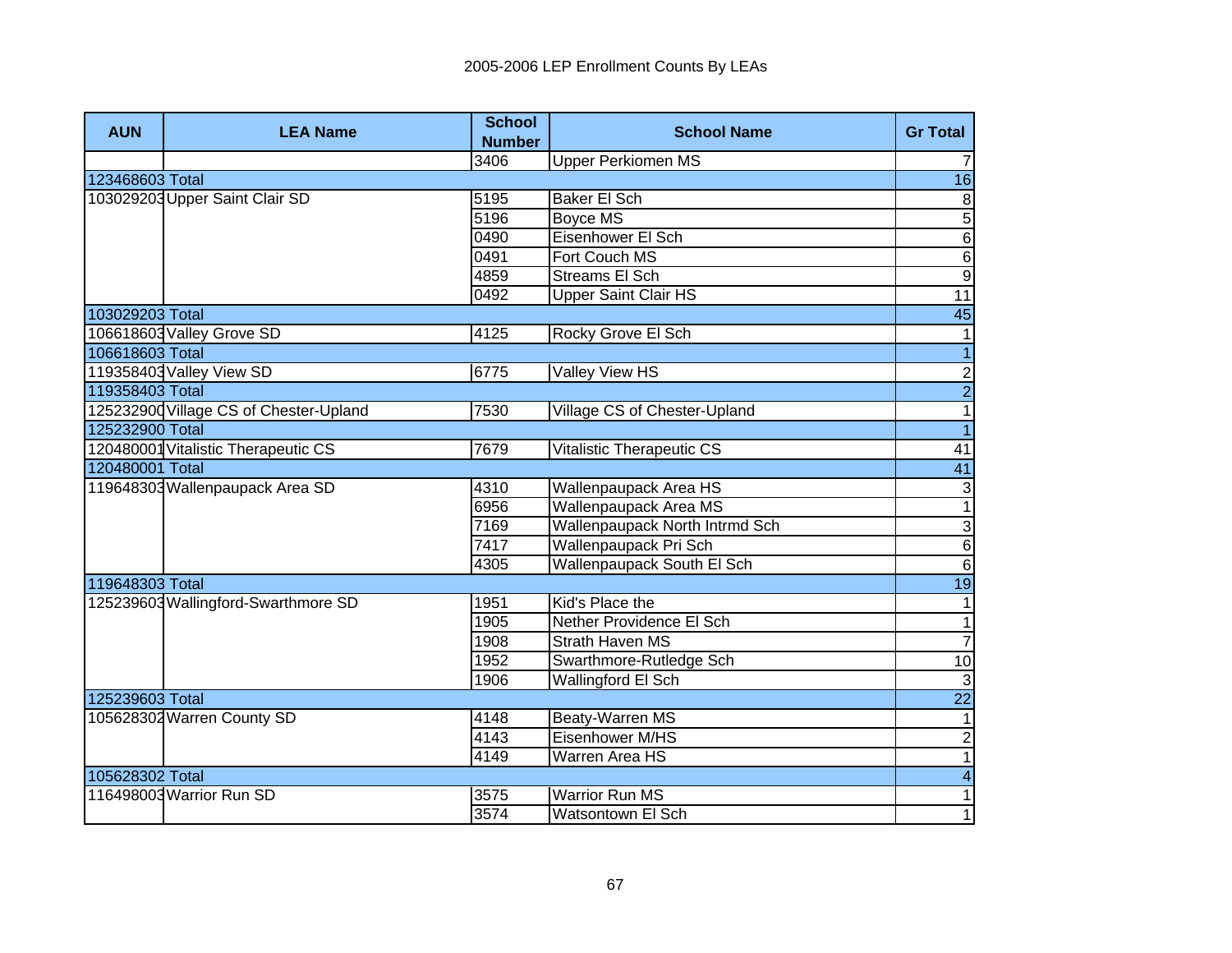| <b>AUN</b>      | <b>LEA Name</b>                        | <b>School</b><br><b>Number</b> | <b>School Name</b>               | <b>Gr Total</b> |
|-----------------|----------------------------------------|--------------------------------|----------------------------------|-----------------|
|                 |                                        | 3406                           | <b>Upper Perkiomen MS</b>        |                 |
| 123468603 Total |                                        |                                |                                  | $\overline{16}$ |
|                 | 103029203 Upper Saint Clair SD         | 5195                           | <b>Baker El Sch</b>              | 8               |
|                 |                                        | 5196                           | <b>Boyce MS</b>                  | 5               |
|                 |                                        | 0490                           | Eisenhower El Sch                | 6               |
|                 |                                        | 0491                           | Fort Couch MS                    | 6               |
|                 |                                        | 4859                           | <b>Streams El Sch</b>            | 9               |
|                 |                                        | 0492                           | <b>Upper Saint Clair HS</b>      | 11              |
| 103029203 Total |                                        |                                |                                  | 45              |
|                 | 106618603 Valley Grove SD              | 4125                           | Rocky Grove El Sch               |                 |
| 106618603 Total |                                        |                                |                                  |                 |
|                 | 119358403 Valley View SD               | 6775                           | Valley View HS                   |                 |
| 119358403 Total |                                        |                                |                                  |                 |
|                 | 125232900 Village CS of Chester-Upland | 7530                           | Village CS of Chester-Upland     |                 |
| 125232900 Total |                                        |                                |                                  |                 |
|                 | 120480001 Vitalistic Therapeutic CS    | 7679                           | <b>Vitalistic Therapeutic CS</b> | 41              |
| 120480001 Total |                                        |                                |                                  | $\overline{41}$ |
|                 | 119648303 Wallenpaupack Area SD        | 4310                           | Wallenpaupack Area HS            | 3               |
|                 |                                        | 6956                           | <b>Wallenpaupack Area MS</b>     |                 |
|                 |                                        | 7169                           | Wallenpaupack North Intrmd Sch   | 3               |
|                 |                                        | 7417                           | Wallenpaupack Pri Sch            | 6               |
|                 |                                        | 4305                           | Wallenpaupack South El Sch       | 6               |
| 119648303 Total |                                        |                                |                                  | $\overline{19}$ |
|                 | 125239603 Wallingford-Swarthmore SD    | 1951                           | Kid's Place the                  |                 |
|                 |                                        | 1905                           | Nether Providence El Sch         |                 |
|                 |                                        | 1908                           | <b>Strath Haven MS</b>           |                 |
|                 |                                        | 1952                           | Swarthmore-Rutledge Sch          | $\overline{10}$ |
|                 |                                        | 1906                           | Wallingford El Sch               | 3               |
| 125239603 Total |                                        |                                |                                  | $\overline{22}$ |
|                 | 105628302 Warren County SD             | 4148                           | <b>Beaty-Warren MS</b>           |                 |
|                 |                                        | 4143                           | Eisenhower M/HS                  |                 |
|                 |                                        | 4149                           | Warren Area HS                   |                 |
| 105628302 Total |                                        |                                |                                  |                 |
|                 | 116498003 Warrior Run SD               | 3575                           | <b>Warrior Run MS</b>            |                 |
|                 |                                        | 3574                           | Watsontown El Sch                |                 |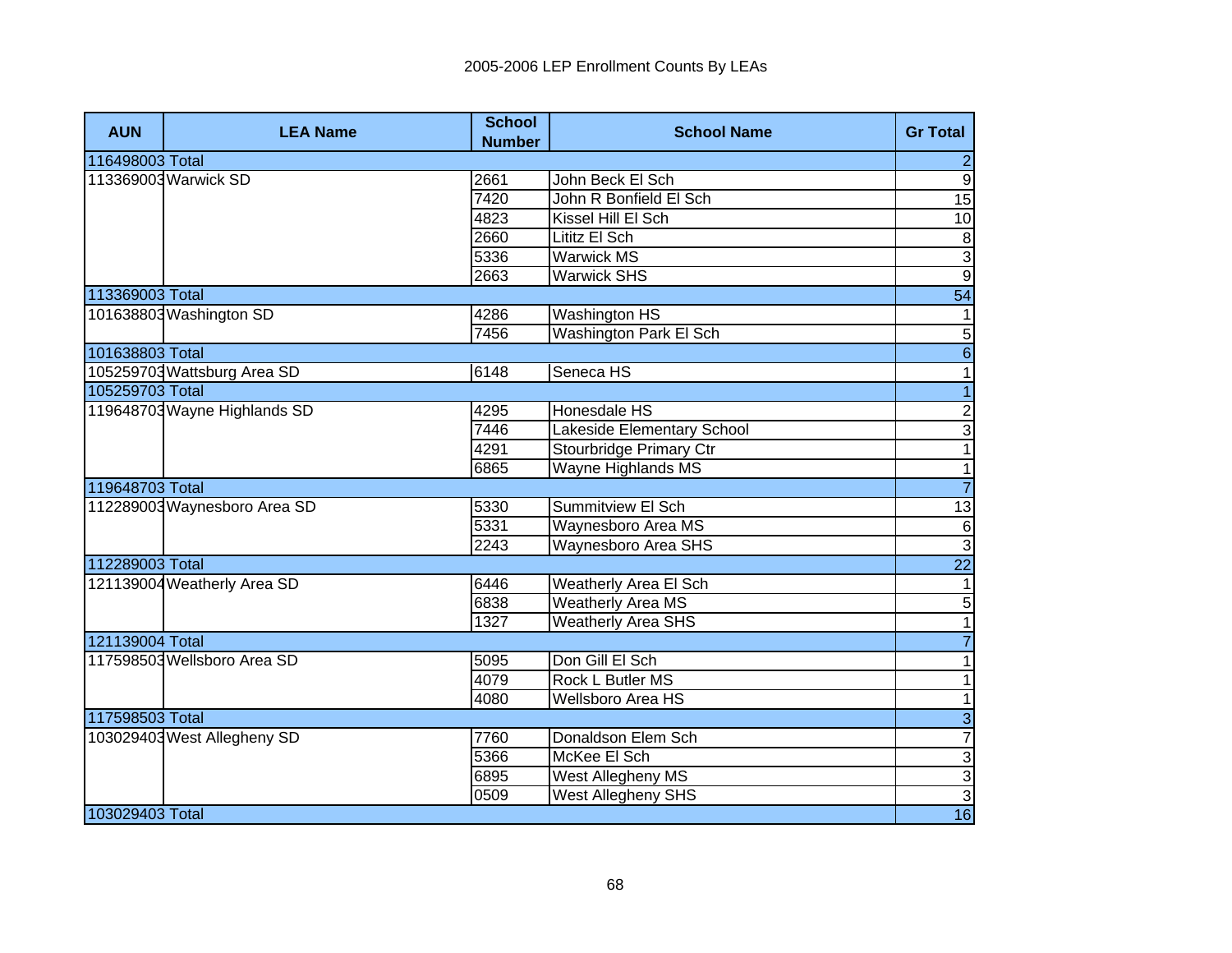| <b>AUN</b>      | <b>LEA Name</b>              | <b>School</b><br><b>Number</b> | <b>School Name</b>         | <b>Gr Total</b> |
|-----------------|------------------------------|--------------------------------|----------------------------|-----------------|
| 116498003 Total |                              |                                |                            |                 |
|                 | 113369003 Warwick SD         | 2661                           | John Beck El Sch           | 9               |
|                 |                              | 7420                           | John R Bonfield El Sch     | 15              |
|                 |                              | 4823                           | Kissel Hill El Sch         | 10              |
|                 |                              | 2660                           | Lititz El Sch              | 8               |
|                 |                              | 5336                           | <b>Warwick MS</b>          | 3               |
|                 |                              | 2663                           | <b>Warwick SHS</b>         | 9               |
| 113369003 Total |                              |                                |                            | 54              |
|                 | 101638803 Washington SD      | 4286                           | Washington HS              |                 |
|                 |                              | 7456                           | Washington Park El Sch     | 5               |
| 101638803 Total |                              |                                |                            |                 |
|                 | 105259703 Wattsburg Area SD  | 6148                           | Seneca HS                  |                 |
| 105259703 Total |                              |                                |                            |                 |
|                 | 119648703 Wayne Highlands SD | 4295                           | Honesdale HS               |                 |
|                 |                              | 7446                           | Lakeside Elementary School |                 |
|                 |                              | 4291                           | Stourbridge Primary Ctr    |                 |
|                 |                              | 6865                           | <b>Wayne Highlands MS</b>  |                 |
| 119648703 Total |                              |                                |                            |                 |
|                 | 112289003 Waynesboro Area SD | 5330                           | Summitview El Sch          | 13              |
|                 |                              | 5331                           | Waynesboro Area MS         | 6               |
|                 |                              | 2243                           | Waynesboro Area SHS        | 3               |
| 112289003 Total |                              |                                |                            | $\overline{22}$ |
|                 | 121139004 Weatherly Area SD  | 6446                           | Weatherly Area El Sch      |                 |
|                 |                              | 6838                           | <b>Weatherly Area MS</b>   |                 |
|                 |                              | 1327                           | <b>Weatherly Area SHS</b>  |                 |
| 121139004 Total |                              |                                |                            |                 |
|                 | 117598503 Wellsboro Area SD  | 5095                           | Don Gill El Sch            |                 |
|                 |                              | 4079                           | Rock L Butler MS           |                 |
|                 |                              | 4080                           | <b>Wellsboro Area HS</b>   |                 |
| 117598503 Total |                              |                                |                            | 3               |
|                 | 103029403 West Allegheny SD  | 7760                           | Donaldson Elem Sch         |                 |
|                 |                              | 5366                           | McKee El Sch               | 3               |
|                 |                              | 6895                           | West Allegheny MS          | 3               |
|                 |                              | 0509                           | West Allegheny SHS         | 3               |
| 103029403 Total |                              |                                |                            | 16              |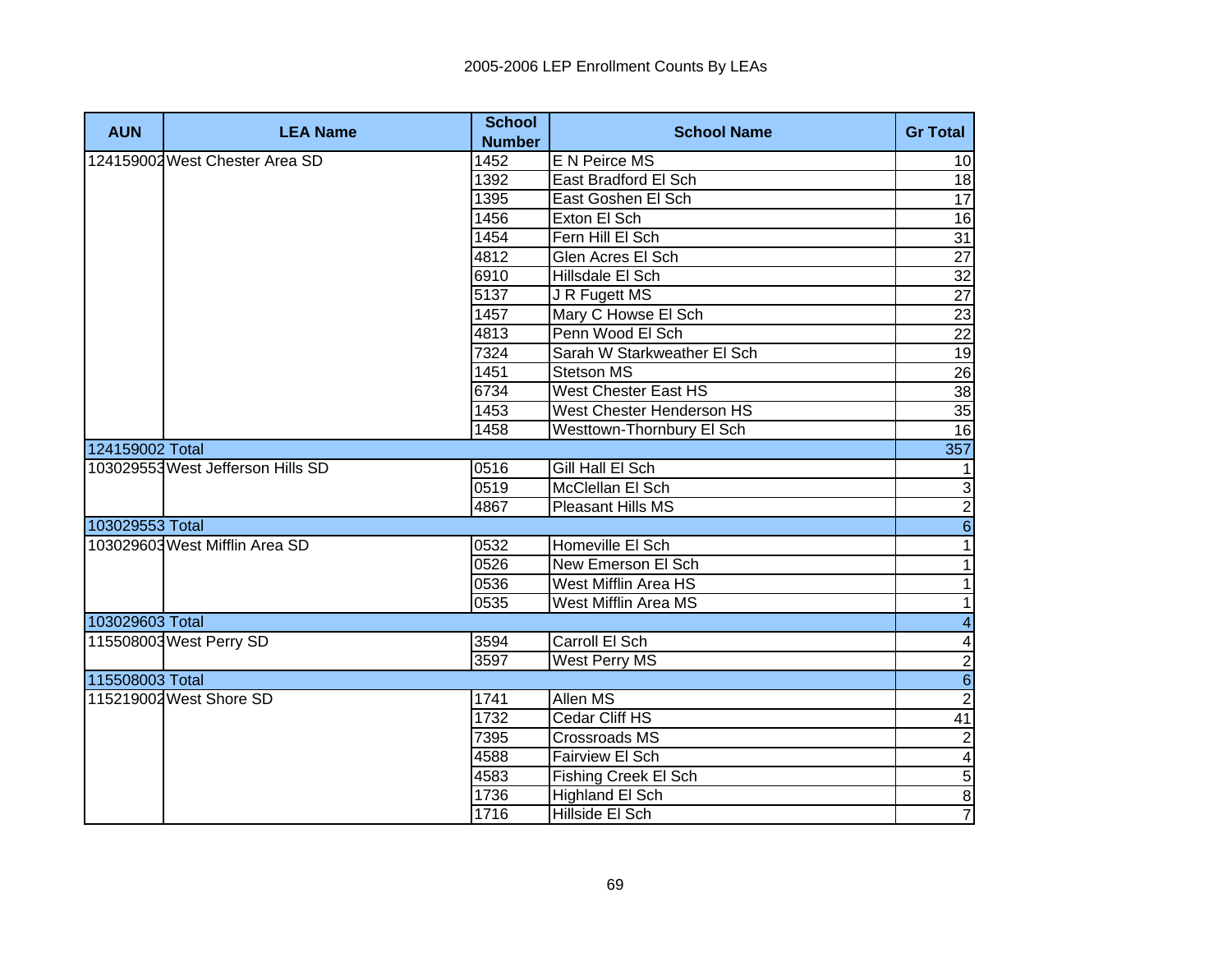| <b>AUN</b>      | <b>LEA Name</b>                   | <b>School</b><br><b>Number</b> | <b>School Name</b>          | <b>Gr Total</b>         |
|-----------------|-----------------------------------|--------------------------------|-----------------------------|-------------------------|
|                 | 124159002 West Chester Area SD    | 1452                           | E N Peirce MS               | 10                      |
|                 |                                   | 1392                           | East Bradford El Sch        | 18                      |
|                 |                                   | 1395                           | East Goshen El Sch          | $\overline{17}$         |
|                 |                                   | 1456                           | Exton El Sch                | 16                      |
|                 |                                   | 1454                           | Fern Hill El Sch            | 31                      |
|                 |                                   | 4812                           | Glen Acres El Sch           | $\overline{27}$         |
|                 |                                   | 6910                           | Hillsdale El Sch            | 32                      |
|                 |                                   | 5137                           | J R Fugett MS               | $\overline{27}$         |
|                 |                                   | 1457                           | Mary C Howse El Sch         | 23                      |
|                 |                                   | 4813                           | Penn Wood El Sch            | $\overline{22}$         |
|                 |                                   | 7324                           | Sarah W Starkweather El Sch | 19                      |
|                 |                                   | 1451                           | <b>Stetson MS</b>           | 26                      |
|                 |                                   | 6734                           | <b>West Chester East HS</b> | 38                      |
|                 |                                   | 1453                           | West Chester Henderson HS   | 35                      |
|                 |                                   | 1458                           | Westtown-Thornbury El Sch   | 16                      |
| 124159002 Total |                                   |                                |                             | 357                     |
|                 | 103029553 West Jefferson Hills SD | 0516                           | Gill Hall El Sch            | $\mathbf{1}$            |
|                 |                                   | 0519                           | McClellan El Sch            | $\overline{3}$          |
|                 |                                   | 4867                           | <b>Pleasant Hills MS</b>    | $\frac{2}{6}$           |
| 103029553 Total |                                   |                                |                             |                         |
|                 | 103029603 West Mifflin Area SD    | 0532                           | Homeville El Sch            | 1                       |
|                 |                                   | 0526                           | New Emerson El Sch          | $\mathbf{1}$            |
|                 |                                   | 0536                           | West Mifflin Area HS        | $\mathbf{1}$            |
|                 |                                   | 0535                           | West Mifflin Area MS        | $\overline{1}$          |
| 103029603 Total |                                   |                                |                             | $\overline{\mathbf{4}}$ |
|                 | 115508003 West Perry SD           | 3594                           | Carroll El Sch              | $\overline{\mathbf{A}}$ |
|                 |                                   | 3597                           | <b>West Perry MS</b>        | $\overline{c}$          |
| 115508003 Total |                                   |                                |                             | $\overline{6}$          |
|                 | 115219002 West Shore SD           | 1741                           | <b>Allen MS</b>             | $\overline{2}$          |
|                 |                                   | 1732                           | Cedar Cliff HS              | 41                      |
|                 |                                   | 7395                           | Crossroads MS               | $\overline{2}$          |
|                 |                                   | 4588                           | Fairview El Sch             | $\overline{\mathbf{4}}$ |
|                 |                                   | 4583                           | Fishing Creek El Sch        | $\overline{5}$          |
|                 |                                   | 1736                           | <b>Highland El Sch</b>      | $\overline{8}$          |
|                 |                                   | 1716                           | Hillside El Sch             | $\overline{7}$          |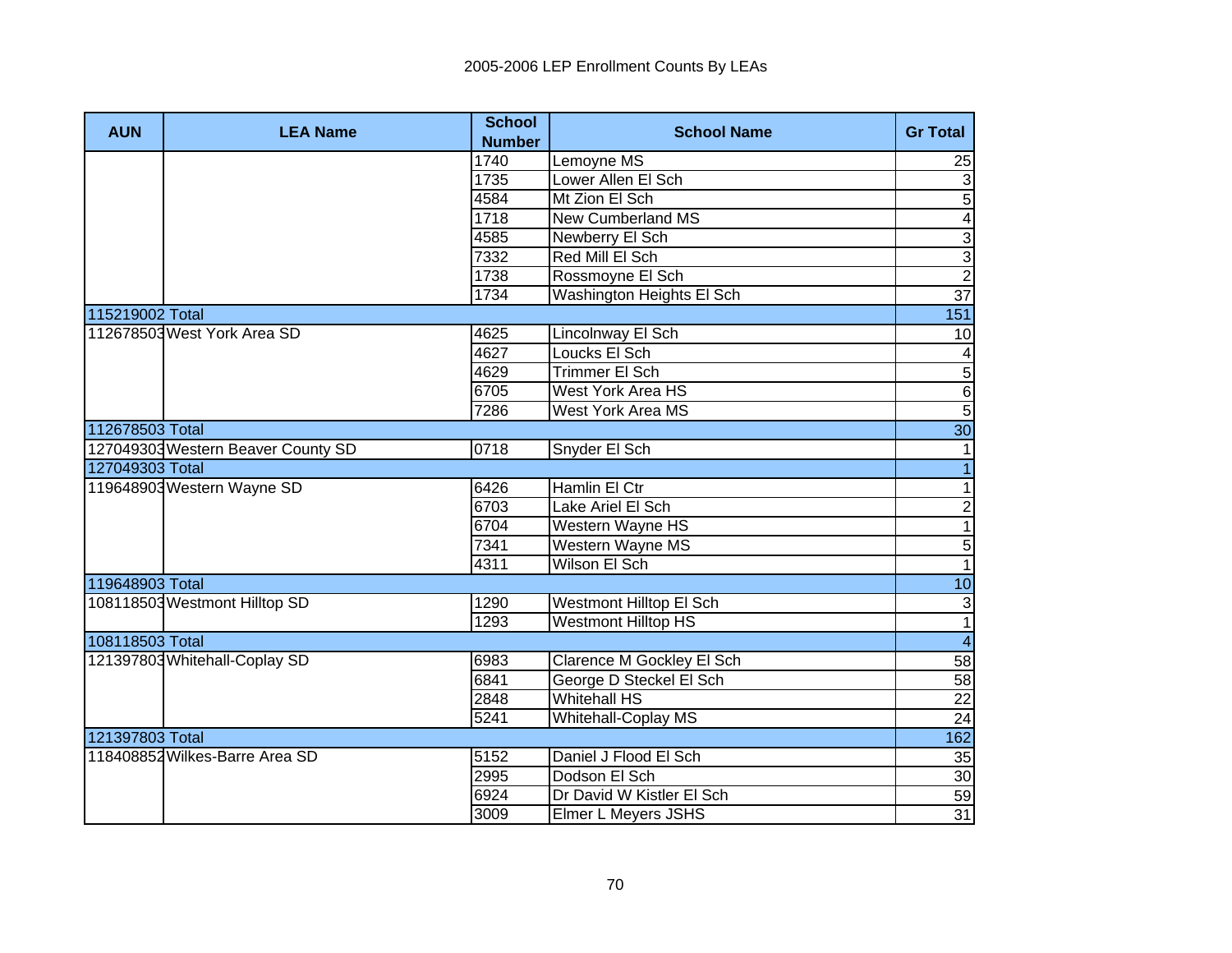| <b>AUN</b>      | <b>LEA Name</b>                    | <b>School</b> | <b>School Name</b>         | <b>Gr Total</b>          |
|-----------------|------------------------------------|---------------|----------------------------|--------------------------|
|                 |                                    | <b>Number</b> |                            |                          |
|                 |                                    | 1740          | Lemoyne MS                 | 25                       |
|                 |                                    | 1735          | Lower Allen El Sch         | $\sqrt{3}$               |
|                 |                                    | 4584          | Mt Zion El Sch             | $\overline{5}$           |
|                 |                                    | 1718          | <b>New Cumberland MS</b>   | 4                        |
|                 |                                    | 4585          | <b>Newberry El Sch</b>     | $\overline{3}$           |
|                 |                                    | 7332          | Red Mill El Sch            | $\overline{3}$           |
|                 |                                    | 1738          | Rossmoyne El Sch           | $\overline{2}$           |
|                 |                                    | 1734          | Washington Heights El Sch  | $\overline{37}$          |
| 115219002 Total |                                    |               |                            | 151                      |
|                 | 112678503 West York Area SD        | 4625          | Lincolnway El Sch          | 10                       |
|                 |                                    | 4627          | Loucks El Sch              | $\overline{\mathcal{A}}$ |
|                 |                                    | 4629          | Trimmer El Sch             |                          |
|                 |                                    | 6705          | West York Area HS          | $\frac{5}{6}$            |
|                 |                                    | 7286          | <b>West York Area MS</b>   |                          |
| 112678503 Total |                                    |               |                            | 30                       |
|                 | 127049303 Western Beaver County SD | 0718          | Snyder El Sch              | $\mathbf{1}$             |
| 127049303 Total |                                    |               |                            | $\overline{1}$           |
|                 | 119648903 Western Wayne SD         | 6426          | Hamlin El Ctr              | $\mathbf{1}$             |
|                 |                                    | 6703          | Lake Ariel El Sch          | $\overline{c}$           |
|                 |                                    | 6704          | Western Wayne HS           | $\overline{1}$           |
|                 |                                    | 7341          | Western Wayne MS           | $\overline{5}$           |
|                 |                                    | 4311          | Wilson El Sch              | $\overline{1}$           |
| 119648903 Total |                                    |               |                            | $\overline{10}$          |
|                 | 108118503 Westmont Hilltop SD      | 1290          | Westmont Hilltop El Sch    | دن                       |
|                 |                                    | 1293          | <b>Westmont Hilltop HS</b> | $\mathbf{1}$             |
| 108118503 Total |                                    |               |                            | $\overline{4}$           |
|                 | 121397803 Whitehall-Coplay SD      | 6983          | Clarence M Gockley El Sch  | $\overline{58}$          |
|                 |                                    | 6841          | George D Steckel El Sch    | $\overline{58}$          |
|                 |                                    | 2848          | <b>Whitehall HS</b>        | $\overline{22}$          |
|                 |                                    | 5241          | Whitehall-Coplay MS        | 24                       |
| 121397803 Total |                                    |               |                            | 162                      |
|                 | 118408852 Wilkes-Barre Area SD     | 5152          | Daniel J Flood El Sch      | 35                       |
|                 |                                    | 2995          | Dodson El Sch              | 30                       |
|                 |                                    | 6924          | Dr David W Kistler El Sch  | 59                       |
|                 |                                    | 3009          | <b>Elmer L Meyers JSHS</b> | $\overline{31}$          |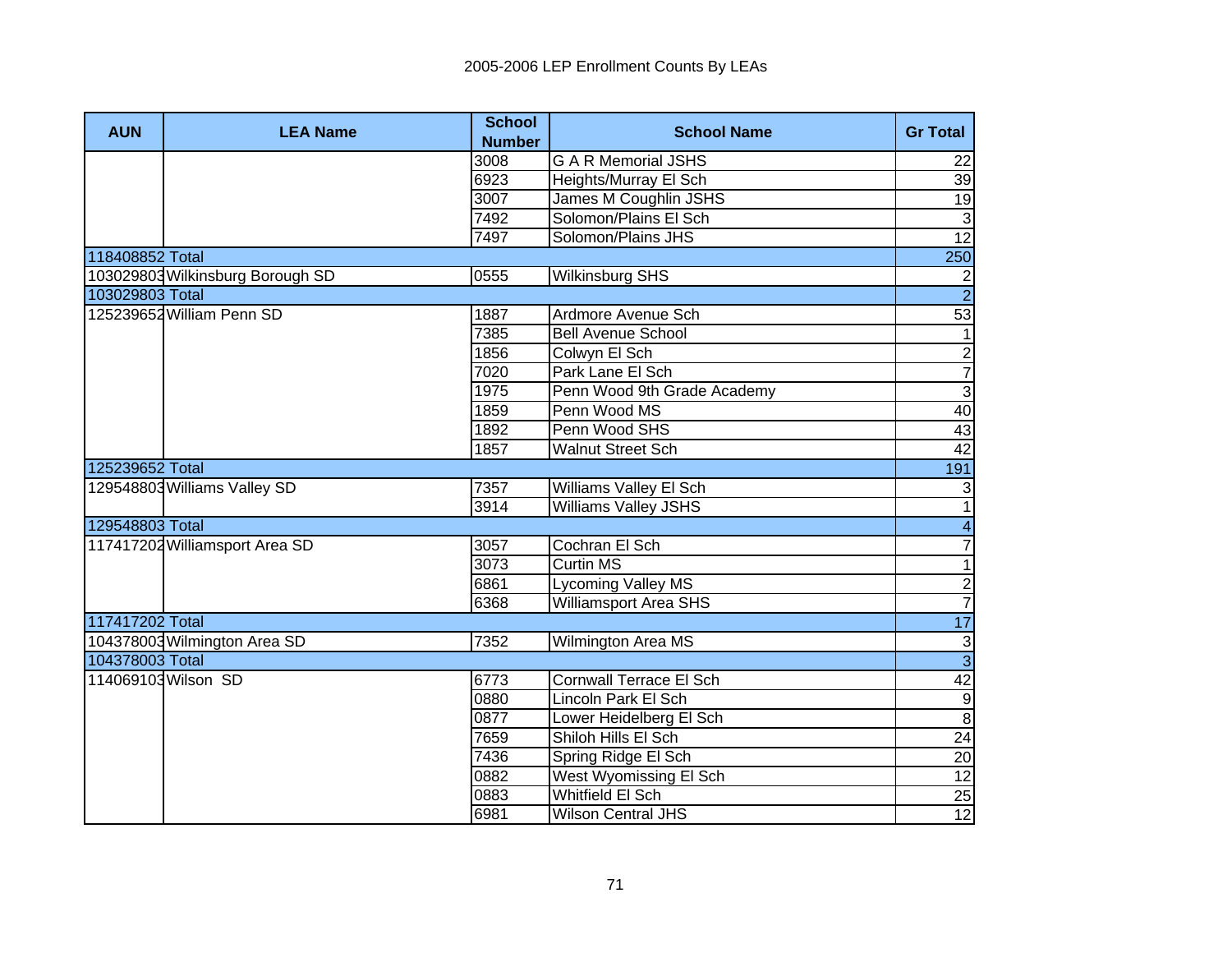| <b>AUN</b>      | <b>LEA Name</b>                  | <b>School</b><br><b>Number</b> | <b>School Name</b>             | <b>Gr Total</b>     |
|-----------------|----------------------------------|--------------------------------|--------------------------------|---------------------|
|                 |                                  | 3008                           | <b>G A R Memorial JSHS</b>     | 22                  |
|                 |                                  | 6923                           | <b>Heights/Murray El Sch</b>   | 39                  |
|                 |                                  | 3007                           | James M Coughlin JSHS          | 19                  |
|                 |                                  | 7492                           | Solomon/Plains El Sch          | $\overline{\omega}$ |
|                 |                                  | 7497                           | Solomon/Plains JHS             | 12                  |
| 118408852 Total |                                  |                                |                                | 250                 |
|                 | 103029803 Wilkinsburg Borough SD | 0555                           | <b>Wilkinsburg SHS</b>         | $\overline{2}$      |
| 103029803 Total |                                  |                                |                                | $\overline{2}$      |
|                 | 125239652 William Penn SD        | 1887                           | Ardmore Avenue Sch             | 53                  |
|                 |                                  | 7385                           | <b>Bell Avenue School</b>      | $\mathbf{1}$        |
|                 |                                  | 1856                           | Colwyn El Sch                  | $\frac{2}{7}$       |
|                 |                                  | 7020                           | Park Lane El Sch               |                     |
|                 |                                  | 1975                           | Penn Wood 9th Grade Academy    | $\overline{3}$      |
|                 |                                  | 1859                           | Penn Wood MS                   | 40                  |
|                 |                                  | 1892                           | Penn Wood SHS                  | 43                  |
|                 |                                  | 1857                           | <b>Walnut Street Sch</b>       | 42                  |
| 125239652 Total |                                  |                                |                                | 191                 |
|                 | 129548803 Williams Valley SD     | 7357                           | Williams Valley El Sch         | $\overline{\omega}$ |
|                 |                                  | 3914                           | <b>Williams Valley JSHS</b>    | $\overline{1}$      |
| 129548803 Total |                                  |                                |                                | $\overline{4}$      |
|                 | 117417202 Williamsport Area SD   | 3057                           | Cochran El Sch                 | $\overline{7}$      |
|                 |                                  | 3073                           | <b>Curtin MS</b>               | $\overline{1}$      |
|                 |                                  | 6861                           | <b>Lycoming Valley MS</b>      | $\overline{2}$      |
|                 |                                  | 6368                           | <b>Williamsport Area SHS</b>   | $\overline{7}$      |
| 117417202 Total |                                  |                                |                                | 17                  |
|                 | 104378003 Wilmington Area SD     | 7352                           | Wilmington Area MS             | $\overline{3}$      |
| 104378003 Total |                                  |                                |                                | $\overline{3}$      |
|                 | 114069103 Wilson SD              | 6773                           | <b>Cornwall Terrace El Sch</b> | $\overline{42}$     |
|                 |                                  | 0880                           | Lincoln Park El Sch            | $\overline{9}$      |
|                 |                                  | 0877                           | Lower Heidelberg El Sch        | $\overline{8}$      |
|                 |                                  | 7659                           | Shiloh Hills El Sch            | 24                  |
|                 |                                  | 7436                           | Spring Ridge El Sch            | 20                  |
|                 |                                  | 0882                           | West Wyomissing El Sch         | $\overline{12}$     |
|                 |                                  | 0883                           | <b>Whitfield El Sch</b>        | 25                  |
|                 |                                  | 6981                           | Wilson Central JHS             | 12                  |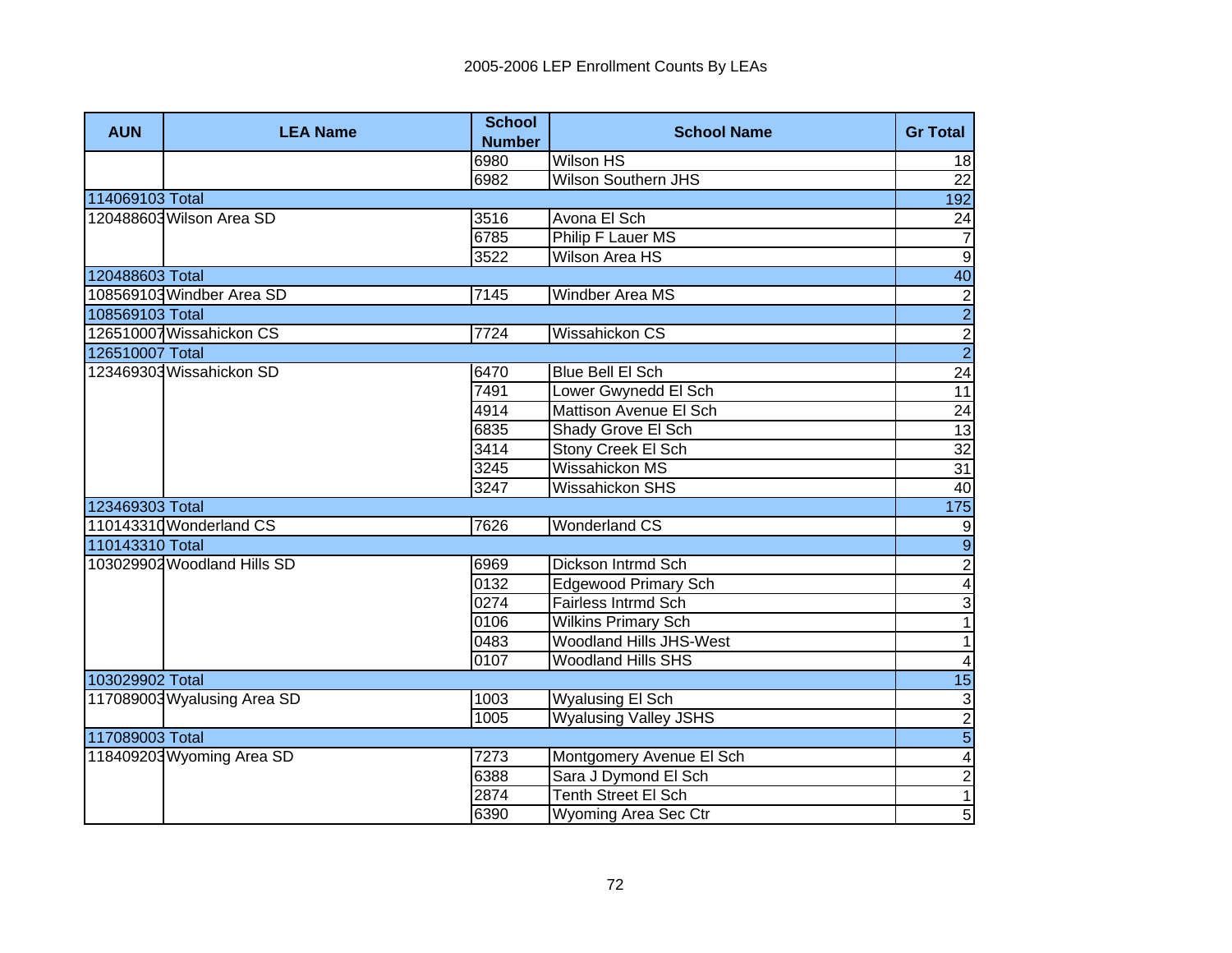| <b>AUN</b>      | <b>LEA Name</b>             | <b>School</b><br><b>Number</b> | <b>School Name</b>             | <b>Gr Total</b>         |
|-----------------|-----------------------------|--------------------------------|--------------------------------|-------------------------|
|                 |                             | 6980                           | <b>Wilson HS</b>               | 18                      |
|                 |                             | 6982                           | <b>Wilson Southern JHS</b>     | $\overline{22}$         |
| 114069103 Total |                             |                                |                                | 192                     |
|                 | 120488603 Wilson Area SD    | 3516                           | Avona El Sch                   | 24                      |
|                 |                             | 6785                           | Philip F Lauer MS              | $\overline{7}$          |
|                 |                             | 3522                           | <b>Wilson Area HS</b>          | $\overline{9}$          |
| 120488603 Total |                             |                                |                                | 40                      |
|                 | 108569103 Windber Area SD   | 7145                           | Windber Area MS                | $\sqrt{2}$              |
| 108569103 Total |                             |                                |                                | $\overline{2}$          |
|                 | 126510007 Wissahickon CS    | 7724                           | Wissahickon CS                 | $\overline{2}$          |
| 126510007 Total |                             |                                |                                | $\overline{2}$          |
|                 | 123469303 Wissahickon SD    | 6470                           | <b>Blue Bell El Sch</b>        | 24                      |
|                 |                             | 7491                           | Lower Gwynedd El Sch           | 11                      |
|                 |                             | 4914                           | Mattison Avenue El Sch         | 24                      |
|                 |                             | 6835                           | Shady Grove El Sch             | 13                      |
|                 |                             | 3414                           | Stony Creek El Sch             | $\overline{32}$         |
|                 |                             | 3245                           | Wissahickon MS                 | 31                      |
|                 |                             | 3247                           | <b>Wissahickon SHS</b>         | 40                      |
| 123469303 Total |                             |                                |                                | $\overline{175}$        |
|                 | 110143310 Wonderland CS     | 7626                           | <b>Wonderland CS</b>           | $\boldsymbol{9}$        |
| 110143310 Total |                             |                                |                                | $\overline{9}$          |
|                 | 103029902 Woodland Hills SD | 6969                           | Dickson Intrmd Sch             | $\overline{2}$          |
|                 |                             | 0132                           | <b>Edgewood Primary Sch</b>    | $\overline{4}$          |
|                 |                             | 0274                           | Fairless Intrmd Sch            | $\overline{3}$          |
|                 |                             | 0106                           | <b>Wilkins Primary Sch</b>     | $\mathbf{1}$            |
|                 |                             | 0483                           | <b>Woodland Hills JHS-West</b> | $\overline{1}$          |
|                 |                             | 0107                           | <b>Woodland Hills SHS</b>      | $\overline{4}$          |
| 103029902 Total |                             |                                |                                | 15                      |
|                 | 117089003 Wyalusing Area SD | 1003                           | <b>Wyalusing El Sch</b>        | $\overline{3}$          |
|                 |                             | 1005                           | <b>Wyalusing Valley JSHS</b>   | $\frac{2}{5}$           |
| 117089003 Total |                             |                                |                                |                         |
|                 | 118409203 Wyoming Area SD   | 7273                           | Montgomery Avenue El Sch       | $\overline{\mathbf{4}}$ |
|                 |                             | 6388                           | Sara J Dymond El Sch           | $\overline{2}$          |
|                 |                             | 2874                           | Tenth Street El Sch            | $\mathbf{1}$            |
|                 |                             | 6390                           | Wyoming Area Sec Ctr           | $\overline{5}$          |